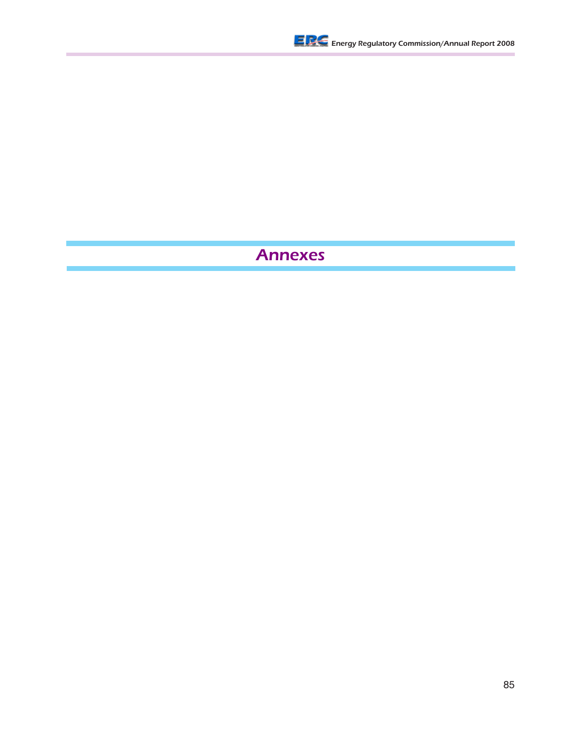

## Annexes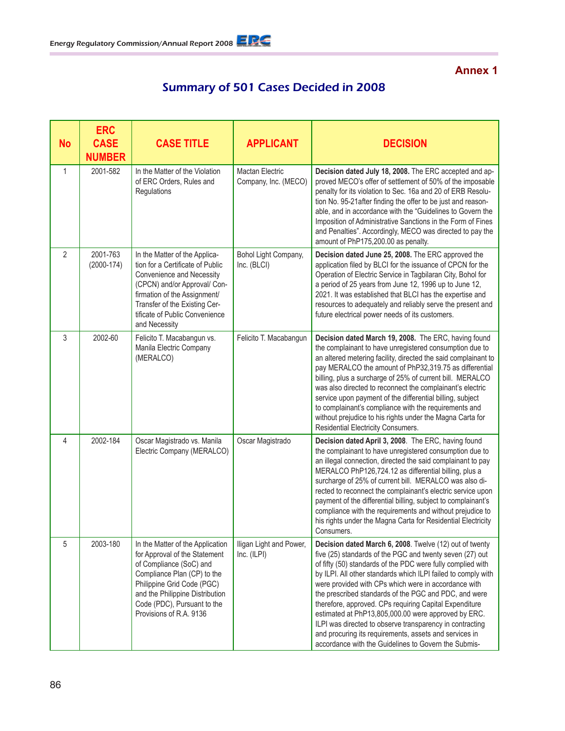## **Annex 1**

## Summary of 501 Cases Decided in 2008

| <b>No</b>      | <b>ERC</b><br><b>CASE</b><br><b>NUMBER</b> | <b>CASE TITLE</b>                                                                                                                                                                                                                                      | <b>APPLICANT</b>                               | <b>DECISION</b>                                                                                                                                                                                                                                                                                                                                                                                                                                                                                                                                                                                                                                                     |
|----------------|--------------------------------------------|--------------------------------------------------------------------------------------------------------------------------------------------------------------------------------------------------------------------------------------------------------|------------------------------------------------|---------------------------------------------------------------------------------------------------------------------------------------------------------------------------------------------------------------------------------------------------------------------------------------------------------------------------------------------------------------------------------------------------------------------------------------------------------------------------------------------------------------------------------------------------------------------------------------------------------------------------------------------------------------------|
| $\mathbf{1}$   | 2001-582                                   | In the Matter of the Violation<br>of ERC Orders, Rules and<br>Regulations                                                                                                                                                                              | <b>Mactan Electric</b><br>Company, Inc. (MECO) | Decision dated July 18, 2008. The ERC accepted and ap-<br>proved MECO's offer of settlement of 50% of the imposable<br>penalty for its violation to Sec. 16a and 20 of ERB Resolu-<br>tion No. 95-21 after finding the offer to be just and reason-<br>able, and in accordance with the "Guidelines to Govern the<br>Imposition of Administrative Sanctions in the Form of Fines<br>and Penalties". Accordingly, MECO was directed to pay the<br>amount of PhP175,200.00 as penalty.                                                                                                                                                                                |
| $\overline{2}$ | 2001-763<br>$(2000-174)$                   | In the Matter of the Applica-<br>tion for a Certificate of Public<br>Convenience and Necessity<br>(CPCN) and/or Approval/ Con-<br>firmation of the Assignment/<br>Transfer of the Existing Cer-<br>tificate of Public Convenience<br>and Necessity     | Bohol Light Company,<br>Inc. (BLCI)            | Decision dated June 25, 2008. The ERC approved the<br>application filed by BLCI for the issuance of CPCN for the<br>Operation of Electric Service in Tagbilaran City, Bohol for<br>a period of 25 years from June 12, 1996 up to June 12,<br>2021. It was established that BLCI has the expertise and<br>resources to adequately and reliably serve the present and<br>future electrical power needs of its customers.                                                                                                                                                                                                                                              |
| 3              | 2002-60                                    | Felicito T. Macabangun vs.<br>Manila Electric Company<br>(MERALCO)                                                                                                                                                                                     | Felicito T. Macabangun                         | Decision dated March 19, 2008. The ERC, having found<br>the complainant to have unregistered consumption due to<br>an altered metering facility, directed the said complainant to<br>pay MERALCO the amount of PhP32,319.75 as differential<br>billing, plus a surcharge of 25% of current bill. MERALCO<br>was also directed to reconnect the complainant's electric<br>service upon payment of the differential billing, subject<br>to complainant's compliance with the requirements and<br>without prejudice to his rights under the Magna Carta for<br>Residential Electricity Consumers.                                                                      |
| 4              | 2002-184                                   | Oscar Magistrado vs. Manila<br>Electric Company (MERALCO)                                                                                                                                                                                              | Oscar Magistrado                               | Decision dated April 3, 2008. The ERC, having found<br>the complainant to have unregistered consumption due to<br>an illegal connection, directed the said complainant to pay<br>MERALCO PhP126,724.12 as differential billing, plus a<br>surcharge of 25% of current bill. MERALCO was also di-<br>rected to reconnect the complainant's electric service upon<br>payment of the differential billing, subject to complainant's<br>compliance with the requirements and without prejudice to<br>his rights under the Magna Carta for Residential Electricity<br>Consumers.                                                                                         |
| 5              | 2003-180                                   | In the Matter of the Application<br>for Approval of the Statement<br>of Compliance (SoC) and<br>Compliance Plan (CP) to the<br>Philippine Grid Code (PGC)<br>and the Philippine Distribution<br>Code (PDC), Pursuant to the<br>Provisions of R.A. 9136 | Iligan Light and Power,<br>Inc. (ILPI)         | Decision dated March 6, 2008. Twelve (12) out of twenty<br>five (25) standards of the PGC and twenty seven (27) out<br>of fifty (50) standards of the PDC were fully complied with<br>by ILPI. All other standards which ILPI failed to comply with<br>were provided with CPs which were in accordance with<br>the prescribed standards of the PGC and PDC, and were<br>therefore, approved. CPs requiring Capital Expenditure<br>estimated at PhP13,805,000.00 were approved by ERC.<br>ILPI was directed to observe transparency in contracting<br>and procuring its requirements, assets and services in<br>accordance with the Guidelines to Govern the Submis- |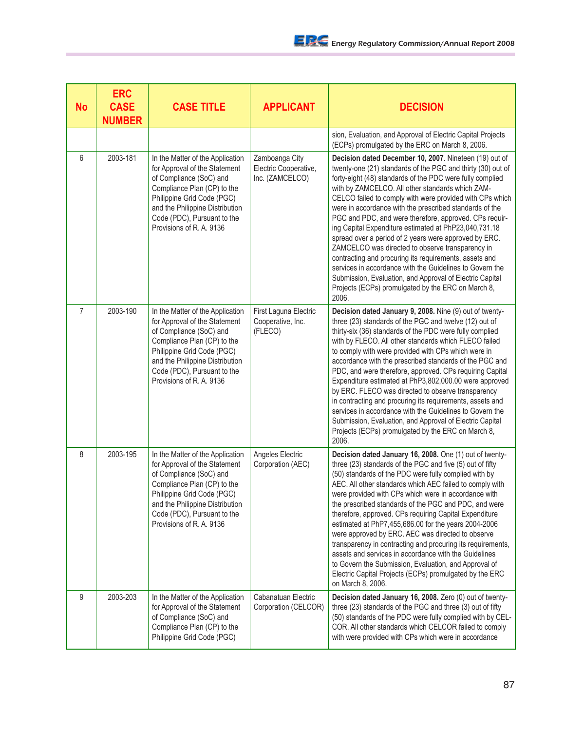| <b>No</b>      | <b>ERC</b><br><b>CASE</b><br><b>NUMBER</b> | <b>CASE TITLE</b>                                                                                                                                                                                                                                       | <b>APPLICANT</b>                                           | <b>DECISION</b>                                                                                                                                                                                                                                                                                                                                                                                                                                                                                                                                                                                                                                                                                                                                                                                                                                |
|----------------|--------------------------------------------|---------------------------------------------------------------------------------------------------------------------------------------------------------------------------------------------------------------------------------------------------------|------------------------------------------------------------|------------------------------------------------------------------------------------------------------------------------------------------------------------------------------------------------------------------------------------------------------------------------------------------------------------------------------------------------------------------------------------------------------------------------------------------------------------------------------------------------------------------------------------------------------------------------------------------------------------------------------------------------------------------------------------------------------------------------------------------------------------------------------------------------------------------------------------------------|
|                |                                            |                                                                                                                                                                                                                                                         |                                                            | sion, Evaluation, and Approval of Electric Capital Projects<br>(ECPs) promulgated by the ERC on March 8, 2006.                                                                                                                                                                                                                                                                                                                                                                                                                                                                                                                                                                                                                                                                                                                                 |
| 6              | 2003-181                                   | In the Matter of the Application<br>for Approval of the Statement<br>of Compliance (SoC) and<br>Compliance Plan (CP) to the<br>Philippine Grid Code (PGC)<br>and the Philippine Distribution<br>Code (PDC), Pursuant to the<br>Provisions of R. A. 9136 | Zamboanga City<br>Electric Cooperative,<br>Inc. (ZAMCELCO) | Decision dated December 10, 2007. Nineteen (19) out of<br>twenty-one (21) standards of the PGC and thirty (30) out of<br>forty-eight (48) standards of the PDC were fully complied<br>with by ZAMCELCO. All other standards which ZAM-<br>CELCO failed to comply with were provided with CPs which<br>were in accordance with the prescribed standards of the<br>PGC and PDC, and were therefore, approved. CPs requir-<br>ing Capital Expenditure estimated at PhP23,040,731.18<br>spread over a period of 2 years were approved by ERC.<br>ZAMCELCO was directed to observe transparency in<br>contracting and procuring its requirements, assets and<br>services in accordance with the Guidelines to Govern the<br>Submission, Evaluation, and Approval of Electric Capital<br>Projects (ECPs) promulgated by the ERC on March 8,<br>2006. |
| $\overline{7}$ | 2003-190                                   | In the Matter of the Application<br>for Approval of the Statement<br>of Compliance (SoC) and<br>Compliance Plan (CP) to the<br>Philippine Grid Code (PGC)<br>and the Philippine Distribution<br>Code (PDC), Pursuant to the<br>Provisions of R. A. 9136 | First Laguna Electric<br>Cooperative, Inc.<br>(FLECO)      | Decision dated January 9, 2008. Nine (9) out of twenty-<br>three (23) standards of the PGC and twelve (12) out of<br>thirty-six (36) standards of the PDC were fully complied<br>with by FLECO. All other standards which FLECO failed<br>to comply with were provided with CPs which were in<br>accordance with the prescribed standards of the PGC and<br>PDC, and were therefore, approved. CPs requiring Capital<br>Expenditure estimated at PhP3,802,000.00 were approved<br>by ERC. FLECO was directed to observe transparency<br>in contracting and procuring its requirements, assets and<br>services in accordance with the Guidelines to Govern the<br>Submission, Evaluation, and Approval of Electric Capital<br>Projects (ECPs) promulgated by the ERC on March 8,<br>2006.                                                       |
| 8              | 2003-195                                   | In the Matter of the Application<br>for Approval of the Statement<br>of Compliance (SoC) and<br>Compliance Plan (CP) to the<br>Philippine Grid Code (PGC)<br>and the Philippine Distribution<br>Code (PDC), Pursuant to the<br>Provisions of R. A. 9136 | Angeles Electric<br>Corporation (AEC)                      | Decision dated January 16, 2008. One (1) out of twenty-<br>three (23) standards of the PGC and five (5) out of fifty<br>(50) standards of the PDC were fully complied with by<br>AEC. All other standards which AEC failed to comply with<br>were provided with CPs which were in accordance with<br>the prescribed standards of the PGC and PDC, and were<br>therefore, approved. CPs requiring Capital Expenditure<br>estimated at PhP7,455,686.00 for the years 2004-2006<br>were approved by ERC. AEC was directed to observe<br>transparency in contracting and procuring its requirements,<br>assets and services in accordance with the Guidelines<br>to Govern the Submission, Evaluation, and Approval of<br>Electric Capital Projects (ECPs) promulgated by the ERC<br>on March 8, 2006.                                             |
| 9              | 2003-203                                   | In the Matter of the Application<br>for Approval of the Statement<br>of Compliance (SoC) and<br>Compliance Plan (CP) to the<br>Philippine Grid Code (PGC)                                                                                               | Cabanatuan Electric<br>Corporation (CELCOR)                | Decision dated January 16, 2008. Zero (0) out of twenty-<br>three (23) standards of the PGC and three (3) out of fifty<br>(50) standards of the PDC were fully complied with by CEL-<br>COR. All other standards which CELCOR failed to comply<br>with were provided with CPs which were in accordance                                                                                                                                                                                                                                                                                                                                                                                                                                                                                                                                         |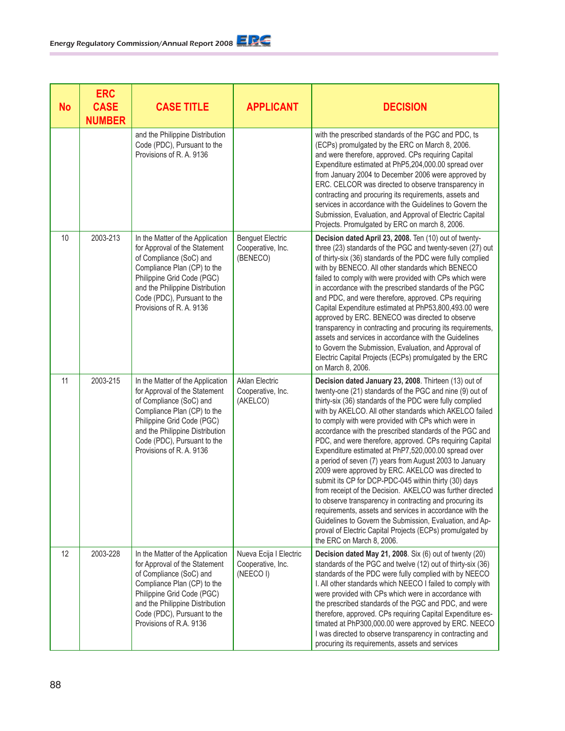| <b>No</b> | <b>ERC</b><br><b>CASE</b><br><b>NUMBER</b> | <b>CASE TITLE</b>                                                                                                                                                                                                                                       | <b>APPLICANT</b>                                         | <b>DECISION</b>                                                                                                                                                                                                                                                                                                                                                                                                                                                                                                                                                                                                                                                                                                                                                                                                                                                                                                                                                                                    |
|-----------|--------------------------------------------|---------------------------------------------------------------------------------------------------------------------------------------------------------------------------------------------------------------------------------------------------------|----------------------------------------------------------|----------------------------------------------------------------------------------------------------------------------------------------------------------------------------------------------------------------------------------------------------------------------------------------------------------------------------------------------------------------------------------------------------------------------------------------------------------------------------------------------------------------------------------------------------------------------------------------------------------------------------------------------------------------------------------------------------------------------------------------------------------------------------------------------------------------------------------------------------------------------------------------------------------------------------------------------------------------------------------------------------|
|           |                                            | and the Philippine Distribution<br>Code (PDC), Pursuant to the<br>Provisions of R. A. 9136                                                                                                                                                              |                                                          | with the prescribed standards of the PGC and PDC, ts<br>(ECPs) promulgated by the ERC on March 8, 2006.<br>and were therefore, approved. CPs requiring Capital<br>Expenditure estimated at PhP5,204,000.00 spread over<br>from January 2004 to December 2006 were approved by<br>ERC. CELCOR was directed to observe transparency in<br>contracting and procuring its requirements, assets and<br>services in accordance with the Guidelines to Govern the<br>Submission, Evaluation, and Approval of Electric Capital<br>Projects. Promulgated by ERC on march 8, 2006.                                                                                                                                                                                                                                                                                                                                                                                                                           |
| 10        | 2003-213                                   | In the Matter of the Application<br>for Approval of the Statement<br>of Compliance (SoC) and<br>Compliance Plan (CP) to the<br>Philippine Grid Code (PGC)<br>and the Philippine Distribution<br>Code (PDC), Pursuant to the<br>Provisions of R. A. 9136 | <b>Benguet Electric</b><br>Cooperative, Inc.<br>(BENECO) | Decision dated April 23, 2008. Ten (10) out of twenty-<br>three (23) standards of the PGC and twenty-seven (27) out<br>of thirty-six (36) standards of the PDC were fully complied<br>with by BENECO. All other standards which BENECO<br>failed to comply with were provided with CPs which were<br>in accordance with the prescribed standards of the PGC<br>and PDC, and were therefore, approved. CPs requiring<br>Capital Expenditure estimated at PhP53,800,493.00 were<br>approved by ERC. BENECO was directed to observe<br>transparency in contracting and procuring its requirements,<br>assets and services in accordance with the Guidelines<br>to Govern the Submission, Evaluation, and Approval of<br>Electric Capital Projects (ECPs) promulgated by the ERC<br>on March 8, 2006.                                                                                                                                                                                                  |
| 11        | 2003-215                                   | In the Matter of the Application<br>for Approval of the Statement<br>of Compliance (SoC) and<br>Compliance Plan (CP) to the<br>Philippine Grid Code (PGC)<br>and the Philippine Distribution<br>Code (PDC), Pursuant to the<br>Provisions of R. A. 9136 | <b>Aklan Electric</b><br>Cooperative, Inc.<br>(AKELCO)   | Decision dated January 23, 2008. Thirteen (13) out of<br>twenty-one (21) standards of the PGC and nine (9) out of<br>thirty-six (36) standards of the PDC were fully complied<br>with by AKELCO. All other standards which AKELCO failed<br>to comply with were provided with CPs which were in<br>accordance with the prescribed standards of the PGC and<br>PDC, and were therefore, approved. CPs requiring Capital<br>Expenditure estimated at PhP7,520,000.00 spread over<br>a period of seven (7) years from August 2003 to January<br>2009 were approved by ERC. AKELCO was directed to<br>submit its CP for DCP-PDC-045 within thirty (30) days<br>from receipt of the Decision. AKELCO was further directed<br>to observe transparency in contracting and procuring its<br>requirements, assets and services in accordance with the<br>Guidelines to Govern the Submission, Evaluation, and Ap-<br>proval of Electric Capital Projects (ECPs) promulgated by<br>the ERC on March 8, 2006. |
| 12        | 2003-228                                   | In the Matter of the Application<br>for Approval of the Statement<br>of Compliance (SoC) and<br>Compliance Plan (CP) to the<br>Philippine Grid Code (PGC)<br>and the Philippine Distribution<br>Code (PDC), Pursuant to the<br>Provisions of R.A. 9136  | Nueva Ecija I Electric<br>Cooperative, Inc.<br>(NEECOI)  | Decision dated May 21, 2008. Six (6) out of twenty (20)<br>standards of the PGC and twelve (12) out of thirty-six (36)<br>standards of the PDC were fully complied with by NEECO<br>I. All other standards which NEECO I failed to comply with<br>were provided with CPs which were in accordance with<br>the prescribed standards of the PGC and PDC, and were<br>therefore, approved. CPs requiring Capital Expenditure es-<br>timated at PhP300,000.00 were approved by ERC. NEECO<br>I was directed to observe transparency in contracting and<br>procuring its requirements, assets and services                                                                                                                                                                                                                                                                                                                                                                                              |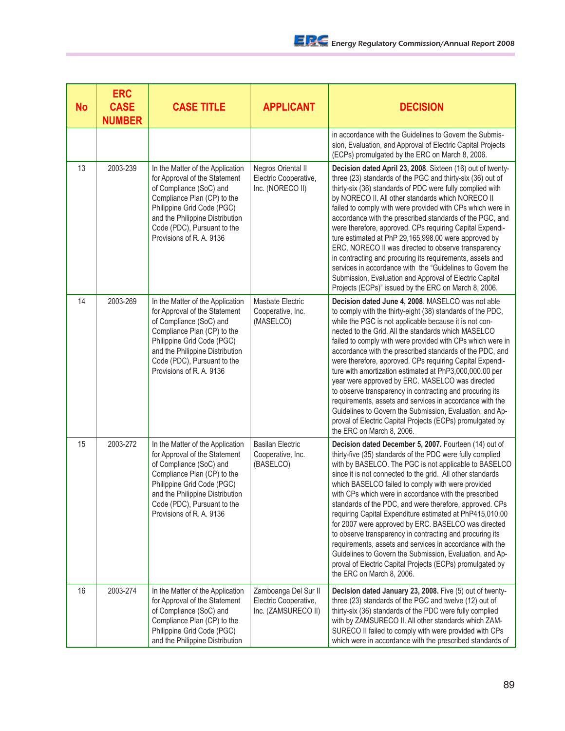| No | <b>ERC</b><br><b>CASE</b><br><b>NUMBER</b> | <b>CASE TITLE</b>                                                                                                                                                                                                                                       | <b>APPLICANT</b>                                                     | <b>DECISION</b>                                                                                                                                                                                                                                                                                                                                                                                                                                                                                                                                                                                                                                                                                                                                                                                                     |
|----|--------------------------------------------|---------------------------------------------------------------------------------------------------------------------------------------------------------------------------------------------------------------------------------------------------------|----------------------------------------------------------------------|---------------------------------------------------------------------------------------------------------------------------------------------------------------------------------------------------------------------------------------------------------------------------------------------------------------------------------------------------------------------------------------------------------------------------------------------------------------------------------------------------------------------------------------------------------------------------------------------------------------------------------------------------------------------------------------------------------------------------------------------------------------------------------------------------------------------|
|    |                                            |                                                                                                                                                                                                                                                         |                                                                      | in accordance with the Guidelines to Govern the Submis-<br>sion, Evaluation, and Approval of Electric Capital Projects<br>(ECPs) promulgated by the ERC on March 8, 2006.                                                                                                                                                                                                                                                                                                                                                                                                                                                                                                                                                                                                                                           |
| 13 | 2003-239                                   | In the Matter of the Application<br>for Approval of the Statement<br>of Compliance (SoC) and<br>Compliance Plan (CP) to the<br>Philippine Grid Code (PGC)<br>and the Philippine Distribution<br>Code (PDC), Pursuant to the<br>Provisions of R. A. 9136 | Negros Oriental II<br>Electric Cooperative,<br>Inc. (NORECO II)      | Decision dated April 23, 2008. Sixteen (16) out of twenty-<br>three (23) standards of the PGC and thirty-six (36) out of<br>thirty-six (36) standards of PDC were fully complied with<br>by NORECO II. All other standards which NORECO II<br>failed to comply with were provided with CPs which were in<br>accordance with the prescribed standards of the PGC, and<br>were therefore, approved. CPs requiring Capital Expendi-<br>ture estimated at PhP 29,165,998.00 were approved by<br>ERC. NORECO II was directed to observe transparency<br>in contracting and procuring its requirements, assets and<br>services in accordance with the "Guidelines to Govern the<br>Submission, Evaluation and Approval of Electric Capital<br>Projects (ECPs)" issued by the ERC on March 8, 2006.                        |
| 14 | 2003-269                                   | In the Matter of the Application<br>for Approval of the Statement<br>of Compliance (SoC) and<br>Compliance Plan (CP) to the<br>Philippine Grid Code (PGC)<br>and the Philippine Distribution<br>Code (PDC), Pursuant to the<br>Provisions of R. A. 9136 | Masbate Electric<br>Cooperative, Inc.<br>(MASELCO)                   | Decision dated June 4, 2008. MASELCO was not able<br>to comply with the thirty-eight (38) standards of the PDC,<br>while the PGC is not applicable because it is not con-<br>nected to the Grid. All the standards which MASELCO<br>failed to comply with were provided with CPs which were in<br>accordance with the prescribed standards of the PDC, and<br>were therefore, approved. CPs requiring Capital Expendi-<br>ture with amortization estimated at PhP3,000,000.00 per<br>year were approved by ERC. MASELCO was directed<br>to observe transparency in contracting and procuring its<br>requirements, assets and services in accordance with the<br>Guidelines to Govern the Submission, Evaluation, and Ap-<br>proval of Electric Capital Projects (ECPs) promulgated by<br>the ERC on March 8, 2006.  |
| 15 | 2003-272                                   | In the Matter of the Application<br>for Approval of the Statement<br>of Compliance (SoC) and<br>Compliance Plan (CP) to the<br>Philippine Grid Code (PGC)<br>and the Philippine Distribution<br>Code (PDC), Pursuant to the<br>Provisions of R. A. 9136 | <b>Basilan Electric</b><br>Cooperative, Inc.<br>(BASELCO)            | Decision dated December 5, 2007. Fourteen (14) out of<br>thirty-five (35) standards of the PDC were fully complied<br>with by BASELCO. The PGC is not applicable to BASELCO<br>since it is not connected to the grid. All other standards<br>which BASELCO failed to comply with were provided<br>with CPs which were in accordance with the prescribed<br>standards of the PDC, and were therefore, approved. CPs<br>requiring Capital Expenditure estimated at PhP415,010.00<br>for 2007 were approved by ERC. BASELCO was directed<br>to observe transparency in contracting and procuring its<br>requirements, assets and services in accordance with the<br>Guidelines to Govern the Submission, Evaluation, and Ap-<br>proval of Electric Capital Projects (ECPs) promulgated by<br>the ERC on March 8, 2006. |
| 16 | 2003-274                                   | In the Matter of the Application<br>for Approval of the Statement<br>of Compliance (SoC) and<br>Compliance Plan (CP) to the<br>Philippine Grid Code (PGC)<br>and the Philippine Distribution                                                            | Zamboanga Del Sur II<br>Electric Cooperative,<br>Inc. (ZAMSURECO II) | Decision dated January 23, 2008. Five (5) out of twenty-<br>three (23) standards of the PGC and twelve (12) out of<br>thirty-six (36) standards of the PDC were fully complied<br>with by ZAMSURECO II. All other standards which ZAM-<br>SURECO II failed to comply with were provided with CPs<br>which were in accordance with the prescribed standards of                                                                                                                                                                                                                                                                                                                                                                                                                                                       |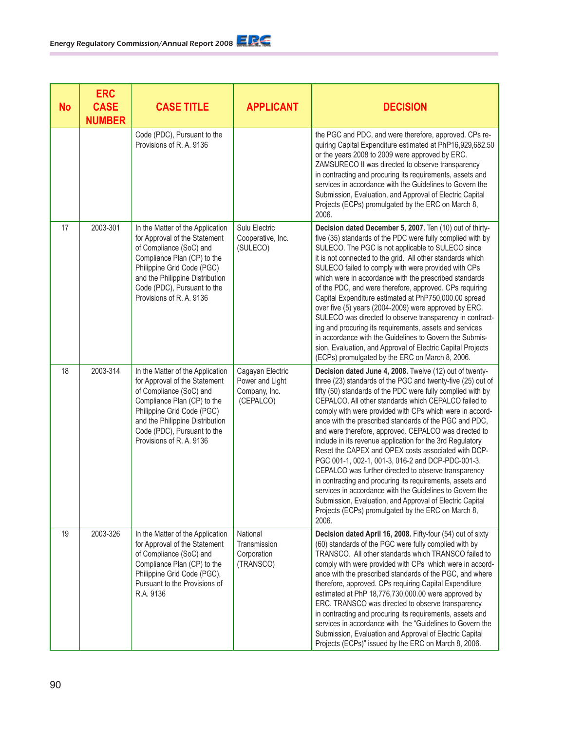| <b>No</b> | <b>ERC</b><br><b>CASE</b><br><b>NUMBER</b> | <b>CASE TITLE</b>                                                                                                                                                                                                                                       | <b>APPLICANT</b>                                                  | <b>DECISION</b>                                                                                                                                                                                                                                                                                                                                                                                                                                                                                                                                                                                                                                                                                                                                                                                                                                                                                                   |
|-----------|--------------------------------------------|---------------------------------------------------------------------------------------------------------------------------------------------------------------------------------------------------------------------------------------------------------|-------------------------------------------------------------------|-------------------------------------------------------------------------------------------------------------------------------------------------------------------------------------------------------------------------------------------------------------------------------------------------------------------------------------------------------------------------------------------------------------------------------------------------------------------------------------------------------------------------------------------------------------------------------------------------------------------------------------------------------------------------------------------------------------------------------------------------------------------------------------------------------------------------------------------------------------------------------------------------------------------|
|           |                                            | Code (PDC), Pursuant to the<br>Provisions of R. A. 9136                                                                                                                                                                                                 |                                                                   | the PGC and PDC, and were therefore, approved. CPs re-<br>quiring Capital Expenditure estimated at PhP16,929,682.50<br>or the years 2008 to 2009 were approved by ERC.<br>ZAMSURECO II was directed to observe transparency<br>in contracting and procuring its requirements, assets and<br>services in accordance with the Guidelines to Govern the<br>Submission, Evaluation, and Approval of Electric Capital<br>Projects (ECPs) promulgated by the ERC on March 8,<br>2006.                                                                                                                                                                                                                                                                                                                                                                                                                                   |
| 17        | 2003-301                                   | In the Matter of the Application<br>for Approval of the Statement<br>of Compliance (SoC) and<br>Compliance Plan (CP) to the<br>Philippine Grid Code (PGC)<br>and the Philippine Distribution<br>Code (PDC), Pursuant to the<br>Provisions of R. A. 9136 | Sulu Electric<br>Cooperative, Inc.<br>(SULECO)                    | Decision dated December 5, 2007. Ten (10) out of thirty-<br>five (35) standards of the PDC were fully complied with by<br>SULECO. The PGC is not applicable to SULECO since<br>it is not connected to the grid. All other standards which<br>SULECO failed to comply with were provided with CPs<br>which were in accordance with the prescribed standards<br>of the PDC, and were therefore, approved. CPs requiring<br>Capital Expenditure estimated at PhP750,000.00 spread<br>over five (5) years (2004-2009) were approved by ERC.<br>SULECO was directed to observe transparency in contract-<br>ing and procuring its requirements, assets and services<br>in accordance with the Guidelines to Govern the Submis-<br>sion, Evaluation, and Approval of Electric Capital Projects<br>(ECPs) promulgated by the ERC on March 8, 2006.                                                                       |
| 18        | 2003-314                                   | In the Matter of the Application<br>for Approval of the Statement<br>of Compliance (SoC) and<br>Compliance Plan (CP) to the<br>Philippine Grid Code (PGC)<br>and the Philippine Distribution<br>Code (PDC), Pursuant to the<br>Provisions of R. A. 9136 | Cagayan Electric<br>Power and Light<br>Company, Inc.<br>(CEPALCO) | Decision dated June 4, 2008. Twelve (12) out of twenty-<br>three (23) standards of the PGC and twenty-five (25) out of<br>fifty (50) standards of the PDC were fully complied with by<br>CEPALCO. All other standards which CEPALCO failed to<br>comply with were provided with CPs which were in accord-<br>ance with the prescribed standards of the PGC and PDC,<br>and were therefore, approved. CEPALCO was directed to<br>include in its revenue application for the 3rd Regulatory<br>Reset the CAPEX and OPEX costs associated with DCP-<br>PGC 001-1, 002-1, 001-3, 016-2 and DCP-PDC-001-3.<br>CEPALCO was further directed to observe transparency<br>in contracting and procuring its requirements, assets and<br>services in accordance with the Guidelines to Govern the<br>Submission, Evaluation, and Approval of Electric Capital<br>Projects (ECPs) promulgated by the ERC on March 8,<br>2006. |
| 19        | 2003-326                                   | In the Matter of the Application<br>for Approval of the Statement<br>of Compliance (SoC) and<br>Compliance Plan (CP) to the<br>Philippine Grid Code (PGC),<br>Pursuant to the Provisions of<br>R.A. 9136                                                | National<br>Transmission<br>Corporation<br>(TRANSCO)              | Decision dated April 16, 2008. Fifty-four (54) out of sixty<br>(60) standards of the PGC were fully complied with by<br>TRANSCO. All other standards which TRANSCO failed to<br>comply with were provided with CPs which were in accord-<br>ance with the prescribed standards of the PGC, and where<br>therefore, approved. CPs requiring Capital Expenditure<br>estimated at PhP 18,776,730,000.00 were approved by<br>ERC. TRANSCO was directed to observe transparency<br>in contracting and procuring its requirements, assets and<br>services in accordance with the "Guidelines to Govern the<br>Submission, Evaluation and Approval of Electric Capital<br>Projects (ECPs)" issued by the ERC on March 8, 2006.                                                                                                                                                                                           |

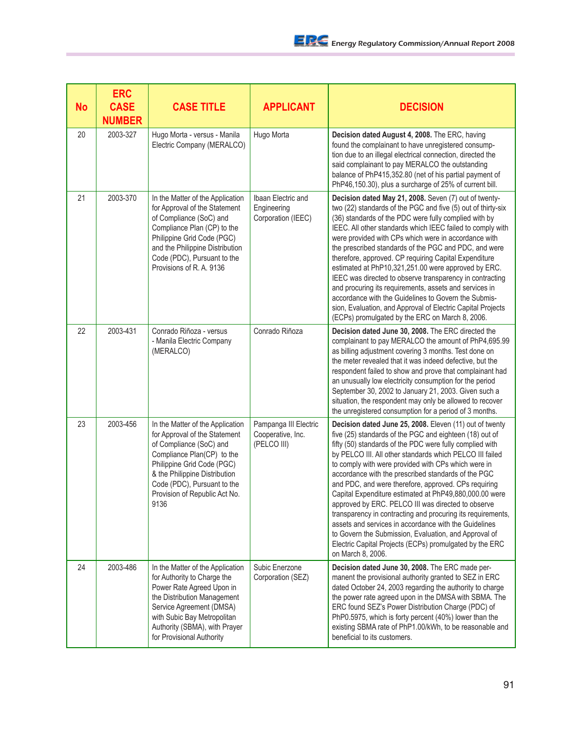| <b>No</b> | <b>ERC</b><br><b>CASE</b><br><b>NUMBER</b> | <b>CASE TITLE</b>                                                                                                                                                                                                                                                 | <b>APPLICANT</b>                                          | <b>DECISION</b>                                                                                                                                                                                                                                                                                                                                                                                                                                                                                                                                                                                                                                                                                                                                                                                   |
|-----------|--------------------------------------------|-------------------------------------------------------------------------------------------------------------------------------------------------------------------------------------------------------------------------------------------------------------------|-----------------------------------------------------------|---------------------------------------------------------------------------------------------------------------------------------------------------------------------------------------------------------------------------------------------------------------------------------------------------------------------------------------------------------------------------------------------------------------------------------------------------------------------------------------------------------------------------------------------------------------------------------------------------------------------------------------------------------------------------------------------------------------------------------------------------------------------------------------------------|
| 20        | 2003-327                                   | Hugo Morta - versus - Manila<br>Electric Company (MERALCO)                                                                                                                                                                                                        | Hugo Morta                                                | Decision dated August 4, 2008. The ERC, having<br>found the complainant to have unregistered consump-<br>tion due to an illegal electrical connection, directed the<br>said complainant to pay MERALCO the outstanding<br>balance of PhP415,352.80 (net of his partial payment of<br>PhP46,150.30), plus a surcharge of 25% of current bill.                                                                                                                                                                                                                                                                                                                                                                                                                                                      |
| 21        | 2003-370                                   | In the Matter of the Application<br>for Approval of the Statement<br>of Compliance (SoC) and<br>Compliance Plan (CP) to the<br>Philippine Grid Code (PGC)<br>and the Philippine Distribution<br>Code (PDC), Pursuant to the<br>Provisions of R. A. 9136           | Ibaan Electric and<br>Engineering<br>Corporation (IEEC)   | Decision dated May 21, 2008. Seven (7) out of twenty-<br>two (22) standards of the PGC and five (5) out of thirty-six<br>(36) standards of the PDC were fully complied with by<br>IEEC. All other standards which IEEC failed to comply with<br>were provided with CPs which were in accordance with<br>the prescribed standards of the PGC and PDC, and were<br>therefore, approved. CP requiring Capital Expenditure<br>estimated at PhP10,321,251.00 were approved by ERC.<br>IEEC was directed to observe transparency in contracting<br>and procuring its requirements, assets and services in<br>accordance with the Guidelines to Govern the Submis-<br>sion, Evaluation, and Approval of Electric Capital Projects<br>(ECPs) promulgated by the ERC on March 8, 2006.                     |
| 22        | 2003-431                                   | Conrado Riñoza - versus<br>- Manila Electric Company<br>(MERALCO)                                                                                                                                                                                                 | Conrado Riñoza                                            | Decision dated June 30, 2008. The ERC directed the<br>complainant to pay MERALCO the amount of PhP4,695.99<br>as billing adjustment covering 3 months. Test done on<br>the meter revealed that it was indeed defective, but the<br>respondent failed to show and prove that complainant had<br>an unusually low electricity consumption for the period<br>September 30, 2002 to January 21, 2003. Given such a<br>situation, the respondent may only be allowed to recover<br>the unregistered consumption for a period of 3 months.                                                                                                                                                                                                                                                              |
| 23        | 2003-456                                   | In the Matter of the Application<br>for Approval of the Statement<br>of Compliance (SoC) and<br>Compliance Plan(CP) to the<br>Philippine Grid Code (PGC)<br>& the Philippine Distribution<br>Code (PDC), Pursuant to the<br>Provision of Republic Act No.<br>9136 | Pampanga III Electric<br>Cooperative, Inc.<br>(PELCO III) | Decision dated June 25, 2008. Eleven (11) out of twenty<br>five (25) standards of the PGC and eighteen (18) out of<br>fifty (50) standards of the PDC were fully complied with<br>by PELCO III. All other standards which PELCO III failed<br>to comply with were provided with CPs which were in<br>accordance with the prescribed standards of the PGC<br>and PDC, and were therefore, approved. CPs requiring<br>Capital Expenditure estimated at PhP49,880,000.00 were<br>approved by ERC. PELCO III was directed to observe<br>transparency in contracting and procuring its requirements,<br>assets and services in accordance with the Guidelines<br>to Govern the Submission, Evaluation, and Approval of<br>Electric Capital Projects (ECPs) promulgated by the ERC<br>on March 8, 2006. |
| 24        | 2003-486                                   | In the Matter of the Application<br>for Authority to Charge the<br>Power Rate Agreed Upon in<br>the Distribution Management<br>Service Agreement (DMSA)<br>with Subic Bay Metropolitan<br>Authority (SBMA), with Prayer<br>for Provisional Authority              | Subic Enerzone<br>Corporation (SEZ)                       | Decision dated June 30, 2008. The ERC made per-<br>manent the provisional authority granted to SEZ in ERC<br>dated October 24, 2003 regarding the authority to charge<br>the power rate agreed upon in the DMSA with SBMA. The<br>ERC found SEZ's Power Distribution Charge (PDC) of<br>PhP0.5975, which is forty percent (40%) lower than the<br>existing SBMA rate of PhP1.00/kWh, to be reasonable and<br>beneficial to its customers.                                                                                                                                                                                                                                                                                                                                                         |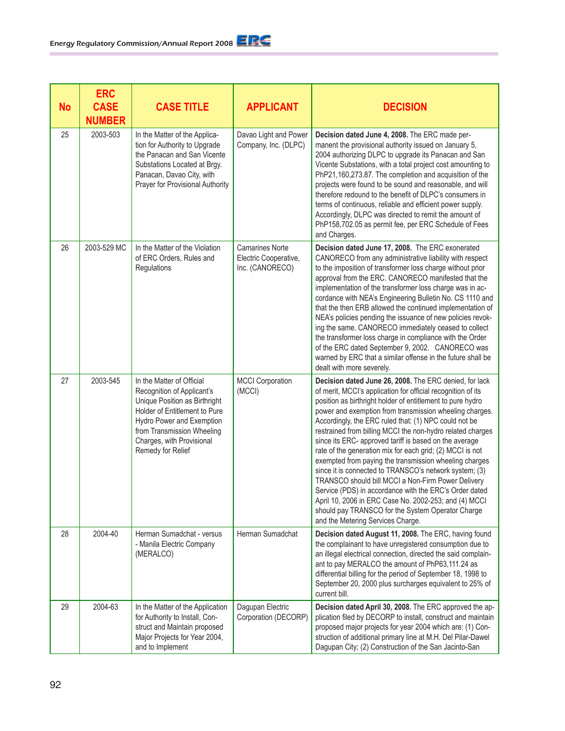| <b>No</b> | <b>ERC</b><br><b>CASE</b><br><b>NUMBER</b> | <b>CASE TITLE</b>                                                                                                                                                                                                                      | <b>APPLICANT</b>                                                   | <b>DECISION</b>                                                                                                                                                                                                                                                                                                                                                                                                                                                                                                                                                                                                                                                                                                                                                                                                                                                                      |
|-----------|--------------------------------------------|----------------------------------------------------------------------------------------------------------------------------------------------------------------------------------------------------------------------------------------|--------------------------------------------------------------------|--------------------------------------------------------------------------------------------------------------------------------------------------------------------------------------------------------------------------------------------------------------------------------------------------------------------------------------------------------------------------------------------------------------------------------------------------------------------------------------------------------------------------------------------------------------------------------------------------------------------------------------------------------------------------------------------------------------------------------------------------------------------------------------------------------------------------------------------------------------------------------------|
| 25        | 2003-503                                   | In the Matter of the Applica-<br>tion for Authority to Upgrade<br>the Panacan and San Vicente<br>Substations Located at Brgy.<br>Panacan, Davao City, with<br>Prayer for Provisional Authority                                         | Davao Light and Power<br>Company, Inc. (DLPC)                      | Decision dated June 4, 2008. The ERC made per-<br>manent the provisional authority issued on January 5,<br>2004 authorizing DLPC to upgrade its Panacan and San<br>Vicente Substations, with a total project cost amounting to<br>PhP21,160,273.87. The completion and acquisition of the<br>projects were found to be sound and reasonable, and will<br>therefore redound to the benefit of DLPC's consumers in<br>terms of continuous, reliable and efficient power supply.<br>Accordingly, DLPC was directed to remit the amount of<br>PhP158,702.05 as permit fee, per ERC Schedule of Fees<br>and Charges.                                                                                                                                                                                                                                                                      |
| 26        | 2003-529 MC                                | In the Matter of the Violation<br>of ERC Orders, Rules and<br>Regulations                                                                                                                                                              | <b>Camarines Norte</b><br>Electric Cooperative,<br>Inc. (CANORECO) | Decision dated June 17, 2008. The ERC exonerated<br>CANORECO from any administrative liability with respect<br>to the imposition of transformer loss charge without prior<br>approval from the ERC. CANORECO manifested that the<br>implementation of the transformer loss charge was in ac-<br>cordance with NEA's Engineering Bulletin No. CS 1110 and<br>that the then ERB allowed the continued implementation of<br>NEA's policies pending the issuance of new policies revok-<br>ing the same. CANORECO immediately ceased to collect<br>the transformer loss charge in compliance with the Order<br>of the ERC dated September 9, 2002. CANORECO was<br>warned by ERC that a similar offense in the future shall be<br>dealt with more severely.                                                                                                                              |
| 27        | 2003-545                                   | In the Matter of Official<br>Recognition of Applicant's<br>Unique Position as Birthright<br>Holder of Entitlement to Pure<br>Hydro Power and Exemption<br>from Transmission Wheeling<br>Charges, with Provisional<br>Remedy for Relief | <b>MCCI</b> Corporation<br>(MCCI)                                  | Decision dated June 26, 2008. The ERC denied, for lack<br>of merit, MCCI's application for official recognition of its<br>position as birthright holder of entitlement to pure hydro<br>power and exemption from transmission wheeling charges.<br>Accordingly, the ERC ruled that: (1) NPC could not be<br>restrained from billing MCCI the non-hydro related charges<br>since its ERC- approved tariff is based on the average<br>rate of the generation mix for each grid; (2) MCCI is not<br>exempted from paying the transmission wheeling charges<br>since it is connected to TRANSCO's network system; (3)<br>TRANSCO should bill MCCI a Non-Firm Power Delivery<br>Service (PDS) in accordance with the ERC's Order dated<br>April 10, 2006 in ERC Case No. 2002-253; and (4) MCCI<br>should pay TRANSCO for the System Operator Charge<br>and the Metering Services Charge. |
| 28        | 2004-40                                    | Herman Sumadchat - versus<br>- Manila Electric Company<br>(MERALCO)                                                                                                                                                                    | Herman Sumadchat                                                   | Decision dated August 11, 2008. The ERC, having found<br>the complainant to have unregistered consumption due to<br>an illegal electrical connection, directed the said complain-<br>ant to pay MERALCO the amount of PhP63,111.24 as<br>differential billing for the period of September 18, 1998 to<br>September 20, 2000 plus surcharges equivalent to 25% of<br>current bill.                                                                                                                                                                                                                                                                                                                                                                                                                                                                                                    |
| 29        | 2004-63                                    | In the Matter of the Application<br>for Authority to Install, Con-<br>struct and Maintain proposed<br>Major Projects for Year 2004,<br>and to Implement                                                                                | Dagupan Electric<br>Corporation (DECORP)                           | Decision dated April 30, 2008. The ERC approved the ap-<br>plication filed by DECORP to install, construct and maintain<br>proposed major projects for year 2004 which are: (1) Con-<br>struction of additional primary line at M.H. Del Pilar-Dawel<br>Dagupan City; (2) Construction of the San Jacinto-San                                                                                                                                                                                                                                                                                                                                                                                                                                                                                                                                                                        |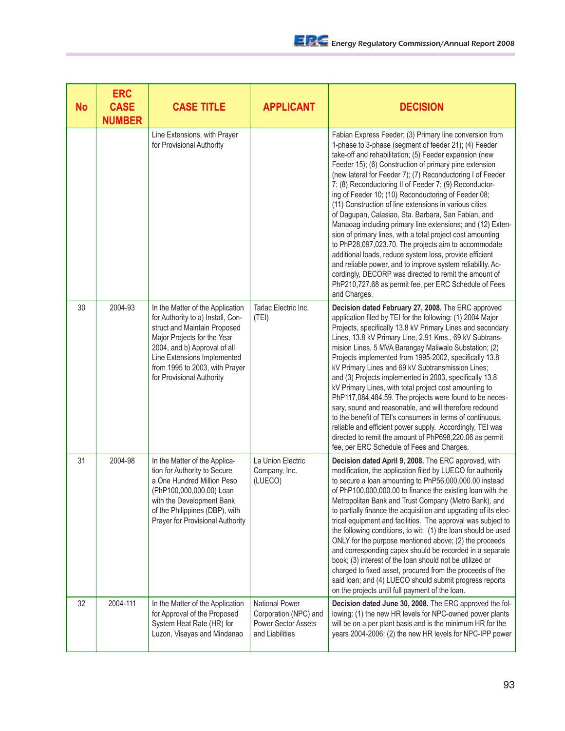| <b>No</b> | <b>ERC</b><br><b>CASE</b><br><b>NUMBER</b> | <b>CASE TITLE</b>                                                                                                                                                                                                                                                  | <b>APPLICANT</b>                                                                         | <b>DECISION</b>                                                                                                                                                                                                                                                                                                                                                                                                                                                                                                                                                                                                                                                                                                                                                                                                                                                                                                                                                                     |
|-----------|--------------------------------------------|--------------------------------------------------------------------------------------------------------------------------------------------------------------------------------------------------------------------------------------------------------------------|------------------------------------------------------------------------------------------|-------------------------------------------------------------------------------------------------------------------------------------------------------------------------------------------------------------------------------------------------------------------------------------------------------------------------------------------------------------------------------------------------------------------------------------------------------------------------------------------------------------------------------------------------------------------------------------------------------------------------------------------------------------------------------------------------------------------------------------------------------------------------------------------------------------------------------------------------------------------------------------------------------------------------------------------------------------------------------------|
|           |                                            | Line Extensions, with Prayer<br>for Provisional Authority                                                                                                                                                                                                          |                                                                                          | Fabian Express Feeder; (3) Primary line conversion from<br>1-phase to 3-phase (segment of feeder 21); (4) Feeder<br>take-off and rehabilitation; (5) Feeder expansion (new<br>Feeder 15); (6) Construction of primary pine extension<br>(new lateral for Feeder 7); (7) Reconductoring I of Feeder<br>7; (8) Reconductoring II of Feeder 7; (9) Reconductor-<br>ing of Feeder 10; (10) Reconductoring of Feeder 08;<br>(11) Construction of line extensions in various cities<br>of Dagupan, Calasiao, Sta. Barbara, San Fabian, and<br>Manaoag including primary line extensions; and (12) Exten-<br>sion of primary lines, with a total project cost amounting<br>to PhP28,097,023.70. The projects aim to accommodate<br>additional loads, reduce system loss, provide efficient<br>and reliable power, and to improve system reliability. Ac-<br>cordingly, DECORP was directed to remit the amount of<br>PhP210,727.68 as permit fee, per ERC Schedule of Fees<br>and Charges. |
| 30        | 2004-93                                    | In the Matter of the Application<br>for Authority to a) Install, Con-<br>struct and Maintain Proposed<br>Major Projects for the Year<br>2004, and b) Approval of all<br>Line Extensions Implemented<br>from 1995 to 2003, with Prayer<br>for Provisional Authority | Tarlac Electric Inc.<br>(TEI)                                                            | Decision dated February 27, 2008. The ERC approved<br>application filed by TEI for the following: (1) 2004 Major<br>Projects, specifically 13.8 kV Primary Lines and secondary<br>Lines, 13.8 kV Primary Line, 2.91 Kms., 69 kV Subtrans-<br>mision Lines, 5 MVA Barangay Maliwalo Substation; (2)<br>Projects implemented from 1995-2002, specifically 13.8<br>kV Primary Lines and 69 kV Subtransmission Lines;<br>and (3) Projects implemented in 2003, specifically 13.8<br>kV Primary Lines, with total project cost amounting to<br>PhP117,084,484.59. The projects were found to be neces-<br>sary, sound and reasonable, and will therefore redound<br>to the benefit of TEI's consumers in terms of continuous,<br>reliable and efficient power supply. Accordingly, TEI was<br>directed to remit the amount of PhP698,220.06 as permit<br>fee, per ERC Schedule of Fees and Charges.                                                                                      |
| 31        | 2004-98                                    | In the Matter of the Applica-<br>tion for Authority to Secure<br>a One Hundred Million Peso<br>(PhP100,000,000.00) Loan<br>with the Development Bank<br>of the Philippines (DBP), with<br>Prayer for Provisional Authority                                         | La Union Electric<br>Company, Inc.<br>(LUECO)                                            | Decision dated April 9, 2008. The ERC approved, with<br>modification, the application filed by LUECO for authority<br>to secure a loan amounting to PhP56,000,000.00 instead<br>of PhP100,000,000.00 to finance the existing loan with the<br>Metropolitan Bank and Trust Company (Metro Bank), and<br>to partially finance the acquisition and upgrading of its elec-<br>trical equipment and facilities. The approval was subject to<br>the following conditions, to wit: (1) the loan should be used<br>ONLY for the purpose mentioned above; (2) the proceeds<br>and corresponding capex should be recorded in a separate<br>book; (3) interest of the loan should not be utilized or<br>charged to fixed asset, procured from the proceeds of the<br>said loan; and (4) LUECO should submit progress reports<br>on the projects until full payment of the loan.                                                                                                                |
| 32        | 2004-111                                   | In the Matter of the Application<br>for Approval of the Proposed<br>System Heat Rate (HR) for<br>Luzon, Visayas and Mindanao                                                                                                                                       | <b>National Power</b><br>Corporation (NPC) and<br>Power Sector Assets<br>and Liabilities | Decision dated June 30, 2008. The ERC approved the fol-<br>lowing: (1) the new HR levels for NPC-owned power plants<br>will be on a per plant basis and is the minimum HR for the<br>years 2004-2006; (2) the new HR levels for NPC-IPP power                                                                                                                                                                                                                                                                                                                                                                                                                                                                                                                                                                                                                                                                                                                                       |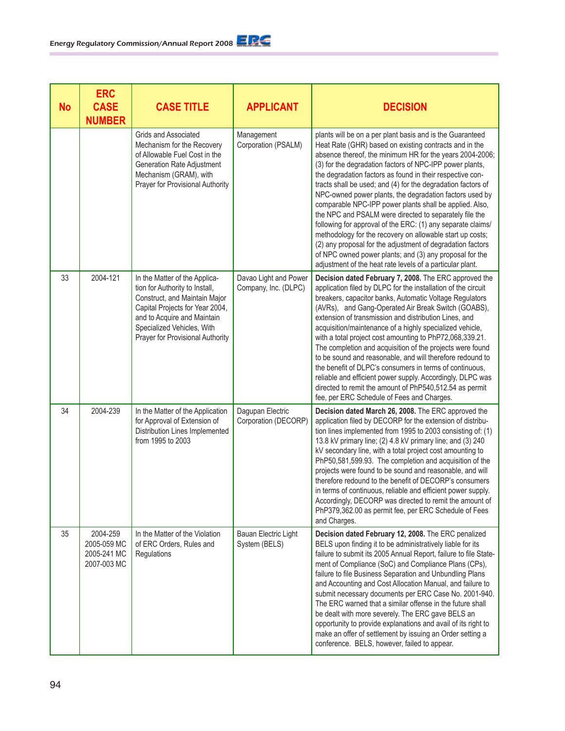| <b>No</b> | <b>ERC</b><br><b>CASE</b><br><b>NUMBER</b>            | <b>CASE TITLE</b>                                                                                                                                                                                                                    | <b>APPLICANT</b>                              | <b>DECISION</b>                                                                                                                                                                                                                                                                                                                                                                                                                                                                                                                                                                                                                                                                                                                                                                                                                                                            |
|-----------|-------------------------------------------------------|--------------------------------------------------------------------------------------------------------------------------------------------------------------------------------------------------------------------------------------|-----------------------------------------------|----------------------------------------------------------------------------------------------------------------------------------------------------------------------------------------------------------------------------------------------------------------------------------------------------------------------------------------------------------------------------------------------------------------------------------------------------------------------------------------------------------------------------------------------------------------------------------------------------------------------------------------------------------------------------------------------------------------------------------------------------------------------------------------------------------------------------------------------------------------------------|
|           |                                                       | Grids and Associated<br>Mechanism for the Recovery<br>of Allowable Fuel Cost in the<br>Generation Rate Adjustment<br>Mechanism (GRAM), with<br>Prayer for Provisional Authority                                                      | Management<br>Corporation (PSALM)             | plants will be on a per plant basis and is the Guaranteed<br>Heat Rate (GHR) based on existing contracts and in the<br>absence thereof, the minimum HR for the years 2004-2006;<br>(3) for the degradation factors of NPC-IPP power plants,<br>the degradation factors as found in their respective con-<br>tracts shall be used; and (4) for the degradation factors of<br>NPC-owned power plants, the degradation factors used by<br>comparable NPC-IPP power plants shall be applied. Also,<br>the NPC and PSALM were directed to separately file the<br>following for approval of the ERC: (1) any separate claims/<br>methodology for the recovery on allowable start up costs;<br>(2) any proposal for the adjustment of degradation factors<br>of NPC owned power plants; and (3) any proposal for the<br>adjustment of the heat rate levels of a particular plant. |
| 33        | 2004-121                                              | In the Matter of the Applica-<br>tion for Authority to Install,<br>Construct, and Maintain Major<br>Capital Projects for Year 2004,<br>and to Acquire and Maintain<br>Specialized Vehicles, With<br>Prayer for Provisional Authority | Davao Light and Power<br>Company, Inc. (DLPC) | Decision dated February 7, 2008. The ERC approved the<br>application filed by DLPC for the installation of the circuit<br>breakers, capacitor banks, Automatic Voltage Regulators<br>(AVRs), and Gang-Operated Air Break Switch (GOABS),<br>extension of transmission and distribution Lines, and<br>acquisition/maintenance of a highly specialized vehicle,<br>with a total project cost amounting to PhP72,068,339.21.<br>The completion and acquisition of the projects were found<br>to be sound and reasonable, and will therefore redound to<br>the benefit of DLPC's consumers in terms of continuous,<br>reliable and efficient power supply. Accordingly, DLPC was<br>directed to remit the amount of PhP540,512.54 as permit<br>fee, per ERC Schedule of Fees and Charges.                                                                                      |
| 34        | 2004-239                                              | In the Matter of the Application<br>for Approval of Extension of<br>Distribution Lines Implemented<br>from 1995 to 2003                                                                                                              | Dagupan Electric<br>Corporation (DECORP)      | Decision dated March 26, 2008. The ERC approved the<br>application filed by DECORP for the extension of distribu-<br>tion lines implemented from 1995 to 2003 consisting of: (1)<br>13.8 kV primary line; (2) 4.8 kV primary line; and (3) 240<br>kV secondary line, with a total project cost amounting to<br>PhP50,581,599.93. The completion and acquisition of the<br>projects were found to be sound and reasonable, and will<br>therefore redound to the benefit of DECORP's consumers<br>in terms of continuous, reliable and efficient power supply.<br>Accordingly, DECORP was directed to remit the amount of<br>PhP379,362.00 as permit fee, per ERC Schedule of Fees<br>and Charges.                                                                                                                                                                           |
| 35        | 2004-259<br>2005-059 MC<br>2005-241 MC<br>2007-003 MC | In the Matter of the Violation<br>of ERC Orders, Rules and<br>Regulations                                                                                                                                                            | Bauan Electric Light<br>System (BELS)         | Decision dated February 12, 2008. The ERC penalized<br>BELS upon finding it to be administratively liable for its<br>failure to submit its 2005 Annual Report, failure to file State-<br>ment of Compliance (SoC) and Compliance Plans (CPs),<br>failure to file Business Separation and Unbundling Plans<br>and Accounting and Cost Allocation Manual, and failure to<br>submit necessary documents per ERC Case No. 2001-940.<br>The ERC warned that a similar offense in the future shall<br>be dealt with more severely. The ERC gave BELS an<br>opportunity to provide explanations and avail of its right to<br>make an offer of settlement by issuing an Order setting a<br>conference. BELS, however, failed to appear.                                                                                                                                            |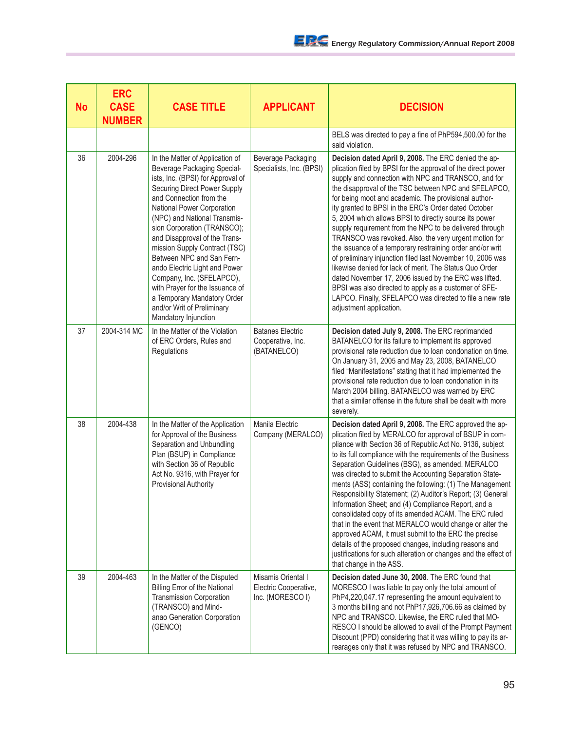| <b>No</b> | <b>ERC</b><br><b>CASE</b><br><b>NUMBER</b> | <b>CASE TITLE</b>                                                                                                                                                                                                                                                                                                                                                                                                                                                                                                                                | <b>APPLICANT</b>                                                | <b>DECISION</b>                                                                                                                                                                                                                                                                                                                                                                                                                                                                                                                                                                                                                                                                                                                                                                                                                                                                                                                  |
|-----------|--------------------------------------------|--------------------------------------------------------------------------------------------------------------------------------------------------------------------------------------------------------------------------------------------------------------------------------------------------------------------------------------------------------------------------------------------------------------------------------------------------------------------------------------------------------------------------------------------------|-----------------------------------------------------------------|----------------------------------------------------------------------------------------------------------------------------------------------------------------------------------------------------------------------------------------------------------------------------------------------------------------------------------------------------------------------------------------------------------------------------------------------------------------------------------------------------------------------------------------------------------------------------------------------------------------------------------------------------------------------------------------------------------------------------------------------------------------------------------------------------------------------------------------------------------------------------------------------------------------------------------|
|           |                                            |                                                                                                                                                                                                                                                                                                                                                                                                                                                                                                                                                  |                                                                 | BELS was directed to pay a fine of PhP594,500.00 for the<br>said violation.                                                                                                                                                                                                                                                                                                                                                                                                                                                                                                                                                                                                                                                                                                                                                                                                                                                      |
| 36        | 2004-296                                   | In the Matter of Application of<br>Beverage Packaging Special-<br>ists, Inc. (BPSI) for Approval of<br>Securing Direct Power Supply<br>and Connection from the<br>National Power Corporation<br>(NPC) and National Transmis-<br>sion Corporation (TRANSCO);<br>and Disapproval of the Trans-<br>mission Supply Contract (TSC)<br>Between NPC and San Fern-<br>ando Electric Light and Power<br>Company, Inc. (SFELAPCO),<br>with Prayer for the Issuance of<br>a Temporary Mandatory Order<br>and/or Writ of Preliminary<br>Mandatory Injunction | Beverage Packaging<br>Specialists, Inc. (BPSI)                  | Decision dated April 9, 2008. The ERC denied the ap-<br>plication filed by BPSI for the approval of the direct power<br>supply and connection with NPC and TRANSCO, and for<br>the disapproval of the TSC between NPC and SFELAPCO,<br>for being moot and academic. The provisional author-<br>ity granted to BPSI in the ERC's Order dated October<br>5, 2004 which allows BPSI to directly source its power<br>supply requirement from the NPC to be delivered through<br>TRANSCO was revoked. Also, the very urgent motion for<br>the issuance of a temporary restraining order and/or writ<br>of preliminary injunction filed last November 10, 2006 was<br>likewise denied for lack of merit. The Status Quo Order<br>dated November 17, 2006 issued by the ERC was lifted.<br>BPSI was also directed to apply as a customer of SFE-<br>LAPCO. Finally, SFELAPCO was directed to file a new rate<br>adjustment application. |
| 37        | 2004-314 MC                                | In the Matter of the Violation<br>of ERC Orders, Rules and<br>Regulations                                                                                                                                                                                                                                                                                                                                                                                                                                                                        | <b>Batanes Electric</b><br>Cooperative, Inc.<br>(BATANELCO)     | Decision dated July 9, 2008. The ERC reprimanded<br>BATANELCO for its failure to implement its approved<br>provisional rate reduction due to loan condonation on time.<br>On January 31, 2005 and May 23, 2008, BATANELCO<br>filed "Manifestations" stating that it had implemented the<br>provisional rate reduction due to loan condonation in its<br>March 2004 billing. BATANELCO was warned by ERC<br>that a similar offense in the future shall be dealt with more<br>severely.                                                                                                                                                                                                                                                                                                                                                                                                                                            |
| 38        | 2004-438                                   | In the Matter of the Application<br>for Approval of the Business<br>Separation and Unbundling<br>Plan (BSUP) in Compliance<br>with Section 36 of Republic<br>Act No. 9316, with Prayer for<br>Provisional Authority                                                                                                                                                                                                                                                                                                                              | Manila Electric<br>Company (MERALCO)                            | Decision dated April 9, 2008. The ERC approved the ap-<br>plication filed by MERALCO for approval of BSUP in com-<br>pliance with Section 36 of Republic Act No. 9136, subject<br>to its full compliance with the requirements of the Business<br>Separation Guidelines (BSG), as amended. MERALCO<br>was directed to submit the Accounting Separation State-<br>ments (ASS) containing the following: (1) The Management<br>Responsibility Statement; (2) Auditor's Report; (3) General<br>Information Sheet; and (4) Compliance Report, and a<br>consolidated copy of its amended ACAM. The ERC ruled<br>that in the event that MERALCO would change or alter the<br>approved ACAM, it must submit to the ERC the precise<br>details of the proposed changes, including reasons and<br>justifications for such alteration or changes and the effect of<br>that change in the ASS.                                              |
| 39        | 2004-463                                   | In the Matter of the Disputed<br>Billing Error of the National<br><b>Transmission Corporation</b><br>(TRANSCO) and Mind-<br>anao Generation Corporation<br>(GENCO)                                                                                                                                                                                                                                                                                                                                                                               | Misamis Oriental I<br>Electric Cooperative,<br>Inc. (MORESCO I) | Decision dated June 30, 2008. The ERC found that<br>MORESCO I was liable to pay only the total amount of<br>PhP4,220,047.17 representing the amount equivalent to<br>3 months billing and not PhP17,926,706.66 as claimed by<br>NPC and TRANSCO. Likewise, the ERC ruled that MO-<br>RESCO I should be allowed to avail of the Prompt Payment<br>Discount (PPD) considering that it was willing to pay its ar-<br>rearages only that it was refused by NPC and TRANSCO.                                                                                                                                                                                                                                                                                                                                                                                                                                                          |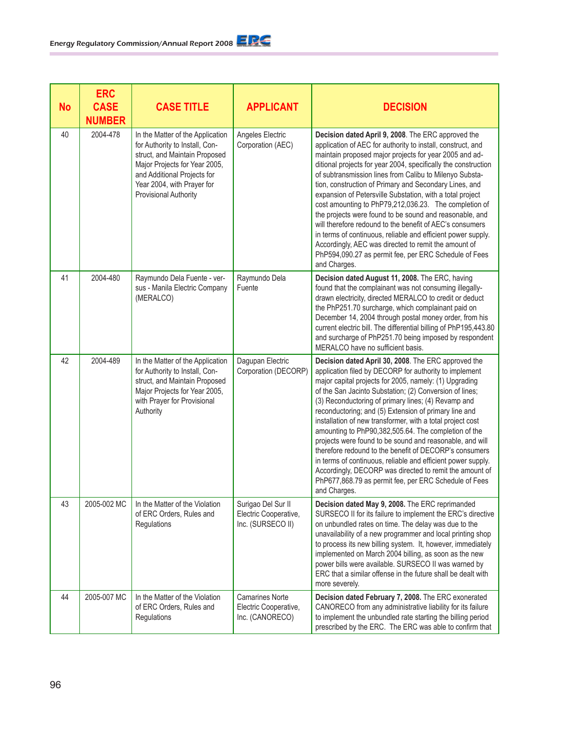| <b>No</b> | <b>ERC</b><br><b>CASE</b><br><b>NUMBER</b> | <b>CASE TITLE</b>                                                                                                                                                                                                          | <b>APPLICANT</b>                                                   | <b>DECISION</b>                                                                                                                                                                                                                                                                                                                                                                                                                                                                                                                                                                                                                                                                                                                                                                                                  |
|-----------|--------------------------------------------|----------------------------------------------------------------------------------------------------------------------------------------------------------------------------------------------------------------------------|--------------------------------------------------------------------|------------------------------------------------------------------------------------------------------------------------------------------------------------------------------------------------------------------------------------------------------------------------------------------------------------------------------------------------------------------------------------------------------------------------------------------------------------------------------------------------------------------------------------------------------------------------------------------------------------------------------------------------------------------------------------------------------------------------------------------------------------------------------------------------------------------|
| 40        | 2004-478                                   | In the Matter of the Application<br>for Authority to Install, Con-<br>struct, and Maintain Proposed<br>Major Projects for Year 2005,<br>and Additional Projects for<br>Year 2004, with Prayer for<br>Provisional Authority | Angeles Electric<br>Corporation (AEC)                              | Decision dated April 9, 2008. The ERC approved the<br>application of AEC for authority to install, construct, and<br>maintain proposed major projects for year 2005 and ad-<br>ditional projects for year 2004, specifically the construction<br>of subtransmission lines from Calibu to Milenyo Substa-<br>tion, construction of Primary and Secondary Lines, and<br>expansion of Petersville Substation, with a total project<br>cost amounting to PhP79,212,036.23. The completion of<br>the projects were found to be sound and reasonable, and<br>will therefore redound to the benefit of AEC's consumers<br>in terms of continuous, reliable and efficient power supply.<br>Accordingly, AEC was directed to remit the amount of<br>PhP594,090.27 as permit fee, per ERC Schedule of Fees<br>and Charges. |
| 41        | 2004-480                                   | Raymundo Dela Fuente - ver-<br>sus - Manila Electric Company<br>(MERALCO)                                                                                                                                                  | Raymundo Dela<br>Fuente                                            | Decision dated August 11, 2008. The ERC, having<br>found that the complainant was not consuming illegally-<br>drawn electricity, directed MERALCO to credit or deduct<br>the PhP251.70 surcharge, which complainant paid on<br>December 14, 2004 through postal money order, from his<br>current electric bill. The differential billing of PhP195,443.80<br>and surcharge of PhP251.70 being imposed by respondent<br>MERALCO have no sufficient basis.                                                                                                                                                                                                                                                                                                                                                         |
| 42        | 2004-489                                   | In the Matter of the Application<br>for Authority to Install, Con-<br>struct, and Maintain Proposed<br>Major Projects for Year 2005,<br>with Prayer for Provisional<br>Authority                                           | Dagupan Electric<br>Corporation (DECORP)                           | Decision dated April 30, 2008. The ERC approved the<br>application filed by DECORP for authority to implement<br>major capital projects for 2005, namely: (1) Upgrading<br>of the San Jacinto Substation; (2) Conversion of lines;<br>(3) Reconductoring of primary lines; (4) Revamp and<br>reconductoring; and (5) Extension of primary line and<br>installation of new transformer, with a total project cost<br>amounting to PhP90,382,505.64. The completion of the<br>projects were found to be sound and reasonable, and will<br>therefore redound to the benefit of DECORP's consumers<br>in terms of continuous, reliable and efficient power supply.<br>Accordingly, DECORP was directed to remit the amount of<br>PhP677,868.79 as permit fee, per ERC Schedule of Fees<br>and Charges.               |
| 43        | 2005-002 MC                                | In the Matter of the Violation<br>of ERC Orders, Rules and<br>Regulations                                                                                                                                                  | Surigao Del Sur II<br>Electric Cooperative,<br>Inc. (SURSECO II)   | Decision dated May 9, 2008. The ERC reprimanded<br>SURSECO II for its failure to implement the ERC's directive<br>on unbundled rates on time. The delay was due to the<br>unavailability of a new programmer and local printing shop<br>to process its new billing system. It, however, immediately<br>implemented on March 2004 billing, as soon as the new<br>power bills were available. SURSECO II was warned by<br>ERC that a similar offense in the future shall be dealt with<br>more severely.                                                                                                                                                                                                                                                                                                           |
| 44        | 2005-007 MC                                | In the Matter of the Violation<br>of ERC Orders, Rules and<br>Regulations                                                                                                                                                  | <b>Camarines Norte</b><br>Electric Cooperative,<br>Inc. (CANORECO) | Decision dated February 7, 2008. The ERC exonerated<br>CANORECO from any administrative liability for its failure<br>to implement the unbundled rate starting the billing period<br>prescribed by the ERC. The ERC was able to confirm that                                                                                                                                                                                                                                                                                                                                                                                                                                                                                                                                                                      |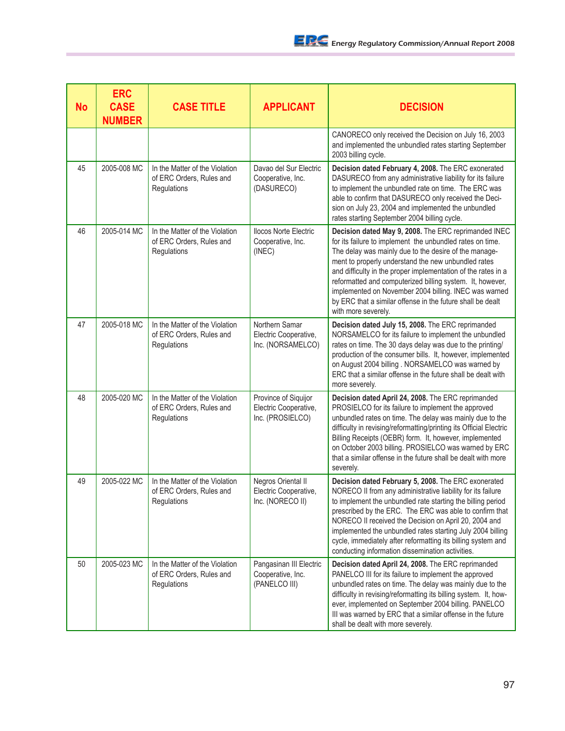| <b>No</b> | <b>ERC</b><br><b>CASE</b><br><b>NUMBER</b> | <b>CASE TITLE</b>                                                         | <b>APPLICANT</b>                                                  | <b>DECISION</b>                                                                                                                                                                                                                                                                                                                                                                                                                                                                                               |
|-----------|--------------------------------------------|---------------------------------------------------------------------------|-------------------------------------------------------------------|---------------------------------------------------------------------------------------------------------------------------------------------------------------------------------------------------------------------------------------------------------------------------------------------------------------------------------------------------------------------------------------------------------------------------------------------------------------------------------------------------------------|
|           |                                            |                                                                           |                                                                   | CANORECO only received the Decision on July 16, 2003<br>and implemented the unbundled rates starting September<br>2003 billing cycle.                                                                                                                                                                                                                                                                                                                                                                         |
| 45        | 2005-008 MC                                | In the Matter of the Violation<br>of ERC Orders, Rules and<br>Regulations | Davao del Sur Electric<br>Cooperative, Inc.<br>(DASURECO)         | Decision dated February 4, 2008. The ERC exonerated<br>DASURECO from any administrative liability for its failure<br>to implement the unbundled rate on time. The ERC was<br>able to confirm that DASURECO only received the Deci-<br>sion on July 23, 2004 and implemented the unbundled<br>rates starting September 2004 billing cycle.                                                                                                                                                                     |
| 46        | 2005-014 MC                                | In the Matter of the Violation<br>of ERC Orders, Rules and<br>Regulations | <b>Ilocos Norte Electric</b><br>Cooperative, Inc.<br>(INEC)       | Decision dated May 9, 2008. The ERC reprimanded INEC<br>for its failure to implement the unbundled rates on time.<br>The delay was mainly due to the desire of the manage-<br>ment to properly understand the new unbundled rates<br>and difficulty in the proper implementation of the rates in a<br>reformatted and computerized billing system. It, however,<br>implemented on November 2004 billing. INEC was warned<br>by ERC that a similar offense in the future shall be dealt<br>with more severely. |
| 47        | 2005-018 MC                                | In the Matter of the Violation<br>of ERC Orders, Rules and<br>Regulations | Northern Samar<br>Electric Cooperative,<br>Inc. (NORSAMELCO)      | Decision dated July 15, 2008. The ERC reprimanded<br>NORSAMELCO for its failure to implement the unbundled<br>rates on time. The 30 days delay was due to the printing/<br>production of the consumer bills. It, however, implemented<br>on August 2004 billing . NORSAMELCO was warned by<br>ERC that a similar offense in the future shall be dealt with<br>more severely.                                                                                                                                  |
| 48        | 2005-020 MC                                | In the Matter of the Violation<br>of ERC Orders, Rules and<br>Regulations | Province of Siquijor<br>Electric Cooperative,<br>Inc. (PROSIELCO) | Decision dated April 24, 2008. The ERC reprimanded<br>PROSIELCO for its failure to implement the approved<br>unbundled rates on time. The delay was mainly due to the<br>difficulty in revising/reformatting/printing its Official Electric<br>Billing Receipts (OEBR) form. It, however, implemented<br>on October 2003 billing. PROSIELCO was warned by ERC<br>that a similar offense in the future shall be dealt with more<br>severely.                                                                   |
| 49        | 2005-022 MC                                | In the Matter of the Violation<br>of ERC Orders, Rules and<br>Regulations | Negros Oriental II<br>Electric Cooperative,<br>Inc. (NORECO II)   | Decision dated February 5, 2008. The ERC exonerated<br>NORECO II from any administrative liability for its failure<br>to implement the unbundled rate starting the billing period<br>prescribed by the ERC. The ERC was able to confirm that<br>NORECO II received the Decision on April 20, 2004 and<br>implemented the unbundled rates starting July 2004 billing<br>cycle, immediately after reformatting its billing system and<br>conducting information dissemination activities.                       |
| 50        | 2005-023 MC                                | In the Matter of the Violation<br>of ERC Orders, Rules and<br>Regulations | Pangasinan III Electric<br>Cooperative, Inc.<br>(PANELCO III)     | Decision dated April 24, 2008. The ERC reprimanded<br>PANELCO III for its failure to implement the approved<br>unbundled rates on time. The delay was mainly due to the<br>difficulty in revising/reformatting its billing system. It, how-<br>ever, implemented on September 2004 billing. PANELCO<br>III was warned by ERC that a similar offense in the future<br>shall be dealt with more severely.                                                                                                       |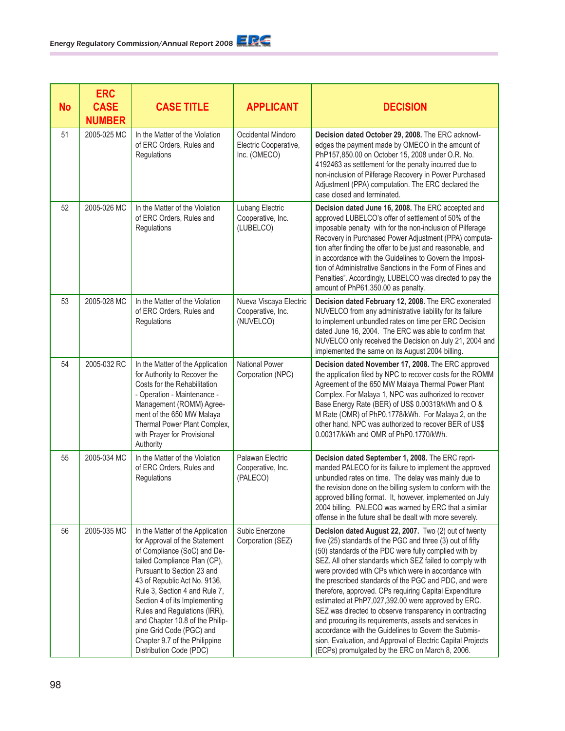| <b>No</b> | <b>ERC</b><br><b>CASE</b><br><b>NUMBER</b> | <b>CASE TITLE</b>                                                                                                                                                                                                                                                                                                                                                                                                           | <b>APPLICANT</b>                                            | <b>DECISION</b>                                                                                                                                                                                                                                                                                                                                                                                                                                                                                                                                                                                                                                                                                                                                                         |
|-----------|--------------------------------------------|-----------------------------------------------------------------------------------------------------------------------------------------------------------------------------------------------------------------------------------------------------------------------------------------------------------------------------------------------------------------------------------------------------------------------------|-------------------------------------------------------------|-------------------------------------------------------------------------------------------------------------------------------------------------------------------------------------------------------------------------------------------------------------------------------------------------------------------------------------------------------------------------------------------------------------------------------------------------------------------------------------------------------------------------------------------------------------------------------------------------------------------------------------------------------------------------------------------------------------------------------------------------------------------------|
| 51        | 2005-025 MC                                | In the Matter of the Violation<br>of ERC Orders, Rules and<br>Regulations                                                                                                                                                                                                                                                                                                                                                   | Occidental Mindoro<br>Electric Cooperative,<br>Inc. (OMECO) | Decision dated October 29, 2008. The ERC acknowl-<br>edges the payment made by OMECO in the amount of<br>PhP157,850.00 on October 15, 2008 under O.R. No.<br>4192463 as settlement for the penalty incurred due to<br>non-inclusion of Pilferage Recovery in Power Purchased<br>Adjustment (PPA) computation. The ERC declared the<br>case closed and terminated.                                                                                                                                                                                                                                                                                                                                                                                                       |
| 52        | 2005-026 MC                                | In the Matter of the Violation<br>of ERC Orders, Rules and<br>Regulations                                                                                                                                                                                                                                                                                                                                                   | Lubang Electric<br>Cooperative, Inc.<br>(LUBELCO)           | Decision dated June 16, 2008. The ERC accepted and<br>approved LUBELCO's offer of settlement of 50% of the<br>imposable penalty with for the non-inclusion of Pilferage<br>Recovery in Purchased Power Adjustment (PPA) computa-<br>tion after finding the offer to be just and reasonable, and<br>in accordance with the Guidelines to Govern the Imposi-<br>tion of Administrative Sanctions in the Form of Fines and<br>Penalties". Accordingly, LUBELCO was directed to pay the<br>amount of PhP61,350.00 as penalty.                                                                                                                                                                                                                                               |
| 53        | 2005-028 MC                                | In the Matter of the Violation<br>of ERC Orders, Rules and<br>Regulations                                                                                                                                                                                                                                                                                                                                                   | Nueva Viscaya Electric<br>Cooperative, Inc.<br>(NUVELCO)    | Decision dated February 12, 2008. The ERC exonerated<br>NUVELCO from any administrative liability for its failure<br>to implement unbundled rates on time per ERC Decision<br>dated June 16, 2004. The ERC was able to confirm that<br>NUVELCO only received the Decision on July 21, 2004 and<br>implemented the same on its August 2004 billing.                                                                                                                                                                                                                                                                                                                                                                                                                      |
| 54        | 2005-032 RC                                | In the Matter of the Application<br>for Authority to Recover the<br>Costs for the Rehabilitation<br>- Operation - Maintenance -<br>Management (ROMM) Agree-<br>ment of the 650 MW Malaya<br>Thermal Power Plant Complex,<br>with Prayer for Provisional<br>Authority                                                                                                                                                        | <b>National Power</b><br>Corporation (NPC)                  | Decision dated November 17, 2008. The ERC approved<br>the application filed by NPC to recover costs for the ROMM<br>Agreement of the 650 MW Malaya Thermal Power Plant<br>Complex. For Malaya 1, NPC was authorized to recover<br>Base Energy Rate (BER) of US\$ 0.00319/kWh and O &<br>M Rate (OMR) of PhP0.1778/kWh. For Malaya 2, on the<br>other hand, NPC was authorized to recover BER of US\$<br>0.00317/kWh and OMR of PhP0.1770/kWh.                                                                                                                                                                                                                                                                                                                           |
| 55        | 2005-034 MC                                | In the Matter of the Violation<br>of ERC Orders, Rules and<br>Regulations                                                                                                                                                                                                                                                                                                                                                   | Palawan Electric<br>Cooperative, Inc.<br>(PALECO)           | Decision dated September 1, 2008. The ERC repri-<br>manded PALECO for its failure to implement the approved<br>unbundled rates on time. The delay was mainly due to<br>the revision done on the billing system to conform with the<br>approved billing format. It, however, implemented on July<br>2004 billing. PALECO was warned by ERC that a similar<br>offense in the future shall be dealt with more severely.                                                                                                                                                                                                                                                                                                                                                    |
| 56        | 2005-035 MC                                | In the Matter of the Application<br>for Approval of the Statement<br>of Compliance (SoC) and De-<br>tailed Compliance Plan (CP),<br>Pursuant to Section 23 and<br>43 of Republic Act No. 9136,<br>Rule 3, Section 4 and Rule 7,<br>Section 4 of its Implementing<br>Rules and Regulations (IRR),<br>and Chapter 10.8 of the Philip-<br>pine Grid Code (PGC) and<br>Chapter 9.7 of the Philippine<br>Distribution Code (PDC) | Subic Enerzone<br>Corporation (SEZ)                         | Decision dated August 22, 2007. Two (2) out of twenty<br>five (25) standards of the PGC and three (3) out of fifty<br>(50) standards of the PDC were fully complied with by<br>SEZ. All other standards which SEZ failed to comply with<br>were provided with CPs which were in accordance with<br>the prescribed standards of the PGC and PDC, and were<br>therefore, approved. CPs requiring Capital Expenditure<br>estimated at PhP7,027,392.00 were approved by ERC.<br>SEZ was directed to observe transparency in contracting<br>and procuring its requirements, assets and services in<br>accordance with the Guidelines to Govern the Submis-<br>sion, Evaluation, and Approval of Electric Capital Projects<br>(ECPs) promulgated by the ERC on March 8, 2006. |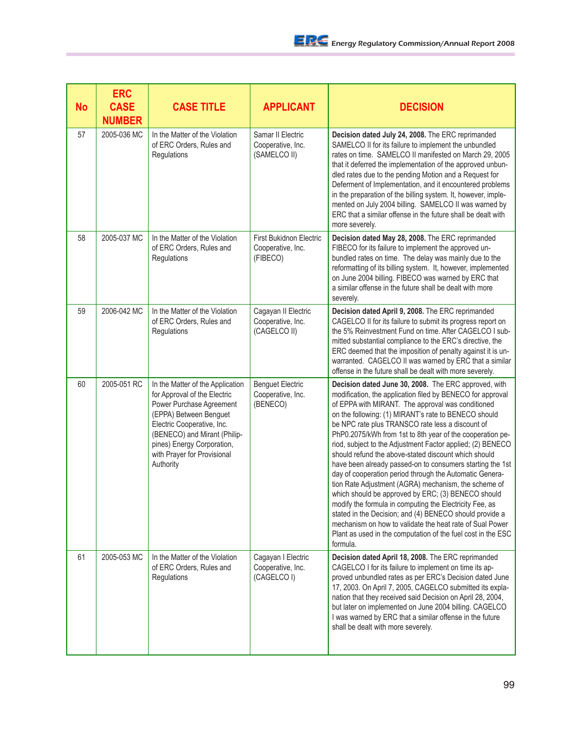| <b>No</b> | <b>ERC</b><br><b>CASE</b><br><b>NUMBER</b> | <b>CASE TITLE</b>                                                                                                                                                                                                                                              | <b>APPLICANT</b>                                                | <b>DECISION</b>                                                                                                                                                                                                                                                                                                                                                                                                                                                                                                                                                                                                                                                                                                                                                                                                                                                                                                                                                            |
|-----------|--------------------------------------------|----------------------------------------------------------------------------------------------------------------------------------------------------------------------------------------------------------------------------------------------------------------|-----------------------------------------------------------------|----------------------------------------------------------------------------------------------------------------------------------------------------------------------------------------------------------------------------------------------------------------------------------------------------------------------------------------------------------------------------------------------------------------------------------------------------------------------------------------------------------------------------------------------------------------------------------------------------------------------------------------------------------------------------------------------------------------------------------------------------------------------------------------------------------------------------------------------------------------------------------------------------------------------------------------------------------------------------|
| 57        | 2005-036 MC                                | In the Matter of the Violation<br>of ERC Orders, Rules and<br>Regulations                                                                                                                                                                                      | Samar II Electric<br>Cooperative, Inc.<br>(SAMELCO II)          | Decision dated July 24, 2008. The ERC reprimanded<br>SAMELCO II for its failure to implement the unbundled<br>rates on time. SAMELCO II manifested on March 29, 2005<br>that it deferred the implementation of the approved unbun-<br>dled rates due to the pending Motion and a Request for<br>Deferment of Implementation, and it encountered problems<br>in the preparation of the billing system. It, however, imple-<br>mented on July 2004 billing. SAMELCO II was warned by<br>ERC that a similar offense in the future shall be dealt with<br>more severely.                                                                                                                                                                                                                                                                                                                                                                                                       |
| 58        | 2005-037 MC                                | In the Matter of the Violation<br>of ERC Orders, Rules and<br>Regulations                                                                                                                                                                                      | <b>First Bukidnon Electric</b><br>Cooperative, Inc.<br>(FIBECO) | Decision dated May 28, 2008. The ERC reprimanded<br>FIBECO for its failure to implement the approved un-<br>bundled rates on time. The delay was mainly due to the<br>reformatting of its billing system. It, however, implemented<br>on June 2004 billing. FIBECO was warned by ERC that<br>a similar offense in the future shall be dealt with more<br>severely.                                                                                                                                                                                                                                                                                                                                                                                                                                                                                                                                                                                                         |
| 59        | 2006-042 MC                                | In the Matter of the Violation<br>of ERC Orders, Rules and<br>Regulations                                                                                                                                                                                      | Cagayan II Electric<br>Cooperative, Inc.<br>(CAGELCO II)        | Decision dated April 9, 2008. The ERC reprimanded<br>CAGELCO II for its failure to submit its progress report on<br>the 5% Reinvestment Fund on time. After CAGELCO I sub-<br>mitted substantial compliance to the ERC's directive, the<br>ERC deemed that the imposition of penalty against it is un-<br>warranted. CAGELCO II was warned by ERC that a similar<br>offense in the future shall be dealt with more severely.                                                                                                                                                                                                                                                                                                                                                                                                                                                                                                                                               |
| 60        | 2005-051 RC                                | In the Matter of the Application<br>for Approval of the Electric<br>Power Purchase Agreement<br>(EPPA) Between Benguet<br>Electric Cooperative, Inc.<br>(BENECO) and Mirant (Philip-<br>pines) Energy Corporation,<br>with Prayer for Provisional<br>Authority | <b>Benguet Electric</b><br>Cooperative, Inc.<br>(BENECO)        | Decision dated June 30, 2008. The ERC approved, with<br>modification, the application filed by BENECO for approval<br>of EPPA with MIRANT. The approval was conditioned<br>on the following: (1) MIRANT's rate to BENECO should<br>be NPC rate plus TRANSCO rate less a discount of<br>PhP0.2075/kWh from 1st to 8th year of the cooperation pe-<br>riod, subject to the Adjustment Factor applied; (2) BENECO<br>should refund the above-stated discount which should<br>have been already passed-on to consumers starting the 1st<br>day of cooperation period through the Automatic Genera-<br>tion Rate Adjustment (AGRA) mechanism, the scheme of<br>which should be approved by ERC; (3) BENECO should<br>modify the formula in computing the Electricity Fee, as<br>stated in the Decision; and (4) BENECO should provide a<br>mechanism on how to validate the heat rate of Sual Power<br>Plant as used in the computation of the fuel cost in the ESC<br>formula. |
| 61        | 2005-053 MC                                | In the Matter of the Violation<br>of ERC Orders, Rules and<br>Regulations                                                                                                                                                                                      | Cagayan I Electric<br>Cooperative, Inc.<br>(CAGELCO I)          | Decision dated April 18, 2008. The ERC reprimanded<br>CAGELCO I for its failure to implement on time its ap-<br>proved unbundled rates as per ERC's Decision dated June<br>17, 2003. On April 7, 2005, CAGELCO submitted its expla-<br>nation that they received said Decision on April 28, 2004,<br>but later on implemented on June 2004 billing. CAGELCO<br>I was warned by ERC that a similar offense in the future<br>shall be dealt with more severely.                                                                                                                                                                                                                                                                                                                                                                                                                                                                                                              |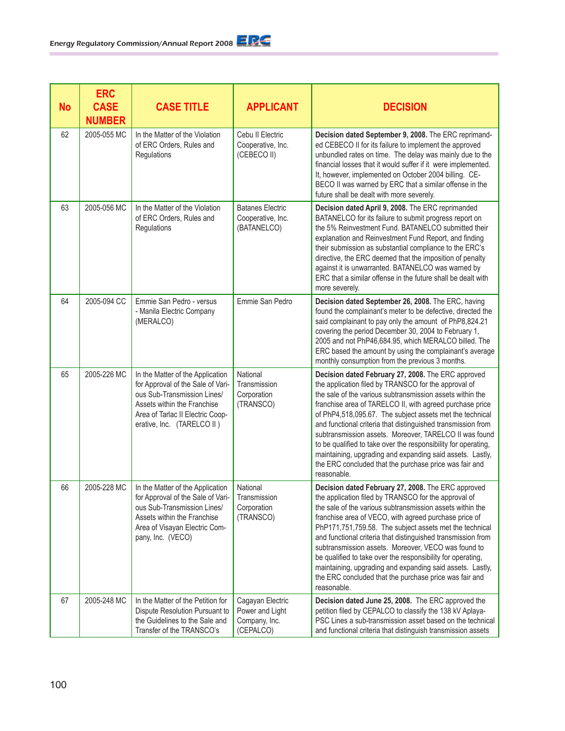| <b>No</b> | <b>ERC</b><br><b>CASE</b><br><b>NUMBER</b> | <b>CASE TITLE</b>                                                                                                                                                                                     | <b>APPLICANT</b>                                                  | <b>DECISION</b>                                                                                                                                                                                                                                                                                                                                                                                                                                                                                                                                                                                                                   |
|-----------|--------------------------------------------|-------------------------------------------------------------------------------------------------------------------------------------------------------------------------------------------------------|-------------------------------------------------------------------|-----------------------------------------------------------------------------------------------------------------------------------------------------------------------------------------------------------------------------------------------------------------------------------------------------------------------------------------------------------------------------------------------------------------------------------------------------------------------------------------------------------------------------------------------------------------------------------------------------------------------------------|
| 62        | 2005-055 MC                                | In the Matter of the Violation<br>of ERC Orders, Rules and<br>Regulations                                                                                                                             | Cebu II Electric<br>Cooperative, Inc.<br>(CEBECO II)              | Decision dated September 9, 2008. The ERC reprimand-<br>ed CEBECO II for its failure to implement the approved<br>unbundled rates on time. The delay was mainly due to the<br>financial losses that it would suffer if it were implemented.<br>It, however, implemented on October 2004 billing. CE-<br>BECO II was warned by ERC that a similar offense in the<br>future shall be dealt with more severely.                                                                                                                                                                                                                      |
| 63        | 2005-056 MC                                | In the Matter of the Violation<br>of ERC Orders, Rules and<br>Regulations                                                                                                                             | <b>Batanes Electric</b><br>Cooperative, Inc.<br>(BATANELCO)       | Decision dated April 9, 2008. The ERC reprimanded<br>BATANELCO for its failure to submit progress report on<br>the 5% Reinvestment Fund. BATANELCO submitted their<br>explanation and Reinvestment Fund Report, and finding<br>their submission as substantial compliance to the ERC's<br>directive, the ERC deemed that the imposition of penalty<br>against it is unwarranted. BATANELCO was warned by<br>ERC that a similar offense in the future shall be dealt with<br>more severely.                                                                                                                                        |
| 64        | 2005-094 CC                                | Emmie San Pedro - versus<br>- Manila Electric Company<br>(MERALCO)                                                                                                                                    | Emmie San Pedro                                                   | Decision dated September 26, 2008. The ERC, having<br>found the complainant's meter to be defective, directed the<br>said complainant to pay only the amount of PhP8,824.21<br>covering the period December 30, 2004 to February 1,<br>2005 and not PhP46,684.95, which MERALCO billed. The<br>ERC based the amount by using the complainant's average<br>monthly consumption from the previous 3 months.                                                                                                                                                                                                                         |
| 65        | 2005-226 MC                                | In the Matter of the Application<br>for Approval of the Sale of Vari-<br>ous Sub-Transmission Lines/<br>Assets within the Franchise<br>Area of Tarlac II Electric Coop-<br>erative, Inc. (TARELCO II) | National<br>Transmission<br>Corporation<br>(TRANSCO)              | Decision dated February 27, 2008. The ERC approved<br>the application filed by TRANSCO for the approval of<br>the sale of the various subtransmission assets within the<br>franchise area of TARELCO II, with agreed purchase price<br>of PhP4,518,095.67. The subject assets met the technical<br>and functional criteria that distinguished transmission from<br>subtransmission assets. Moreover, TARELCO II was found<br>to be qualified to take over the responsibility for operating,<br>maintaining, upgrading and expanding said assets. Lastly,<br>the ERC concluded that the purchase price was fair and<br>reasonable. |
| 66        | 2005-228 MC                                | In the Matter of the Application<br>for Approval of the Sale of Vari-<br>ous Sub-Transmission Lines/<br>Assets within the Franchise<br>Area of Visayan Electric Com-<br>pany, Inc. (VECO)             | National<br>Transmission<br>Corporation<br>(TRANSCO)              | Decision dated February 27, 2008. The ERC approved<br>the application filed by TRANSCO for the approval of<br>the sale of the various subtransmission assets within the<br>franchise area of VECO, with agreed purchase price of<br>PhP171,751,759.58. The subject assets met the technical<br>and functional criteria that distinguished transmission from<br>subtransmission assets. Moreover, VECO was found to<br>be qualified to take over the responsibility for operating,<br>maintaining, upgrading and expanding said assets. Lastly,<br>the ERC concluded that the purchase price was fair and<br>reasonable.           |
| 67        | 2005-248 MC                                | In the Matter of the Petition for<br>Dispute Resolution Pursuant to<br>the Guidelines to the Sale and<br>Transfer of the TRANSCO's                                                                    | Cagayan Electric<br>Power and Light<br>Company, Inc.<br>(CEPALCO) | Decision dated June 25, 2008. The ERC approved the<br>petition filed by CEPALCO to classify the 138 kV Aplaya-<br>PSC Lines a sub-transmission asset based on the technical<br>and functional criteria that distinguish transmission assets                                                                                                                                                                                                                                                                                                                                                                                       |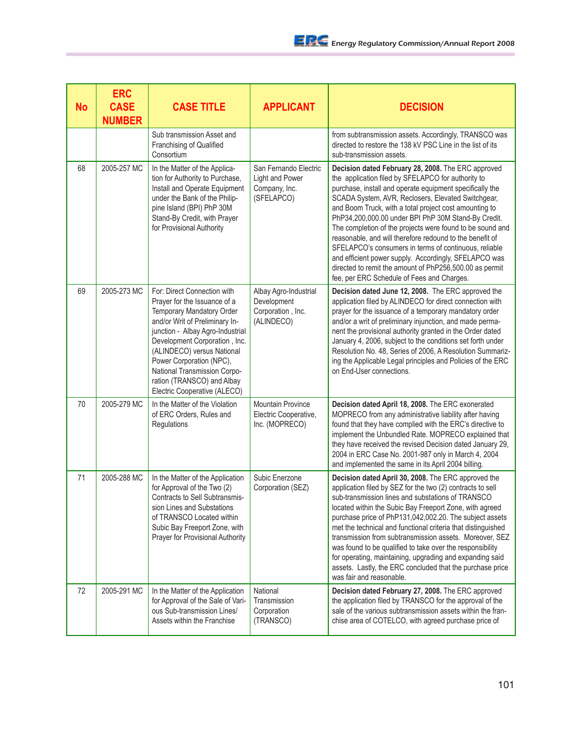| No | <b>ERC</b><br><b>CASE</b><br><b>NUMBER</b> | <b>CASE TITLE</b>                                                                                                                                                                                                                                                                                                                                       | <b>APPLICANT</b>                                                        | <b>DECISION</b>                                                                                                                                                                                                                                                                                                                                                                                                                                                                                                                                                                                                                                                                                 |
|----|--------------------------------------------|---------------------------------------------------------------------------------------------------------------------------------------------------------------------------------------------------------------------------------------------------------------------------------------------------------------------------------------------------------|-------------------------------------------------------------------------|-------------------------------------------------------------------------------------------------------------------------------------------------------------------------------------------------------------------------------------------------------------------------------------------------------------------------------------------------------------------------------------------------------------------------------------------------------------------------------------------------------------------------------------------------------------------------------------------------------------------------------------------------------------------------------------------------|
|    |                                            | Sub transmission Asset and<br>Franchising of Qualified<br>Consortium                                                                                                                                                                                                                                                                                    |                                                                         | from subtransmission assets. Accordingly, TRANSCO was<br>directed to restore the 138 kV PSC Line in the list of its<br>sub-transmission assets.                                                                                                                                                                                                                                                                                                                                                                                                                                                                                                                                                 |
| 68 | 2005-257 MC                                | In the Matter of the Applica-<br>tion for Authority to Purchase,<br>Install and Operate Equipment<br>under the Bank of the Philip-<br>pine Island (BPI) PhP 30M<br>Stand-By Credit, with Prayer<br>for Provisional Authority                                                                                                                            | San Fernando Electric<br>Light and Power<br>Company, Inc.<br>(SFELAPCO) | Decision dated February 28, 2008. The ERC approved<br>the application filed by SFELAPCO for authority to<br>purchase, install and operate equipment specifically the<br>SCADA System, AVR, Reclosers, Elevated Switchgear,<br>and Boom Truck, with a total project cost amounting to<br>PhP34,200,000.00 under BPI PhP 30M Stand-By Credit.<br>The completion of the projects were found to be sound and<br>reasonable, and will therefore redound to the benefit of<br>SFELAPCO's consumers in terms of continuous, reliable<br>and efficient power supply. Accordingly, SFELAPCO was<br>directed to remit the amount of PhP256,500.00 as permit<br>fee, per ERC Schedule of Fees and Charges. |
| 69 | 2005-273 MC                                | For: Direct Connection with<br>Prayer for the Issuance of a<br>Temporary Mandatory Order<br>and/or Writ of Preliminary In-<br>junction - Albay Agro-Industrial<br>Development Corporation, Inc.<br>(ALINDECO) versus National<br>Power Corporation (NPC),<br>National Transmission Corpo-<br>ration (TRANSCO) and Albay<br>Electric Cooperative (ALECO) | Albay Agro-Industrial<br>Development<br>Corporation, Inc.<br>(ALINDECO) | Decision dated June 12, 2008. The ERC approved the<br>application filed by ALINDECO for direct connection with<br>prayer for the issuance of a temporary mandatory order<br>and/or a writ of preliminary injunction, and made perma-<br>nent the provisional authority granted in the Order dated<br>January 4, 2006, subject to the conditions set forth under<br>Resolution No. 48, Series of 2006, A Resolution Summariz-<br>ing the Applicable Legal principles and Policies of the ERC<br>on End-User connections.                                                                                                                                                                         |
| 70 | 2005-279 MC                                | In the Matter of the Violation<br>of ERC Orders, Rules and<br>Regulations                                                                                                                                                                                                                                                                               | <b>Mountain Province</b><br>Electric Cooperative,<br>Inc. (MOPRECO)     | Decision dated April 18, 2008. The ERC exonerated<br>MOPRECO from any administrative liability after having<br>found that they have complied with the ERC's directive to<br>implement the Unbundled Rate. MOPRECO explained that<br>they have received the revised Decision dated January 29,<br>2004 in ERC Case No. 2001-987 only in March 4, 2004<br>and implemented the same in its April 2004 billing.                                                                                                                                                                                                                                                                                     |
| 71 | 2005-288 MC                                | In the Matter of the Application<br>for Approval of the Two (2)<br>Contracts to Sell Subtransmis-<br>sion Lines and Substations<br>of TRANSCO Located within<br>Subic Bay Freeport Zone, with<br>Prayer for Provisional Authority                                                                                                                       | Subic Enerzone<br>Corporation (SEZ)                                     | Decision dated April 30, 2008. The ERC approved the<br>application filed by SEZ for the two (2) contracts to sell<br>sub-transmission lines and substations of TRANSCO<br>located within the Subic Bay Freeport Zone, with agreed<br>purchase price of PhP131,042,002.20. The subject assets<br>met the technical and functional criteria that distinguished<br>transmission from subtransmission assets. Moreover, SEZ<br>was found to be qualified to take over the responsibility<br>for operating, maintaining, upgrading and expanding said<br>assets. Lastly, the ERC concluded that the purchase price<br>was fair and reasonable.                                                       |
| 72 | 2005-291 MC                                | In the Matter of the Application<br>for Approval of the Sale of Vari-<br>ous Sub-transmission Lines/<br>Assets within the Franchise                                                                                                                                                                                                                     | National<br>Transmission<br>Corporation<br>(TRANSCO)                    | Decision dated February 27, 2008. The ERC approved<br>the application filed by TRANSCO for the approval of the<br>sale of the various subtransmission assets within the fran-<br>chise area of COTELCO, with agreed purchase price of                                                                                                                                                                                                                                                                                                                                                                                                                                                           |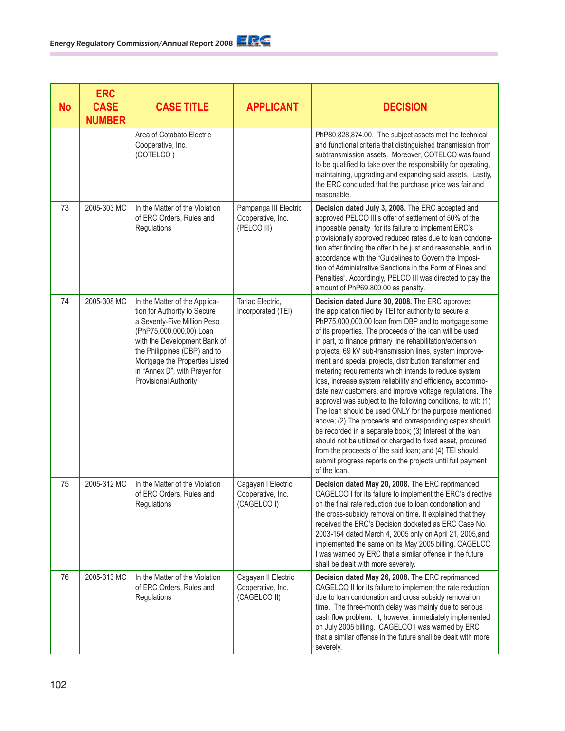| <b>No</b> | <b>ERC</b><br><b>CASE</b><br><b>NUMBER</b> | <b>CASE TITLE</b>                                                                                                                                                                                                                                                                   | <b>APPLICANT</b>                                          | <b>DECISION</b>                                                                                                                                                                                                                                                                                                                                                                                                                                                                                                                                                                                                                                                                                                                                                                                                                                                                                                                                                                                                                                         |
|-----------|--------------------------------------------|-------------------------------------------------------------------------------------------------------------------------------------------------------------------------------------------------------------------------------------------------------------------------------------|-----------------------------------------------------------|---------------------------------------------------------------------------------------------------------------------------------------------------------------------------------------------------------------------------------------------------------------------------------------------------------------------------------------------------------------------------------------------------------------------------------------------------------------------------------------------------------------------------------------------------------------------------------------------------------------------------------------------------------------------------------------------------------------------------------------------------------------------------------------------------------------------------------------------------------------------------------------------------------------------------------------------------------------------------------------------------------------------------------------------------------|
|           |                                            | Area of Cotabato Electric<br>Cooperative, Inc.<br>(COTELCO)                                                                                                                                                                                                                         |                                                           | PhP80,828,874.00. The subject assets met the technical<br>and functional criteria that distinguished transmission from<br>subtransmission assets. Moreover, COTELCO was found<br>to be qualified to take over the responsibility for operating,<br>maintaining, upgrading and expanding said assets. Lastly,<br>the ERC concluded that the purchase price was fair and<br>reasonable.                                                                                                                                                                                                                                                                                                                                                                                                                                                                                                                                                                                                                                                                   |
| 73        | 2005-303 MC                                | In the Matter of the Violation<br>of ERC Orders, Rules and<br>Regulations                                                                                                                                                                                                           | Pampanga III Electric<br>Cooperative, Inc.<br>(PELCO III) | Decision dated July 3, 2008. The ERC accepted and<br>approved PELCO III's offer of settlement of 50% of the<br>imposable penalty for its failure to implement ERC's<br>provisionally approved reduced rates due to loan condona-<br>tion after finding the offer to be just and reasonable, and in<br>accordance with the "Guidelines to Govern the Imposi-<br>tion of Administrative Sanctions in the Form of Fines and<br>Penalties". Accordingly, PELCO III was directed to pay the<br>amount of PhP69,800.00 as penalty.                                                                                                                                                                                                                                                                                                                                                                                                                                                                                                                            |
| 74        | 2005-308 MC                                | In the Matter of the Applica-<br>tion for Authority to Secure<br>a Seventy-Five Million Peso<br>(PhP75,000,000.00) Loan<br>with the Development Bank of<br>the Philippines (DBP) and to<br>Mortgage the Properties Listed<br>in "Annex D", with Prayer for<br>Provisional Authority | Tarlac Electric,<br>Incorporated (TEI)                    | Decision dated June 30, 2008. The ERC approved<br>the application filed by TEI for authority to secure a<br>PhP75,000,000.00 loan from DBP and to mortgage some<br>of its properties. The proceeds of the loan will be used<br>in part, to finance primary line rehabilitation/extension<br>projects, 69 kV sub-transmission lines, system improve-<br>ment and special projects, distribution transformer and<br>metering requirements which intends to reduce system<br>loss, increase system reliability and efficiency, accommo-<br>date new customers, and improve voltage regulations. The<br>approval was subject to the following conditions, to wit: (1)<br>The loan should be used ONLY for the purpose mentioned<br>above; (2) The proceeds and corresponding capex should<br>be recorded in a separate book; (3) Interest of the loan<br>should not be utilized or charged to fixed asset, procured<br>from the proceeds of the said loan; and (4) TEI should<br>submit progress reports on the projects until full payment<br>of the loan. |
| 75        | 2005-312 MC                                | In the Matter of the Violation<br>of ERC Orders, Rules and<br>Regulations                                                                                                                                                                                                           | Cagayan I Electric<br>Cooperative, Inc.<br>(CAGELCO I)    | Decision dated May 20, 2008. The ERC reprimanded<br>CAGELCO I for its failure to implement the ERC's directive<br>on the final rate reduction due to loan condonation and<br>the cross-subsidy removal on time. It explained that they<br>received the ERC's Decision docketed as ERC Case No.<br>2003-154 dated March 4, 2005 only on April 21, 2005, and<br>implemented the same on its May 2005 billing. CAGELCO<br>I was warned by ERC that a similar offense in the future<br>shall be dealt with more severely.                                                                                                                                                                                                                                                                                                                                                                                                                                                                                                                                   |
| 76        | 2005-313 MC                                | In the Matter of the Violation<br>of ERC Orders, Rules and<br>Regulations                                                                                                                                                                                                           | Cagayan II Electric<br>Cooperative, Inc.<br>(CAGELCO II)  | Decision dated May 26, 2008. The ERC reprimanded<br>CAGELCO II for its failure to implement the rate reduction<br>due to loan condonation and cross subsidy removal on<br>time. The three-month delay was mainly due to serious<br>cash flow problem. It, however, immediately implemented<br>on July 2005 billing. CAGELCO I was warned by ERC<br>that a similar offense in the future shall be dealt with more<br>severely.                                                                                                                                                                                                                                                                                                                                                                                                                                                                                                                                                                                                                           |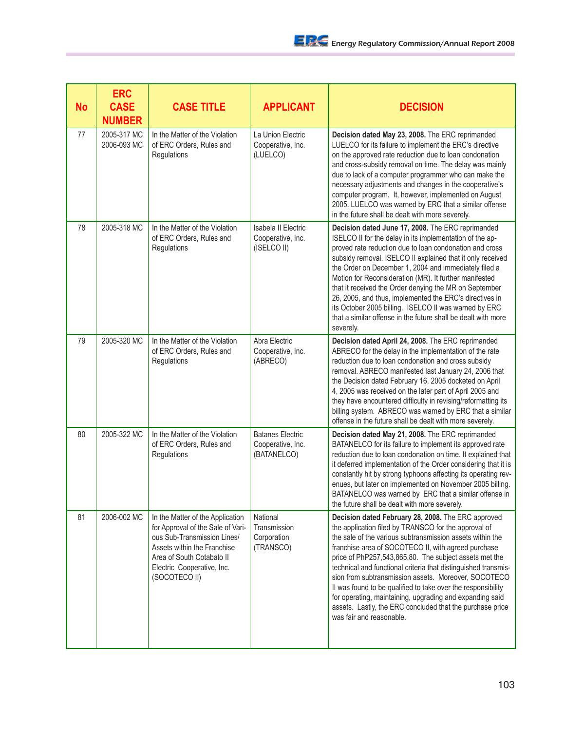| No | <b>ERC</b><br><b>CASE</b><br><b>NUMBER</b> | <b>CASE TITLE</b>                                                                                                                                                                                               | <b>APPLICANT</b>                                            | <b>DECISION</b>                                                                                                                                                                                                                                                                                                                                                                                                                                                                                                                                                                                                                         |
|----|--------------------------------------------|-----------------------------------------------------------------------------------------------------------------------------------------------------------------------------------------------------------------|-------------------------------------------------------------|-----------------------------------------------------------------------------------------------------------------------------------------------------------------------------------------------------------------------------------------------------------------------------------------------------------------------------------------------------------------------------------------------------------------------------------------------------------------------------------------------------------------------------------------------------------------------------------------------------------------------------------------|
| 77 | 2005-317 MC<br>2006-093 MC                 | In the Matter of the Violation<br>of ERC Orders, Rules and<br>Regulations                                                                                                                                       | La Union Electric<br>Cooperative, Inc.<br>(LUELCO)          | Decision dated May 23, 2008. The ERC reprimanded<br>LUELCO for its failure to implement the ERC's directive<br>on the approved rate reduction due to loan condonation<br>and cross-subsidy removal on time. The delay was mainly<br>due to lack of a computer programmer who can make the<br>necessary adjustments and changes in the cooperative's<br>computer program. It, however, implemented on August<br>2005. LUELCO was warned by ERC that a similar offense<br>in the future shall be dealt with more severely.                                                                                                                |
| 78 | 2005-318 MC                                | In the Matter of the Violation<br>of ERC Orders, Rules and<br>Regulations                                                                                                                                       | Isabela II Electric<br>Cooperative, Inc.<br>(ISELCO II)     | Decision dated June 17, 2008. The ERC reprimanded<br>ISELCO II for the delay in its implementation of the ap-<br>proved rate reduction due to loan condonation and cross<br>subsidy removal. ISELCO II explained that it only received<br>the Order on December 1, 2004 and immediately filed a<br>Motion for Reconsideration (MR). It further manifested<br>that it received the Order denying the MR on September<br>26, 2005, and thus, implemented the ERC's directives in<br>its October 2005 billing. ISELCO II was warned by ERC<br>that a similar offense in the future shall be dealt with more<br>severely.                   |
| 79 | 2005-320 MC                                | In the Matter of the Violation<br>of ERC Orders, Rules and<br>Regulations                                                                                                                                       | Abra Electric<br>Cooperative, Inc.<br>(ABRECO)              | Decision dated April 24, 2008. The ERC reprimanded<br>ABRECO for the delay in the implementation of the rate<br>reduction due to loan condonation and cross subsidy<br>removal. ABRECO manifested last January 24, 2006 that<br>the Decision dated February 16, 2005 docketed on April<br>4, 2005 was received on the later part of April 2005 and<br>they have encountered difficulty in revising/reformatting its<br>billing system. ABRECO was warned by ERC that a similar<br>offense in the future shall be dealt with more severely.                                                                                              |
| 80 | 2005-322 MC                                | In the Matter of the Violation<br>of ERC Orders, Rules and<br>Regulations                                                                                                                                       | <b>Batanes Electric</b><br>Cooperative, Inc.<br>(BATANELCO) | Decision dated May 21, 2008. The ERC reprimanded<br>BATANELCO for its failure to implement its approved rate<br>reduction due to loan condonation on time. It explained that<br>it deferred implementation of the Order considering that it is<br>constantly hit by strong typhoons affecting its operating rev-<br>enues, but later on implemented on November 2005 billing.<br>BATANELCO was warned by ERC that a similar offense in<br>the future shall be dealt with more severely.                                                                                                                                                 |
| 81 | 2006-002 MC                                | In the Matter of the Application<br>for Approval of the Sale of Vari-<br>ous Sub-Transmission Lines/<br>Assets within the Franchise<br>Area of South Cotabato II<br>Electric Cooperative, Inc.<br>(SOCOTECO II) | National<br>Transmission<br>Corporation<br>(TRANSCO)        | Decision dated February 28, 2008. The ERC approved<br>the application filed by TRANSCO for the approval of<br>the sale of the various subtransmission assets within the<br>franchise area of SOCOTECO II, with agreed purchase<br>price of PhP257,543,865.80. The subject assets met the<br>technical and functional criteria that distinguished transmis-<br>sion from subtransmission assets. Moreover, SOCOTECO<br>II was found to be qualified to take over the responsibility<br>for operating, maintaining, upgrading and expanding said<br>assets. Lastly, the ERC concluded that the purchase price<br>was fair and reasonable. |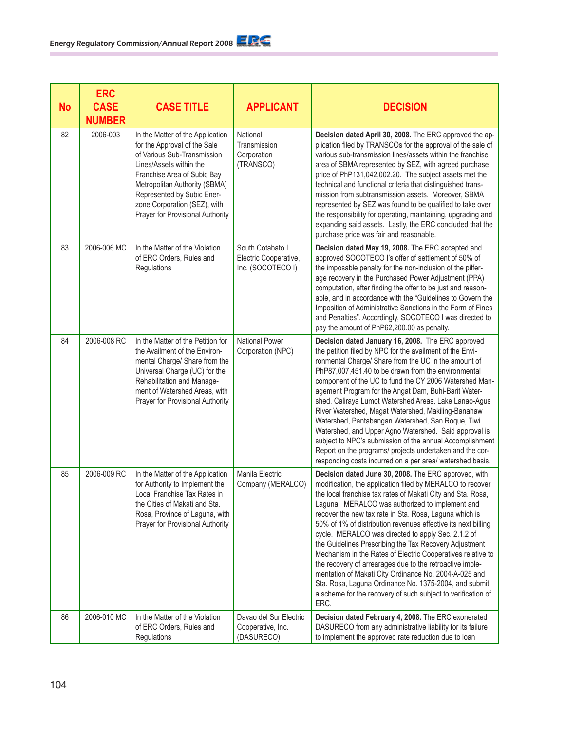| No | <b>ERC</b><br><b>CASE</b><br><b>NUMBER</b> | <b>CASE TITLE</b>                                                                                                                                                                                                                                                                                   | <b>APPLICANT</b>                                               | <b>DECISION</b>                                                                                                                                                                                                                                                                                                                                                                                                                                                                                                                                                                                                                                                                                                                                                                                     |
|----|--------------------------------------------|-----------------------------------------------------------------------------------------------------------------------------------------------------------------------------------------------------------------------------------------------------------------------------------------------------|----------------------------------------------------------------|-----------------------------------------------------------------------------------------------------------------------------------------------------------------------------------------------------------------------------------------------------------------------------------------------------------------------------------------------------------------------------------------------------------------------------------------------------------------------------------------------------------------------------------------------------------------------------------------------------------------------------------------------------------------------------------------------------------------------------------------------------------------------------------------------------|
| 82 | 2006-003                                   | In the Matter of the Application<br>for the Approval of the Sale<br>of Various Sub-Transmission<br>Lines/Assets within the<br>Franchise Area of Subic Bay<br>Metropolitan Authority (SBMA)<br>Represented by Subic Ener-<br>zone Corporation (SEZ), with<br><b>Prayer for Provisional Authority</b> | National<br>Transmission<br>Corporation<br>(TRANSCO)           | Decision dated April 30, 2008. The ERC approved the ap-<br>plication filed by TRANSCOs for the approval of the sale of<br>various sub-transmission lines/assets within the franchise<br>area of SBMA represented by SEZ, with agreed purchase<br>price of PhP131,042,002.20. The subject assets met the<br>technical and functional criteria that distinguished trans-<br>mission from subtransmission assets. Moreover, SBMA<br>represented by SEZ was found to be qualified to take over<br>the responsibility for operating, maintaining, upgrading and<br>expanding said assets. Lastly, the ERC concluded that the<br>purchase price was fair and reasonable.                                                                                                                                  |
| 83 | 2006-006 MC                                | In the Matter of the Violation<br>of ERC Orders, Rules and<br>Regulations                                                                                                                                                                                                                           | South Cotabato I<br>Electric Cooperative,<br>Inc. (SOCOTECO I) | Decision dated May 19, 2008. The ERC accepted and<br>approved SOCOTECO I's offer of settlement of 50% of<br>the imposable penalty for the non-inclusion of the pilfer-<br>age recovery in the Purchased Power Adjustment (PPA)<br>computation, after finding the offer to be just and reason-<br>able, and in accordance with the "Guidelines to Govern the<br>Imposition of Administrative Sanctions in the Form of Fines<br>and Penalties". Accordingly, SOCOTECO I was directed to<br>pay the amount of PhP62,200.00 as penalty.                                                                                                                                                                                                                                                                 |
| 84 | 2006-008 RC                                | In the Matter of the Petition for<br>the Availment of the Environ-<br>mental Charge/ Share from the<br>Universal Charge (UC) for the<br>Rehabilitation and Manage-<br>ment of Watershed Areas, with<br>Prayer for Provisional Authority                                                             | <b>National Power</b><br>Corporation (NPC)                     | Decision dated January 16, 2008. The ERC approved<br>the petition filed by NPC for the availment of the Envi-<br>ronmental Charge/ Share from the UC in the amount of<br>PhP87,007,451.40 to be drawn from the environmental<br>component of the UC to fund the CY 2006 Watershed Man-<br>agement Program for the Angat Dam, Buhi-Barit Water-<br>shed, Caliraya Lumot Watershed Areas, Lake Lanao-Agus<br>River Watershed, Magat Watershed, Makiling-Banahaw<br>Watershed, Pantabangan Watershed, San Roque, Tiwi<br>Watershed, and Upper Agno Watershed. Said approval is<br>subject to NPC's submission of the annual Accomplishment<br>Report on the programs/ projects undertaken and the cor-<br>responding costs incurred on a per area/ watershed basis.                                    |
| 85 | 2006-009 RC                                | In the Matter of the Application<br>for Authority to Implement the<br>Local Franchise Tax Rates in<br>the Cities of Makati and Sta.<br>Rosa, Province of Laguna, with<br>Prayer for Provisional Authority                                                                                           | Manila Electric<br>Company (MERALCO)                           | Decision dated June 30, 2008. The ERC approved, with<br>modification, the application filed by MERALCO to recover<br>the local franchise tax rates of Makati City and Sta. Rosa,<br>Laguna. MERALCO was authorized to implement and<br>recover the new tax rate in Sta. Rosa, Laguna which is<br>50% of 1% of distribution revenues effective its next billing<br>cycle. MERALCO was directed to apply Sec. 2.1.2 of<br>the Guidelines Prescribing the Tax Recovery Adjustment<br>Mechanism in the Rates of Electric Cooperatives relative to<br>the recovery of arrearages due to the retroactive imple-<br>mentation of Makati City Ordinance No. 2004-A-025 and<br>Sta. Rosa, Laguna Ordinance No. 1375-2004, and submit<br>a scheme for the recovery of such subject to verification of<br>ERC. |
| 86 | 2006-010 MC                                | In the Matter of the Violation<br>of ERC Orders, Rules and<br>Regulations                                                                                                                                                                                                                           | Davao del Sur Electric<br>Cooperative, Inc.<br>(DASURECO)      | Decision dated February 4, 2008. The ERC exonerated<br>DASURECO from any administrative liability for its failure<br>to implement the approved rate reduction due to loan                                                                                                                                                                                                                                                                                                                                                                                                                                                                                                                                                                                                                           |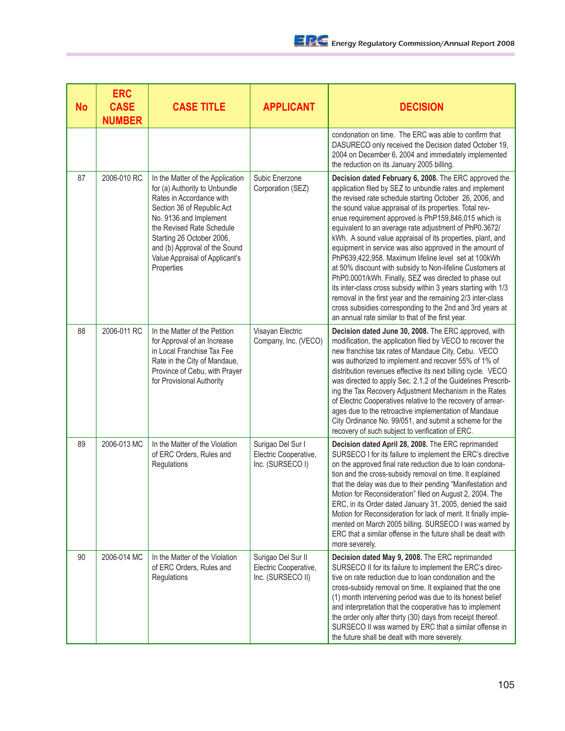| No | <b>ERC</b><br><b>CASE</b><br><b>NUMBER</b> | <b>CASE TITLE</b>                                                                                                                                                                                                                                                                                | <b>APPLICANT</b>                                                 | <b>DECISION</b>                                                                                                                                                                                                                                                                                                                                                                                                                                                                                                                                                                                                                                                                                                                                                                                                                                                                                                      |
|----|--------------------------------------------|--------------------------------------------------------------------------------------------------------------------------------------------------------------------------------------------------------------------------------------------------------------------------------------------------|------------------------------------------------------------------|----------------------------------------------------------------------------------------------------------------------------------------------------------------------------------------------------------------------------------------------------------------------------------------------------------------------------------------------------------------------------------------------------------------------------------------------------------------------------------------------------------------------------------------------------------------------------------------------------------------------------------------------------------------------------------------------------------------------------------------------------------------------------------------------------------------------------------------------------------------------------------------------------------------------|
|    |                                            |                                                                                                                                                                                                                                                                                                  |                                                                  | condonation on time. The ERC was able to confirm that<br>DASURECO only received the Decision dated October 19,<br>2004 on December 6, 2004 and immediately implemented<br>the reduction on its January 2005 billing.                                                                                                                                                                                                                                                                                                                                                                                                                                                                                                                                                                                                                                                                                                 |
| 87 | 2006-010 RC                                | In the Matter of the Application<br>for (a) Authority to Unbundle<br>Rates in Accordance with<br>Section 36 of Republic Act<br>No. 9136 and Implement<br>the Revised Rate Schedule<br>Starting 26 October 2006,<br>and (b) Approval of the Sound<br>Value Appraisal of Applicant's<br>Properties | Subic Enerzone<br>Corporation (SEZ)                              | Decision dated February 6, 2008. The ERC approved the<br>application filed by SEZ to unbundle rates and implement<br>the revised rate schedule starting October 26, 2006, and<br>the sound value appraisal of its properties. Total rev-<br>enue requirement approved is PhP159,846,015 which is<br>equivalent to an average rate adjustment of PhP0.3672/<br>kWh. A sound value appraisal of its properties, plant, and<br>equipment in service was also approved in the amount of<br>PhP639,422,958. Maximum lifeline level set at 100kWh<br>at 50% discount with subsidy to Non-lifeline Customers at<br>PhP0.0001/kWh. Finally, SEZ was directed to phase out<br>its inter-class cross subsidy within 3 years starting with 1/3<br>removal in the first year and the remaining 2/3 inter-class<br>cross subsidies corresponding to the 2nd and 3rd years at<br>an annual rate similar to that of the first year. |
| 88 | 2006-011 RC                                | In the Matter of the Petition<br>for Approval of an Increase<br>in Local Franchise Tax Fee<br>Rate in the City of Mandaue,<br>Province of Cebu, with Prayer<br>for Provisional Authority                                                                                                         | Visayan Electric<br>Company, Inc. (VECO)                         | Decision dated June 30, 2008. The ERC approved, with<br>modification, the application filed by VECO to recover the<br>new franchise tax rates of Mandaue City, Cebu. VECO<br>was authorized to implement and recover 55% of 1% of<br>distribution revenues effective its next billing cycle. VECO<br>was directed to apply Sec. 2.1.2 of the Guidelines Prescrib-<br>ing the Tax Recovery Adjustment Mechanism in the Rates<br>of Electric Cooperatives relative to the recovery of arrear-<br>ages due to the retroactive implementation of Mandaue<br>City Ordinance No. 99/051, and submit a scheme for the<br>recovery of such subject to verification of ERC.                                                                                                                                                                                                                                                   |
| 89 | 2006-013 MC                                | In the Matter of the Violation<br>of ERC Orders, Rules and<br>Regulations                                                                                                                                                                                                                        | Surigao Del Sur I<br>Electric Cooperative,<br>Inc. (SURSECO I)   | Decision dated April 28, 2008. The ERC reprimanded<br>SURSECO I for its failure to implement the ERC's directive<br>on the approved final rate reduction due to loan condona-<br>tion and the cross-subsidy removal on time. It explained<br>that the delay was due to their pending "Manifestation and<br>Motion for Reconsideration" filed on August 2, 2004. The<br>ERC, in its Order dated January 31, 2005, denied the said<br>Motion for Reconsideration for lack of merit. It finally imple-<br>mented on March 2005 billing. SURSECO I was warned by<br>ERC that a similar offense in the future shall be dealt with<br>more severely.                                                                                                                                                                                                                                                                       |
| 90 | 2006-014 MC                                | In the Matter of the Violation<br>of ERC Orders, Rules and<br>Regulations                                                                                                                                                                                                                        | Surigao Del Sur II<br>Electric Cooperative,<br>Inc. (SURSECO II) | Decision dated May 9, 2008. The ERC reprimanded<br>SURSECO II for its failure to implement the ERC's direc-<br>tive on rate reduction due to loan condonation and the<br>cross-subsidy removal on time. It explained that the one<br>(1) month intervening period was due to its honest belief<br>and interpretation that the cooperative has to implement<br>the order only after thirty (30) days from receipt thereof.<br>SURSECO II was warned by ERC that a similar offense in<br>the future shall be dealt with more severely.                                                                                                                                                                                                                                                                                                                                                                                 |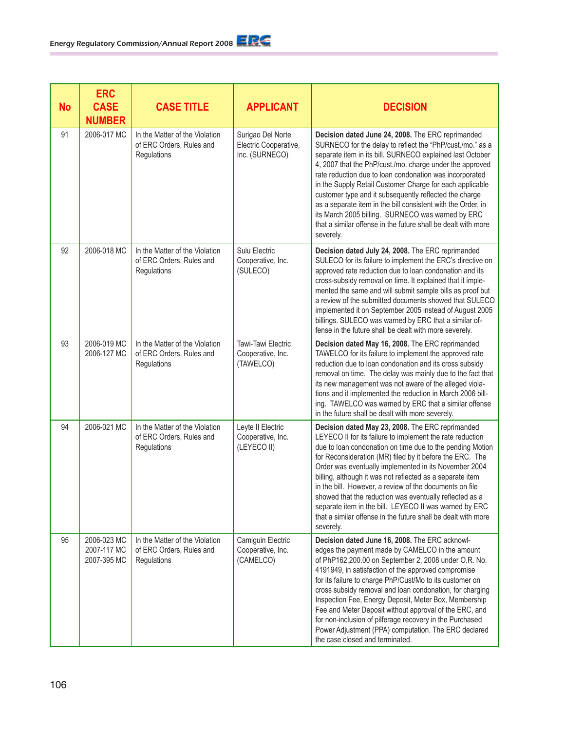| <b>No</b> | <b>ERC</b><br><b>CASE</b><br><b>NUMBER</b> | <b>CASE TITLE</b>                                                         | <b>APPLICANT</b>                                             | <b>DECISION</b>                                                                                                                                                                                                                                                                                                                                                                                                                                                                                                                                                                                                             |
|-----------|--------------------------------------------|---------------------------------------------------------------------------|--------------------------------------------------------------|-----------------------------------------------------------------------------------------------------------------------------------------------------------------------------------------------------------------------------------------------------------------------------------------------------------------------------------------------------------------------------------------------------------------------------------------------------------------------------------------------------------------------------------------------------------------------------------------------------------------------------|
| 91        | 2006-017 MC                                | In the Matter of the Violation<br>of ERC Orders, Rules and<br>Regulations | Surigao Del Norte<br>Electric Cooperative,<br>Inc. (SURNECO) | Decision dated June 24, 2008. The ERC reprimanded<br>SURNECO for the delay to reflect the "PhP/cust./mo." as a<br>separate item in its bill. SURNECO explained last October<br>4, 2007 that the PhP/cust./mo. charge under the approved<br>rate reduction due to loan condonation was incorporated<br>in the Supply Retail Customer Charge for each applicable<br>customer type and it subsequently reflected the charge<br>as a separate item in the bill consistent with the Order, in<br>its March 2005 billing. SURNECO was warned by ERC<br>that a similar offense in the future shall be dealt with more<br>severely. |
| 92        | 2006-018 MC                                | In the Matter of the Violation<br>of ERC Orders, Rules and<br>Regulations | Sulu Electric<br>Cooperative, Inc.<br>(SULECO)               | Decision dated July 24, 2008. The ERC reprimanded<br>SULECO for its failure to implement the ERC's directive on<br>approved rate reduction due to loan condonation and its<br>cross-subsidy removal on time. It explained that it imple-<br>mented the same and will submit sample bills as proof but<br>a review of the submitted documents showed that SULECO<br>implemented it on September 2005 instead of August 2005<br>billings. SULECO was warned by ERC that a similar of-<br>fense in the future shall be dealt with more severely.                                                                               |
| 93        | 2006-019 MC<br>2006-127 MC                 | In the Matter of the Violation<br>of ERC Orders, Rules and<br>Regulations | Tawi-Tawi Electric<br>Cooperative, Inc.<br>(TAWELCO)         | Decision dated May 16, 2008. The ERC reprimanded<br>TAWELCO for its failure to implement the approved rate<br>reduction due to loan condonation and its cross subsidy<br>removal on time. The delay was mainly due to the fact that<br>its new management was not aware of the alleged viola-<br>tions and it implemented the reduction in March 2006 bill-<br>ing. TAWELCO was warned by ERC that a similar offense<br>in the future shall be dealt with more severely.                                                                                                                                                    |
| 94        | 2006-021 MC                                | In the Matter of the Violation<br>of ERC Orders, Rules and<br>Regulations | Leyte II Electric<br>Cooperative, Inc.<br>(LEYECO II)        | Decision dated May 23, 2008. The ERC reprimanded<br>LEYECO II for its failure to implement the rate reduction<br>due to loan condonation on time due to the pending Motion<br>for Reconsideration (MR) filed by it before the ERC. The<br>Order was eventually implemented in its November 2004<br>billing, although it was not reflected as a separate item<br>in the bill. However, a review of the documents on file<br>showed that the reduction was eventually reflected as a<br>separate item in the bill. LEYECO II was warned by ERC<br>that a similar offense in the future shall be dealt with more<br>severely.  |
| 95        | 2006-023 MC<br>2007-117 MC<br>2007-395 MC  | In the Matter of the Violation<br>of ERC Orders, Rules and<br>Regulations | Camiguin Electric<br>Cooperative, Inc.<br>(CAMELCO)          | Decision dated June 16, 2008. The ERC acknowl-<br>edges the payment made by CAMELCO in the amount<br>of PhP162,200.00 on September 2, 2008 under O.R. No.<br>4191949, in satisfaction of the approved compromise<br>for its failure to charge PhP/Cust/Mo to its customer on<br>cross subsidy removal and loan condonation, for charging<br>Inspection Fee, Energy Deposit, Meter Box, Membership<br>Fee and Meter Deposit without approval of the ERC, and<br>for non-inclusion of pilferage recovery in the Purchased<br>Power Adjustment (PPA) computation. The ERC declared<br>the case closed and terminated.          |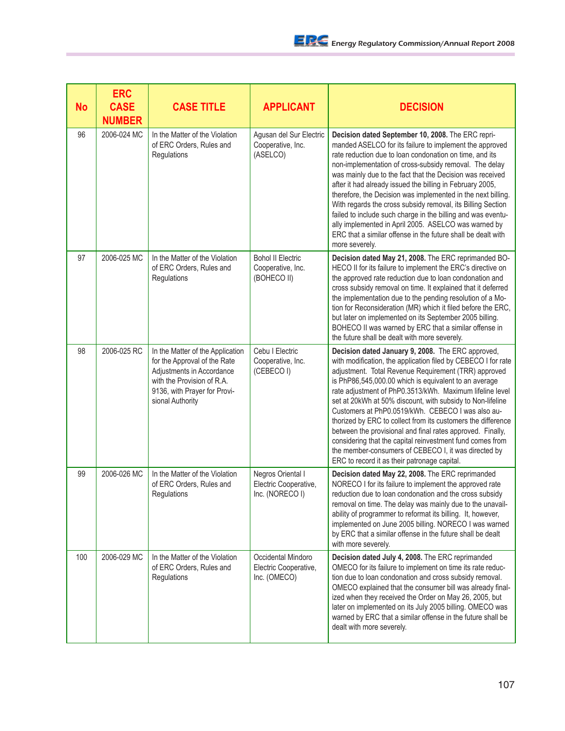| <b>No</b> | <b>ERC</b><br><b>CASE</b><br><b>NUMBER</b> | <b>CASE TITLE</b>                                                                                                                                                               | <b>APPLICANT</b>                                              | <b>DECISION</b>                                                                                                                                                                                                                                                                                                                                                                                                                                                                                                                                                                                                                                                                                                       |
|-----------|--------------------------------------------|---------------------------------------------------------------------------------------------------------------------------------------------------------------------------------|---------------------------------------------------------------|-----------------------------------------------------------------------------------------------------------------------------------------------------------------------------------------------------------------------------------------------------------------------------------------------------------------------------------------------------------------------------------------------------------------------------------------------------------------------------------------------------------------------------------------------------------------------------------------------------------------------------------------------------------------------------------------------------------------------|
| 96        | 2006-024 MC                                | In the Matter of the Violation<br>of ERC Orders, Rules and<br>Regulations                                                                                                       | Agusan del Sur Electric<br>Cooperative, Inc.<br>(ASELCO)      | Decision dated September 10, 2008. The ERC repri-<br>manded ASELCO for its failure to implement the approved<br>rate reduction due to loan condonation on time, and its<br>non-implementation of cross-subsidy removal. The delay<br>was mainly due to the fact that the Decision was received<br>after it had already issued the billing in February 2005,<br>therefore, the Decision was implemented in the next billing.<br>With regards the cross subsidy removal, its Billing Section<br>failed to include such charge in the billing and was eventu-<br>ally implemented in April 2005. ASELCO was warned by<br>ERC that a similar offense in the future shall be dealt with<br>more severely.                  |
| 97        | 2006-025 MC                                | In the Matter of the Violation<br>of ERC Orders, Rules and<br>Regulations                                                                                                       | <b>Bohol II Electric</b><br>Cooperative, Inc.<br>(BOHECO II)  | Decision dated May 21, 2008. The ERC reprimanded BO-<br>HECO II for its failure to implement the ERC's directive on<br>the approved rate reduction due to loan condonation and<br>cross subsidy removal on time. It explained that it deferred<br>the implementation due to the pending resolution of a Mo-<br>tion for Reconsideration (MR) which it filed before the ERC,<br>but later on implemented on its September 2005 billing.<br>BOHECO II was warned by ERC that a similar offense in<br>the future shall be dealt with more severely.                                                                                                                                                                      |
| 98        | 2006-025 RC                                | In the Matter of the Application<br>for the Approval of the Rate<br>Adjustments in Accordance<br>with the Provision of R.A.<br>9136, with Prayer for Provi-<br>sional Authority | Cebu I Electric<br>Cooperative, Inc.<br>(CEBECOI)             | Decision dated January 9, 2008. The ERC approved,<br>with modification, the application filed by CEBECO I for rate<br>adjustment. Total Revenue Requirement (TRR) approved<br>is PhP86,545,000.00 which is equivalent to an average<br>rate adjustment of PhP0.3513/kWh. Maximum lifeline level<br>set at 20kWh at 50% discount, with subsidy to Non-lifeline<br>Customers at PhP0.0519/kWh. CEBECO I was also au-<br>thorized by ERC to collect from its customers the difference<br>between the provisional and final rates approved. Finally,<br>considering that the capital reinvestment fund comes from<br>the member-consumers of CEBECO I, it was directed by<br>ERC to record it as their patronage capital. |
| 99        | 2006-026 MC                                | In the Matter of the Violation<br>of ERC Orders, Rules and<br>Regulations                                                                                                       | Negros Oriental I<br>Electric Cooperative,<br>Inc. (NORECO I) | Decision dated May 22, 2008. The ERC reprimanded<br>NORECO I for its failure to implement the approved rate<br>reduction due to loan condonation and the cross subsidy<br>removal on time. The delay was mainly due to the unavail-<br>ability of programmer to reformat its billing. It, however,<br>implemented on June 2005 billing. NORECO I was warned<br>by ERC that a similar offense in the future shall be dealt<br>with more severely.                                                                                                                                                                                                                                                                      |
| 100       | 2006-029 MC                                | In the Matter of the Violation<br>of ERC Orders, Rules and<br>Regulations                                                                                                       | Occidental Mindoro<br>Electric Cooperative,<br>Inc. (OMECO)   | Decision dated July 4, 2008. The ERC reprimanded<br>OMECO for its failure to implement on time its rate reduc-<br>tion due to loan condonation and cross subsidy removal.<br>OMECO explained that the consumer bill was already final-<br>ized when they received the Order on May 26, 2005, but<br>later on implemented on its July 2005 billing. OMECO was<br>warned by ERC that a similar offense in the future shall be<br>dealt with more severely.                                                                                                                                                                                                                                                              |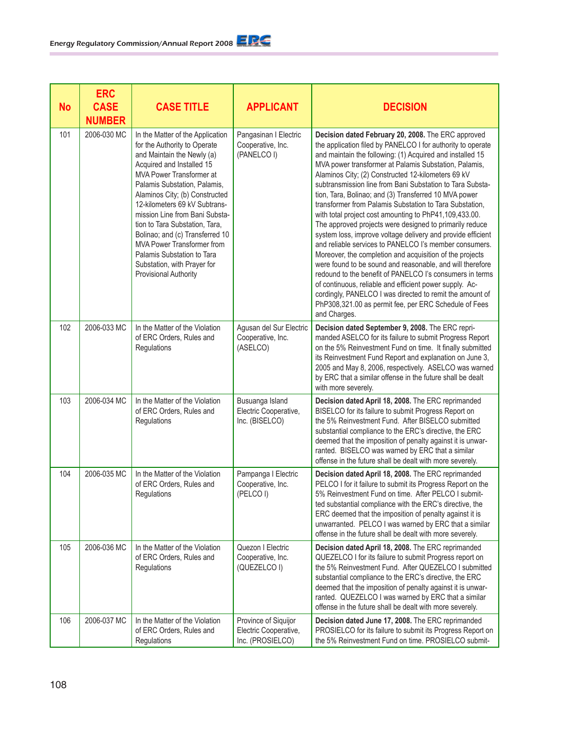| No  | <b>ERC</b><br><b>CASE</b><br><b>NUMBER</b> | <b>CASE TITLE</b>                                                                                                                                                                                                                                                                                                                                                                                                                                                                                   | <b>APPLICANT</b>                                                  | <b>DECISION</b>                                                                                                                                                                                                                                                                                                                                                                                                                                                                                                                                                                                                                                                                                                                                                                                                                                                                                                                                                                                                                                                                                                   |
|-----|--------------------------------------------|-----------------------------------------------------------------------------------------------------------------------------------------------------------------------------------------------------------------------------------------------------------------------------------------------------------------------------------------------------------------------------------------------------------------------------------------------------------------------------------------------------|-------------------------------------------------------------------|-------------------------------------------------------------------------------------------------------------------------------------------------------------------------------------------------------------------------------------------------------------------------------------------------------------------------------------------------------------------------------------------------------------------------------------------------------------------------------------------------------------------------------------------------------------------------------------------------------------------------------------------------------------------------------------------------------------------------------------------------------------------------------------------------------------------------------------------------------------------------------------------------------------------------------------------------------------------------------------------------------------------------------------------------------------------------------------------------------------------|
| 101 | 2006-030 MC                                | In the Matter of the Application<br>for the Authority to Operate<br>and Maintain the Newly (a)<br>Acquired and Installed 15<br><b>MVA Power Transformer at</b><br>Palamis Substation, Palamis,<br>Alaminos City; (b) Constructed<br>12-kilometers 69 kV Subtrans-<br>mission Line from Bani Substa-<br>tion to Tara Substation, Tara,<br>Bolinao; and (c) Transferred 10<br>MVA Power Transformer from<br>Palamis Substation to Tara<br>Substation, with Prayer for<br><b>Provisional Authority</b> | Pangasinan I Electric<br>Cooperative, Inc.<br>(PANELCO I)         | Decision dated February 20, 2008. The ERC approved<br>the application filed by PANELCO I for authority to operate<br>and maintain the following: (1) Acquired and installed 15<br>MVA power transformer at Palamis Substation, Palamis,<br>Alaminos City; (2) Constructed 12-kilometers 69 kV<br>subtransmission line from Bani Substation to Tara Substa-<br>tion, Tara, Bolinao; and (3) Transferred 10 MVA power<br>transformer from Palamis Substation to Tara Substation,<br>with total project cost amounting to PhP41,109,433.00.<br>The approved projects were designed to primarily reduce<br>system loss, improve voltage delivery and provide efficient<br>and reliable services to PANELCO I's member consumers.<br>Moreover, the completion and acquisition of the projects<br>were found to be sound and reasonable, and will therefore<br>redound to the benefit of PANELCO I's consumers in terms<br>of continuous, reliable and efficient power supply. Ac-<br>cordingly, PANELCO I was directed to remit the amount of<br>PhP308,321.00 as permit fee, per ERC Schedule of Fees<br>and Charges. |
| 102 | 2006-033 MC                                | In the Matter of the Violation<br>of ERC Orders, Rules and<br>Regulations                                                                                                                                                                                                                                                                                                                                                                                                                           | Agusan del Sur Electric<br>Cooperative, Inc.<br>(ASELCO)          | Decision dated September 9, 2008. The ERC repri-<br>manded ASELCO for its failure to submit Progress Report<br>on the 5% Reinvestment Fund on time. It finally submitted<br>its Reinvestment Fund Report and explanation on June 3,<br>2005 and May 8, 2006, respectively. ASELCO was warned<br>by ERC that a similar offense in the future shall be dealt<br>with more severely.                                                                                                                                                                                                                                                                                                                                                                                                                                                                                                                                                                                                                                                                                                                                 |
| 103 | 2006-034 MC                                | In the Matter of the Violation<br>of ERC Orders, Rules and<br>Regulations                                                                                                                                                                                                                                                                                                                                                                                                                           | Busuanga Island<br>Electric Cooperative,<br>Inc. (BISELCO)        | Decision dated April 18, 2008. The ERC reprimanded<br>BISELCO for its failure to submit Progress Report on<br>the 5% Reinvestment Fund. After BISELCO submitted<br>substantial compliance to the ERC's directive, the ERC<br>deemed that the imposition of penalty against it is unwar-<br>ranted. BISELCO was warned by ERC that a similar<br>offense in the future shall be dealt with more severely.                                                                                                                                                                                                                                                                                                                                                                                                                                                                                                                                                                                                                                                                                                           |
| 104 | 2006-035 MC                                | In the Matter of the Violation<br>of ERC Orders, Rules and<br>Regulations                                                                                                                                                                                                                                                                                                                                                                                                                           | Pampanga I Electric<br>Cooperative, Inc.<br>(PELCOI)              | Decision dated April 18, 2008. The ERC reprimanded<br>PELCO I for it failure to submit its Progress Report on the<br>5% Reinvestment Fund on time. After PELCO I submit-<br>ted substantial compliance with the ERC's directive, the<br>ERC deemed that the imposition of penalty against it is<br>unwarranted. PELCO I was warned by ERC that a similar<br>offense in the future shall be dealt with more severely.                                                                                                                                                                                                                                                                                                                                                                                                                                                                                                                                                                                                                                                                                              |
| 105 | 2006-036 MC                                | In the Matter of the Violation<br>of ERC Orders, Rules and<br>Regulations                                                                                                                                                                                                                                                                                                                                                                                                                           | Quezon I Electric<br>Cooperative, Inc.<br>(QUEZELCOI)             | Decision dated April 18, 2008. The ERC reprimanded<br>QUEZELCO I for its failure to submit Progress report on<br>the 5% Reinvestment Fund. After QUEZELCO I submitted<br>substantial compliance to the ERC's directive, the ERC<br>deemed that the imposition of penalty against it is unwar-<br>ranted. QUEZELCO I was warned by ERC that a similar<br>offense in the future shall be dealt with more severely.                                                                                                                                                                                                                                                                                                                                                                                                                                                                                                                                                                                                                                                                                                  |
| 106 | 2006-037 MC                                | In the Matter of the Violation<br>of ERC Orders, Rules and<br>Regulations                                                                                                                                                                                                                                                                                                                                                                                                                           | Province of Siquijor<br>Electric Cooperative,<br>Inc. (PROSIELCO) | Decision dated June 17, 2008. The ERC reprimanded<br>PROSIELCO for its failure to submit its Progress Report on<br>the 5% Reinvestment Fund on time. PROSIELCO submit-                                                                                                                                                                                                                                                                                                                                                                                                                                                                                                                                                                                                                                                                                                                                                                                                                                                                                                                                            |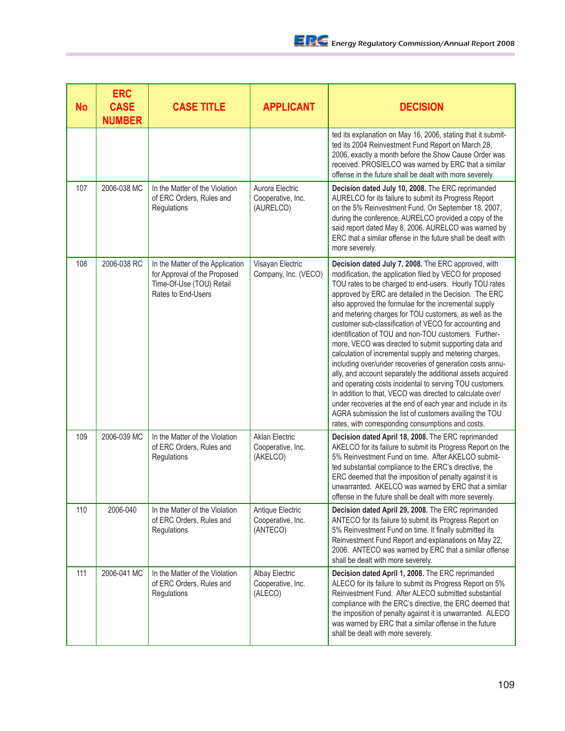| No  | <b>ERC</b><br><b>CASE</b><br><b>NUMBER</b> | <b>CASE TITLE</b>                                                                                                  | <b>APPLICANT</b>                                       | <b>DECISION</b>                                                                                                                                                                                                                                                                                                                                                                                                                                                                                                                                                                                                                                                                                                                                                                                                                                                                                                                                                                                                                 |
|-----|--------------------------------------------|--------------------------------------------------------------------------------------------------------------------|--------------------------------------------------------|---------------------------------------------------------------------------------------------------------------------------------------------------------------------------------------------------------------------------------------------------------------------------------------------------------------------------------------------------------------------------------------------------------------------------------------------------------------------------------------------------------------------------------------------------------------------------------------------------------------------------------------------------------------------------------------------------------------------------------------------------------------------------------------------------------------------------------------------------------------------------------------------------------------------------------------------------------------------------------------------------------------------------------|
|     |                                            |                                                                                                                    |                                                        | ted its explanation on May 16, 2006, stating that it submit-<br>ted its 2004 Reinvestment Fund Report on March 28,<br>2006, exactly a month before the Show Cause Order was<br>received. PROSIELCO was warned by ERC that a similar<br>offense in the future shall be dealt with more severely.                                                                                                                                                                                                                                                                                                                                                                                                                                                                                                                                                                                                                                                                                                                                 |
| 107 | 2006-038 MC                                | In the Matter of the Violation<br>of ERC Orders, Rules and<br>Regulations                                          | Aurora Electric<br>Cooperative, Inc.<br>(AURELCO)      | Decision dated July 10, 2008. The ERC reprimanded<br>AURELCO for its failure to submit its Progress Report<br>on the 5% Reinvestment Fund. On September 18, 2007,<br>during the conference, AURELCO provided a copy of the<br>said report dated May 8, 2006. AURELCO was warned by<br>ERC that a similar offense in the future shall be dealt with<br>more severely.                                                                                                                                                                                                                                                                                                                                                                                                                                                                                                                                                                                                                                                            |
| 108 | 2006-038 RC                                | In the Matter of the Application<br>for Approval of the Proposed<br>Time-Of-Use (TOU) Retail<br>Rates to End-Users | Visayan Electric<br>Company, Inc. (VECO)               | Decision dated July 7, 2008. The ERC approved, with<br>modification, the application filed by VECO for proposed<br>TOU rates to be charged to end-users. Hourly TOU rates<br>approved by ERC are detailed in the Decision. The ERC<br>also approved the formulae for the incremental supply<br>and metering charges for TOU customers, as well as the<br>customer sub-classification of VECO for accounting and<br>identification of TOU and non-TOU customers. Further-<br>more, VECO was directed to submit supporting data and<br>calculation of incremental supply and metering charges,<br>including over/under recoveries of generation costs annu-<br>ally, and account separately the additional assets acquired<br>and operating costs incidental to serving TOU customers.<br>In addition to that, VECO was directed to calculate over/<br>under recoveries at the end of each year and include in its<br>AGRA submission the list of customers availing the TOU<br>rates, with corresponding consumptions and costs. |
| 109 | 2006-039 MC                                | In the Matter of the Violation<br>of ERC Orders, Rules and<br>Regulations                                          | <b>Aklan Electric</b><br>Cooperative, Inc.<br>(AKELCO) | Decision dated April 18, 2008. The ERC reprimanded<br>AKELCO for its failure to submit its Progress Report on the<br>5% Reinvestment Fund on time. After AKELCO submit-<br>ted substantial compliance to the ERC's directive, the<br>ERC deemed that the imposition of penalty against it is<br>unwarranted. AKELCO was warned by ERC that a similar<br>offense in the future shall be dealt with more severely.                                                                                                                                                                                                                                                                                                                                                                                                                                                                                                                                                                                                                |
| 110 | 2006-040                                   | In the Matter of the Violation<br>of ERC Orders, Rules and<br>Regulations                                          | Antique Electric<br>Cooperative, Inc.<br>(ANTECO)      | Decision dated April 29, 2008. The ERC reprimanded<br>ANTECO for its failure to submit its Progress Report on<br>5% Reinvestment Fund on time. It finally submitted its<br>Reinvestment Fund Report and explanations on May 22,<br>2006. ANTECO was warned by ERC that a similar offense<br>shall be dealt with more severely.                                                                                                                                                                                                                                                                                                                                                                                                                                                                                                                                                                                                                                                                                                  |
| 111 | 2006-041 MC                                | In the Matter of the Violation<br>of ERC Orders, Rules and<br>Regulations                                          | Albay Electric<br>Cooperative, Inc.<br>(ALECO)         | Decision dated April 1, 2008. The ERC reprimanded<br>ALECO for its failure to submit its Progress Report on 5%<br>Reinvestment Fund. After ALECO submitted substantial<br>compliance with the ERC's directive, the ERC deemed that<br>the imposition of penalty against it is unwarranted. ALECO<br>was warned by ERC that a similar offense in the future<br>shall be dealt with more severely.                                                                                                                                                                                                                                                                                                                                                                                                                                                                                                                                                                                                                                |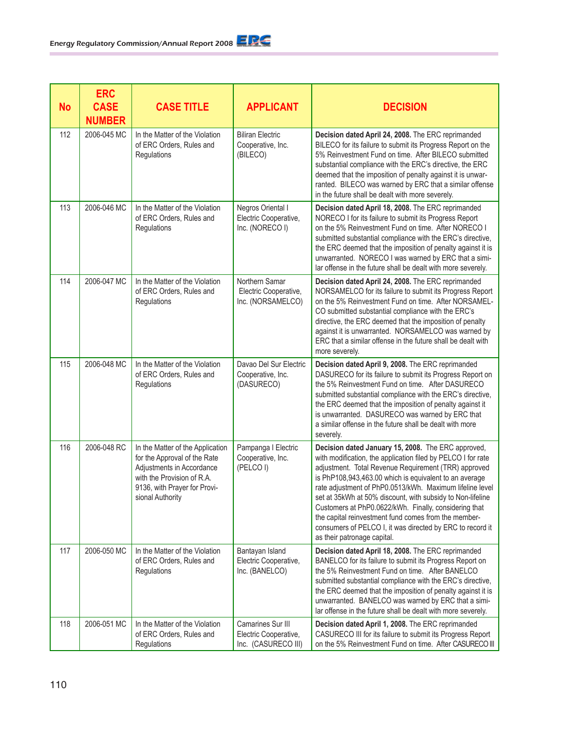| No  | <b>ERC</b><br><b>CASE</b><br><b>NUMBER</b> | <b>CASE TITLE</b>                                                                                                                                                               | <b>APPLICANT</b>                                                  | <b>DECISION</b>                                                                                                                                                                                                                                                                                                                                                                                                                                                                                                                                                             |
|-----|--------------------------------------------|---------------------------------------------------------------------------------------------------------------------------------------------------------------------------------|-------------------------------------------------------------------|-----------------------------------------------------------------------------------------------------------------------------------------------------------------------------------------------------------------------------------------------------------------------------------------------------------------------------------------------------------------------------------------------------------------------------------------------------------------------------------------------------------------------------------------------------------------------------|
| 112 | 2006-045 MC                                | In the Matter of the Violation<br>of ERC Orders, Rules and<br>Regulations                                                                                                       | <b>Biliran Electric</b><br>Cooperative, Inc.<br>(BILECO)          | Decision dated April 24, 2008. The ERC reprimanded<br>BILECO for its failure to submit its Progress Report on the<br>5% Reinvestment Fund on time. After BILECO submitted<br>substantial compliance with the ERC's directive, the ERC<br>deemed that the imposition of penalty against it is unwar-<br>ranted. BILECO was warned by ERC that a similar offense<br>in the future shall be dealt with more severely.                                                                                                                                                          |
| 113 | 2006-046 MC                                | In the Matter of the Violation<br>of ERC Orders, Rules and<br>Regulations                                                                                                       | Negros Oriental I<br>Electric Cooperative,<br>Inc. (NORECO I)     | Decision dated April 18, 2008. The ERC reprimanded<br>NORECO I for its failure to submit its Progress Report<br>on the 5% Reinvestment Fund on time. After NORECO I<br>submitted substantial compliance with the ERC's directive,<br>the ERC deemed that the imposition of penalty against it is<br>unwarranted. NORECO I was warned by ERC that a simi-<br>lar offense in the future shall be dealt with more severely.                                                                                                                                                    |
| 114 | 2006-047 MC                                | In the Matter of the Violation<br>of ERC Orders, Rules and<br>Regulations                                                                                                       | Northern Samar<br>Electric Cooperative,<br>Inc. (NORSAMELCO)      | Decision dated April 24, 2008. The ERC reprimanded<br>NORSAMELCO for its failure to submit its Progress Report<br>on the 5% Reinvestment Fund on time. After NORSAMEL-<br>CO submitted substantial compliance with the ERC's<br>directive, the ERC deemed that the imposition of penalty<br>against it is unwarranted. NORSAMELCO was warned by<br>ERC that a similar offense in the future shall be dealt with<br>more severely.                                                                                                                                           |
| 115 | 2006-048 MC                                | In the Matter of the Violation<br>of ERC Orders, Rules and<br>Regulations                                                                                                       | Davao Del Sur Electric<br>Cooperative, Inc.<br>(DASURECO)         | Decision dated April 9, 2008. The ERC reprimanded<br>DASURECO for its failure to submit its Progress Report on<br>the 5% Reinvestment Fund on time. After DASURECO<br>submitted substantial compliance with the ERC's directive,<br>the ERC deemed that the imposition of penalty against it<br>is unwarranted. DASURECO was warned by ERC that<br>a similar offense in the future shall be dealt with more<br>severely.                                                                                                                                                    |
| 116 | 2006-048 RC                                | In the Matter of the Application<br>for the Approval of the Rate<br>Adjustments in Accordance<br>with the Provision of R.A.<br>9136, with Prayer for Provi-<br>sional Authority | Pampanga I Electric<br>Cooperative, Inc.<br>(PELCOI)              | Decision dated January 15, 2008. The ERC approved,<br>with modification, the application filed by PELCO I for rate<br>adjustment. Total Revenue Requirement (TRR) approved<br>is PhP108,943,463.00 which is equivalent to an average<br>rate adjustment of PhP0.0513/kWh. Maximum lifeline level<br>set at 35kWh at 50% discount, with subsidy to Non-lifeline<br>Customers at PhP0.0622/kWh. Finally, considering that<br>the capital reinvestment fund comes from the member-<br>consumers of PELCO I, it was directed by ERC to record it<br>as their patronage capital. |
| 117 | 2006-050 MC                                | In the Matter of the Violation<br>of ERC Orders, Rules and<br>Regulations                                                                                                       | Bantayan Island<br>Electric Cooperative,<br>Inc. (BANELCO)        | Decision dated April 18, 2008. The ERC reprimanded<br>BANELCO for its failure to submit its Progress Report on<br>the 5% Reinvestment Fund on time. After BANELCO<br>submitted substantial compliance with the ERC's directive,<br>the ERC deemed that the imposition of penalty against it is<br>unwarranted. BANELCO was warned by ERC that a simi-<br>lar offense in the future shall be dealt with more severely.                                                                                                                                                       |
| 118 | 2006-051 MC                                | In the Matter of the Violation<br>of ERC Orders, Rules and<br>Regulations                                                                                                       | Camarines Sur III<br>Electric Cooperative,<br>Inc. (CASURECO III) | Decision dated April 1, 2008. The ERC reprimanded<br>CASURECO III for its failure to submit its Progress Report<br>on the 5% Reinvestment Fund on time. After CASURECO III                                                                                                                                                                                                                                                                                                                                                                                                  |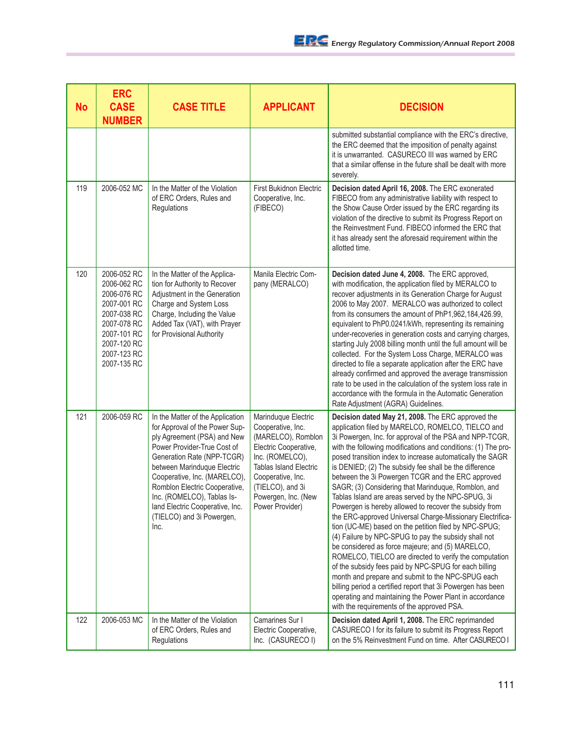| <b>No</b> | <b>ERC</b><br><b>CASE</b><br><b>NUMBER</b>                                                                                                         | <b>CASE TITLE</b>                                                                                                                                                                                                                                                                                                                                                    | <b>APPLICANT</b>                                                                                                                                                                                                               | <b>DECISION</b>                                                                                                                                                                                                                                                                                                                                                                                                                                                                                                                                                                                                                                                                                                                                                                                                                                                                                                                                                                                                                                                                                                                                                         |
|-----------|----------------------------------------------------------------------------------------------------------------------------------------------------|----------------------------------------------------------------------------------------------------------------------------------------------------------------------------------------------------------------------------------------------------------------------------------------------------------------------------------------------------------------------|--------------------------------------------------------------------------------------------------------------------------------------------------------------------------------------------------------------------------------|-------------------------------------------------------------------------------------------------------------------------------------------------------------------------------------------------------------------------------------------------------------------------------------------------------------------------------------------------------------------------------------------------------------------------------------------------------------------------------------------------------------------------------------------------------------------------------------------------------------------------------------------------------------------------------------------------------------------------------------------------------------------------------------------------------------------------------------------------------------------------------------------------------------------------------------------------------------------------------------------------------------------------------------------------------------------------------------------------------------------------------------------------------------------------|
|           |                                                                                                                                                    |                                                                                                                                                                                                                                                                                                                                                                      |                                                                                                                                                                                                                                | submitted substantial compliance with the ERC's directive,<br>the ERC deemed that the imposition of penalty against<br>it is unwarranted. CASURECO III was warned by ERC<br>that a similar offense in the future shall be dealt with more<br>severely.                                                                                                                                                                                                                                                                                                                                                                                                                                                                                                                                                                                                                                                                                                                                                                                                                                                                                                                  |
| 119       | 2006-052 MC                                                                                                                                        | In the Matter of the Violation<br>of ERC Orders, Rules and<br>Regulations                                                                                                                                                                                                                                                                                            | <b>First Bukidnon Electric</b><br>Cooperative, Inc.<br>(FIBECO)                                                                                                                                                                | Decision dated April 16, 2008. The ERC exonerated<br>FIBECO from any administrative liability with respect to<br>the Show Cause Order issued by the ERC regarding its<br>violation of the directive to submit its Progress Report on<br>the Reinvestment Fund. FIBECO informed the ERC that<br>it has already sent the aforesaid requirement within the<br>allotted time.                                                                                                                                                                                                                                                                                                                                                                                                                                                                                                                                                                                                                                                                                                                                                                                               |
| 120       | 2006-052 RC<br>2006-062 RC<br>2006-076 RC<br>2007-001 RC<br>2007-038 RC<br>2007-078 RC<br>2007-101 RC<br>2007-120 RC<br>2007-123 RC<br>2007-135 RC | In the Matter of the Applica-<br>tion for Authority to Recover<br>Adjustment in the Generation<br>Charge and System Loss<br>Charge, Including the Value<br>Added Tax (VAT), with Prayer<br>for Provisional Authority                                                                                                                                                 | Manila Electric Com-<br>pany (MERALCO)                                                                                                                                                                                         | Decision dated June 4, 2008. The ERC approved,<br>with modification, the application filed by MERALCO to<br>recover adjustments in its Generation Charge for August<br>2006 to May 2007. MERALCO was authorized to collect<br>from its consumers the amount of PhP1,962,184,426.99,<br>equivalent to PhP0.0241/kWh, representing its remaining<br>under-recoveries in generation costs and carrying charges,<br>starting July 2008 billing month until the full amount will be<br>collected. For the System Loss Charge, MERALCO was<br>directed to file a separate application after the ERC have<br>already confirmed and approved the average transmission<br>rate to be used in the calculation of the system loss rate in<br>accordance with the formula in the Automatic Generation<br>Rate Adjustment (AGRA) Guidelines.                                                                                                                                                                                                                                                                                                                                         |
| 121       | 2006-059 RC                                                                                                                                        | In the Matter of the Application<br>for Approval of the Power Sup-<br>ply Agreement (PSA) and New<br>Power Provider-True Cost of<br>Generation Rate (NPP-TCGR)<br>between Marinduque Electric<br>Cooperative, Inc. (MARELCO),<br>Romblon Electric Cooperative,<br>Inc. (ROMELCO), Tablas Is-<br>land Electric Cooperative, Inc.<br>(TIELCO) and 3i Powergen,<br>Inc. | Marinduque Electric<br>Cooperative, Inc.<br>(MARELCO), Romblon<br>Electric Cooperative,<br>Inc. (ROMELCO),<br><b>Tablas Island Electric</b><br>Cooperative, Inc.<br>(TIELCO), and 3i<br>Powergen, Inc. (New<br>Power Provider) | Decision dated May 21, 2008. The ERC approved the<br>application filed by MARELCO, ROMELCO, TIELCO and<br>3i Powergen, Inc. for approval of the PSA and NPP-TCGR,<br>with the following modifications and conditions: (1) The pro-<br>posed transition index to increase automatically the SAGR<br>is DENIED; (2) The subsidy fee shall be the difference<br>between the 3i Powergen TCGR and the ERC approved<br>SAGR; (3) Considering that Marinduque, Romblon, and<br>Tablas Island are areas served by the NPC-SPUG, 3i<br>Powergen is hereby allowed to recover the subsidy from<br>the ERC-approved Universal Charge-Missionary Electrifica-<br>tion (UC-ME) based on the petition filed by NPC-SPUG;<br>(4) Failure by NPC-SPUG to pay the subsidy shall not<br>be considered as force majeure; and (5) MARELCO,<br>ROMELCO, TIELCO are directed to verify the computation<br>of the subsidy fees paid by NPC-SPUG for each billing<br>month and prepare and submit to the NPC-SPUG each<br>billing period a certified report that 3i Powergen has been<br>operating and maintaining the Power Plant in accordance<br>with the requirements of the approved PSA. |
| 122       | 2006-053 MC                                                                                                                                        | In the Matter of the Violation<br>of ERC Orders, Rules and<br>Regulations                                                                                                                                                                                                                                                                                            | Camarines Sur I<br>Electric Cooperative,<br>Inc. (CASURECO I)                                                                                                                                                                  | Decision dated April 1, 2008. The ERC reprimanded<br>CASURECO I for its failure to submit its Progress Report<br>on the 5% Reinvestment Fund on time. After CASURECO I                                                                                                                                                                                                                                                                                                                                                                                                                                                                                                                                                                                                                                                                                                                                                                                                                                                                                                                                                                                                  |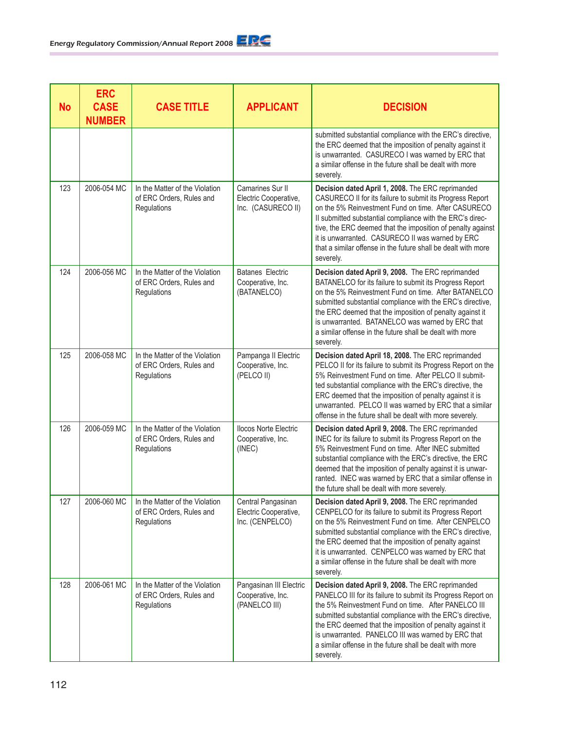| <b>No</b> | <b>ERC</b><br><b>CASE</b><br><b>NUMBER</b> | <b>CASE TITLE</b>                                                         | <b>APPLICANT</b>                                                | <b>DECISION</b>                                                                                                                                                                                                                                                                                                                                                                                                                     |
|-----------|--------------------------------------------|---------------------------------------------------------------------------|-----------------------------------------------------------------|-------------------------------------------------------------------------------------------------------------------------------------------------------------------------------------------------------------------------------------------------------------------------------------------------------------------------------------------------------------------------------------------------------------------------------------|
|           |                                            |                                                                           |                                                                 | submitted substantial compliance with the ERC's directive,<br>the ERC deemed that the imposition of penalty against it<br>is unwarranted. CASURECO I was warned by ERC that<br>a similar offense in the future shall be dealt with more<br>severely.                                                                                                                                                                                |
| 123       | 2006-054 MC                                | In the Matter of the Violation<br>of ERC Orders, Rules and<br>Regulations | Camarines Sur II<br>Electric Cooperative,<br>Inc. (CASURECO II) | Decision dated April 1, 2008. The ERC reprimanded<br>CASURECO II for its failure to submit its Progress Report<br>on the 5% Reinvestment Fund on time. After CASURECO<br>II submitted substantial compliance with the ERC's direc-<br>tive, the ERC deemed that the imposition of penalty against<br>it is unwarranted. CASURECO II was warned by ERC<br>that a similar offense in the future shall be dealt with more<br>severely. |
| 124       | 2006-056 MC                                | In the Matter of the Violation<br>of ERC Orders, Rules and<br>Regulations | <b>Batanes Electric</b><br>Cooperative, Inc.<br>(BATANELCO)     | Decision dated April 9, 2008. The ERC reprimanded<br>BATANELCO for its failure to submit its Progress Report<br>on the 5% Reinvestment Fund on time. After BATANELCO<br>submitted substantial compliance with the ERC's directive,<br>the ERC deemed that the imposition of penalty against it<br>is unwarranted. BATANELCO was warned by ERC that<br>a similar offense in the future shall be dealt with more<br>severely.         |
| 125       | 2006-058 MC                                | In the Matter of the Violation<br>of ERC Orders, Rules and<br>Regulations | Pampanga II Electric<br>Cooperative, Inc.<br>(PELCO II)         | Decision dated April 18, 2008. The ERC reprimanded<br>PELCO II for its failure to submit its Progress Report on the<br>5% Reinvestment Fund on time. After PELCO II submit-<br>ted substantial compliance with the ERC's directive, the<br>ERC deemed that the imposition of penalty against it is<br>unwarranted. PELCO II was warned by ERC that a similar<br>offense in the future shall be dealt with more severely.            |
| 126       | 2006-059 MC                                | In the Matter of the Violation<br>of ERC Orders, Rules and<br>Regulations | <b>Ilocos Norte Electric</b><br>Cooperative, Inc.<br>(INEC)     | Decision dated April 9, 2008. The ERC reprimanded<br>INEC for its failure to submit its Progress Report on the<br>5% Reinvestment Fund on time. After INEC submitted<br>substantial compliance with the ERC's directive, the ERC<br>deemed that the imposition of penalty against it is unwar-<br>ranted. INEC was warned by ERC that a similar offense in<br>the future shall be dealt with more severely.                         |
| 127       | 2006-060 MC                                | In the Matter of the Violation<br>of ERC Orders, Rules and<br>Regulations | Central Pangasinan<br>Electric Cooperative,<br>Inc. (CENPELCO)  | Decision dated April 9, 2008. The ERC reprimanded<br>CENPELCO for its failure to submit its Progress Report<br>on the 5% Reinvestment Fund on time. After CENPELCO<br>submitted substantial compliance with the ERC's directive,<br>the ERC deemed that the imposition of penalty against<br>it is unwarranted. CENPELCO was warned by ERC that<br>a similar offense in the future shall be dealt with more<br>severely.            |
| 128       | 2006-061 MC                                | In the Matter of the Violation<br>of ERC Orders, Rules and<br>Regulations | Pangasinan III Electric<br>Cooperative, Inc.<br>(PANELCO III)   | Decision dated April 9, 2008. The ERC reprimanded<br>PANELCO III for its failure to submit its Progress Report on<br>the 5% Reinvestment Fund on time. After PANELCO III<br>submitted substantial compliance with the ERC's directive,<br>the ERC deemed that the imposition of penalty against it<br>is unwarranted. PANELCO III was warned by ERC that<br>a similar offense in the future shall be dealt with more<br>severely.   |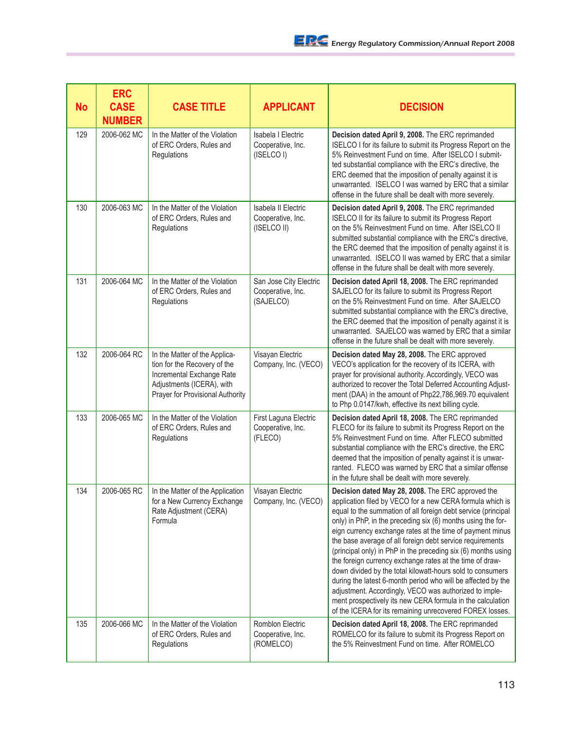| No  | <b>ERC</b><br><b>CASE</b><br><b>NUMBER</b> | <b>CASE TITLE</b>                                                                                                                                           | <b>APPLICANT</b>                                         | <b>DECISION</b>                                                                                                                                                                                                                                                                                                                                                                                                                                                                                                                                                                                                                                                                                                                                                                                                          |
|-----|--------------------------------------------|-------------------------------------------------------------------------------------------------------------------------------------------------------------|----------------------------------------------------------|--------------------------------------------------------------------------------------------------------------------------------------------------------------------------------------------------------------------------------------------------------------------------------------------------------------------------------------------------------------------------------------------------------------------------------------------------------------------------------------------------------------------------------------------------------------------------------------------------------------------------------------------------------------------------------------------------------------------------------------------------------------------------------------------------------------------------|
| 129 | 2006-062 MC                                | In the Matter of the Violation<br>of ERC Orders, Rules and<br>Regulations                                                                                   | Isabela I Electric<br>Cooperative, Inc.<br>(ISELCO I)    | Decision dated April 9, 2008. The ERC reprimanded<br>ISELCO I for its failure to submit its Progress Report on the<br>5% Reinvestment Fund on time. After ISELCO I submit-<br>ted substantial compliance with the ERC's directive, the<br>ERC deemed that the imposition of penalty against it is<br>unwarranted. ISELCO I was warned by ERC that a similar<br>offense in the future shall be dealt with more severely.                                                                                                                                                                                                                                                                                                                                                                                                  |
| 130 | 2006-063 MC                                | In the Matter of the Violation<br>of ERC Orders, Rules and<br>Regulations                                                                                   | Isabela II Electric<br>Cooperative, Inc.<br>(ISELCO II)  | Decision dated April 9, 2008. The ERC reprimanded<br>ISELCO II for its failure to submit its Progress Report<br>on the 5% Reinvestment Fund on time. After ISELCO II<br>submitted substantial compliance with the ERC's directive,<br>the ERC deemed that the imposition of penalty against it is<br>unwarranted. ISELCO II was warned by ERC that a similar<br>offense in the future shall be dealt with more severely.                                                                                                                                                                                                                                                                                                                                                                                                 |
| 131 | 2006-064 MC                                | In the Matter of the Violation<br>of ERC Orders, Rules and<br>Regulations                                                                                   | San Jose City Electric<br>Cooperative, Inc.<br>(SAJELCO) | Decision dated April 18, 2008. The ERC reprimanded<br>SAJELCO for its failure to submit its Progress Report<br>on the 5% Reinvestment Fund on time. After SAJELCO<br>submitted substantial compliance with the ERC's directive,<br>the ERC deemed that the imposition of penalty against it is<br>unwarranted. SAJELCO was warned by ERC that a similar<br>offense in the future shall be dealt with more severely.                                                                                                                                                                                                                                                                                                                                                                                                      |
| 132 | 2006-064 RC                                | In the Matter of the Applica-<br>tion for the Recovery of the<br>Incremental Exchange Rate<br>Adjustments (ICERA), with<br>Prayer for Provisional Authority | Visayan Electric<br>Company, Inc. (VECO)                 | Decision dated May 28, 2008. The ERC approved<br>VECO's application for the recovery of its ICERA, with<br>prayer for provisional authority. Accordingly, VECO was<br>authorized to recover the Total Deferred Accounting Adjust-<br>ment (DAA) in the amount of Php22,786,969.70 equivalent<br>to Php 0.0147/kwh, effective its next billing cycle.                                                                                                                                                                                                                                                                                                                                                                                                                                                                     |
| 133 | 2006-065 MC                                | In the Matter of the Violation<br>of ERC Orders, Rules and<br>Regulations                                                                                   | First Laguna Electric<br>Cooperative, Inc.<br>(FLECO)    | Decision dated April 18, 2008. The ERC reprimanded<br>FLECO for its failure to submit its Progress Report on the<br>5% Reinvestment Fund on time. After FLECO submitted<br>substantial compliance with the ERC's directive, the ERC<br>deemed that the imposition of penalty against it is unwar-<br>ranted. FLECO was warned by ERC that a similar offense<br>in the future shall be dealt with more severely.                                                                                                                                                                                                                                                                                                                                                                                                          |
| 134 | 2006-065 RC                                | In the Matter of the Application<br>for a New Currency Exchange<br>Rate Adjustment (CERA)<br>Formula                                                        | Visayan Electric<br>Company, Inc. (VECO)                 | Decision dated May 28, 2008. The ERC approved the<br>application filed by VECO for a new CERA formula which is<br>equal to the summation of all foreign debt service (principal<br>only) in PhP, in the preceding six (6) months using the for-<br>eign currency exchange rates at the time of payment minus<br>the base average of all foreign debt service requirements<br>(principal only) in PhP in the preceding six (6) months using<br>the foreign currency exchange rates at the time of draw-<br>down divided by the total kilowatt-hours sold to consumers<br>during the latest 6-month period who will be affected by the<br>adjustment. Accordingly, VECO was authorized to imple-<br>ment prospectively its new CERA formula in the calculation<br>of the ICERA for its remaining unrecovered FOREX losses. |
| 135 | 2006-066 MC                                | In the Matter of the Violation<br>of ERC Orders, Rules and<br>Regulations                                                                                   | Romblon Electric<br>Cooperative, Inc.<br>(ROMELCO)       | Decision dated April 18, 2008. The ERC reprimanded<br>ROMELCO for its failure to submit its Progress Report on<br>the 5% Reinvestment Fund on time. After ROMELCO                                                                                                                                                                                                                                                                                                                                                                                                                                                                                                                                                                                                                                                        |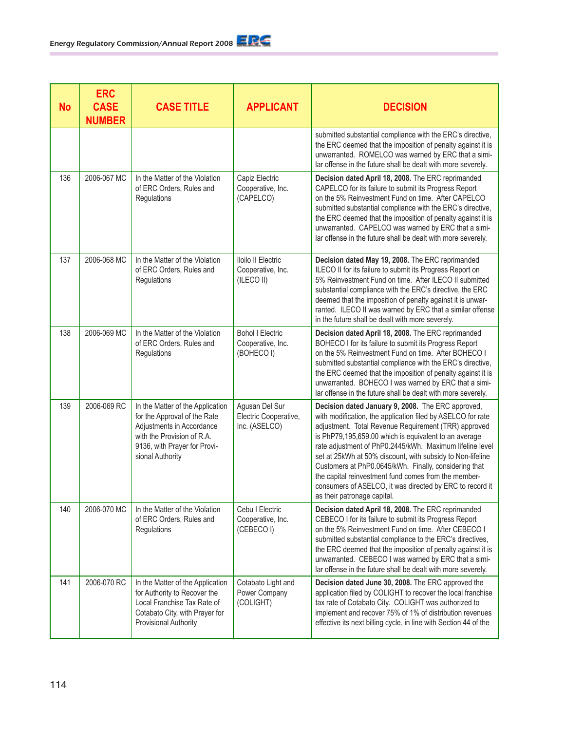| <b>No</b> | <b>ERC</b><br><b>CASE</b><br><b>NUMBER</b> | <b>CASE TITLE</b>                                                                                                                                                               | <b>APPLICANT</b>                                           | <b>DECISION</b>                                                                                                                                                                                                                                                                                                                                                                                                                                                                                                                                                         |
|-----------|--------------------------------------------|---------------------------------------------------------------------------------------------------------------------------------------------------------------------------------|------------------------------------------------------------|-------------------------------------------------------------------------------------------------------------------------------------------------------------------------------------------------------------------------------------------------------------------------------------------------------------------------------------------------------------------------------------------------------------------------------------------------------------------------------------------------------------------------------------------------------------------------|
|           |                                            |                                                                                                                                                                                 |                                                            | submitted substantial compliance with the ERC's directive,<br>the ERC deemed that the imposition of penalty against it is<br>unwarranted. ROMELCO was warned by ERC that a simi-<br>lar offense in the future shall be dealt with more severely.                                                                                                                                                                                                                                                                                                                        |
| 136       | 2006-067 MC                                | In the Matter of the Violation<br>of ERC Orders, Rules and<br>Regulations                                                                                                       | Capiz Electric<br>Cooperative, Inc.<br>(CAPELCO)           | Decision dated April 18, 2008. The ERC reprimanded<br>CAPELCO for its failure to submit its Progress Report<br>on the 5% Reinvestment Fund on time. After CAPELCO<br>submitted substantial compliance with the ERC's directive,<br>the ERC deemed that the imposition of penalty against it is<br>unwarranted. CAPELCO was warned by ERC that a simi-<br>lar offense in the future shall be dealt with more severely.                                                                                                                                                   |
| 137       | 2006-068 MC                                | In the Matter of the Violation<br>of ERC Orders, Rules and<br>Regulations                                                                                                       | Iloilo II Electric<br>Cooperative, Inc.<br>(ILECO II)      | Decision dated May 19, 2008. The ERC reprimanded<br>ILECO II for its failure to submit its Progress Report on<br>5% Reinvestment Fund on time. After ILECO II submitted<br>substantial compliance with the ERC's directive, the ERC<br>deemed that the imposition of penalty against it is unwar-<br>ranted. ILECO II was warned by ERC that a similar offense<br>in the future shall be dealt with more severely.                                                                                                                                                      |
| 138       | 2006-069 MC                                | In the Matter of the Violation<br>of ERC Orders, Rules and<br>Regulations                                                                                                       | <b>Bohol I Electric</b><br>Cooperative, Inc.<br>(BOHECO I) | Decision dated April 18, 2008. The ERC reprimanded<br>BOHECO I for its failure to submit its Progress Report<br>on the 5% Reinvestment Fund on time. After BOHECO I<br>submitted substantial compliance with the ERC's directive,<br>the ERC deemed that the imposition of penalty against it is<br>unwarranted. BOHECO I was warned by ERC that a simi-<br>lar offense in the future shall be dealt with more severely.                                                                                                                                                |
| 139       | 2006-069 RC                                | In the Matter of the Application<br>for the Approval of the Rate<br>Adjustments in Accordance<br>with the Provision of R.A.<br>9136, with Prayer for Provi-<br>sional Authority | Agusan Del Sur<br>Electric Cooperative,<br>Inc. (ASELCO)   | Decision dated January 9, 2008. The ERC approved,<br>with modification, the application filed by ASELCO for rate<br>adjustment. Total Revenue Requirement (TRR) approved<br>is PhP79,195,659.00 which is equivalent to an average<br>rate adjustment of PhP0.2445/kWh. Maximum lifeline level<br>set at 25kWh at 50% discount, with subsidy to Non-lifeline<br>Customers at PhP0.0645/kWh. Finally, considering that<br>the capital reinvestment fund comes from the member-<br>consumers of ASELCO, it was directed by ERC to record it<br>as their patronage capital. |
| 140       | 2006-070 MC                                | In the Matter of the Violation<br>of ERC Orders, Rules and<br>Regulations                                                                                                       | Cebu I Electric<br>Cooperative, Inc.<br>(CEBECO I)         | Decision dated April 18, 2008. The ERC reprimanded<br>CEBECO I for its failure to submit its Progress Report<br>on the 5% Reinvestment Fund on time. After CEBECO I<br>submitted substantial compliance to the ERC's directives,<br>the ERC deemed that the imposition of penalty against it is<br>unwarranted. CEBECO I was warned by ERC that a simi-<br>lar offense in the future shall be dealt with more severely.                                                                                                                                                 |
| 141       | 2006-070 RC                                | In the Matter of the Application<br>for Authority to Recover the<br>Local Franchise Tax Rate of<br>Cotabato City, with Prayer for<br><b>Provisional Authority</b>               | Cotabato Light and<br>Power Company<br>(COLIGHT)           | Decision dated June 30, 2008. The ERC approved the<br>application filed by COLIGHT to recover the local franchise<br>tax rate of Cotabato City. COLIGHT was authorized to<br>implement and recover 75% of 1% of distribution revenues<br>effective its next billing cycle, in line with Section 44 of the                                                                                                                                                                                                                                                               |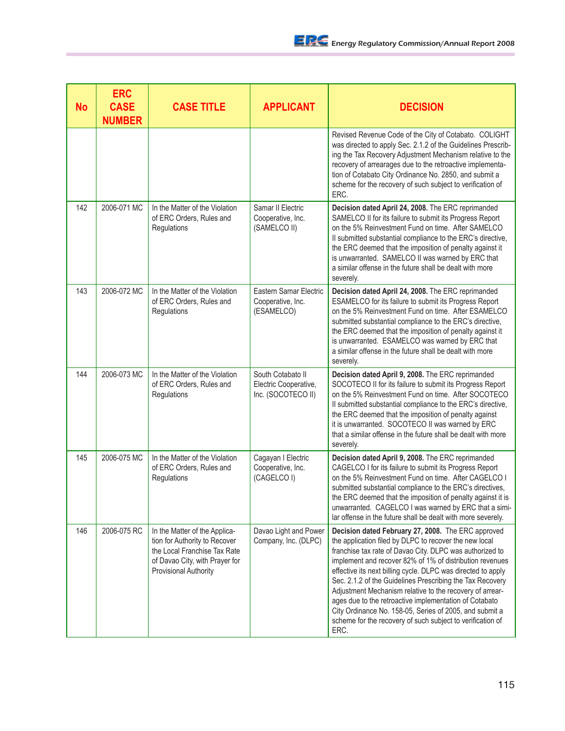| <b>No</b> | <b>ERC</b><br><b>CASE</b><br><b>NUMBER</b> | <b>CASE TITLE</b>                                                                                                                                         | <b>APPLICANT</b>                                                 | <b>DECISION</b>                                                                                                                                                                                                                                                                                                                                                                                                                                                                                                                                                                                                          |
|-----------|--------------------------------------------|-----------------------------------------------------------------------------------------------------------------------------------------------------------|------------------------------------------------------------------|--------------------------------------------------------------------------------------------------------------------------------------------------------------------------------------------------------------------------------------------------------------------------------------------------------------------------------------------------------------------------------------------------------------------------------------------------------------------------------------------------------------------------------------------------------------------------------------------------------------------------|
|           |                                            |                                                                                                                                                           |                                                                  | Revised Revenue Code of the City of Cotabato. COLIGHT<br>was directed to apply Sec. 2.1.2 of the Guidelines Prescrib-<br>ing the Tax Recovery Adjustment Mechanism relative to the<br>recovery of arrearages due to the retroactive implementa-<br>tion of Cotabato City Ordinance No. 2850, and submit a<br>scheme for the recovery of such subject to verification of<br>ERC.                                                                                                                                                                                                                                          |
| 142       | 2006-071 MC                                | In the Matter of the Violation<br>of ERC Orders, Rules and<br>Regulations                                                                                 | Samar II Electric<br>Cooperative, Inc.<br>(SAMELCO II)           | Decision dated April 24, 2008. The ERC reprimanded<br>SAMELCO II for its failure to submit its Progress Report<br>on the 5% Reinvestment Fund on time. After SAMELCO<br>Il submitted substantial compliance to the ERC's directive,<br>the ERC deemed that the imposition of penalty against it<br>is unwarranted. SAMELCO II was warned by ERC that<br>a similar offense in the future shall be dealt with more<br>severely.                                                                                                                                                                                            |
| 143       | 2006-072 MC                                | In the Matter of the Violation<br>of ERC Orders, Rules and<br>Regulations                                                                                 | Eastern Samar Electric<br>Cooperative, Inc.<br>(ESAMELCO)        | Decision dated April 24, 2008. The ERC reprimanded<br>ESAMELCO for its failure to submit its Progress Report<br>on the 5% Reinvestment Fund on time. After ESAMELCO<br>submitted substantial compliance to the ERC's directive,<br>the ERC deemed that the imposition of penalty against it<br>is unwarranted. ESAMELCO was warned by ERC that<br>a similar offense in the future shall be dealt with more<br>severely.                                                                                                                                                                                                  |
| 144       | 2006-073 MC                                | In the Matter of the Violation<br>of ERC Orders, Rules and<br>Regulations                                                                                 | South Cotabato II<br>Electric Cooperative,<br>Inc. (SOCOTECO II) | Decision dated April 9, 2008. The ERC reprimanded<br>SOCOTECO II for its failure to submit its Progress Report<br>on the 5% Reinvestment Fund on time. After SOCOTECO<br>Il submitted substantial compliance to the ERC's directive,<br>the ERC deemed that the imposition of penalty against<br>it is unwarranted. SOCOTECO II was warned by ERC<br>that a similar offense in the future shall be dealt with more<br>severely.                                                                                                                                                                                          |
| 145       | 2006-075 MC                                | In the Matter of the Violation<br>of ERC Orders, Rules and<br>Regulations                                                                                 | Cagayan I Electric<br>Cooperative, Inc.<br>(CAGELCO I)           | Decision dated April 9, 2008. The ERC reprimanded<br>CAGELCO I for its failure to submit its Progress Report<br>on the 5% Reinvestment Fund on time. After CAGELCO I<br>submitted substantial compliance to the ERC's directives,<br>the ERC deemed that the imposition of penalty against it is<br>unwarranted. CAGELCO I was warned by ERC that a simi-<br>lar offense in the future shall be dealt with more severely.                                                                                                                                                                                                |
| 146       | 2006-075 RC                                | In the Matter of the Applica-<br>tion for Authority to Recover<br>the Local Franchise Tax Rate<br>of Davao City, with Prayer for<br>Provisional Authority | Davao Light and Power<br>Company, Inc. (DLPC)                    | Decision dated February 27, 2008. The ERC approved<br>the application filed by DLPC to recover the new local<br>franchise tax rate of Davao City. DLPC was authorized to<br>implement and recover 82% of 1% of distribution revenues<br>effective its next billing cycle. DLPC was directed to apply<br>Sec. 2.1.2 of the Guidelines Prescribing the Tax Recovery<br>Adjustment Mechanism relative to the recovery of arrear-<br>ages due to the retroactive implementation of Cotabato<br>City Ordinance No. 158-05, Series of 2005, and submit a<br>scheme for the recovery of such subject to verification of<br>ERC. |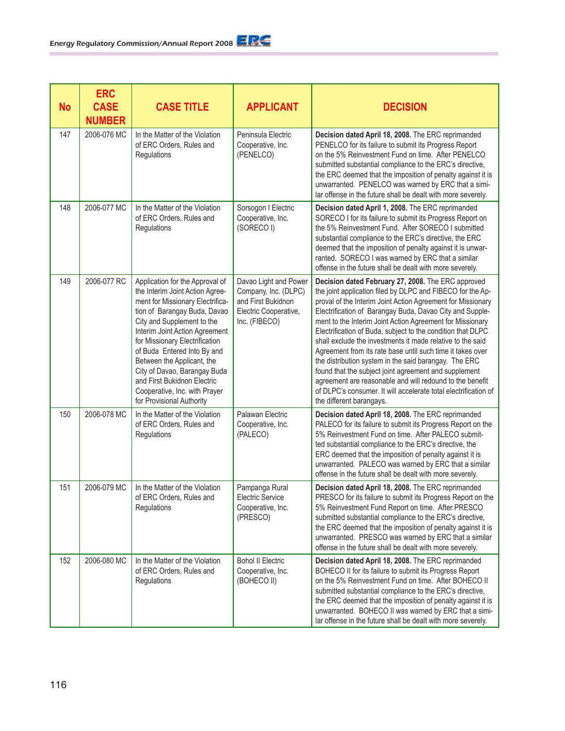| <b>No</b> | <b>ERC</b><br><b>CASE</b><br><b>NUMBER</b> | <b>CASE TITLE</b>                                                                                                                                                                                                                                                                                                                                                                                                                  | <b>APPLICANT</b>                                                                                              | <b>DECISION</b>                                                                                                                                                                                                                                                                                                                                                                                                                                                                                                                                                                                                                                                                                                                                                                  |
|-----------|--------------------------------------------|------------------------------------------------------------------------------------------------------------------------------------------------------------------------------------------------------------------------------------------------------------------------------------------------------------------------------------------------------------------------------------------------------------------------------------|---------------------------------------------------------------------------------------------------------------|----------------------------------------------------------------------------------------------------------------------------------------------------------------------------------------------------------------------------------------------------------------------------------------------------------------------------------------------------------------------------------------------------------------------------------------------------------------------------------------------------------------------------------------------------------------------------------------------------------------------------------------------------------------------------------------------------------------------------------------------------------------------------------|
| 147       | 2006-076 MC                                | In the Matter of the Violation<br>of ERC Orders, Rules and<br>Regulations                                                                                                                                                                                                                                                                                                                                                          | Peninsula Electric<br>Cooperative, Inc.<br>(PENELCO)                                                          | Decision dated April 18, 2008. The ERC reprimanded<br>PENELCO for its failure to submit its Progress Report<br>on the 5% Reinvestment Fund on time. After PENELCO<br>submitted substantial compliance to the ERC's directive,<br>the ERC deemed that the imposition of penalty against it is<br>unwarranted. PENELCO was warned by ERC that a simi-<br>lar offense in the future shall be dealt with more severely.                                                                                                                                                                                                                                                                                                                                                              |
| 148       | 2006-077 MC                                | In the Matter of the Violation<br>of ERC Orders, Rules and<br>Regulations                                                                                                                                                                                                                                                                                                                                                          | Sorsogon I Electric<br>Cooperative, Inc.<br>(SORECO I)                                                        | Decision dated April 1, 2008. The ERC reprimanded<br>SORECO I for its failure to submit its Progress Report on<br>the 5% Reinvestment Fund. After SORECO I submitted<br>substantial compliance to the ERC's directive, the ERC<br>deemed that the imposition of penalty against it is unwar-<br>ranted. SORECO I was warned by ERC that a similar<br>offense in the future shall be dealt with more severely.                                                                                                                                                                                                                                                                                                                                                                    |
| 149       | 2006-077 RC                                | Application for the Approval of<br>the Interim Joint Action Agree-<br>ment for Missionary Electrifica-<br>tion of Barangay Buda, Davao<br>City and Supplement to the<br>Interim Joint Action Agreement<br>for Missionary Electrification<br>of Buda Entered Into By and<br>Between the Applicant, the<br>City of Davao, Barangay Buda<br>and First Bukidnon Electric<br>Cooperative, Inc. with Prayer<br>for Provisional Authority | Davao Light and Power<br>Company, Inc. (DLPC)<br>and First Bukidnon<br>Electric Cooperative,<br>Inc. (FIBECO) | Decision dated February 27, 2008. The ERC approved<br>the joint application filed by DLPC and FIBECO for the Ap-<br>proval of the Interim Joint Action Agreement for Missionary<br>Electrification of Barangay Buda, Davao City and Supple-<br>ment to the Interim Joint Action Agreement for Missionary<br>Electrification of Buda, subject to the condition that DLPC<br>shall exclude the investments it made relative to the said<br>Agreement from its rate base until such time it takes over<br>the distribution system in the said barangay. The ERC<br>found that the subject joint agreement and supplement<br>agreement are reasonable and will redound to the benefit<br>of DLPC's consumer. It will accelerate total electrification of<br>the different barangays. |
| 150       | 2006-078 MC                                | In the Matter of the Violation<br>of ERC Orders, Rules and<br>Regulations                                                                                                                                                                                                                                                                                                                                                          | Palawan Electric<br>Cooperative, Inc.<br>(PALECO)                                                             | Decision dated April 18, 2008. The ERC reprimanded<br>PALECO for its failure to submit its Progress Report on the<br>5% Reinvestment Fund on time. After PALECO submit-<br>ted substantial compliance to the ERC's directive, the<br>ERC deemed that the imposition of penalty against it is<br>unwarranted. PALECO was warned by ERC that a similar<br>offense in the future shall be dealt with more severely.                                                                                                                                                                                                                                                                                                                                                                 |
| 151       | 2006-079 MC                                | In the Matter of the Violation<br>of ERC Orders, Rules and<br>Regulations                                                                                                                                                                                                                                                                                                                                                          | Pampanga Rural<br>Electric Service<br>Cooperative, Inc.<br>(PRESCO)                                           | Decision dated April 18, 2008. The ERC reprimanded<br>PRESCO for its failure to submit its Progress Report on the<br>5% Reinvestment Fund Report on time. After PRESCO<br>submitted substantial compliance to the ERC's directive,<br>the ERC deemed that the imposition of penalty against it is<br>unwarranted. PRESCO was warned by ERC that a similar<br>offense in the future shall be dealt with more severely.                                                                                                                                                                                                                                                                                                                                                            |
| 152       | 2006-080 MC                                | In the Matter of the Violation<br>of ERC Orders, Rules and<br>Regulations                                                                                                                                                                                                                                                                                                                                                          | <b>Bohol II Electric</b><br>Cooperative, Inc.<br>(BOHECO II)                                                  | Decision dated April 18, 2008. The ERC reprimanded<br>BOHECO II for its failure to submit its Progress Report<br>on the 5% Reinvestment Fund on time. After BOHECO II<br>submitted substantial compliance to the ERC's directive,<br>the ERC deemed that the imposition of penalty against it is<br>unwarranted. BOHECO II was warned by ERC that a simi-<br>lar offense in the future shall be dealt with more severely.                                                                                                                                                                                                                                                                                                                                                        |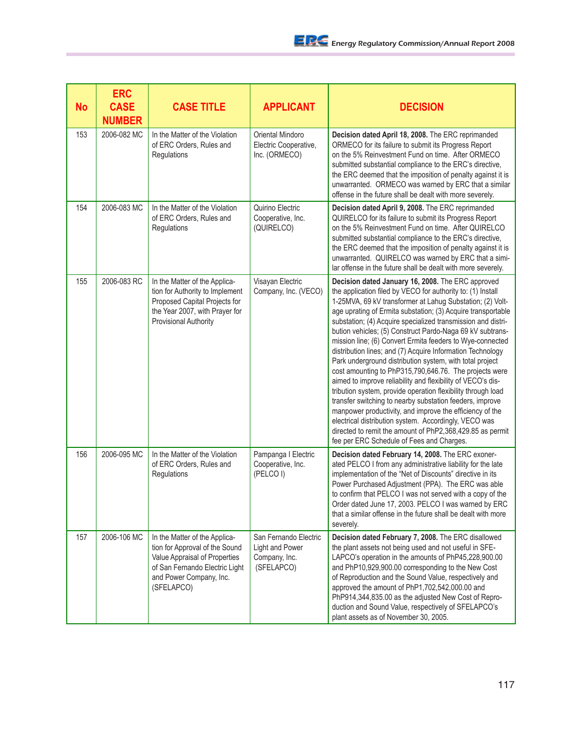| No  | <b>ERC</b><br><b>CASE</b><br><b>NUMBER</b> | <b>CASE TITLE</b>                                                                                                                                                           | <b>APPLICANT</b>                                                        | <b>DECISION</b>                                                                                                                                                                                                                                                                                                                                                                                                                                                                                                                                                                                                                                                                                                                                                                                                                                                                                                                                                                                                                                       |
|-----|--------------------------------------------|-----------------------------------------------------------------------------------------------------------------------------------------------------------------------------|-------------------------------------------------------------------------|-------------------------------------------------------------------------------------------------------------------------------------------------------------------------------------------------------------------------------------------------------------------------------------------------------------------------------------------------------------------------------------------------------------------------------------------------------------------------------------------------------------------------------------------------------------------------------------------------------------------------------------------------------------------------------------------------------------------------------------------------------------------------------------------------------------------------------------------------------------------------------------------------------------------------------------------------------------------------------------------------------------------------------------------------------|
| 153 | 2006-082 MC                                | In the Matter of the Violation<br>of ERC Orders, Rules and<br>Regulations                                                                                                   | Oriental Mindoro<br>Electric Cooperative,<br>Inc. (ORMECO)              | Decision dated April 18, 2008. The ERC reprimanded<br>ORMECO for its failure to submit its Progress Report<br>on the 5% Reinvestment Fund on time. After ORMECO<br>submitted substantial compliance to the ERC's directive,<br>the ERC deemed that the imposition of penalty against it is<br>unwarranted. ORMECO was warned by ERC that a similar<br>offense in the future shall be dealt with more severely.                                                                                                                                                                                                                                                                                                                                                                                                                                                                                                                                                                                                                                        |
| 154 | 2006-083 MC                                | In the Matter of the Violation<br>of ERC Orders, Rules and<br>Regulations                                                                                                   | Quirino Electric<br>Cooperative, Inc.<br>(QUIRELCO)                     | Decision dated April 9, 2008. The ERC reprimanded<br>QUIRELCO for its failure to submit its Progress Report<br>on the 5% Reinvestment Fund on time. After QUIRELCO<br>submitted substantial compliance to the ERC's directive,<br>the ERC deemed that the imposition of penalty against it is<br>unwarranted. QUIRELCO was warned by ERC that a simi-<br>lar offense in the future shall be dealt with more severely.                                                                                                                                                                                                                                                                                                                                                                                                                                                                                                                                                                                                                                 |
| 155 | 2006-083 RC                                | In the Matter of the Applica-<br>tion for Authority to Implement<br>Proposed Capital Projects for<br>the Year 2007, with Prayer for<br>Provisional Authority                | Visayan Electric<br>Company, Inc. (VECO)                                | Decision dated January 16, 2008. The ERC approved<br>the application filed by VECO for authority to: (1) Install<br>1-25MVA, 69 kV transformer at Lahug Substation; (2) Volt-<br>age uprating of Ermita substation; (3) Acquire transportable<br>substation; (4) Acquire specialized transmission and distri-<br>bution vehicles; (5) Construct Pardo-Naga 69 kV subtrans-<br>mission line; (6) Convert Ermita feeders to Wye-connected<br>distribution lines; and (7) Acquire Information Technology<br>Park underground distribution system, with total project<br>cost amounting to PhP315,790,646.76. The projects were<br>aimed to improve reliability and flexibility of VECO's dis-<br>tribution system, provide operation flexibility through load<br>transfer switching to nearby substation feeders, improve<br>manpower productivity, and improve the efficiency of the<br>electrical distribution system. Accordingly, VECO was<br>directed to remit the amount of PhP2,368,429.85 as permit<br>fee per ERC Schedule of Fees and Charges. |
| 156 | 2006-095 MC                                | In the Matter of the Violation<br>of ERC Orders, Rules and<br>Regulations                                                                                                   | Pampanga I Electric<br>Cooperative, Inc.<br>(PELCOI)                    | Decision dated February 14, 2008. The ERC exoner-<br>ated PELCO I from any administrative liability for the late<br>implementation of the "Net of Discounts" directive in its<br>Power Purchased Adjustment (PPA). The ERC was able<br>to confirm that PELCO I was not served with a copy of the<br>Order dated June 17, 2003. PELCO I was warned by ERC<br>that a similar offense in the future shall be dealt with more<br>severely.                                                                                                                                                                                                                                                                                                                                                                                                                                                                                                                                                                                                                |
| 157 | 2006-106 MC                                | In the Matter of the Applica-<br>tion for Approval of the Sound<br>Value Appraisal of Properties<br>of San Fernando Electric Light<br>and Power Company, Inc.<br>(SFELAPCO) | San Fernando Electric<br>Light and Power<br>Company, Inc.<br>(SFELAPCO) | Decision dated February 7, 2008. The ERC disallowed<br>the plant assets not being used and not useful in SFE-<br>LAPCO's operation in the amounts of PhP45,228,900.00<br>and PhP10,929,900.00 corresponding to the New Cost<br>of Reproduction and the Sound Value, respectively and<br>approved the amount of PhP1,702,542,000.00 and<br>PhP914,344,835.00 as the adjusted New Cost of Repro-<br>duction and Sound Value, respectively of SFELAPCO's<br>plant assets as of November 30, 2005.                                                                                                                                                                                                                                                                                                                                                                                                                                                                                                                                                        |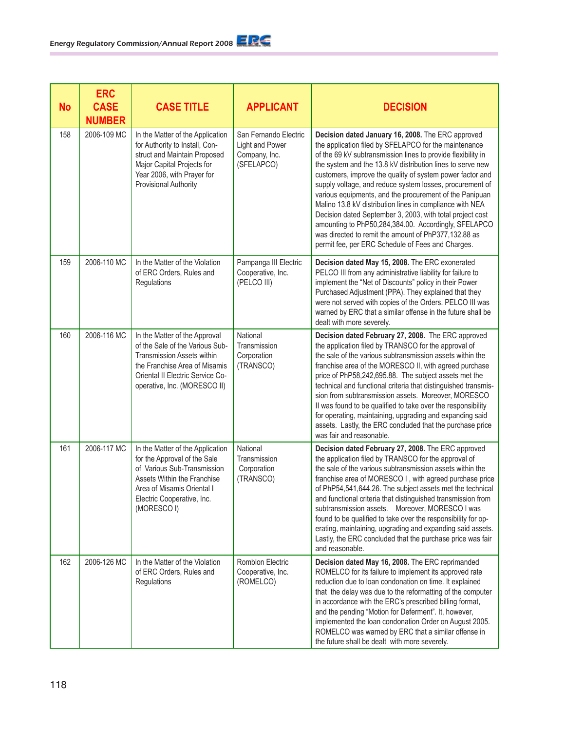| <b>No</b> | <b>ERC</b><br><b>CASE</b><br><b>NUMBER</b> | <b>CASE TITLE</b>                                                                                                                                                                                          | <b>APPLICANT</b>                                                               | <b>DECISION</b>                                                                                                                                                                                                                                                                                                                                                                                                                                                                                                                                                                                                                                                                                                            |
|-----------|--------------------------------------------|------------------------------------------------------------------------------------------------------------------------------------------------------------------------------------------------------------|--------------------------------------------------------------------------------|----------------------------------------------------------------------------------------------------------------------------------------------------------------------------------------------------------------------------------------------------------------------------------------------------------------------------------------------------------------------------------------------------------------------------------------------------------------------------------------------------------------------------------------------------------------------------------------------------------------------------------------------------------------------------------------------------------------------------|
| 158       | 2006-109 MC                                | In the Matter of the Application<br>for Authority to Install, Con-<br>struct and Maintain Proposed<br>Major Capital Projects for<br>Year 2006, with Prayer for<br>Provisional Authority                    | San Fernando Electric<br><b>Light and Power</b><br>Company, Inc.<br>(SFELAPCO) | Decision dated January 16, 2008. The ERC approved<br>the application filed by SFELAPCO for the maintenance<br>of the 69 kV subtransmission lines to provide flexibility in<br>the system and the 13.8 kV distribution lines to serve new<br>customers, improve the quality of system power factor and<br>supply voltage, and reduce system losses, procurement of<br>various equipments, and the procurement of the Panipuan<br>Malino 13.8 kV distribution lines in compliance with NEA<br>Decision dated September 3, 2003, with total project cost<br>amounting to PhP50,284,384.00. Accordingly, SFELAPCO<br>was directed to remit the amount of PhP377,132.88 as<br>permit fee, per ERC Schedule of Fees and Charges. |
| 159       | 2006-110 MC                                | In the Matter of the Violation<br>of ERC Orders, Rules and<br>Regulations                                                                                                                                  | Pampanga III Electric<br>Cooperative, Inc.<br>(PELCO III)                      | Decision dated May 15, 2008. The ERC exonerated<br>PELCO III from any administrative liability for failure to<br>implement the "Net of Discounts" policy in their Power<br>Purchased Adjustment (PPA). They explained that they<br>were not served with copies of the Orders. PELCO III was<br>warned by ERC that a similar offense in the future shall be<br>dealt with more severely.                                                                                                                                                                                                                                                                                                                                    |
| 160       | 2006-116 MC                                | In the Matter of the Approval<br>of the Sale of the Various Sub-<br><b>Transmission Assets within</b><br>the Franchise Area of Misamis<br>Oriental II Electric Service Co-<br>operative, Inc. (MORESCO II) | National<br>Transmission<br>Corporation<br>(TRANSCO)                           | Decision dated February 27, 2008. The ERC approved<br>the application filed by TRANSCO for the approval of<br>the sale of the various subtransmission assets within the<br>franchise area of the MORESCO II, with agreed purchase<br>price of PhP58,242,695.88. The subject assets met the<br>technical and functional criteria that distinguished transmis-<br>sion from subtransmission assets. Moreover, MORESCO<br>Il was found to be qualified to take over the responsibility<br>for operating, maintaining, upgrading and expanding said<br>assets. Lastly, the ERC concluded that the purchase price<br>was fair and reasonable.                                                                                   |
| 161       | 2006-117 MC                                | In the Matter of the Application<br>for the Approval of the Sale<br>of Various Sub-Transmission<br>Assets Within the Franchise<br>Area of Misamis Oriental I<br>Electric Cooperative, Inc.<br>(MORESCO I)  | National<br>Transmission<br>Corporation<br>(TRANSCO)                           | Decision dated February 27, 2008. The ERC approved<br>the application filed by TRANSCO for the approval of<br>the sale of the various subtransmission assets within the<br>franchise area of MORESCO I, with agreed purchase price<br>of PhP54,541,644.26. The subject assets met the technical<br>and functional criteria that distinguished transmission from<br>subtransmission assets. Moreover, MORESCO I was<br>found to be qualified to take over the responsibility for op-<br>erating, maintaining, upgrading and expanding said assets.<br>Lastly, the ERC concluded that the purchase price was fair<br>and reasonable.                                                                                         |
| 162       | 2006-126 MC                                | In the Matter of the Violation<br>of ERC Orders, Rules and<br>Regulations                                                                                                                                  | <b>Romblon Electric</b><br>Cooperative, Inc.<br>(ROMELCO)                      | Decision dated May 16, 2008. The ERC reprimanded<br>ROMELCO for its failure to implement its approved rate<br>reduction due to loan condonation on time. It explained<br>that the delay was due to the reformatting of the computer<br>in accordance with the ERC's prescribed billing format,<br>and the pending "Motion for Deferment". It, however,<br>implemented the loan condonation Order on August 2005.<br>ROMELCO was warned by ERC that a similar offense in<br>the future shall be dealt with more severely.                                                                                                                                                                                                   |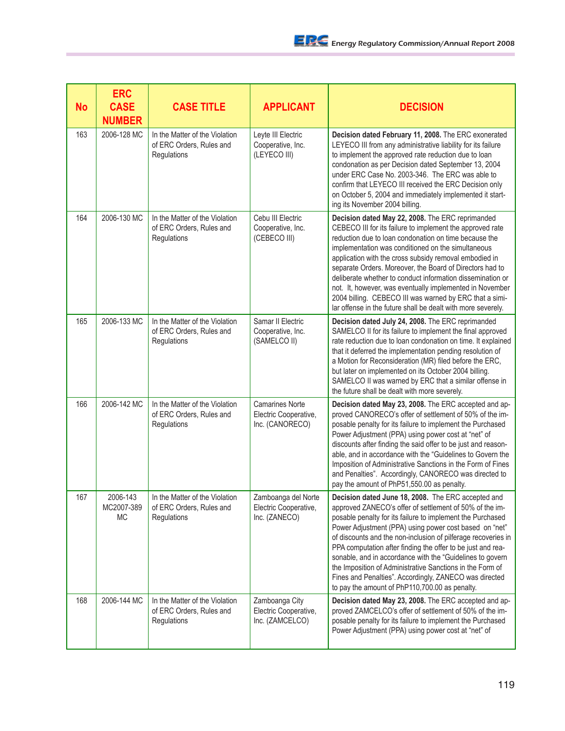| <b>No</b> | <b>ERC</b><br><b>CASE</b><br><b>NUMBER</b> | <b>CASE TITLE</b>                                                         | <b>APPLICANT</b>                                                   | <b>DECISION</b>                                                                                                                                                                                                                                                                                                                                                                                                                                                                                                                                                                                             |
|-----------|--------------------------------------------|---------------------------------------------------------------------------|--------------------------------------------------------------------|-------------------------------------------------------------------------------------------------------------------------------------------------------------------------------------------------------------------------------------------------------------------------------------------------------------------------------------------------------------------------------------------------------------------------------------------------------------------------------------------------------------------------------------------------------------------------------------------------------------|
| 163       | 2006-128 MC                                | In the Matter of the Violation<br>of ERC Orders, Rules and<br>Regulations | Leyte III Electric<br>Cooperative, Inc.<br>(LEYECO III)            | Decision dated February 11, 2008. The ERC exonerated<br>LEYECO III from any administrative liability for its failure<br>to implement the approved rate reduction due to loan<br>condonation as per Decision dated September 13, 2004<br>under ERC Case No. 2003-346. The ERC was able to<br>confirm that LEYECO III received the ERC Decision only<br>on October 5, 2004 and immediately implemented it start-<br>ing its November 2004 billing.                                                                                                                                                            |
| 164       | 2006-130 MC                                | In the Matter of the Violation<br>of ERC Orders, Rules and<br>Regulations | Cebu III Electric<br>Cooperative, Inc.<br>(CEBECO III)             | Decision dated May 22, 2008. The ERC reprimanded<br>CEBECO III for its failure to implement the approved rate<br>reduction due to loan condonation on time because the<br>implementation was conditioned on the simultaneous<br>application with the cross subsidy removal embodied in<br>separate Orders. Moreover, the Board of Directors had to<br>deliberate whether to conduct information dissemination or<br>not. It, however, was eventually implemented in November<br>2004 billing. CEBECO III was warned by ERC that a simi-<br>lar offense in the future shall be dealt with more severely.     |
| 165       | 2006-133 MC                                | In the Matter of the Violation<br>of ERC Orders, Rules and<br>Regulations | Samar II Electric<br>Cooperative, Inc.<br>(SAMELCO II)             | Decision dated July 24, 2008. The ERC reprimanded<br>SAMELCO II for its failure to implement the final approved<br>rate reduction due to loan condonation on time. It explained<br>that it deferred the implementation pending resolution of<br>a Motion for Reconsideration (MR) filed before the ERC,<br>but later on implemented on its October 2004 billing.<br>SAMELCO II was warned by ERC that a similar offense in<br>the future shall be dealt with more severely.                                                                                                                                 |
| 166       | 2006-142 MC                                | In the Matter of the Violation<br>of ERC Orders, Rules and<br>Regulations | <b>Camarines Norte</b><br>Electric Cooperative,<br>Inc. (CANORECO) | Decision dated May 23, 2008. The ERC accepted and ap-<br>proved CANORECO's offer of settlement of 50% of the im-<br>posable penalty for its failure to implement the Purchased<br>Power Adjustment (PPA) using power cost at "net" of<br>discounts after finding the said offer to be just and reason-<br>able, and in accordance with the "Guidelines to Govern the<br>Imposition of Administrative Sanctions in the Form of Fines<br>and Penalties". Accordingly, CANORECO was directed to<br>pay the amount of PhP51,550.00 as penalty.                                                                  |
| 167       | 2006-143<br>MC2007-389<br><b>MC</b>        | In the Matter of the Violation<br>of ERC Orders, Rules and<br>Regulations | Zamboanga del Norte<br>Electric Cooperative,<br>Inc. (ZANECO)      | Decision dated June 18, 2008. The ERC accepted and<br>approved ZANECO's offer of settlement of 50% of the im-<br>posable penalty for its failure to implement the Purchased<br>Power Adjustment (PPA) using power cost based on "net"<br>of discounts and the non-inclusion of pilferage recoveries in<br>PPA computation after finding the offer to be just and rea-<br>sonable, and in accordance with the "Guidelines to govern<br>the Imposition of Administrative Sanctions in the Form of<br>Fines and Penalties". Accordingly, ZANECO was directed<br>to pay the amount of PhP110,700.00 as penalty. |
| 168       | 2006-144 MC                                | In the Matter of the Violation<br>of ERC Orders, Rules and<br>Regulations | Zamboanga City<br>Electric Cooperative,<br>Inc. (ZAMCELCO)         | Decision dated May 23, 2008. The ERC accepted and ap-<br>proved ZAMCELCO's offer of settlement of 50% of the im-<br>posable penalty for its failure to implement the Purchased<br>Power Adjustment (PPA) using power cost at "net" of                                                                                                                                                                                                                                                                                                                                                                       |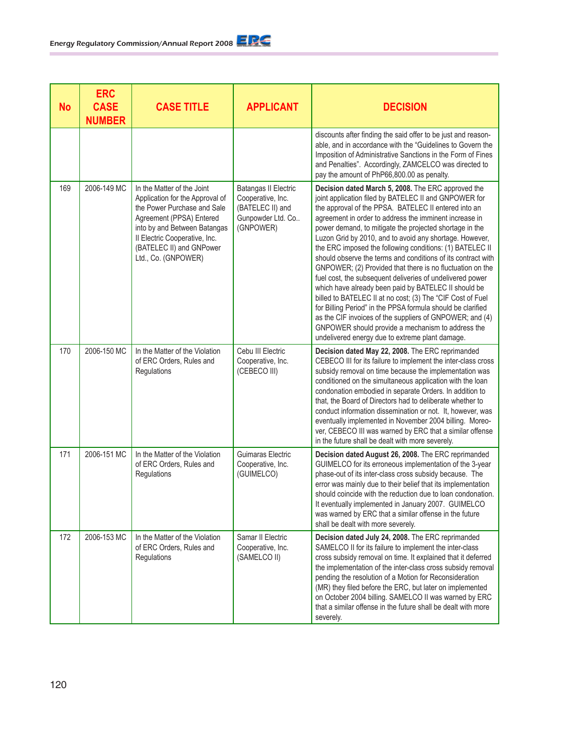| <b>No</b> | <b>ERC</b><br><b>CASE</b><br><b>NUMBER</b> | <b>CASE TITLE</b>                                                                                                                                                                                                                            | <b>APPLICANT</b>                                                                                       | <b>DECISION</b>                                                                                                                                                                                                                                                                                                                                                                                                                                                                                                                                                                                                                                                                                                                                                                                                                                                                                                                                                    |
|-----------|--------------------------------------------|----------------------------------------------------------------------------------------------------------------------------------------------------------------------------------------------------------------------------------------------|--------------------------------------------------------------------------------------------------------|--------------------------------------------------------------------------------------------------------------------------------------------------------------------------------------------------------------------------------------------------------------------------------------------------------------------------------------------------------------------------------------------------------------------------------------------------------------------------------------------------------------------------------------------------------------------------------------------------------------------------------------------------------------------------------------------------------------------------------------------------------------------------------------------------------------------------------------------------------------------------------------------------------------------------------------------------------------------|
|           |                                            |                                                                                                                                                                                                                                              |                                                                                                        | discounts after finding the said offer to be just and reason-<br>able, and in accordance with the "Guidelines to Govern the<br>Imposition of Administrative Sanctions in the Form of Fines<br>and Penalties". Accordingly, ZAMCELCO was directed to<br>pay the amount of PhP66,800.00 as penalty.                                                                                                                                                                                                                                                                                                                                                                                                                                                                                                                                                                                                                                                                  |
| 169       | 2006-149 MC                                | In the Matter of the Joint<br>Application for the Approval of<br>the Power Purchase and Sale<br>Agreement (PPSA) Entered<br>into by and Between Batangas<br>Il Electric Cooperative, Inc.<br>(BATELEC II) and GNPower<br>Ltd., Co. (GNPOWER) | <b>Batangas II Electric</b><br>Cooperative, Inc.<br>(BATELEC II) and<br>Gunpowder Ltd. Co<br>(GNPOWER) | Decision dated March 5, 2008. The ERC approved the<br>joint application filed by BATELEC II and GNPOWER for<br>the approval of the PPSA. BATELEC II entered into an<br>agreement in order to address the imminent increase in<br>power demand, to mitigate the projected shortage in the<br>Luzon Grid by 2010, and to avoid any shortage. However,<br>the ERC imposed the following conditions: (1) BATELEC II<br>should observe the terms and conditions of its contract with<br>GNPOWER; (2) Provided that there is no fluctuation on the<br>fuel cost, the subsequent deliveries of undelivered power<br>which have already been paid by BATELEC II should be<br>billed to BATELEC II at no cost; (3) The "CIF Cost of Fuel<br>for Billing Period" in the PPSA formula should be clarified<br>as the CIF invoices of the suppliers of GNPOWER; and (4)<br>GNPOWER should provide a mechanism to address the<br>undelivered energy due to extreme plant damage. |
| 170       | 2006-150 MC                                | In the Matter of the Violation<br>of ERC Orders, Rules and<br>Regulations                                                                                                                                                                    | Cebu III Electric<br>Cooperative, Inc.<br>(CEBECO III)                                                 | Decision dated May 22, 2008. The ERC reprimanded<br>CEBECO III for its failure to implement the inter-class cross<br>subsidy removal on time because the implementation was<br>conditioned on the simultaneous application with the loan<br>condonation embodied in separate Orders. In addition to<br>that, the Board of Directors had to deliberate whether to<br>conduct information dissemination or not. It, however, was<br>eventually implemented in November 2004 billing. Moreo-<br>ver, CEBECO III was warned by ERC that a similar offense<br>in the future shall be dealt with more severely.                                                                                                                                                                                                                                                                                                                                                          |
| 171       | 2006-151 MC                                | In the Matter of the Violation<br>of ERC Orders, Rules and<br>Regulations                                                                                                                                                                    | Guimaras Electric<br>Cooperative, Inc.<br>(GUIMELCO)                                                   | Decision dated August 26, 2008. The ERC reprimanded<br>GUIMELCO for its erroneous implementation of the 3-year<br>phase-out of its inter-class cross subsidy because. The<br>error was mainly due to their belief that its implementation<br>should coincide with the reduction due to loan condonation.<br>It eventually implemented in January 2007. GUIMELCO<br>was warned by ERC that a similar offense in the future<br>shall be dealt with more severely.                                                                                                                                                                                                                                                                                                                                                                                                                                                                                                    |
| 172       | 2006-153 MC                                | In the Matter of the Violation<br>of ERC Orders, Rules and<br>Regulations                                                                                                                                                                    | Samar II Electric<br>Cooperative, Inc.<br>(SAMELCO II)                                                 | Decision dated July 24, 2008. The ERC reprimanded<br>SAMELCO II for its failure to implement the inter-class<br>cross subsidy removal on time. It explained that it deferred<br>the implementation of the inter-class cross subsidy removal<br>pending the resolution of a Motion for Reconsideration<br>(MR) they filed before the ERC, but later on implemented<br>on October 2004 billing. SAMELCO II was warned by ERC<br>that a similar offense in the future shall be dealt with more<br>severely.                                                                                                                                                                                                                                                                                                                                                                                                                                                           |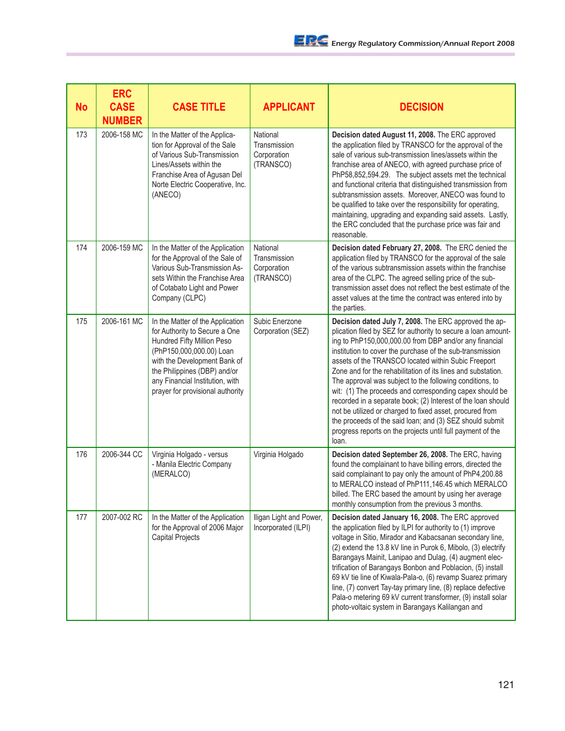| No  | <b>ERC</b><br><b>CASE</b><br><b>NUMBER</b> | <b>CASE TITLE</b>                                                                                                                                                                                                                                                  | <b>APPLICANT</b>                                     | <b>DECISION</b>                                                                                                                                                                                                                                                                                                                                                                                                                                                                                                                                                                                                                                                                                                                                            |
|-----|--------------------------------------------|--------------------------------------------------------------------------------------------------------------------------------------------------------------------------------------------------------------------------------------------------------------------|------------------------------------------------------|------------------------------------------------------------------------------------------------------------------------------------------------------------------------------------------------------------------------------------------------------------------------------------------------------------------------------------------------------------------------------------------------------------------------------------------------------------------------------------------------------------------------------------------------------------------------------------------------------------------------------------------------------------------------------------------------------------------------------------------------------------|
| 173 | 2006-158 MC                                | In the Matter of the Applica-<br>tion for Approval of the Sale<br>of Various Sub-Transmission<br>Lines/Assets within the<br>Franchise Area of Agusan Del<br>Norte Electric Cooperative, Inc.<br>(ANECO)                                                            | National<br>Transmission<br>Corporation<br>(TRANSCO) | Decision dated August 11, 2008. The ERC approved<br>the application filed by TRANSCO for the approval of the<br>sale of various sub-transmission lines/assets within the<br>franchise area of ANECO, with agreed purchase price of<br>PhP58,852,594.29. The subject assets met the technical<br>and functional criteria that distinguished transmission from<br>subtransmission assets. Moreover, ANECO was found to<br>be qualified to take over the responsibility for operating,<br>maintaining, upgrading and expanding said assets. Lastly,<br>the ERC concluded that the purchase price was fair and<br>reasonable.                                                                                                                                  |
| 174 | 2006-159 MC                                | In the Matter of the Application<br>for the Approval of the Sale of<br>Various Sub-Transmission As-<br>sets Within the Franchise Area<br>of Cotabato Light and Power<br>Company (CLPC)                                                                             | National<br>Transmission<br>Corporation<br>(TRANSCO) | Decision dated February 27, 2008. The ERC denied the<br>application filed by TRANSCO for the approval of the sale<br>of the various subtransmission assets within the franchise<br>area of the CLPC. The agreed selling price of the sub-<br>transmission asset does not reflect the best estimate of the<br>asset values at the time the contract was entered into by<br>the parties.                                                                                                                                                                                                                                                                                                                                                                     |
| 175 | 2006-161 MC                                | In the Matter of the Application<br>for Authority to Secure a One<br>Hundred Fifty Million Peso<br>(PhP150,000,000.00) Loan<br>with the Development Bank of<br>the Philippines (DBP) and/or<br>any Financial Institution, with<br>prayer for provisional authority | Subic Enerzone<br>Corporation (SEZ)                  | Decision dated July 7, 2008. The ERC approved the ap-<br>plication filed by SEZ for authority to secure a loan amount-<br>ing to PhP150,000,000.00 from DBP and/or any financial<br>institution to cover the purchase of the sub-transmission<br>assets of the TRANSCO located within Subic Freeport<br>Zone and for the rehabilitation of its lines and substation.<br>The approval was subject to the following conditions, to<br>wit: (1) The proceeds and corresponding capex should be<br>recorded in a separate book; (2) Interest of the loan should<br>not be utilized or charged to fixed asset, procured from<br>the proceeds of the said loan; and (3) SEZ should submit<br>progress reports on the projects until full payment of the<br>loan. |
| 176 | 2006-344 CC                                | Virginia Holgado - versus<br>- Manila Electric Company<br>(MERALCO)                                                                                                                                                                                                | Virginia Holgado                                     | Decision dated September 26, 2008. The ERC, having<br>found the complainant to have billing errors, directed the<br>said complainant to pay only the amount of PhP4,200.88<br>to MERALCO instead of PhP111,146.45 which MERALCO<br>billed. The ERC based the amount by using her average<br>monthly consumption from the previous 3 months.                                                                                                                                                                                                                                                                                                                                                                                                                |
| 177 | 2007-002 RC                                | In the Matter of the Application<br>for the Approval of 2006 Major<br><b>Capital Projects</b>                                                                                                                                                                      | Iligan Light and Power,<br>Incorporated (ILPI)       | Decision dated January 16, 2008. The ERC approved<br>the application filed by ILPI for authority to (1) improve<br>voltage in Sitio, Mirador and Kabacsanan secondary line,<br>(2) extend the 13.8 kV line in Purok 6, Mibolo, (3) electrify<br>Barangays Mainit, Lanipao and Dulag, (4) augment elec-<br>trification of Barangays Bonbon and Poblacion, (5) install<br>69 kV tie line of Kiwala-Pala-o, (6) revamp Suarez primary<br>line, (7) convert Tay-tay primary line, (8) replace defective<br>Pala-o metering 69 kV current transformer, (9) install solar<br>photo-voltaic system in Barangays Kalilangan and                                                                                                                                    |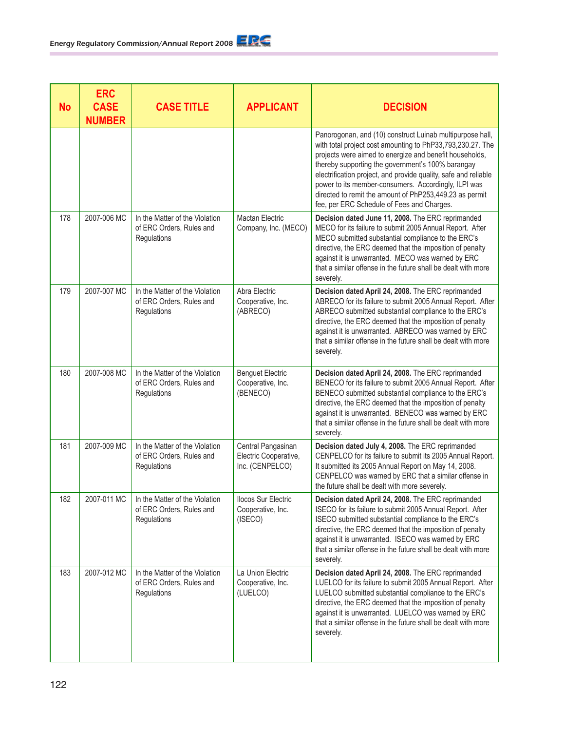| No  | <b>ERC</b><br><b>CASE</b><br><b>NUMBER</b> | <b>CASE TITLE</b>                                                         | <b>APPLICANT</b>                                               | <b>DECISION</b>                                                                                                                                                                                                                                                                                                                                                                                                                                                             |
|-----|--------------------------------------------|---------------------------------------------------------------------------|----------------------------------------------------------------|-----------------------------------------------------------------------------------------------------------------------------------------------------------------------------------------------------------------------------------------------------------------------------------------------------------------------------------------------------------------------------------------------------------------------------------------------------------------------------|
|     |                                            |                                                                           |                                                                | Panorogonan, and (10) construct Luinab multipurpose hall,<br>with total project cost amounting to PhP33,793,230.27. The<br>projects were aimed to energize and benefit households,<br>thereby supporting the government's 100% barangay<br>electrification project, and provide quality, safe and reliable<br>power to its member-consumers. Accordingly, ILPI was<br>directed to remit the amount of PhP253,449.23 as permit<br>fee, per ERC Schedule of Fees and Charges. |
| 178 | 2007-006 MC                                | In the Matter of the Violation<br>of ERC Orders, Rules and<br>Regulations | <b>Mactan Electric</b><br>Company, Inc. (MECO)                 | Decision dated June 11, 2008. The ERC reprimanded<br>MECO for its failure to submit 2005 Annual Report. After<br>MECO submitted substantial compliance to the ERC's<br>directive, the ERC deemed that the imposition of penalty<br>against it is unwarranted. MECO was warned by ERC<br>that a similar offense in the future shall be dealt with more<br>severely.                                                                                                          |
| 179 | 2007-007 MC                                | In the Matter of the Violation<br>of ERC Orders, Rules and<br>Regulations | Abra Electric<br>Cooperative, Inc.<br>(ABRECO)                 | Decision dated April 24, 2008. The ERC reprimanded<br>ABRECO for its failure to submit 2005 Annual Report. After<br>ABRECO submitted substantial compliance to the ERC's<br>directive, the ERC deemed that the imposition of penalty<br>against it is unwarranted. ABRECO was warned by ERC<br>that a similar offense in the future shall be dealt with more<br>severely.                                                                                                   |
| 180 | 2007-008 MC                                | In the Matter of the Violation<br>of ERC Orders, Rules and<br>Regulations | <b>Benguet Electric</b><br>Cooperative, Inc.<br>(BENECO)       | Decision dated April 24, 2008. The ERC reprimanded<br>BENECO for its failure to submit 2005 Annual Report. After<br>BENECO submitted substantial compliance to the ERC's<br>directive, the ERC deemed that the imposition of penalty<br>against it is unwarranted. BENECO was warned by ERC<br>that a similar offense in the future shall be dealt with more<br>severely.                                                                                                   |
| 181 | 2007-009 MC                                | In the Matter of the Violation<br>of ERC Orders, Rules and<br>Regulations | Central Pangasinan<br>Electric Cooperative,<br>Inc. (CENPELCO) | Decision dated July 4, 2008. The ERC reprimanded<br>CENPELCO for its failure to submit its 2005 Annual Report.<br>It submitted its 2005 Annual Report on May 14, 2008.<br>CENPELCO was warned by ERC that a similar offense in<br>the future shall be dealt with more severely.                                                                                                                                                                                             |
| 182 | 2007-011 MC                                | In the Matter of the Violation<br>of ERC Orders, Rules and<br>Regulations | <b>Ilocos Sur Electric</b><br>Cooperative, Inc.<br>(ISECO)     | Decision dated April 24, 2008. The ERC reprimanded<br>ISECO for its failure to submit 2005 Annual Report. After<br>ISECO submitted substantial compliance to the ERC's<br>directive, the ERC deemed that the imposition of penalty<br>against it is unwarranted. ISECO was warned by ERC<br>that a similar offense in the future shall be dealt with more<br>severely.                                                                                                      |
| 183 | 2007-012 MC                                | In the Matter of the Violation<br>of ERC Orders, Rules and<br>Regulations | La Union Electric<br>Cooperative, Inc.<br>(LUELCO)             | Decision dated April 24, 2008. The ERC reprimanded<br>LUELCO for its failure to submit 2005 Annual Report. After<br>LUELCO submitted substantial compliance to the ERC's<br>directive, the ERC deemed that the imposition of penalty<br>against it is unwarranted. LUELCO was warned by ERC<br>that a similar offense in the future shall be dealt with more<br>severely.                                                                                                   |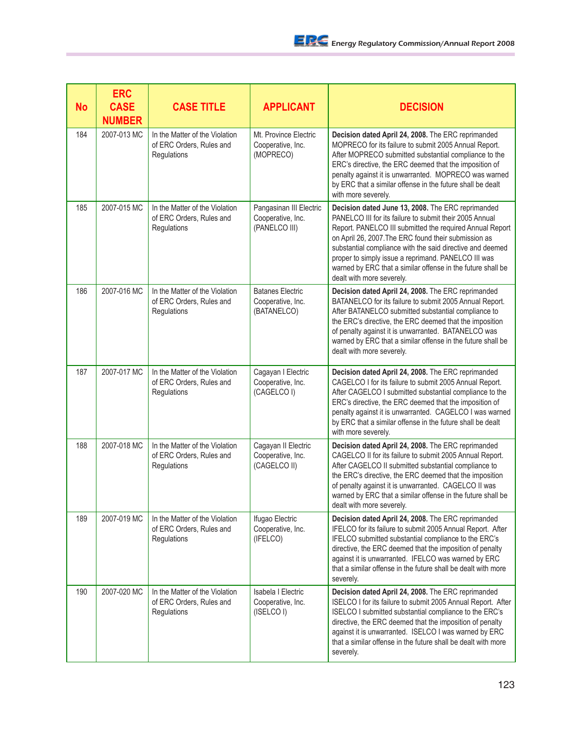| <b>No</b> | <b>ERC</b><br><b>CASE</b><br><b>NUMBER</b> | <b>CASE TITLE</b>                                                         | <b>APPLICANT</b>                                              | <b>DECISION</b>                                                                                                                                                                                                                                                                                                                                                                                                                                  |
|-----------|--------------------------------------------|---------------------------------------------------------------------------|---------------------------------------------------------------|--------------------------------------------------------------------------------------------------------------------------------------------------------------------------------------------------------------------------------------------------------------------------------------------------------------------------------------------------------------------------------------------------------------------------------------------------|
| 184       | 2007-013 MC                                | In the Matter of the Violation<br>of ERC Orders, Rules and<br>Regulations | Mt. Province Electric<br>Cooperative, Inc.<br>(MOPRECO)       | Decision dated April 24, 2008. The ERC reprimanded<br>MOPRECO for its failure to submit 2005 Annual Report.<br>After MOPRECO submitted substantial compliance to the<br>ERC's directive, the ERC deemed that the imposition of<br>penalty against it is unwarranted. MOPRECO was warned<br>by ERC that a similar offense in the future shall be dealt<br>with more severely.                                                                     |
| 185       | 2007-015 MC                                | In the Matter of the Violation<br>of ERC Orders, Rules and<br>Regulations | Pangasinan III Electric<br>Cooperative, Inc.<br>(PANELCO III) | Decision dated June 13, 2008. The ERC reprimanded<br>PANELCO III for its failure to submit their 2005 Annual<br>Report. PANELCO III submitted the required Annual Report<br>on April 26, 2007. The ERC found their submission as<br>substantial compliance with the said directive and deemed<br>proper to simply issue a reprimand. PANELCO III was<br>warned by ERC that a similar offense in the future shall be<br>dealt with more severely. |
| 186       | 2007-016 MC                                | In the Matter of the Violation<br>of ERC Orders, Rules and<br>Regulations | <b>Batanes Electric</b><br>Cooperative, Inc.<br>(BATANELCO)   | Decision dated April 24, 2008. The ERC reprimanded<br>BATANELCO for its failure to submit 2005 Annual Report.<br>After BATANELCO submitted substantial compliance to<br>the ERC's directive, the ERC deemed that the imposition<br>of penalty against it is unwarranted. BATANELCO was<br>warned by ERC that a similar offense in the future shall be<br>dealt with more severely.                                                               |
| 187       | 2007-017 MC                                | In the Matter of the Violation<br>of ERC Orders, Rules and<br>Regulations | Cagayan I Electric<br>Cooperative, Inc.<br>(CAGELCO I)        | Decision dated April 24, 2008. The ERC reprimanded<br>CAGELCO I for its failure to submit 2005 Annual Report.<br>After CAGELCO I submitted substantial compliance to the<br>ERC's directive, the ERC deemed that the imposition of<br>penalty against it is unwarranted. CAGELCO I was warned<br>by ERC that a similar offense in the future shall be dealt<br>with more severely.                                                               |
| 188       | 2007-018 MC                                | In the Matter of the Violation<br>of ERC Orders, Rules and<br>Regulations | Cagayan II Electric<br>Cooperative, Inc.<br>(CAGELCO II)      | Decision dated April 24, 2008. The ERC reprimanded<br>CAGELCO II for its failure to submit 2005 Annual Report.<br>After CAGELCO II submitted substantial compliance to<br>the ERC's directive, the ERC deemed that the imposition<br>of penalty against it is unwarranted. CAGELCO II was<br>warned by ERC that a similar offense in the future shall be<br>dealt with more severely.                                                            |
| 189       | 2007-019 MC                                | In the Matter of the Violation<br>of ERC Orders, Rules and<br>Regulations | Ifugao Electric<br>Cooperative, Inc.<br>(IFELCO)              | Decision dated April 24, 2008. The ERC reprimanded<br>IFELCO for its failure to submit 2005 Annual Report. After<br>IFELCO submitted substantial compliance to the ERC's<br>directive, the ERC deemed that the imposition of penalty<br>against it is unwarranted. IFELCO was warned by ERC<br>that a similar offense in the future shall be dealt with more<br>severely.                                                                        |
| 190       | 2007-020 MC                                | In the Matter of the Violation<br>of ERC Orders, Rules and<br>Regulations | Isabela I Electric<br>Cooperative, Inc.<br>(ISELCO I)         | Decision dated April 24, 2008. The ERC reprimanded<br>ISELCO I for its failure to submit 2005 Annual Report. After<br>ISELCO I submitted substantial compliance to the ERC's<br>directive, the ERC deemed that the imposition of penalty<br>against it is unwarranted. ISELCO I was warned by ERC<br>that a similar offense in the future shall be dealt with more<br>severely.                                                                  |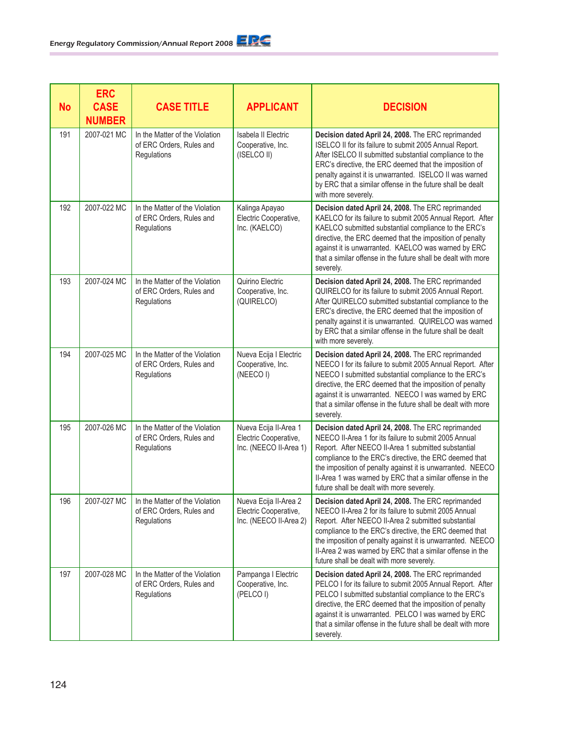| <b>No</b> | <b>ERC</b><br><b>CASE</b><br><b>NUMBER</b> | <b>CASE TITLE</b>                                                         | <b>APPLICANT</b>                                                         | <b>DECISION</b>                                                                                                                                                                                                                                                                                                                                                                                      |
|-----------|--------------------------------------------|---------------------------------------------------------------------------|--------------------------------------------------------------------------|------------------------------------------------------------------------------------------------------------------------------------------------------------------------------------------------------------------------------------------------------------------------------------------------------------------------------------------------------------------------------------------------------|
| 191       | 2007-021 MC                                | In the Matter of the Violation<br>of ERC Orders, Rules and<br>Regulations | Isabela II Electric<br>Cooperative, Inc.<br>(ISELCO II)                  | Decision dated April 24, 2008. The ERC reprimanded<br>ISELCO II for its failure to submit 2005 Annual Report.<br>After ISELCO II submitted substantial compliance to the<br>ERC's directive, the ERC deemed that the imposition of<br>penalty against it is unwarranted. ISELCO II was warned<br>by ERC that a similar offense in the future shall be dealt<br>with more severely.                   |
| 192       | 2007-022 MC                                | In the Matter of the Violation<br>of ERC Orders, Rules and<br>Regulations | Kalinga Apayao<br>Electric Cooperative,<br>Inc. (KAELCO)                 | Decision dated April 24, 2008. The ERC reprimanded<br>KAELCO for its failure to submit 2005 Annual Report. After<br>KAELCO submitted substantial compliance to the ERC's<br>directive, the ERC deemed that the imposition of penalty<br>against it is unwarranted. KAELCO was warned by ERC<br>that a similar offense in the future shall be dealt with more<br>severely.                            |
| 193       | 2007-024 MC                                | In the Matter of the Violation<br>of ERC Orders, Rules and<br>Regulations | Quirino Electric<br>Cooperative, Inc.<br>(QUIRELCO)                      | Decision dated April 24, 2008. The ERC reprimanded<br>QUIRELCO for its failure to submit 2005 Annual Report.<br>After QUIRELCO submitted substantial compliance to the<br>ERC's directive, the ERC deemed that the imposition of<br>penalty against it is unwarranted. QUIRELCO was warned<br>by ERC that a similar offense in the future shall be dealt<br>with more severely.                      |
| 194       | 2007-025 MC                                | In the Matter of the Violation<br>of ERC Orders, Rules and<br>Regulations | Nueva Ecija I Electric<br>Cooperative, Inc.<br>(NEECOI)                  | Decision dated April 24, 2008. The ERC reprimanded<br>NEECO I for its failure to submit 2005 Annual Report. After<br>NEECO I submitted substantial compliance to the ERC's<br>directive, the ERC deemed that the imposition of penalty<br>against it is unwarranted. NEECO I was warned by ERC<br>that a similar offense in the future shall be dealt with more<br>severely.                         |
| 195       | 2007-026 MC                                | In the Matter of the Violation<br>of ERC Orders, Rules and<br>Regulations | Nueva Ecija II-Area 1<br>Electric Cooperative,<br>Inc. (NEECO II-Area 1) | Decision dated April 24, 2008. The ERC reprimanded<br>NEECO II-Area 1 for its failure to submit 2005 Annual<br>Report. After NEECO II-Area 1 submitted substantial<br>compliance to the ERC's directive, the ERC deemed that<br>the imposition of penalty against it is unwarranted. NEECO<br>II-Area 1 was warned by ERC that a similar offense in the<br>future shall be dealt with more severely. |
| 196       | 2007-027 MC                                | In the Matter of the Violation<br>of ERC Orders, Rules and<br>Regulations | Nueva Ecija II-Area 2<br>Electric Cooperative,<br>Inc. (NEECO II-Area 2) | Decision dated April 24, 2008. The ERC reprimanded<br>NEECO II-Area 2 for its failure to submit 2005 Annual<br>Report. After NEECO II-Area 2 submitted substantial<br>compliance to the ERC's directive, the ERC deemed that<br>the imposition of penalty against it is unwarranted. NEECO<br>II-Area 2 was warned by ERC that a similar offense in the<br>future shall be dealt with more severely. |
| 197       | 2007-028 MC                                | In the Matter of the Violation<br>of ERC Orders, Rules and<br>Regulations | Pampanga I Electric<br>Cooperative, Inc.<br>(PELCO I)                    | Decision dated April 24, 2008. The ERC reprimanded<br>PELCO I for its failure to submit 2005 Annual Report. After<br>PELCO I submitted substantial compliance to the ERC's<br>directive, the ERC deemed that the imposition of penalty<br>against it is unwarranted. PELCO I was warned by ERC<br>that a similar offense in the future shall be dealt with more<br>severely.                         |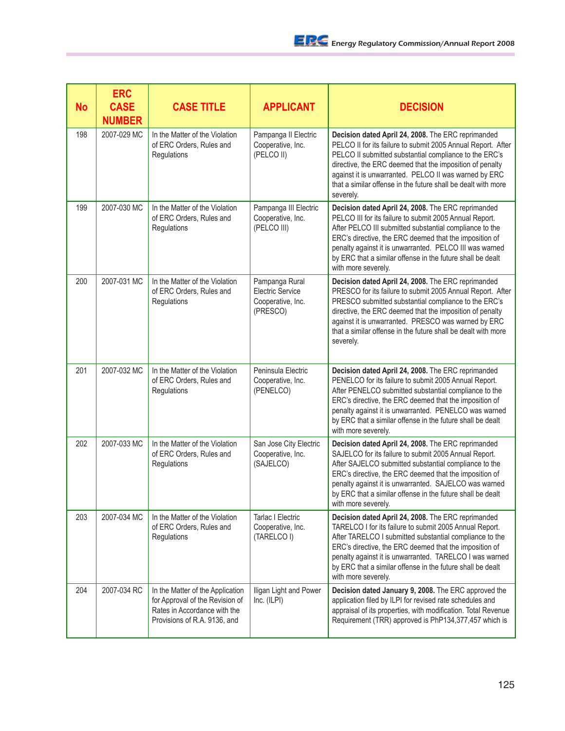| <b>No</b> | <b>ERC</b><br><b>CASE</b><br><b>NUMBER</b> | <b>CASE TITLE</b>                                                                                                                   | <b>APPLICANT</b>                                                           | <b>DECISION</b>                                                                                                                                                                                                                                                                                                                                                                    |
|-----------|--------------------------------------------|-------------------------------------------------------------------------------------------------------------------------------------|----------------------------------------------------------------------------|------------------------------------------------------------------------------------------------------------------------------------------------------------------------------------------------------------------------------------------------------------------------------------------------------------------------------------------------------------------------------------|
| 198       | 2007-029 MC                                | In the Matter of the Violation<br>of ERC Orders, Rules and<br>Regulations                                                           | Pampanga II Electric<br>Cooperative, Inc.<br>(PELCO II)                    | Decision dated April 24, 2008. The ERC reprimanded<br>PELCO II for its failure to submit 2005 Annual Report. After<br>PELCO II submitted substantial compliance to the ERC's<br>directive, the ERC deemed that the imposition of penalty<br>against it is unwarranted. PELCO II was warned by ERC<br>that a similar offense in the future shall be dealt with more<br>severely.    |
| 199       | 2007-030 MC                                | In the Matter of the Violation<br>of ERC Orders, Rules and<br>Regulations                                                           | Pampanga III Electric<br>Cooperative, Inc.<br>(PELCO III)                  | Decision dated April 24, 2008. The ERC reprimanded<br>PELCO III for its failure to submit 2005 Annual Report.<br>After PELCO III submitted substantial compliance to the<br>ERC's directive, the ERC deemed that the imposition of<br>penalty against it is unwarranted. PELCO III was warned<br>by ERC that a similar offense in the future shall be dealt<br>with more severely. |
| 200       | 2007-031 MC                                | In the Matter of the Violation<br>of ERC Orders, Rules and<br>Regulations                                                           | Pampanga Rural<br><b>Electric Service</b><br>Cooperative, Inc.<br>(PRESCO) | Decision dated April 24, 2008. The ERC reprimanded<br>PRESCO for its failure to submit 2005 Annual Report. After<br>PRESCO submitted substantial compliance to the ERC's<br>directive, the ERC deemed that the imposition of penalty<br>against it is unwarranted. PRESCO was warned by ERC<br>that a similar offense in the future shall be dealt with more<br>severely.          |
| 201       | 2007-032 MC                                | In the Matter of the Violation<br>of ERC Orders, Rules and<br>Regulations                                                           | Peninsula Electric<br>Cooperative, Inc.<br>(PENELCO)                       | Decision dated April 24, 2008. The ERC reprimanded<br>PENELCO for its failure to submit 2005 Annual Report.<br>After PENELCO submitted substantial compliance to the<br>ERC's directive, the ERC deemed that the imposition of<br>penalty against it is unwarranted. PENELCO was warned<br>by ERC that a similar offense in the future shall be dealt<br>with more severely.       |
| 202       | 2007-033 MC                                | In the Matter of the Violation<br>of ERC Orders, Rules and<br>Regulations                                                           | San Jose City Electric<br>Cooperative, Inc.<br>(SAJELCO)                   | Decision dated April 24, 2008. The ERC reprimanded<br>SAJELCO for its failure to submit 2005 Annual Report.<br>After SAJELCO submitted substantial compliance to the<br>ERC's directive, the ERC deemed that the imposition of<br>penalty against it is unwarranted. SAJELCO was warned<br>by ERC that a similar offense in the future shall be dealt<br>with more severely.       |
| 203       | 2007-034 MC                                | In the Matter of the Violation<br>of ERC Orders, Rules and<br>Regulations                                                           | <b>Tarlac I Electric</b><br>Cooperative, Inc.<br>(TARELCO I)               | Decision dated April 24, 2008. The ERC reprimanded<br>TARELCO I for its failure to submit 2005 Annual Report.<br>After TARELCO I submitted substantial compliance to the<br>ERC's directive, the ERC deemed that the imposition of<br>penalty against it is unwarranted. TARELCO I was warned<br>by ERC that a similar offense in the future shall be dealt<br>with more severely. |
| 204       | 2007-034 RC                                | In the Matter of the Application<br>for Approval of the Revision of<br>Rates in Accordance with the<br>Provisions of R.A. 9136, and | Iligan Light and Power<br>Inc. (ILPI)                                      | Decision dated January 9, 2008. The ERC approved the<br>application filed by ILPI for revised rate schedules and<br>appraisal of its properties, with modification. Total Revenue<br>Requirement (TRR) approved is PhP134,377,457 which is                                                                                                                                         |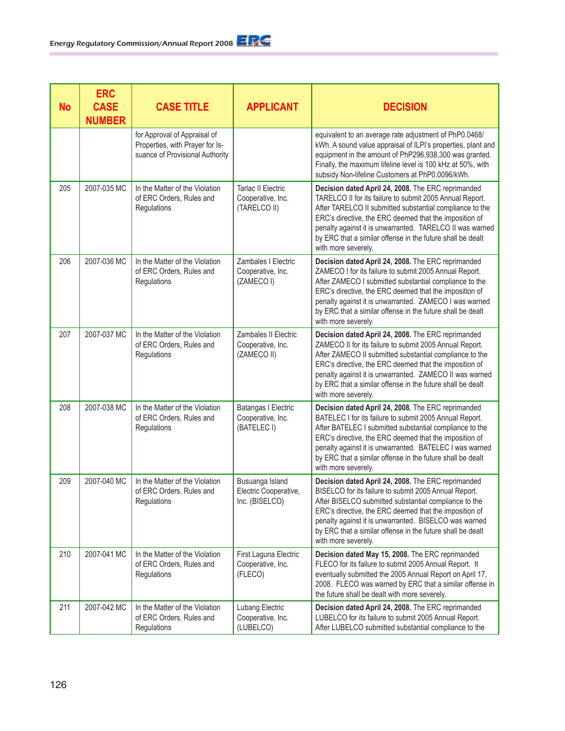| <b>No</b> | <b>ERC</b><br><b>CASE</b><br><b>NUMBER</b> | <b>CASE TITLE</b>                                                                                  | <b>APPLICANT</b>                                               | <b>DECISION</b>                                                                                                                                                                                                                                                                                                                                                                       |
|-----------|--------------------------------------------|----------------------------------------------------------------------------------------------------|----------------------------------------------------------------|---------------------------------------------------------------------------------------------------------------------------------------------------------------------------------------------------------------------------------------------------------------------------------------------------------------------------------------------------------------------------------------|
|           |                                            | for Approval of Appraisal of<br>Properties, with Prayer for Is-<br>suance of Provisional Authority |                                                                | equivalent to an average rate adjustment of PhP0.0468/<br>kWh. A sound value appraisal of ILPI's properties, plant and<br>equipment in the amount of PhP296,938,300 was granted.<br>Finally, the maximum lifeline level is 100 kHz at 50%, with<br>subsidy Non-lifeline Customers at PhP0.0096/kWh.                                                                                   |
| 205       | 2007-035 MC                                | In the Matter of the Violation<br>of ERC Orders, Rules and<br>Regulations                          | <b>Tarlac II Electric</b><br>Cooperative, Inc.<br>(TARELCO II) | Decision dated April 24, 2008. The ERC reprimanded<br>TARELCO II for its failure to submit 2005 Annual Report.<br>After TARELCO II submitted substantial compliance to the<br>ERC's directive, the ERC deemed that the imposition of<br>penalty against it is unwarranted. TARELCO II was warned<br>by ERC that a similar offense in the future shall be dealt<br>with more severely. |
| 206       | 2007-036 MC                                | In the Matter of the Violation<br>of ERC Orders, Rules and<br>Regulations                          | Zambales I Electric<br>Cooperative, Inc.<br>(ZAMECO I)         | Decision dated April 24, 2008. The ERC reprimanded<br>ZAMECO I for its failure to submit 2005 Annual Report.<br>After ZAMECO I submitted substantial compliance to the<br>ERC's directive, the ERC deemed that the imposition of<br>penalty against it is unwarranted. ZAMECO I was warned<br>by ERC that a similar offense in the future shall be dealt<br>with more severely.       |
| 207       | 2007-037 MC                                | In the Matter of the Violation<br>of ERC Orders, Rules and<br>Regulations                          | Zambales II Electric<br>Cooperative, Inc.<br>(ZAMECO II)       | Decision dated April 24, 2008. The ERC reprimanded<br>ZAMECO II for its failure to submit 2005 Annual Report.<br>After ZAMECO II submitted substantial compliance to the<br>ERC's directive, the ERC deemed that the imposition of<br>penalty against it is unwarranted. ZAMECO II was warned<br>by ERC that a similar offense in the future shall be dealt<br>with more severely.    |
| 208       | 2007-038 MC                                | In the Matter of the Violation<br>of ERC Orders, Rules and<br>Regulations                          | Batangas I Electric<br>Cooperative, Inc.<br>(BATELEC I)        | Decision dated April 24, 2008. The ERC reprimanded<br>BATELEC I for its failure to submit 2005 Annual Report.<br>After BATELEC I submitted substantial compliance to the<br>ERC's directive, the ERC deemed that the imposition of<br>penalty against it is unwarranted. BATELEC I was warned<br>by ERC that a similar offense in the future shall be dealt<br>with more severely.    |
| 209       | 2007-040 MC                                | In the Matter of the Violation<br>of ERC Orders, Rules and<br>Regulations                          | Busuanga Island<br>Electric Cooperative,<br>Inc. (BISELCO)     | Decision dated April 24, 2008. The ERC reprimanded<br>BISELCO for its failure to submit 2005 Annual Report.<br>After BISELCO submitted substantial compliance to the<br>ERC's directive, the ERC deemed that the imposition of<br>penalty against it is unwarranted. BISELCO was warned<br>by ERC that a similar offense in the future shall be dealt<br>with more severely.          |
| 210       | 2007-041 MC                                | In the Matter of the Violation<br>of ERC Orders, Rules and<br>Regulations                          | First Laguna Electric<br>Cooperative, Inc.<br>(FLECO)          | Decision dated May 15, 2008. The ERC reprimanded<br>FLECO for its failure to submit 2005 Annual Report. It<br>eventually submitted the 2005 Annual Report on April 17,<br>2008. FLECO was warned by ERC that a similar offense in<br>the future shall be dealt with more severely.                                                                                                    |
| 211       | 2007-042 MC                                | In the Matter of the Violation<br>of ERC Orders, Rules and<br>Regulations                          | Lubang Electric<br>Cooperative, Inc.<br>(LUBELCO)              | Decision dated April 24, 2008. The ERC reprimanded<br>LUBELCO for its failure to submit 2005 Annual Report.<br>After LUBELCO submitted substantial compliance to the                                                                                                                                                                                                                  |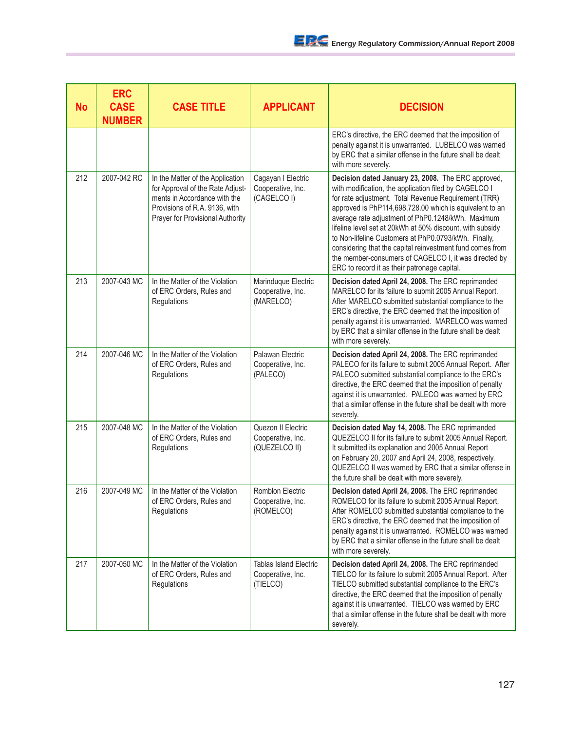| <b>No</b> | <b>ERC</b><br><b>CASE</b><br><b>NUMBER</b> | <b>CASE TITLE</b>                                                                                                                                                         | <b>APPLICANT</b>                                               | <b>DECISION</b>                                                                                                                                                                                                                                                                                                                                                                                                                                                                                                                                                                |
|-----------|--------------------------------------------|---------------------------------------------------------------------------------------------------------------------------------------------------------------------------|----------------------------------------------------------------|--------------------------------------------------------------------------------------------------------------------------------------------------------------------------------------------------------------------------------------------------------------------------------------------------------------------------------------------------------------------------------------------------------------------------------------------------------------------------------------------------------------------------------------------------------------------------------|
|           |                                            |                                                                                                                                                                           |                                                                | ERC's directive, the ERC deemed that the imposition of<br>penalty against it is unwarranted. LUBELCO was warned<br>by ERC that a similar offense in the future shall be dealt<br>with more severely.                                                                                                                                                                                                                                                                                                                                                                           |
| 212       | 2007-042 RC                                | In the Matter of the Application<br>for Approval of the Rate Adjust-<br>ments in Accordance with the<br>Provisions of R.A. 9136, with<br>Prayer for Provisional Authority | Cagayan I Electric<br>Cooperative, Inc.<br>(CAGELCO I)         | Decision dated January 23, 2008. The ERC approved,<br>with modification, the application filed by CAGELCO I<br>for rate adjustment. Total Revenue Requirement (TRR)<br>approved is PhP114,698,728.00 which is equivalent to an<br>average rate adjustment of PhP0.1248/kWh. Maximum<br>lifeline level set at 20kWh at 50% discount, with subsidy<br>to Non-lifeline Customers at PhP0.0793/kWh. Finally,<br>considering that the capital reinvestment fund comes from<br>the member-consumers of CAGELCO I, it was directed by<br>ERC to record it as their patronage capital. |
| 213       | 2007-043 MC                                | In the Matter of the Violation<br>of ERC Orders, Rules and<br>Regulations                                                                                                 | Marinduque Electric<br>Cooperative, Inc.<br>(MARELCO)          | Decision dated April 24, 2008. The ERC reprimanded<br>MARELCO for its failure to submit 2005 Annual Report.<br>After MARELCO submitted substantial compliance to the<br>ERC's directive, the ERC deemed that the imposition of<br>penalty against it is unwarranted. MARELCO was warned<br>by ERC that a similar offense in the future shall be dealt<br>with more severely.                                                                                                                                                                                                   |
| 214       | 2007-046 MC                                | In the Matter of the Violation<br>of ERC Orders, Rules and<br>Regulations                                                                                                 | Palawan Electric<br>Cooperative, Inc.<br>(PALECO)              | Decision dated April 24, 2008. The ERC reprimanded<br>PALECO for its failure to submit 2005 Annual Report. After<br>PALECO submitted substantial compliance to the ERC's<br>directive, the ERC deemed that the imposition of penalty<br>against it is unwarranted. PALECO was warned by ERC<br>that a similar offense in the future shall be dealt with more<br>severely.                                                                                                                                                                                                      |
| 215       | 2007-048 MC                                | In the Matter of the Violation<br>of ERC Orders, Rules and<br>Regulations                                                                                                 | Quezon II Electric<br>Cooperative, Inc.<br>(QUEZELCO II)       | Decision dated May 14, 2008. The ERC reprimanded<br>QUEZELCO II for its failure to submit 2005 Annual Report.<br>It submitted its explanation and 2005 Annual Report<br>on February 20, 2007 and April 24, 2008, respectively.<br>QUEZELCO II was warned by ERC that a similar offense in<br>the future shall be dealt with more severely.                                                                                                                                                                                                                                     |
| 216       | 2007-049 MC                                | In the Matter of the Violation<br>of ERC Orders, Rules and<br>Regulations                                                                                                 | Romblon Electric<br>Cooperative, Inc.<br>(ROMELCO)             | Decision dated April 24, 2008. The ERC reprimanded<br>ROMELCO for its failure to submit 2005 Annual Report.<br>After ROMELCO submitted substantial compliance to the<br>ERC's directive, the ERC deemed that the imposition of<br>penalty against it is unwarranted. ROMELCO was warned<br>by ERC that a similar offense in the future shall be dealt<br>with more severely.                                                                                                                                                                                                   |
| 217       | 2007-050 MC                                | In the Matter of the Violation<br>of ERC Orders, Rules and<br>Regulations                                                                                                 | <b>Tablas Island Electric</b><br>Cooperative, Inc.<br>(TIELCO) | Decision dated April 24, 2008. The ERC reprimanded<br>TIELCO for its failure to submit 2005 Annual Report. After<br>TIELCO submitted substantial compliance to the ERC's<br>directive, the ERC deemed that the imposition of penalty<br>against it is unwarranted. TIELCO was warned by ERC<br>that a similar offense in the future shall be dealt with more<br>severely.                                                                                                                                                                                                      |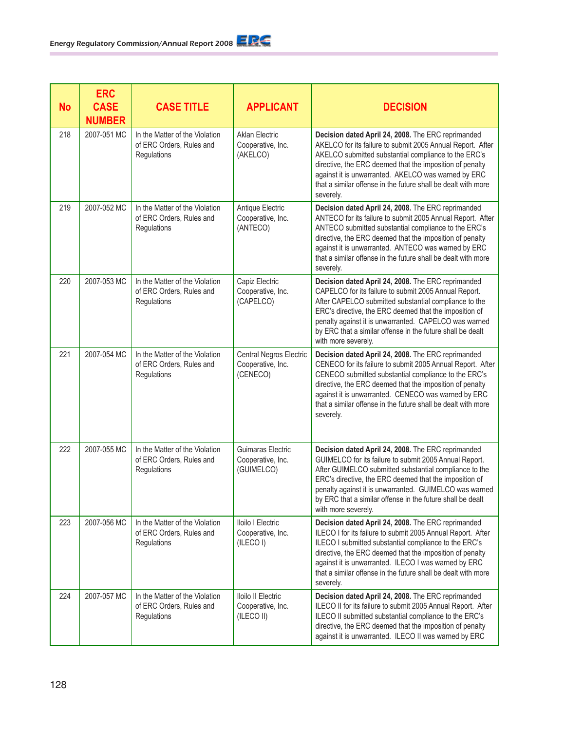| No  | <b>ERC</b><br><b>CASE</b><br><b>NUMBER</b> | <b>CASE TITLE</b>                                                         | <b>APPLICANT</b>                                         | <b>DECISION</b>                                                                                                                                                                                                                                                                                                                                                                 |
|-----|--------------------------------------------|---------------------------------------------------------------------------|----------------------------------------------------------|---------------------------------------------------------------------------------------------------------------------------------------------------------------------------------------------------------------------------------------------------------------------------------------------------------------------------------------------------------------------------------|
| 218 | 2007-051 MC                                | In the Matter of the Violation<br>of ERC Orders, Rules and<br>Regulations | <b>Aklan Electric</b><br>Cooperative, Inc.<br>(AKELCO)   | Decision dated April 24, 2008. The ERC reprimanded<br>AKELCO for its failure to submit 2005 Annual Report. After<br>AKELCO submitted substantial compliance to the ERC's<br>directive, the ERC deemed that the imposition of penalty<br>against it is unwarranted. AKELCO was warned by ERC<br>that a similar offense in the future shall be dealt with more<br>severely.       |
| 219 | 2007-052 MC                                | In the Matter of the Violation<br>of ERC Orders, Rules and<br>Regulations | Antique Electric<br>Cooperative, Inc.<br>(ANTECO)        | Decision dated April 24, 2008. The ERC reprimanded<br>ANTECO for its failure to submit 2005 Annual Report. After<br>ANTECO submitted substantial compliance to the ERC's<br>directive, the ERC deemed that the imposition of penalty<br>against it is unwarranted. ANTECO was warned by ERC<br>that a similar offense in the future shall be dealt with more<br>severely.       |
| 220 | 2007-053 MC                                | In the Matter of the Violation<br>of ERC Orders, Rules and<br>Regulations | Capiz Electric<br>Cooperative, Inc.<br>(CAPELCO)         | Decision dated April 24, 2008. The ERC reprimanded<br>CAPELCO for its failure to submit 2005 Annual Report.<br>After CAPELCO submitted substantial compliance to the<br>ERC's directive, the ERC deemed that the imposition of<br>penalty against it is unwarranted. CAPELCO was warned<br>by ERC that a similar offense in the future shall be dealt<br>with more severely.    |
| 221 | 2007-054 MC                                | In the Matter of the Violation<br>of ERC Orders, Rules and<br>Regulations | Central Negros Electric<br>Cooperative, Inc.<br>(CENECO) | Decision dated April 24, 2008. The ERC reprimanded<br>CENECO for its failure to submit 2005 Annual Report. After<br>CENECO submitted substantial compliance to the ERC's<br>directive, the ERC deemed that the imposition of penalty<br>against it is unwarranted. CENECO was warned by ERC<br>that a similar offense in the future shall be dealt with more<br>severely.       |
| 222 | 2007-055 MC                                | In the Matter of the Violation<br>of ERC Orders, Rules and<br>Regulations | Guimaras Electric<br>Cooperative, Inc.<br>(GUIMELCO)     | Decision dated April 24, 2008. The ERC reprimanded<br>GUIMELCO for its failure to submit 2005 Annual Report.<br>After GUIMELCO submitted substantial compliance to the<br>ERC's directive, the ERC deemed that the imposition of<br>penalty against it is unwarranted. GUIMELCO was warned<br>by ERC that a similar offense in the future shall be dealt<br>with more severely. |
| 223 | 2007-056 MC                                | In the Matter of the Violation<br>of ERC Orders, Rules and<br>Regulations | Iloilo I Electric<br>Cooperative, Inc.<br>(ILECO I)      | Decision dated April 24, 2008. The ERC reprimanded<br>ILECO I for its failure to submit 2005 Annual Report. After<br>ILECO I submitted substantial compliance to the ERC's<br>directive, the ERC deemed that the imposition of penalty<br>against it is unwarranted. ILECO I was warned by ERC<br>that a similar offense in the future shall be dealt with more<br>severely.    |
| 224 | 2007-057 MC                                | In the Matter of the Violation<br>of ERC Orders, Rules and<br>Regulations | Iloilo II Electric<br>Cooperative, Inc.<br>(ILECO II)    | Decision dated April 24, 2008. The ERC reprimanded<br>ILECO II for its failure to submit 2005 Annual Report. After<br>ILECO II submitted substantial compliance to the ERC's<br>directive, the ERC deemed that the imposition of penalty<br>against it is unwarranted. ILECO II was warned by ERC                                                                               |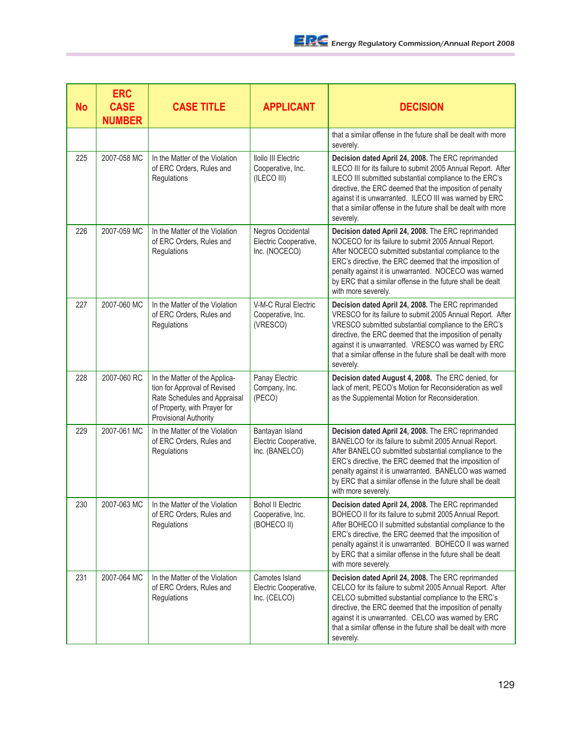| <b>No</b> | <b>ERC</b><br><b>CASE</b><br><b>NUMBER</b> | <b>CASE TITLE</b>                                                                                                                                             | <b>APPLICANT</b>                                             | <b>DECISION</b>                                                                                                                                                                                                                                                                                                                                                                    |
|-----------|--------------------------------------------|---------------------------------------------------------------------------------------------------------------------------------------------------------------|--------------------------------------------------------------|------------------------------------------------------------------------------------------------------------------------------------------------------------------------------------------------------------------------------------------------------------------------------------------------------------------------------------------------------------------------------------|
|           |                                            |                                                                                                                                                               |                                                              | that a similar offense in the future shall be dealt with more<br>severely.                                                                                                                                                                                                                                                                                                         |
| 225       | 2007-058 MC                                | In the Matter of the Violation<br>of ERC Orders, Rules and<br>Regulations                                                                                     | Iloilo III Electric<br>Cooperative, Inc.<br>(ILECO III)      | Decision dated April 24, 2008. The ERC reprimanded<br>ILECO III for its failure to submit 2005 Annual Report. After<br>ILECO III submitted substantial compliance to the ERC's<br>directive, the ERC deemed that the imposition of penalty<br>against it is unwarranted. ILECO III was warned by ERC<br>that a similar offense in the future shall be dealt with more<br>severely. |
| 226       | 2007-059 MC                                | In the Matter of the Violation<br>of ERC Orders, Rules and<br>Regulations                                                                                     | Negros Occidental<br>Electric Cooperative,<br>Inc. (NOCECO)  | Decision dated April 24, 2008. The ERC reprimanded<br>NOCECO for its failure to submit 2005 Annual Report.<br>After NOCECO submitted substantial compliance to the<br>ERC's directive, the ERC deemed that the imposition of<br>penalty against it is unwarranted. NOCECO was warned<br>by ERC that a similar offense in the future shall be dealt<br>with more severely.          |
| 227       | 2007-060 MC                                | In the Matter of the Violation<br>of ERC Orders, Rules and<br>Regulations                                                                                     | V-M-C Rural Electric<br>Cooperative, Inc.<br>(VRESCO)        | Decision dated April 24, 2008. The ERC reprimanded<br>VRESCO for its failure to submit 2005 Annual Report. After<br>VRESCO submitted substantial compliance to the ERC's<br>directive, the ERC deemed that the imposition of penalty<br>against it is unwarranted. VRESCO was warned by ERC<br>that a similar offense in the future shall be dealt with more<br>severely.          |
| 228       | 2007-060 RC                                | In the Matter of the Applica-<br>tion for Approval of Revised<br>Rate Schedules and Appraisal<br>of Property, with Prayer for<br><b>Provisional Authority</b> | Panay Electric<br>Company, Inc.<br>(PECO)                    | Decision dated August 4, 2008. The ERC denied, for<br>lack of merit, PECO's Motion for Reconsideration as well<br>as the Supplemental Motion for Reconsideration.                                                                                                                                                                                                                  |
| 229       | 2007-061 MC                                | In the Matter of the Violation<br>of ERC Orders, Rules and<br>Regulations                                                                                     | Bantayan Island<br>Electric Cooperative,<br>Inc. (BANELCO)   | Decision dated April 24, 2008. The ERC reprimanded<br>BANELCO for its failure to submit 2005 Annual Report.<br>After BANELCO submitted substantial compliance to the<br>ERC's directive, the ERC deemed that the imposition of<br>penalty against it is unwarranted. BANELCO was warned<br>by ERC that a similar offense in the future shall be dealt<br>with more severely.       |
| 230       | 2007-063 MC                                | In the Matter of the Violation<br>of ERC Orders, Rules and<br>Regulations                                                                                     | <b>Bohol II Electric</b><br>Cooperative, Inc.<br>(BOHECO II) | Decision dated April 24, 2008. The ERC reprimanded<br>BOHECO II for its failure to submit 2005 Annual Report.<br>After BOHECO II submitted substantial compliance to the<br>ERC's directive, the ERC deemed that the imposition of<br>penalty against it is unwarranted. BOHECO II was warned<br>by ERC that a similar offense in the future shall be dealt<br>with more severely. |
| 231       | 2007-064 MC                                | In the Matter of the Violation<br>of ERC Orders, Rules and<br>Regulations                                                                                     | Camotes Island<br>Electric Cooperative,<br>Inc. (CELCO)      | Decision dated April 24, 2008. The ERC reprimanded<br>CELCO for its failure to submit 2005 Annual Report. After<br>CELCO submitted substantial compliance to the ERC's<br>directive, the ERC deemed that the imposition of penalty<br>against it is unwarranted. CELCO was warned by ERC<br>that a similar offense in the future shall be dealt with more<br>severely.             |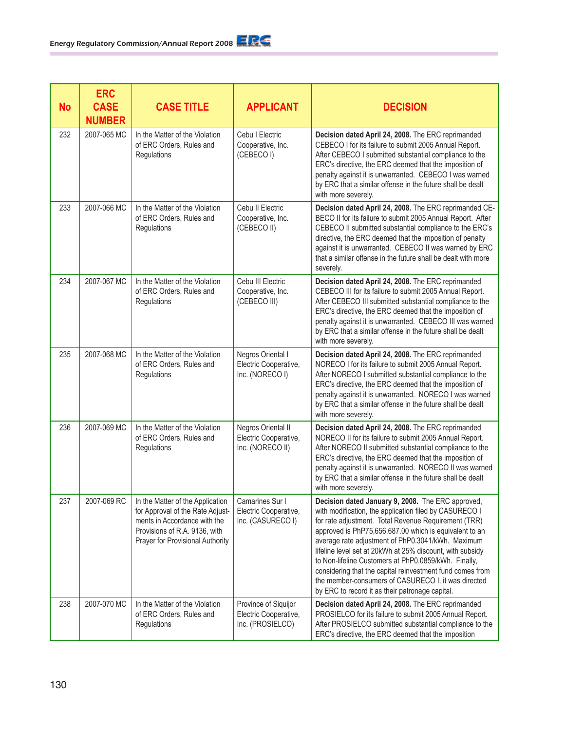| <b>No</b> | <b>ERC</b><br><b>CASE</b><br><b>NUMBER</b> | <b>CASE TITLE</b>                                                                                                                                                         | <b>APPLICANT</b>                                                  | <b>DECISION</b>                                                                                                                                                                                                                                                                                                                                                                                                                                                                                                                                                                |
|-----------|--------------------------------------------|---------------------------------------------------------------------------------------------------------------------------------------------------------------------------|-------------------------------------------------------------------|--------------------------------------------------------------------------------------------------------------------------------------------------------------------------------------------------------------------------------------------------------------------------------------------------------------------------------------------------------------------------------------------------------------------------------------------------------------------------------------------------------------------------------------------------------------------------------|
| 232       | 2007-065 MC                                | In the Matter of the Violation<br>of ERC Orders, Rules and<br>Regulations                                                                                                 | Cebu I Electric<br>Cooperative, Inc.<br>(CEBECO I)                | Decision dated April 24, 2008. The ERC reprimanded<br>CEBECO I for its failure to submit 2005 Annual Report.<br>After CEBECO I submitted substantial compliance to the<br>ERC's directive, the ERC deemed that the imposition of<br>penalty against it is unwarranted. CEBECO I was warned<br>by ERC that a similar offense in the future shall be dealt<br>with more severely.                                                                                                                                                                                                |
| 233       | 2007-066 MC                                | In the Matter of the Violation<br>of ERC Orders, Rules and<br>Regulations                                                                                                 | Cebu II Electric<br>Cooperative, Inc.<br>(CEBECO II)              | Decision dated April 24, 2008. The ERC reprimanded CE-<br>BECO II for its failure to submit 2005 Annual Report. After<br>CEBECO II submitted substantial compliance to the ERC's<br>directive, the ERC deemed that the imposition of penalty<br>against it is unwarranted. CEBECO II was warned by ERC<br>that a similar offense in the future shall be dealt with more<br>severely.                                                                                                                                                                                           |
| 234       | 2007-067 MC                                | In the Matter of the Violation<br>of ERC Orders, Rules and<br>Regulations                                                                                                 | Cebu III Electric<br>Cooperative, Inc.<br>(CEBECO III)            | Decision dated April 24, 2008. The ERC reprimanded<br>CEBECO III for its failure to submit 2005 Annual Report.<br>After CEBECO III submitted substantial compliance to the<br>ERC's directive, the ERC deemed that the imposition of<br>penalty against it is unwarranted. CEBECO III was warned<br>by ERC that a similar offense in the future shall be dealt<br>with more severely.                                                                                                                                                                                          |
| 235       | 2007-068 MC                                | In the Matter of the Violation<br>of ERC Orders, Rules and<br>Regulations                                                                                                 | Negros Oriental I<br>Electric Cooperative,<br>Inc. (NORECO I)     | Decision dated April 24, 2008. The ERC reprimanded<br>NORECO I for its failure to submit 2005 Annual Report.<br>After NORECO I submitted substantial compliance to the<br>ERC's directive, the ERC deemed that the imposition of<br>penalty against it is unwarranted. NORECO I was warned<br>by ERC that a similar offense in the future shall be dealt<br>with more severely.                                                                                                                                                                                                |
| 236       | 2007-069 MC                                | In the Matter of the Violation<br>of ERC Orders, Rules and<br>Regulations                                                                                                 | Negros Oriental II<br>Electric Cooperative,<br>Inc. (NORECO II)   | Decision dated April 24, 2008. The ERC reprimanded<br>NORECO II for its failure to submit 2005 Annual Report.<br>After NORECO II submitted substantial compliance to the<br>ERC's directive, the ERC deemed that the imposition of<br>penalty against it is unwarranted. NORECO II was warned<br>by ERC that a similar offense in the future shall be dealt<br>with more severely.                                                                                                                                                                                             |
| 237       | 2007-069 RC                                | In the Matter of the Application<br>for Approval of the Rate Adjust-<br>ments in Accordance with the<br>Provisions of R.A. 9136, with<br>Prayer for Provisional Authority | Camarines Sur I<br>Electric Cooperative,<br>Inc. (CASURECO I)     | Decision dated January 9, 2008. The ERC approved,<br>with modification, the application filed by CASURECO I<br>for rate adjustment. Total Revenue Requirement (TRR)<br>approved is PhP75,656,687.00 which is equivalent to an<br>average rate adjustment of PhP0.3041/kWh. Maximum<br>lifeline level set at 20kWh at 25% discount, with subsidy<br>to Non-lifeline Customers at PhP0.0859/kWh. Finally,<br>considering that the capital reinvestment fund comes from<br>the member-consumers of CASURECO I, it was directed<br>by ERC to record it as their patronage capital. |
| 238       | 2007-070 MC                                | In the Matter of the Violation<br>of ERC Orders, Rules and<br>Regulations                                                                                                 | Province of Siquijor<br>Electric Cooperative,<br>Inc. (PROSIELCO) | Decision dated April 24, 2008. The ERC reprimanded<br>PROSIELCO for its failure to submit 2005 Annual Report.<br>After PROSIELCO submitted substantial compliance to the<br>ERC's directive, the ERC deemed that the imposition                                                                                                                                                                                                                                                                                                                                                |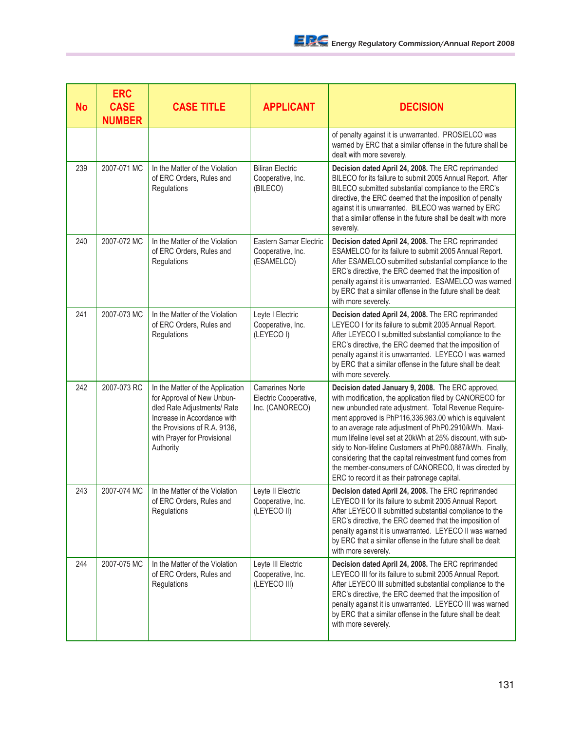| <b>No</b> | <b>ERC</b><br><b>CASE</b><br><b>NUMBER</b> | <b>CASE TITLE</b>                                                                                                                                                                                        | <b>APPLICANT</b>                                                   | <b>DECISION</b>                                                                                                                                                                                                                                                                                                                                                                                                                                                                                                                                                                           |
|-----------|--------------------------------------------|----------------------------------------------------------------------------------------------------------------------------------------------------------------------------------------------------------|--------------------------------------------------------------------|-------------------------------------------------------------------------------------------------------------------------------------------------------------------------------------------------------------------------------------------------------------------------------------------------------------------------------------------------------------------------------------------------------------------------------------------------------------------------------------------------------------------------------------------------------------------------------------------|
|           |                                            |                                                                                                                                                                                                          |                                                                    | of penalty against it is unwarranted. PROSIELCO was<br>warned by ERC that a similar offense in the future shall be<br>dealt with more severely.                                                                                                                                                                                                                                                                                                                                                                                                                                           |
| 239       | 2007-071 MC                                | In the Matter of the Violation<br>of ERC Orders, Rules and<br>Regulations                                                                                                                                | <b>Biliran Electric</b><br>Cooperative, Inc.<br>(BILECO)           | Decision dated April 24, 2008. The ERC reprimanded<br>BILECO for its failure to submit 2005 Annual Report. After<br>BILECO submitted substantial compliance to the ERC's<br>directive, the ERC deemed that the imposition of penalty<br>against it is unwarranted. BILECO was warned by ERC<br>that a similar offense in the future shall be dealt with more<br>severely.                                                                                                                                                                                                                 |
| 240       | 2007-072 MC                                | In the Matter of the Violation<br>of ERC Orders, Rules and<br>Regulations                                                                                                                                | Eastern Samar Electric<br>Cooperative, Inc.<br>(ESAMELCO)          | Decision dated April 24, 2008. The ERC reprimanded<br>ESAMELCO for its failure to submit 2005 Annual Report.<br>After ESAMELCO submitted substantial compliance to the<br>ERC's directive, the ERC deemed that the imposition of<br>penalty against it is unwarranted. ESAMELCO was warned<br>by ERC that a similar offense in the future shall be dealt<br>with more severely.                                                                                                                                                                                                           |
| 241       | 2007-073 MC                                | In the Matter of the Violation<br>of ERC Orders, Rules and<br>Regulations                                                                                                                                | Leyte I Electric<br>Cooperative, Inc.<br>(LEYECO I)                | Decision dated April 24, 2008. The ERC reprimanded<br>LEYECO I for its failure to submit 2005 Annual Report.<br>After LEYECO I submitted substantial compliance to the<br>ERC's directive, the ERC deemed that the imposition of<br>penalty against it is unwarranted. LEYECO I was warned<br>by ERC that a similar offense in the future shall be dealt<br>with more severely.                                                                                                                                                                                                           |
| 242       | 2007-073 RC                                | In the Matter of the Application<br>for Approval of New Unbun-<br>dled Rate Adjustments/ Rate<br>Increase in Accordance with<br>the Provisions of R.A. 9136,<br>with Prayer for Provisional<br>Authority | <b>Camarines Norte</b><br>Electric Cooperative,<br>Inc. (CANORECO) | Decision dated January 9, 2008. The ERC approved,<br>with modification, the application filed by CANORECO for<br>new unbundled rate adjustment. Total Revenue Require-<br>ment approved is PhP116,336,983.00 which is equivalent<br>to an average rate adjustment of PhP0.2910/kWh. Maxi-<br>mum lifeline level set at 20kWh at 25% discount, with sub-<br>sidy to Non-lifeline Customers at PhP0.0887/kWh. Finally,<br>considering that the capital reinvestment fund comes from<br>the member-consumers of CANORECO, It was directed by<br>ERC to record it as their patronage capital. |
| 243       | 2007-074 MC                                | In the Matter of the Violation<br>of ERC Orders, Rules and<br>Regulations                                                                                                                                | Leyte II Electric<br>Cooperative, Inc.<br>(LEYECO II)              | Decision dated April 24, 2008. The ERC reprimanded<br>LEYECO II for its failure to submit 2005 Annual Report.<br>After LEYECO II submitted substantial compliance to the<br>ERC's directive, the ERC deemed that the imposition of<br>penalty against it is unwarranted. LEYECO II was warned<br>by ERC that a similar offense in the future shall be dealt<br>with more severely.                                                                                                                                                                                                        |
| 244       | 2007-075 MC                                | In the Matter of the Violation<br>of ERC Orders, Rules and<br>Regulations                                                                                                                                | Leyte III Electric<br>Cooperative, Inc.<br>(LEYECO III)            | Decision dated April 24, 2008. The ERC reprimanded<br>LEYECO III for its failure to submit 2005 Annual Report.<br>After LEYECO III submitted substantial compliance to the<br>ERC's directive, the ERC deemed that the imposition of<br>penalty against it is unwarranted. LEYECO III was warned<br>by ERC that a similar offense in the future shall be dealt<br>with more severely.                                                                                                                                                                                                     |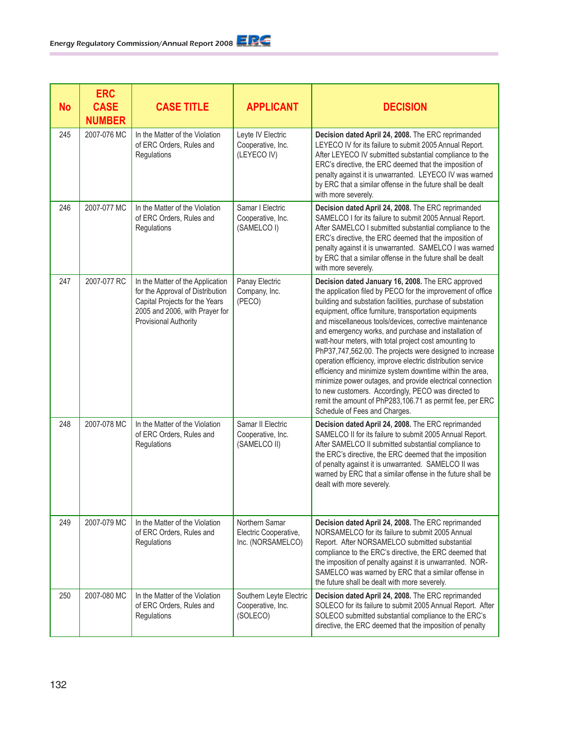| <b>No</b> | <b>ERC</b><br><b>CASE</b><br><b>NUMBER</b> | <b>CASE TITLE</b>                                                                                                                                                 | <b>APPLICANT</b>                                             | <b>DECISION</b>                                                                                                                                                                                                                                                                                                                                                                                                                                                                                                                                                                                                                                                                                                                                                                                                                |
|-----------|--------------------------------------------|-------------------------------------------------------------------------------------------------------------------------------------------------------------------|--------------------------------------------------------------|--------------------------------------------------------------------------------------------------------------------------------------------------------------------------------------------------------------------------------------------------------------------------------------------------------------------------------------------------------------------------------------------------------------------------------------------------------------------------------------------------------------------------------------------------------------------------------------------------------------------------------------------------------------------------------------------------------------------------------------------------------------------------------------------------------------------------------|
| 245       | 2007-076 MC                                | In the Matter of the Violation<br>of ERC Orders, Rules and<br>Regulations                                                                                         | Leyte IV Electric<br>Cooperative, Inc.<br>(LEYECO IV)        | Decision dated April 24, 2008. The ERC reprimanded<br>LEYECO IV for its failure to submit 2005 Annual Report.<br>After LEYECO IV submitted substantial compliance to the<br>ERC's directive, the ERC deemed that the imposition of<br>penalty against it is unwarranted. LEYECO IV was warned<br>by ERC that a similar offense in the future shall be dealt<br>with more severely.                                                                                                                                                                                                                                                                                                                                                                                                                                             |
| 246       | 2007-077 MC                                | In the Matter of the Violation<br>of ERC Orders, Rules and<br>Regulations                                                                                         | Samar I Electric<br>Cooperative, Inc.<br>(SAMELCO I)         | Decision dated April 24, 2008. The ERC reprimanded<br>SAMELCO I for its failure to submit 2005 Annual Report.<br>After SAMELCO I submitted substantial compliance to the<br>ERC's directive, the ERC deemed that the imposition of<br>penalty against it is unwarranted. SAMELCO I was warned<br>by ERC that a similar offense in the future shall be dealt<br>with more severely.                                                                                                                                                                                                                                                                                                                                                                                                                                             |
| 247       | 2007-077 RC                                | In the Matter of the Application<br>for the Approval of Distribution<br>Capital Projects for the Years<br>2005 and 2006, with Prayer for<br>Provisional Authority | Panay Electric<br>Company, Inc.<br>(PECO)                    | Decision dated January 16, 2008. The ERC approved<br>the application filed by PECO for the improvement of office<br>building and substation facilities, purchase of substation<br>equipment, office furniture, transportation equipments<br>and miscellaneous tools/devices, corrective maintenance<br>and emergency works, and purchase and installation of<br>watt-hour meters, with total project cost amounting to<br>PhP37,747,562.00. The projects were designed to increase<br>operation efficiency, improve electric distribution service<br>efficiency and minimize system downtime within the area,<br>minimize power outages, and provide electrical connection<br>to new customers. Accordingly, PECO was directed to<br>remit the amount of PhP283,106.71 as permit fee, per ERC<br>Schedule of Fees and Charges. |
| 248       | 2007-078 MC                                | In the Matter of the Violation<br>of ERC Orders, Rules and<br>Regulations                                                                                         | Samar II Electric<br>Cooperative, Inc.<br>(SAMELCO II)       | Decision dated April 24, 2008. The ERC reprimanded<br>SAMELCO II for its failure to submit 2005 Annual Report.<br>After SAMELCO II submitted substantial compliance to<br>the ERC's directive, the ERC deemed that the imposition<br>of penalty against it is unwarranted. SAMELCO II was<br>warned by ERC that a similar offense in the future shall be<br>dealt with more severely.                                                                                                                                                                                                                                                                                                                                                                                                                                          |
| 249       | 2007-079 MC                                | In the Matter of the Violation<br>of ERC Orders, Rules and<br>Regulations                                                                                         | Northern Samar<br>Electric Cooperative,<br>Inc. (NORSAMELCO) | Decision dated April 24, 2008. The ERC reprimanded<br>NORSAMELCO for its failure to submit 2005 Annual<br>Report. After NORSAMELCO submitted substantial<br>compliance to the ERC's directive, the ERC deemed that<br>the imposition of penalty against it is unwarranted. NOR-<br>SAMELCO was warned by ERC that a similar offense in<br>the future shall be dealt with more severely.                                                                                                                                                                                                                                                                                                                                                                                                                                        |
| 250       | 2007-080 MC                                | In the Matter of the Violation<br>of ERC Orders, Rules and<br>Regulations                                                                                         | Southern Leyte Electric<br>Cooperative, Inc.<br>(SOLECO)     | Decision dated April 24, 2008. The ERC reprimanded<br>SOLECO for its failure to submit 2005 Annual Report. After<br>SOLECO submitted substantial compliance to the ERC's<br>directive, the ERC deemed that the imposition of penalty                                                                                                                                                                                                                                                                                                                                                                                                                                                                                                                                                                                           |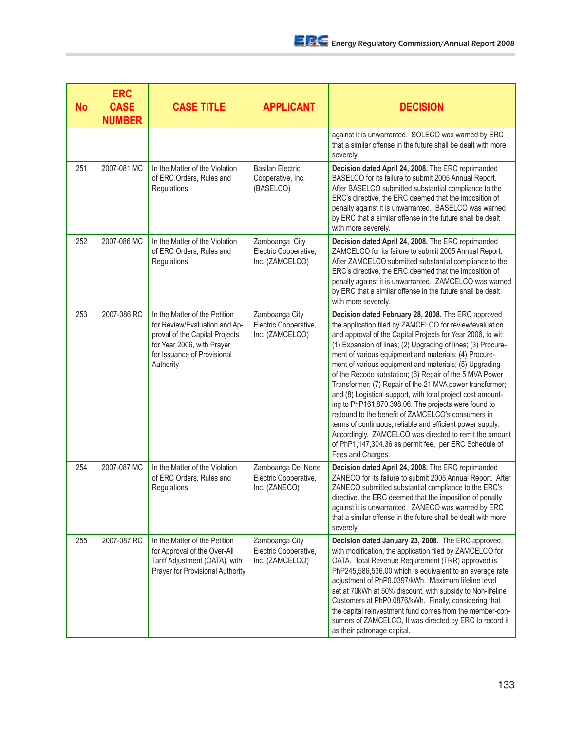| <b>No</b> | <b>ERC</b><br><b>CASE</b><br><b>NUMBER</b> | <b>CASE TITLE</b>                                                                                                                                                          | <b>APPLICANT</b>                                              | <b>DECISION</b>                                                                                                                                                                                                                                                                                                                                                                                                                                                                                                                                                                                                                                                                                                                                                                                                                                                         |
|-----------|--------------------------------------------|----------------------------------------------------------------------------------------------------------------------------------------------------------------------------|---------------------------------------------------------------|-------------------------------------------------------------------------------------------------------------------------------------------------------------------------------------------------------------------------------------------------------------------------------------------------------------------------------------------------------------------------------------------------------------------------------------------------------------------------------------------------------------------------------------------------------------------------------------------------------------------------------------------------------------------------------------------------------------------------------------------------------------------------------------------------------------------------------------------------------------------------|
|           |                                            |                                                                                                                                                                            |                                                               | against it is unwarranted. SOLECO was warned by ERC<br>that a similar offense in the future shall be dealt with more<br>severely.                                                                                                                                                                                                                                                                                                                                                                                                                                                                                                                                                                                                                                                                                                                                       |
| 251       | 2007-081 MC                                | In the Matter of the Violation<br>of ERC Orders, Rules and<br>Regulations                                                                                                  | <b>Basilan Electric</b><br>Cooperative, Inc.<br>(BASELCO)     | Decision dated April 24, 2008. The ERC reprimanded<br>BASELCO for its failure to submit 2005 Annual Report.<br>After BASELCO submitted substantial compliance to the<br>ERC's directive, the ERC deemed that the imposition of<br>penalty against it is unwarranted. BASELCO was warned<br>by ERC that a similar offense in the future shall be dealt<br>with more severely.                                                                                                                                                                                                                                                                                                                                                                                                                                                                                            |
| 252       | 2007-086 MC                                | In the Matter of the Violation<br>of ERC Orders, Rules and<br>Regulations                                                                                                  | Zamboanga City<br>Electric Cooperative,<br>Inc. (ZAMCELCO)    | Decision dated April 24, 2008. The ERC reprimanded<br>ZAMCELCO for its failure to submit 2005 Annual Report.<br>After ZAMCELCO submitted substantial compliance to the<br>ERC's directive, the ERC deemed that the imposition of<br>penalty against it is unwarranted. ZAMCELCO was warned<br>by ERC that a similar offense in the future shall be dealt<br>with more severely.                                                                                                                                                                                                                                                                                                                                                                                                                                                                                         |
| 253       | 2007-086 RC                                | In the Matter of the Petition<br>for Review/Evaluation and Ap-<br>proval of the Capital Projects<br>for Year 2006, with Prayer<br>for Issuance of Provisional<br>Authority | Zamboanga City<br>Electric Cooperative,<br>Inc. (ZAMCELCO)    | Decision dated February 28, 2008. The ERC approved<br>the application filed by ZAMCELCO for review/evaluation<br>and approval of the Capital Projects for Year 2006, to wit:<br>(1) Expansion of lines; (2) Upgrading of lines; (3) Procure-<br>ment of various equipment and materials; (4) Procure-<br>ment of various equipment and materials; (5) Upgrading<br>of the Recodo substation; (6) Repair of the 5 MVA Power<br>Transformer; (7) Repair of the 21 MVA power transformer;<br>and (8) Logistical support, with total project cost amount-<br>ing to PhP161,870,398.06. The projects were found to<br>redound to the benefit of ZAMCELCO's consumers in<br>terms of continuous, reliable and efficient power supply.<br>Accordingly, ZAMCELCO was directed to remit the amount<br>of PhP1,147,304.36 as permit fee, per ERC Schedule of<br>Fees and Charges. |
| 254       | 2007-087 MC                                | In the Matter of the Violation<br>of ERC Orders, Rules and<br>Regulations                                                                                                  | Zamboanga Del Norte<br>Electric Cooperative,<br>Inc. (ZANECO) | Decision dated April 24, 2008. The ERC reprimanded<br>ZANECO for its failure to submit 2005 Annual Report. After<br>ZANECO submitted substantial compliance to the ERC's<br>directive, the ERC deemed that the imposition of penalty<br>against it is unwarranted. ZANECO was warned by ERC<br>that a similar offense in the future shall be dealt with more<br>severely.                                                                                                                                                                                                                                                                                                                                                                                                                                                                                               |
| 255       | 2007-087 RC                                | In the Matter of the Petition<br>for Approval of the Over-All<br>Tariff Adjustment (OATA), with<br>Prayer for Provisional Authority                                        | Zamboanga City<br>Electric Cooperative,<br>Inc. (ZAMCELCO)    | Decision dated January 23, 2008. The ERC approved,<br>with modification, the application filed by ZAMCELCO for<br>OATA. Total Revenue Requirement (TRR) approved is<br>PhP245,586,536.00 which is equivalent to an average rate<br>adjustment of PhP0.0397/kWh. Maximum lifeline level<br>set at 70kWh at 50% discount, with subsidy to Non-lifeline<br>Customers at PhP0.0876/kWh. Finally, considering that<br>the capital reinvestment fund comes from the member-con-<br>sumers of ZAMCELCO, It was directed by ERC to record it<br>as their patronage capital.                                                                                                                                                                                                                                                                                                     |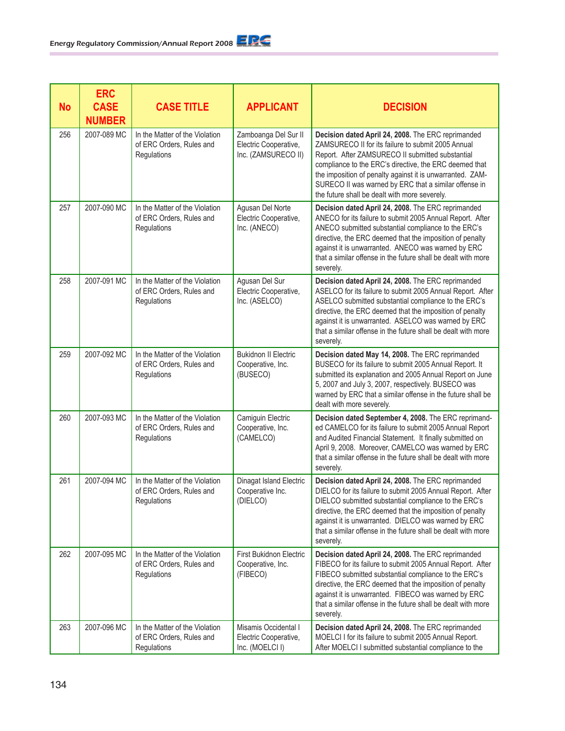| No  | <b>ERC</b><br><b>CASE</b><br><b>NUMBER</b> | <b>CASE TITLE</b>                                                         | <b>APPLICANT</b>                                                     | <b>DECISION</b>                                                                                                                                                                                                                                                                                                                                                                               |
|-----|--------------------------------------------|---------------------------------------------------------------------------|----------------------------------------------------------------------|-----------------------------------------------------------------------------------------------------------------------------------------------------------------------------------------------------------------------------------------------------------------------------------------------------------------------------------------------------------------------------------------------|
| 256 | 2007-089 MC                                | In the Matter of the Violation<br>of ERC Orders, Rules and<br>Regulations | Zamboanga Del Sur II<br>Electric Cooperative,<br>Inc. (ZAMSURECO II) | Decision dated April 24, 2008. The ERC reprimanded<br>ZAMSURECO II for its failure to submit 2005 Annual<br>Report. After ZAMSURECO II submitted substantial<br>compliance to the ERC's directive, the ERC deemed that<br>the imposition of penalty against it is unwarranted. ZAM-<br>SURECO II was warned by ERC that a similar offense in<br>the future shall be dealt with more severely. |
| 257 | 2007-090 MC                                | In the Matter of the Violation<br>of ERC Orders, Rules and<br>Regulations | Agusan Del Norte<br>Electric Cooperative,<br>Inc. (ANECO)            | Decision dated April 24, 2008. The ERC reprimanded<br>ANECO for its failure to submit 2005 Annual Report. After<br>ANECO submitted substantial compliance to the ERC's<br>directive, the ERC deemed that the imposition of penalty<br>against it is unwarranted. ANECO was warned by ERC<br>that a similar offense in the future shall be dealt with more<br>severely.                        |
| 258 | 2007-091 MC                                | In the Matter of the Violation<br>of ERC Orders, Rules and<br>Regulations | Agusan Del Sur<br>Electric Cooperative,<br>Inc. (ASELCO)             | Decision dated April 24, 2008. The ERC reprimanded<br>ASELCO for its failure to submit 2005 Annual Report. After<br>ASELCO submitted substantial compliance to the ERC's<br>directive, the ERC deemed that the imposition of penalty<br>against it is unwarranted. ASELCO was warned by ERC<br>that a similar offense in the future shall be dealt with more<br>severely.                     |
| 259 | 2007-092 MC                                | In the Matter of the Violation<br>of ERC Orders, Rules and<br>Regulations | <b>Bukidnon II Electric</b><br>Cooperative, Inc.<br>(BUSECO)         | Decision dated May 14, 2008. The ERC reprimanded<br>BUSECO for its failure to submit 2005 Annual Report. It<br>submitted its explanation and 2005 Annual Report on June<br>5, 2007 and July 3, 2007, respectively. BUSECO was<br>warned by ERC that a similar offense in the future shall be<br>dealt with more severely.                                                                     |
| 260 | 2007-093 MC                                | In the Matter of the Violation<br>of ERC Orders, Rules and<br>Regulations | Camiguin Electric<br>Cooperative, Inc.<br>(CAMELCO)                  | Decision dated September 4, 2008. The ERC reprimand-<br>ed CAMELCO for its failure to submit 2005 Annual Report<br>and Audited Financial Statement. It finally submitted on<br>April 9, 2008. Moreover, CAMELCO was warned by ERC<br>that a similar offense in the future shall be dealt with more<br>severely.                                                                               |
| 261 | 2007-094 MC                                | In the Matter of the Violation<br>of ERC Orders, Rules and<br>Regulations | Dinagat Island Electric<br>Cooperative Inc.<br>(DIELCO)              | Decision dated April 24, 2008. The ERC reprimanded<br>DIELCO for its failure to submit 2005 Annual Report. After<br>DIELCO submitted substantial compliance to the ERC's<br>directive, the ERC deemed that the imposition of penalty<br>against it is unwarranted. DIELCO was warned by ERC<br>that a similar offense in the future shall be dealt with more<br>severely.                     |
| 262 | 2007-095 MC                                | In the Matter of the Violation<br>of ERC Orders, Rules and<br>Regulations | <b>First Bukidnon Electric</b><br>Cooperative, Inc.<br>(FIBECO)      | Decision dated April 24, 2008. The ERC reprimanded<br>FIBECO for its failure to submit 2005 Annual Report. After<br>FIBECO submitted substantial compliance to the ERC's<br>directive, the ERC deemed that the imposition of penalty<br>against it is unwarranted. FIBECO was warned by ERC<br>that a similar offense in the future shall be dealt with more<br>severely.                     |
| 263 | 2007-096 MC                                | In the Matter of the Violation<br>of ERC Orders, Rules and<br>Regulations | Misamis Occidental I<br>Electric Cooperative,<br>Inc. (MOELCI I)     | Decision dated April 24, 2008. The ERC reprimanded<br>MOELCI I for its failure to submit 2005 Annual Report.<br>After MOELCI I submitted substantial compliance to the                                                                                                                                                                                                                        |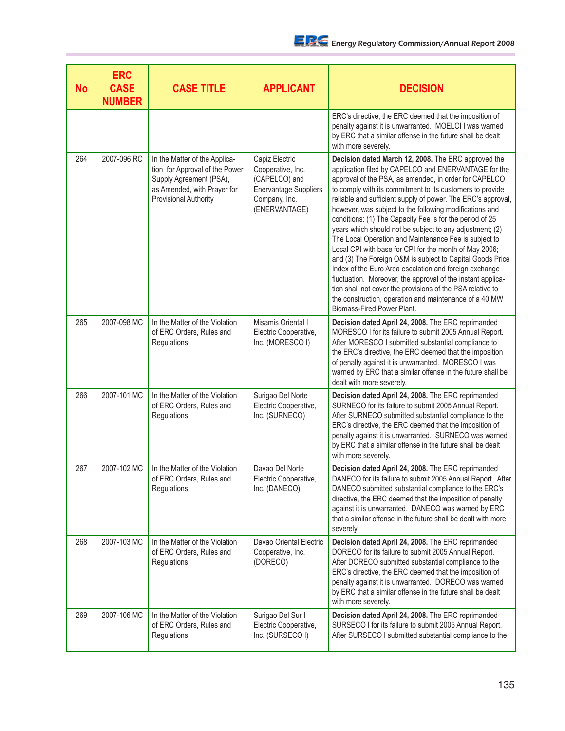| <b>No</b> | <b>ERC</b><br><b>CASE</b><br><b>NUMBER</b> | <b>CASE TITLE</b>                                                                                                                                  | <b>APPLICANT</b>                                                                                                       | <b>DECISION</b>                                                                                                                                                                                                                                                                                                                                                                                                                                                                                                                                                                                                                                                                                                                                                                                                                                                                                                                                     |
|-----------|--------------------------------------------|----------------------------------------------------------------------------------------------------------------------------------------------------|------------------------------------------------------------------------------------------------------------------------|-----------------------------------------------------------------------------------------------------------------------------------------------------------------------------------------------------------------------------------------------------------------------------------------------------------------------------------------------------------------------------------------------------------------------------------------------------------------------------------------------------------------------------------------------------------------------------------------------------------------------------------------------------------------------------------------------------------------------------------------------------------------------------------------------------------------------------------------------------------------------------------------------------------------------------------------------------|
|           |                                            |                                                                                                                                                    |                                                                                                                        | ERC's directive, the ERC deemed that the imposition of<br>penalty against it is unwarranted. MOELCI I was warned<br>by ERC that a similar offense in the future shall be dealt<br>with more severely.                                                                                                                                                                                                                                                                                                                                                                                                                                                                                                                                                                                                                                                                                                                                               |
| 264       | 2007-096 RC                                | In the Matter of the Applica-<br>tion for Approval of the Power<br>Supply Agreement (PSA),<br>as Amended, with Prayer for<br>Provisional Authority | Capiz Electric<br>Cooperative, Inc.<br>(CAPELCO) and<br><b>Enervantage Suppliers</b><br>Company, Inc.<br>(ENERVANTAGE) | Decision dated March 12, 2008. The ERC approved the<br>application filed by CAPELCO and ENERVANTAGE for the<br>approval of the PSA, as amended, in order for CAPELCO<br>to comply with its commitment to its customers to provide<br>reliable and sufficient supply of power. The ERC's approval,<br>however, was subject to the following modifications and<br>conditions: (1) The Capacity Fee is for the period of 25<br>years which should not be subject to any adjustment; (2)<br>The Local Operation and Maintenance Fee is subject to<br>Local CPI with base for CPI for the month of May 2006;<br>and (3) The Foreign O&M is subject to Capital Goods Price<br>Index of the Euro Area escalation and foreign exchange<br>fluctuation. Moreover, the approval of the instant applica-<br>tion shall not cover the provisions of the PSA relative to<br>the construction, operation and maintenance of a 40 MW<br>Biomass-Fired Power Plant. |
| 265       | 2007-098 MC                                | In the Matter of the Violation<br>of ERC Orders, Rules and<br>Regulations                                                                          | Misamis Oriental I<br>Electric Cooperative,<br>Inc. (MORESCO I)                                                        | Decision dated April 24, 2008. The ERC reprimanded<br>MORESCO I for its failure to submit 2005 Annual Report.<br>After MORESCO I submitted substantial compliance to<br>the ERC's directive, the ERC deemed that the imposition<br>of penalty against it is unwarranted. MORESCO I was<br>warned by ERC that a similar offense in the future shall be<br>dealt with more severely.                                                                                                                                                                                                                                                                                                                                                                                                                                                                                                                                                                  |
| 266       | 2007-101 MC                                | In the Matter of the Violation<br>of ERC Orders, Rules and<br>Regulations                                                                          | Surigao Del Norte<br>Electric Cooperative,<br>Inc. (SURNECO)                                                           | Decision dated April 24, 2008. The ERC reprimanded<br>SURNECO for its failure to submit 2005 Annual Report.<br>After SURNECO submitted substantial compliance to the<br>ERC's directive, the ERC deemed that the imposition of<br>penalty against it is unwarranted. SURNECO was warned<br>by ERC that a similar offense in the future shall be dealt<br>with more severely.                                                                                                                                                                                                                                                                                                                                                                                                                                                                                                                                                                        |
| 267       | 2007-102 MC                                | In the Matter of the Violation<br>of ERC Orders, Rules and<br>Regulations                                                                          | Davao Del Norte<br>Electric Cooperative,<br>Inc. (DANECO)                                                              | Decision dated April 24, 2008. The ERC reprimanded<br>DANECO for its failure to submit 2005 Annual Report. After<br>DANECO submitted substantial compliance to the ERC's<br>directive, the ERC deemed that the imposition of penalty<br>against it is unwarranted. DANECO was warned by ERC<br>that a similar offense in the future shall be dealt with more<br>severely.                                                                                                                                                                                                                                                                                                                                                                                                                                                                                                                                                                           |
| 268       | 2007-103 MC                                | In the Matter of the Violation<br>of ERC Orders, Rules and<br>Regulations                                                                          | Davao Oriental Electric<br>Cooperative, Inc.<br>(DORECO)                                                               | Decision dated April 24, 2008. The ERC reprimanded<br>DORECO for its failure to submit 2005 Annual Report.<br>After DORECO submitted substantial compliance to the<br>ERC's directive, the ERC deemed that the imposition of<br>penalty against it is unwarranted. DORECO was warned<br>by ERC that a similar offense in the future shall be dealt<br>with more severely.                                                                                                                                                                                                                                                                                                                                                                                                                                                                                                                                                                           |
| 269       | 2007-106 MC                                | In the Matter of the Violation<br>of ERC Orders, Rules and<br>Regulations                                                                          | Surigao Del Sur I<br>Electric Cooperative,<br>Inc. (SURSECO I)                                                         | Decision dated April 24, 2008. The ERC reprimanded<br>SURSECO I for its failure to submit 2005 Annual Report.<br>After SURSECO I submitted substantial compliance to the                                                                                                                                                                                                                                                                                                                                                                                                                                                                                                                                                                                                                                                                                                                                                                            |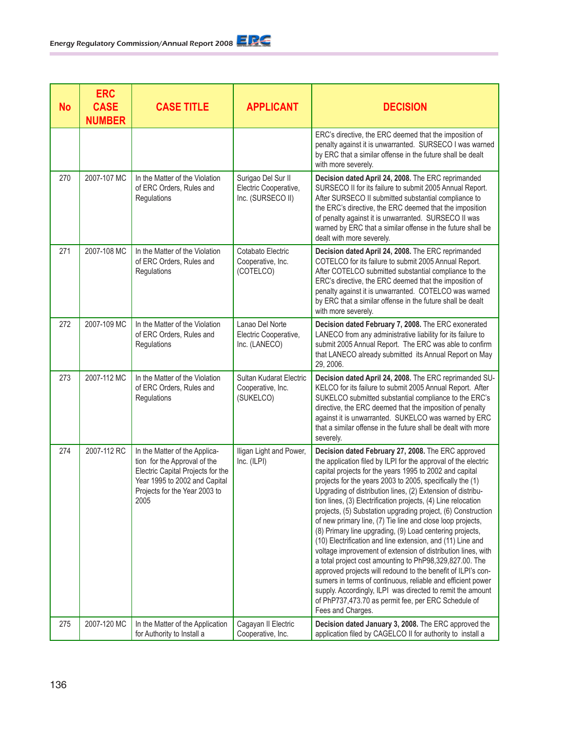| <b>No</b> | <b>ERC</b><br><b>CASE</b><br><b>NUMBER</b> | <b>CASE TITLE</b>                                                                                                                                                            | <b>APPLICANT</b>                                                 | <b>DECISION</b>                                                                                                                                                                                                                                                                                                                                                                                                                                                                                                                                                                                                                                                                                                                                                                                                                                                                                                                                                                                                                          |
|-----------|--------------------------------------------|------------------------------------------------------------------------------------------------------------------------------------------------------------------------------|------------------------------------------------------------------|------------------------------------------------------------------------------------------------------------------------------------------------------------------------------------------------------------------------------------------------------------------------------------------------------------------------------------------------------------------------------------------------------------------------------------------------------------------------------------------------------------------------------------------------------------------------------------------------------------------------------------------------------------------------------------------------------------------------------------------------------------------------------------------------------------------------------------------------------------------------------------------------------------------------------------------------------------------------------------------------------------------------------------------|
|           |                                            |                                                                                                                                                                              |                                                                  | ERC's directive, the ERC deemed that the imposition of<br>penalty against it is unwarranted. SURSECO I was warned<br>by ERC that a similar offense in the future shall be dealt<br>with more severely.                                                                                                                                                                                                                                                                                                                                                                                                                                                                                                                                                                                                                                                                                                                                                                                                                                   |
| 270       | 2007-107 MC                                | In the Matter of the Violation<br>of ERC Orders, Rules and<br>Regulations                                                                                                    | Surigao Del Sur II<br>Electric Cooperative,<br>Inc. (SURSECO II) | Decision dated April 24, 2008. The ERC reprimanded<br>SURSECO II for its failure to submit 2005 Annual Report.<br>After SURSECO II submitted substantial compliance to<br>the ERC's directive, the ERC deemed that the imposition<br>of penalty against it is unwarranted. SURSECO II was<br>warned by ERC that a similar offense in the future shall be<br>dealt with more severely.                                                                                                                                                                                                                                                                                                                                                                                                                                                                                                                                                                                                                                                    |
| 271       | 2007-108 MC                                | In the Matter of the Violation<br>of ERC Orders, Rules and<br>Regulations                                                                                                    | Cotabato Electric<br>Cooperative, Inc.<br>(COTELCO)              | Decision dated April 24, 2008. The ERC reprimanded<br>COTELCO for its failure to submit 2005 Annual Report.<br>After COTELCO submitted substantial compliance to the<br>ERC's directive, the ERC deemed that the imposition of<br>penalty against it is unwarranted. COTELCO was warned<br>by ERC that a similar offense in the future shall be dealt<br>with more severely.                                                                                                                                                                                                                                                                                                                                                                                                                                                                                                                                                                                                                                                             |
| 272       | 2007-109 MC                                | In the Matter of the Violation<br>of ERC Orders, Rules and<br>Regulations                                                                                                    | Lanao Del Norte<br>Electric Cooperative,<br>Inc. (LANECO)        | Decision dated February 7, 2008. The ERC exonerated<br>LANECO from any administrative liability for its failure to<br>submit 2005 Annual Report. The ERC was able to confirm<br>that LANECO already submitted its Annual Report on May<br>29, 2006.                                                                                                                                                                                                                                                                                                                                                                                                                                                                                                                                                                                                                                                                                                                                                                                      |
| 273       | 2007-112 MC                                | In the Matter of the Violation<br>of ERC Orders, Rules and<br>Regulations                                                                                                    | Sultan Kudarat Electric<br>Cooperative, Inc.<br>(SUKELCO)        | Decision dated April 24, 2008. The ERC reprimanded SU-<br>KELCO for its failure to submit 2005 Annual Report. After<br>SUKELCO submitted substantial compliance to the ERC's<br>directive, the ERC deemed that the imposition of penalty<br>against it is unwarranted. SUKELCO was warned by ERC<br>that a similar offense in the future shall be dealt with more<br>severely.                                                                                                                                                                                                                                                                                                                                                                                                                                                                                                                                                                                                                                                           |
| 274       | 2007-112 RC                                | In the Matter of the Applica-<br>tion for the Approval of the<br>Electric Capital Projects for the<br>Year 1995 to 2002 and Capital<br>Projects for the Year 2003 to<br>2005 | Iligan Light and Power,<br>Inc. (ILPI)                           | Decision dated February 27, 2008. The ERC approved<br>the application filed by ILPI for the approval of the electric<br>capital projects for the years 1995 to 2002 and capital<br>projects for the years 2003 to 2005, specifically the (1)<br>Upgrading of distribution lines, (2) Extension of distribu-<br>tion lines, (3) Electrification projects, (4) Line relocation<br>projects, (5) Substation upgrading project, (6) Construction<br>of new primary line, (7) Tie line and close loop projects,<br>(8) Primary line upgrading, (9) Load centering projects,<br>(10) Electrification and line extension, and (11) Line and<br>voltage improvement of extension of distribution lines, with<br>a total project cost amounting to PhP98,329,827.00. The<br>approved projects will redound to the benefit of ILPI's con-<br>sumers in terms of continuous, reliable and efficient power<br>supply. Accordingly, ILPI was directed to remit the amount<br>of PhP737,473.70 as permit fee, per ERC Schedule of<br>Fees and Charges. |
| 275       | 2007-120 MC                                | In the Matter of the Application<br>for Authority to Install a                                                                                                               | Cagayan II Electric<br>Cooperative, Inc.                         | Decision dated January 3, 2008. The ERC approved the<br>application filed by CAGELCO II for authority to install a                                                                                                                                                                                                                                                                                                                                                                                                                                                                                                                                                                                                                                                                                                                                                                                                                                                                                                                       |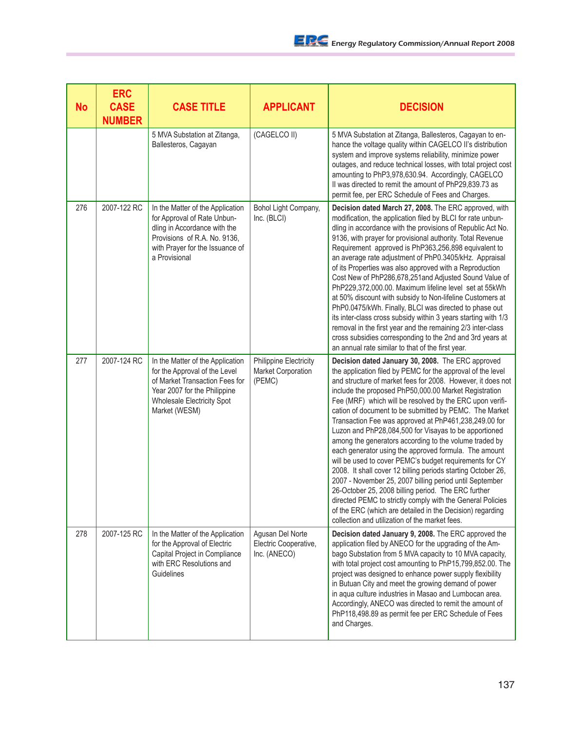| <b>No</b> | <b>ERC</b><br><b>CASE</b><br><b>NUMBER</b> | <b>CASE TITLE</b>                                                                                                                                                                   | <b>APPLICANT</b>                                              | <b>DECISION</b>                                                                                                                                                                                                                                                                                                                                                                                                                                                                                                                                                                                                                                                                                                                                                                                                                                                                                                                                                                                                               |
|-----------|--------------------------------------------|-------------------------------------------------------------------------------------------------------------------------------------------------------------------------------------|---------------------------------------------------------------|-------------------------------------------------------------------------------------------------------------------------------------------------------------------------------------------------------------------------------------------------------------------------------------------------------------------------------------------------------------------------------------------------------------------------------------------------------------------------------------------------------------------------------------------------------------------------------------------------------------------------------------------------------------------------------------------------------------------------------------------------------------------------------------------------------------------------------------------------------------------------------------------------------------------------------------------------------------------------------------------------------------------------------|
|           |                                            | 5 MVA Substation at Zitanga,<br>Ballesteros, Cagayan                                                                                                                                | (CAGELCO II)                                                  | 5 MVA Substation at Zitanga, Ballesteros, Cagayan to en-<br>hance the voltage quality within CAGELCO II's distribution<br>system and improve systems reliability, minimize power<br>outages, and reduce technical losses, with total project cost<br>amounting to PhP3,978,630.94. Accordingly, CAGELCO<br>II was directed to remit the amount of PhP29,839.73 as<br>permit fee, per ERC Schedule of Fees and Charges.                                                                                                                                                                                                                                                                                                                                                                                                                                                                                                                                                                                                        |
| 276       | 2007-122 RC                                | In the Matter of the Application<br>for Approval of Rate Unbun-<br>dling in Accordance with the<br>Provisions of R.A. No. 9136,<br>with Prayer for the Issuance of<br>a Provisional | Bohol Light Company,<br>Inc. (BLCI)                           | Decision dated March 27, 2008. The ERC approved, with<br>modification, the application filed by BLCI for rate unbun-<br>dling in accordance with the provisions of Republic Act No.<br>9136, with prayer for provisional authority. Total Revenue<br>Requirement approved is PhP363,256,898 equivalent to<br>an average rate adjustment of PhP0.3405/kHz. Appraisal<br>of its Properties was also approved with a Reproduction<br>Cost New of PhP286,678,251and Adjusted Sound Value of<br>PhP229,372,000.00. Maximum lifeline level set at 55kWh<br>at 50% discount with subsidy to Non-lifeline Customers at<br>PhP0.0475/kWh. Finally, BLCI was directed to phase out<br>its inter-class cross subsidy within 3 years starting with 1/3<br>removal in the first year and the remaining 2/3 inter-class<br>cross subsidies corresponding to the 2nd and 3rd years at<br>an annual rate similar to that of the first year.                                                                                                   |
| 277       | 2007-124 RC                                | In the Matter of the Application<br>for the Approval of the Level<br>of Market Transaction Fees for<br>Year 2007 for the Philippine<br>Wholesale Electricity Spot<br>Market (WESM)  | <b>Philippine Electricity</b><br>Market Corporation<br>(PEMC) | Decision dated January 30, 2008. The ERC approved<br>the application filed by PEMC for the approval of the level<br>and structure of market fees for 2008. However, it does not<br>include the proposed PhP50,000.00 Market Registration<br>Fee (MRF) which will be resolved by the ERC upon verifi-<br>cation of document to be submitted by PEMC. The Market<br>Transaction Fee was approved at PhP461,238,249.00 for<br>Luzon and PhP28,084,500 for Visayas to be apportioned<br>among the generators according to the volume traded by<br>each generator using the approved formula. The amount<br>will be used to cover PEMC's budget requirements for CY<br>2008. It shall cover 12 billing periods starting October 26,<br>2007 - November 25, 2007 billing period until September<br>26-October 25, 2008 billing period. The ERC further<br>directed PEMC to strictly comply with the General Policies<br>of the ERC (which are detailed in the Decision) regarding<br>collection and utilization of the market fees. |
| 278       | 2007-125 RC                                | In the Matter of the Application<br>for the Approval of Electric<br>Capital Project in Compliance<br>with ERC Resolutions and<br>Guidelines                                         | Agusan Del Norte<br>Electric Cooperative,<br>Inc. (ANECO)     | Decision dated January 9, 2008. The ERC approved the<br>application filed by ANECO for the upgrading of the Am-<br>bago Substation from 5 MVA capacity to 10 MVA capacity,<br>with total project cost amounting to PhP15,799,852.00. The<br>project was designed to enhance power supply flexibility<br>in Butuan City and meet the growing demand of power<br>in aqua culture industries in Masao and Lumbocan area.<br>Accordingly, ANECO was directed to remit the amount of<br>PhP118,498.89 as permit fee per ERC Schedule of Fees<br>and Charges.                                                                                                                                                                                                                                                                                                                                                                                                                                                                       |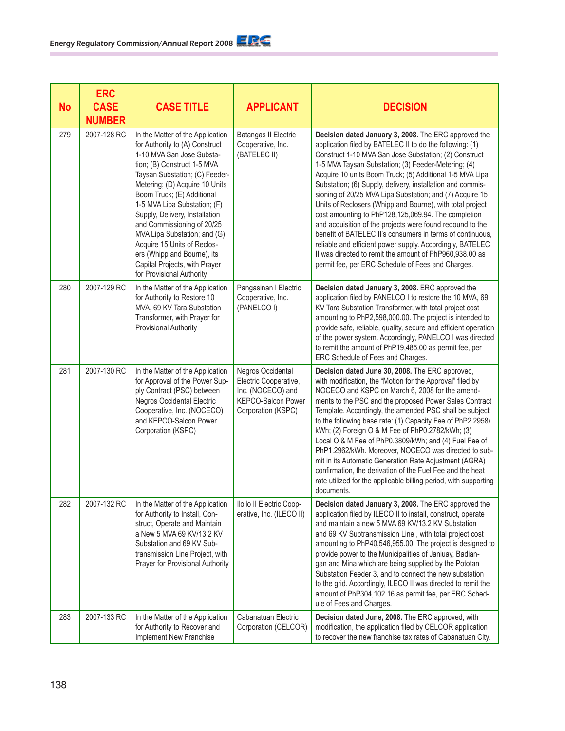| No  | <b>ERC</b><br><b>CASE</b><br><b>NUMBER</b> | <b>CASE TITLE</b>                                                                                                                                                                                                                                                                                                                                                                                                                                                                            | <b>APPLICANT</b>                                                                                                   | <b>DECISION</b>                                                                                                                                                                                                                                                                                                                                                                                                                                                                                                                                                                                                                                                                                                                                                                                                                                   |
|-----|--------------------------------------------|----------------------------------------------------------------------------------------------------------------------------------------------------------------------------------------------------------------------------------------------------------------------------------------------------------------------------------------------------------------------------------------------------------------------------------------------------------------------------------------------|--------------------------------------------------------------------------------------------------------------------|---------------------------------------------------------------------------------------------------------------------------------------------------------------------------------------------------------------------------------------------------------------------------------------------------------------------------------------------------------------------------------------------------------------------------------------------------------------------------------------------------------------------------------------------------------------------------------------------------------------------------------------------------------------------------------------------------------------------------------------------------------------------------------------------------------------------------------------------------|
| 279 | 2007-128 RC                                | In the Matter of the Application<br>for Authority to (A) Construct<br>1-10 MVA San Jose Substa-<br>tion; (B) Construct 1-5 MVA<br>Taysan Substation; (C) Feeder-<br>Metering; (D) Acquire 10 Units<br>Boom Truck; (E) Additional<br>1-5 MVA Lipa Substation; (F)<br>Supply, Delivery, Installation<br>and Commissioning of 20/25<br>MVA Lipa Substation; and (G)<br>Acquire 15 Units of Reclos-<br>ers (Whipp and Bourne), its<br>Capital Projects, with Prayer<br>for Provisional Authority | <b>Batangas II Electric</b><br>Cooperative, Inc.<br>(BATELEC II)                                                   | Decision dated January 3, 2008. The ERC approved the<br>application filed by BATELEC II to do the following: (1)<br>Construct 1-10 MVA San Jose Substation; (2) Construct<br>1-5 MVA Taysan Substation; (3) Feeder-Metering; (4)<br>Acquire 10 units Boom Truck; (5) Additional 1-5 MVA Lipa<br>Substation; (6) Supply, delivery, installation and commis-<br>sioning of 20/25 MVA Lipa Substation; and (7) Acquire 15<br>Units of Reclosers (Whipp and Bourne), with total project<br>cost amounting to PhP128,125,069.94. The completion<br>and acquisition of the projects were found redound to the<br>benefit of BATELEC II's consumers in terms of continuous,<br>reliable and efficient power supply. Accordingly, BATELEC<br>II was directed to remit the amount of PhP960,938.00 as<br>permit fee, per ERC Schedule of Fees and Charges. |
| 280 | 2007-129 RC                                | In the Matter of the Application<br>for Authority to Restore 10<br>MVA, 69 KV Tara Substation<br>Transformer, with Prayer for<br><b>Provisional Authority</b>                                                                                                                                                                                                                                                                                                                                | Pangasinan I Electric<br>Cooperative, Inc.<br>(PANELCO I)                                                          | Decision dated January 3, 2008. ERC approved the<br>application filed by PANELCO I to restore the 10 MVA, 69<br>KV Tara Substation Transformer, with total project cost<br>amounting to PhP2,598,000.00. The project is intended to<br>provide safe, reliable, quality, secure and efficient operation<br>of the power system. Accordingly, PANELCO I was directed<br>to remit the amount of PhP19,485.00 as permit fee, per<br>ERC Schedule of Fees and Charges.                                                                                                                                                                                                                                                                                                                                                                                 |
| 281 | 2007-130 RC                                | In the Matter of the Application<br>for Approval of the Power Sup-<br>ply Contract (PSC) between<br><b>Negros Occidental Electric</b><br>Cooperative, Inc. (NOCECO)<br>and KEPCO-Salcon Power<br>Corporation (KSPC)                                                                                                                                                                                                                                                                          | Negros Occidental<br>Electric Cooperative,<br>Inc. (NOCECO) and<br><b>KEPCO-Salcon Power</b><br>Corporation (KSPC) | Decision dated June 30, 2008. The ERC approved,<br>with modification, the "Motion for the Approval" filed by<br>NOCECO and KSPC on March 6, 2008 for the amend-<br>ments to the PSC and the proposed Power Sales Contract<br>Template. Accordingly, the amended PSC shall be subject<br>to the following base rate: (1) Capacity Fee of PhP2.2958/<br>kWh; (2) Foreign O & M Fee of PhP0.2782/kWh; (3)<br>Local O & M Fee of PhP0.3809/kWh; and (4) Fuel Fee of<br>PhP1.2962/kWh. Moreover, NOCECO was directed to sub-<br>mit in its Automatic Generation Rate Adjustment (AGRA)<br>confirmation, the derivation of the Fuel Fee and the heat<br>rate utilized for the applicable billing period, with supporting<br>documents.                                                                                                                  |
| 282 | 2007-132 RC                                | In the Matter of the Application<br>for Authority to Install, Con-<br>struct, Operate and Maintain<br>a New 5 MVA 69 KV/13.2 KV<br>Substation and 69 KV Sub-<br>transmission Line Project, with<br>Prayer for Provisional Authority                                                                                                                                                                                                                                                          | Iloilo II Electric Coop-<br>erative, Inc. (ILECO II)                                                               | Decision dated January 3, 2008. The ERC approved the<br>application filed by ILECO II to install, construct, operate<br>and maintain a new 5 MVA 69 KV/13.2 KV Substation<br>and 69 KV Subtransmission Line, with total project cost<br>amounting to PhP40,546,955.00. The project is designed to<br>provide power to the Municipalities of Janiuay, Badian-<br>gan and Mina which are being supplied by the Pototan<br>Substation Feeder 3, and to connect the new substation<br>to the grid. Accordingly, ILECO II was directed to remit the<br>amount of PhP304,102.16 as permit fee, per ERC Sched-<br>ule of Fees and Charges.                                                                                                                                                                                                               |
| 283 | 2007-133 RC                                | In the Matter of the Application<br>for Authority to Recover and<br>Implement New Franchise                                                                                                                                                                                                                                                                                                                                                                                                  | Cabanatuan Electric<br>Corporation (CELCOR)                                                                        | Decision dated June, 2008. The ERC approved, with<br>modification, the application filed by CELCOR application<br>to recover the new franchise tax rates of Cabanatuan City.                                                                                                                                                                                                                                                                                                                                                                                                                                                                                                                                                                                                                                                                      |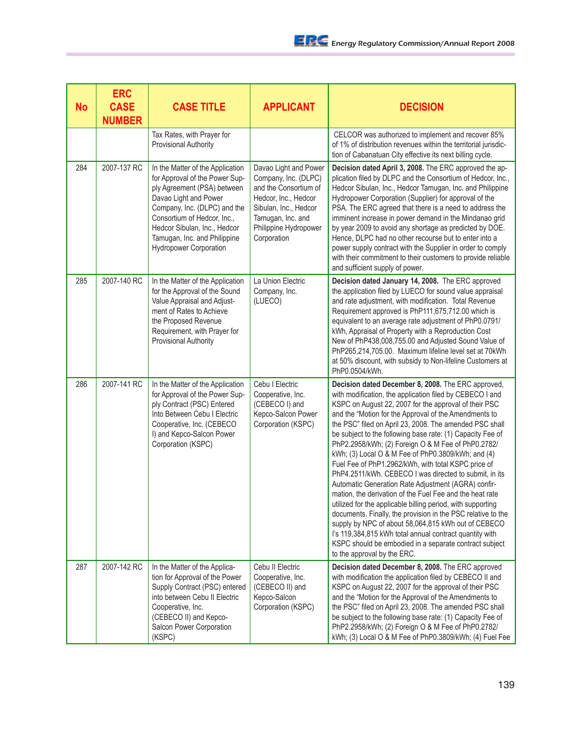| No  | <b>ERC</b><br><b>CASE</b><br><b>NUMBER</b> | <b>CASE TITLE</b>                                                                                                                                                                                                                                                                          | <b>APPLICANT</b>                                                                                                                                                                     | <b>DECISION</b>                                                                                                                                                                                                                                                                                                                                                                                                                                                                                                                                                                                                                                                                                                                                                                                                                                                                                                                                                                                                                                     |
|-----|--------------------------------------------|--------------------------------------------------------------------------------------------------------------------------------------------------------------------------------------------------------------------------------------------------------------------------------------------|--------------------------------------------------------------------------------------------------------------------------------------------------------------------------------------|-----------------------------------------------------------------------------------------------------------------------------------------------------------------------------------------------------------------------------------------------------------------------------------------------------------------------------------------------------------------------------------------------------------------------------------------------------------------------------------------------------------------------------------------------------------------------------------------------------------------------------------------------------------------------------------------------------------------------------------------------------------------------------------------------------------------------------------------------------------------------------------------------------------------------------------------------------------------------------------------------------------------------------------------------------|
|     |                                            | Tax Rates, with Prayer for<br>Provisional Authority                                                                                                                                                                                                                                        |                                                                                                                                                                                      | CELCOR was authorized to implement and recover 85%<br>of 1% of distribution revenues within the territorial jurisdic-<br>tion of Cabanatuan City effective its next billing cycle.                                                                                                                                                                                                                                                                                                                                                                                                                                                                                                                                                                                                                                                                                                                                                                                                                                                                  |
| 284 | 2007-137 RC                                | In the Matter of the Application<br>for Approval of the Power Sup-<br>ply Agreement (PSA) between<br>Davao Light and Power<br>Company, Inc. (DLPC) and the<br>Consortium of Hedcor, Inc.,<br>Hedcor Sibulan, Inc., Hedcor<br>Tamugan, Inc. and Philippine<br><b>Hydropower Corporation</b> | Davao Light and Power<br>Company, Inc. (DLPC)<br>and the Consortium of<br>Hedcor, Inc., Hedcor<br>Sibulan, Inc., Hedcor<br>Tamugan, Inc. and<br>Philippine Hydropower<br>Corporation | Decision dated April 3, 2008. The ERC approved the ap-<br>plication filed by DLPC and the Consortium of Hedcor, Inc.,<br>Hedcor Sibulan, Inc., Hedcor Tamugan, Inc. and Philippine<br>Hydropower Corporation (Supplier) for approval of the<br>PSA. The ERC agreed that there is a need to address the<br>imminent increase in power demand in the Mindanao grid<br>by year 2009 to avoid any shortage as predicted by DOE.<br>Hence, DLPC had no other recourse but to enter into a<br>power supply contract with the Supplier in order to comply<br>with their commitment to their customers to provide reliable<br>and sufficient supply of power.                                                                                                                                                                                                                                                                                                                                                                                               |
| 285 | 2007-140 RC                                | In the Matter of the Application<br>for the Approval of the Sound<br>Value Appraisal and Adjust-<br>ment of Rates to Achieve<br>the Proposed Revenue<br>Requirement, with Prayer for<br>Provisional Authority                                                                              | La Union Electric<br>Company, Inc.<br>(LUECO)                                                                                                                                        | Decision dated January 14, 2008. The ERC approved<br>the application filed by LUECO for sound value appraisal<br>and rate adjustment, with modification. Total Revenue<br>Requirement approved is PhP111,675,712.00 which is<br>equivalent to an average rate adjustment of PhP0.0791/<br>kWh, Appraisal of Property with a Reproduction Cost<br>New of PhP438,008,755.00 and Adjusted Sound Value of<br>PhP265,214,705.00. Maximum lifeline level set at 70kWh<br>at 50% discount, with subsidy to Non-lifeline Customers at<br>PhP0.0504/kWh.                                                                                                                                                                                                                                                                                                                                                                                                                                                                                                     |
| 286 | 2007-141 RC                                | In the Matter of the Application<br>for Approval of the Power Sup-<br>ply Contract (PSC) Entered<br>Into Between Cebu I Electric<br>Cooperative, Inc. (CEBECO<br>I) and Kepco-Salcon Power<br>Corporation (KSPC)                                                                           | Cebu I Electric<br>Cooperative, Inc.<br>(CEBECO I) and<br>Kepco-Salcon Power<br>Corporation (KSPC)                                                                                   | Decision dated December 8, 2008. The ERC approved,<br>with modification, the application filed by CEBECO I and<br>KSPC on August 22, 2007 for the approval of their PSC<br>and the "Motion for the Approval of the Amendments to<br>the PSC" filed on April 23, 2008. The amended PSC shall<br>be subject to the following base rate: (1) Capacity Fee of<br>PhP2.2958/kWh; (2) Foreign O & M Fee of PhP0.2782/<br>kWh; (3) Local O & M Fee of PhP0.3809/kWh; and (4)<br>Fuel Fee of PhP1.2962/kWh, with total KSPC price of<br>PhP4.2511/kWh. CEBECO I was directed to submit, in its<br>Automatic Generation Rate Adjustment (AGRA) confir-<br>mation, the derivation of the Fuel Fee and the heat rate<br>utilized for the applicable billing period, with supporting<br>documents. Finally, the provision in the PSC relative to the<br>supply by NPC of about 58,064,815 kWh out of CEBECO<br>I's 119,384,815 kWh total annual contract quantity with<br>KSPC should be embodied in a separate contract subject<br>to the approval by the ERC. |
| 287 | 2007-142 RC                                | In the Matter of the Applica-<br>tion for Approval of the Power<br>Supply Contract (PSC) entered<br>into between Cebu II Electric<br>Cooperative, Inc.<br>(CEBECO II) and Kepco-<br>Salcon Power Corporation<br>(KSPC)                                                                     | Cebu II Electric<br>Cooperative, Inc.<br>(CEBECO II) and<br>Kepco-Salcon<br>Corporation (KSPC)                                                                                       | Decision dated December 8, 2008. The ERC approved<br>with modification the application filed by CEBECO II and<br>KSPC on August 22, 2007 for the approval of their PSC<br>and the "Motion for the Approval of the Amendments to<br>the PSC" filed on April 23, 2008. The amended PSC shall<br>be subject to the following base rate: (1) Capacity Fee of<br>PhP2.2958/kWh; (2) Foreign O & M Fee of PhP0.2782/<br>kWh; (3) Local O & M Fee of PhP0.3809/kWh; (4) Fuel Fee                                                                                                                                                                                                                                                                                                                                                                                                                                                                                                                                                                           |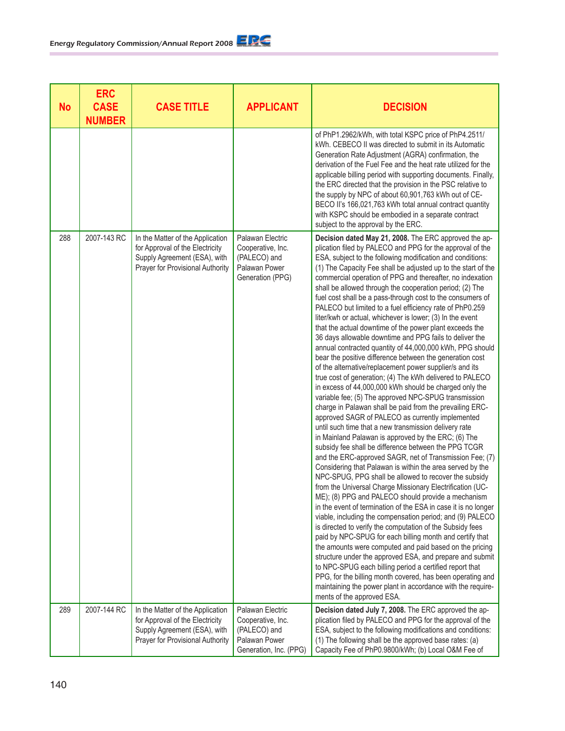| <b>No</b> | <b>ERC</b><br><b>CASE</b><br><b>NUMBER</b> | <b>CASE TITLE</b>                                                                                                                       | <b>APPLICANT</b>                                                                                 | <b>DECISION</b>                                                                                                                                                                                                                                                                                                                                                                                                                                                                                                                                                                                                                                                                                                                                                                                                                                                                                                                                                                                                                                                                                                                                                                                                                                                                                                                                                                                                                                                                                                                                                                                                                                                                                                                                                                                                                                                                                                                                                                                                                                                                                                                                                                                                                                           |
|-----------|--------------------------------------------|-----------------------------------------------------------------------------------------------------------------------------------------|--------------------------------------------------------------------------------------------------|-----------------------------------------------------------------------------------------------------------------------------------------------------------------------------------------------------------------------------------------------------------------------------------------------------------------------------------------------------------------------------------------------------------------------------------------------------------------------------------------------------------------------------------------------------------------------------------------------------------------------------------------------------------------------------------------------------------------------------------------------------------------------------------------------------------------------------------------------------------------------------------------------------------------------------------------------------------------------------------------------------------------------------------------------------------------------------------------------------------------------------------------------------------------------------------------------------------------------------------------------------------------------------------------------------------------------------------------------------------------------------------------------------------------------------------------------------------------------------------------------------------------------------------------------------------------------------------------------------------------------------------------------------------------------------------------------------------------------------------------------------------------------------------------------------------------------------------------------------------------------------------------------------------------------------------------------------------------------------------------------------------------------------------------------------------------------------------------------------------------------------------------------------------------------------------------------------------------------------------------------------------|
|           |                                            |                                                                                                                                         |                                                                                                  | of PhP1.2962/kWh, with total KSPC price of PhP4.2511/<br>kWh. CEBECO II was directed to submit in its Automatic<br>Generation Rate Adjustment (AGRA) confirmation, the<br>derivation of the Fuel Fee and the heat rate utilized for the<br>applicable billing period with supporting documents. Finally,<br>the ERC directed that the provision in the PSC relative to<br>the supply by NPC of about 60,901,763 kWh out of CE-<br>BECO II's 166,021,763 kWh total annual contract quantity<br>with KSPC should be embodied in a separate contract<br>subject to the approval by the ERC.                                                                                                                                                                                                                                                                                                                                                                                                                                                                                                                                                                                                                                                                                                                                                                                                                                                                                                                                                                                                                                                                                                                                                                                                                                                                                                                                                                                                                                                                                                                                                                                                                                                                  |
| 288       | 2007-143 RC                                | In the Matter of the Application<br>for Approval of the Electricity<br>Supply Agreement (ESA), with<br>Prayer for Provisional Authority | Palawan Electric<br>Cooperative, Inc.<br>(PALECO) and<br>Palawan Power<br>Generation (PPG)       | Decision dated May 21, 2008. The ERC approved the ap-<br>plication filed by PALECO and PPG for the approval of the<br>ESA, subject to the following modification and conditions:<br>(1) The Capacity Fee shall be adjusted up to the start of the<br>commercial operation of PPG and thereafter, no indexation<br>shall be allowed through the cooperation period; (2) The<br>fuel cost shall be a pass-through cost to the consumers of<br>PALECO but limited to a fuel efficiency rate of PhP0.259<br>liter/kwh or actual, whichever is lower; (3) In the event<br>that the actual downtime of the power plant exceeds the<br>36 days allowable downtime and PPG fails to deliver the<br>annual contracted quantity of 44,000,000 kWh, PPG should<br>bear the positive difference between the generation cost<br>of the alternative/replacement power supplier/s and its<br>true cost of generation; (4) The kWh delivered to PALECO<br>in excess of 44,000,000 kWh should be charged only the<br>variable fee; (5) The approved NPC-SPUG transmission<br>charge in Palawan shall be paid from the prevailing ERC-<br>approved SAGR of PALECO as currently implemented<br>until such time that a new transmission delivery rate<br>in Mainland Palawan is approved by the ERC; (6) The<br>subsidy fee shall be difference between the PPG TCGR<br>and the ERC-approved SAGR, net of Transmission Fee; (7)<br>Considering that Palawan is within the area served by the<br>NPC-SPUG, PPG shall be allowed to recover the subsidy<br>from the Universal Charge Missionary Electrification (UC-<br>ME); (8) PPG and PALECO should provide a mechanism<br>in the event of termination of the ESA in case it is no longer<br>viable, including the compensation period; and (9) PALECO<br>is directed to verify the computation of the Subsidy fees<br>paid by NPC-SPUG for each billing month and certify that<br>the amounts were computed and paid based on the pricing<br>structure under the approved ESA, and prepare and submit<br>to NPC-SPUG each billing period a certified report that<br>PPG, for the billing month covered, has been operating and<br>maintaining the power plant in accordance with the require-<br>ments of the approved ESA. |
| 289       | 2007-144 RC                                | In the Matter of the Application<br>for Approval of the Electricity<br>Supply Agreement (ESA), with<br>Prayer for Provisional Authority | Palawan Electric<br>Cooperative, Inc.<br>(PALECO) and<br>Palawan Power<br>Generation, Inc. (PPG) | Decision dated July 7, 2008. The ERC approved the ap-<br>plication filed by PALECO and PPG for the approval of the<br>ESA, subject to the following modifications and conditions:<br>(1) The following shall be the approved base rates: (a)<br>Capacity Fee of PhP0.9800/kWh; (b) Local O&M Fee of                                                                                                                                                                                                                                                                                                                                                                                                                                                                                                                                                                                                                                                                                                                                                                                                                                                                                                                                                                                                                                                                                                                                                                                                                                                                                                                                                                                                                                                                                                                                                                                                                                                                                                                                                                                                                                                                                                                                                       |

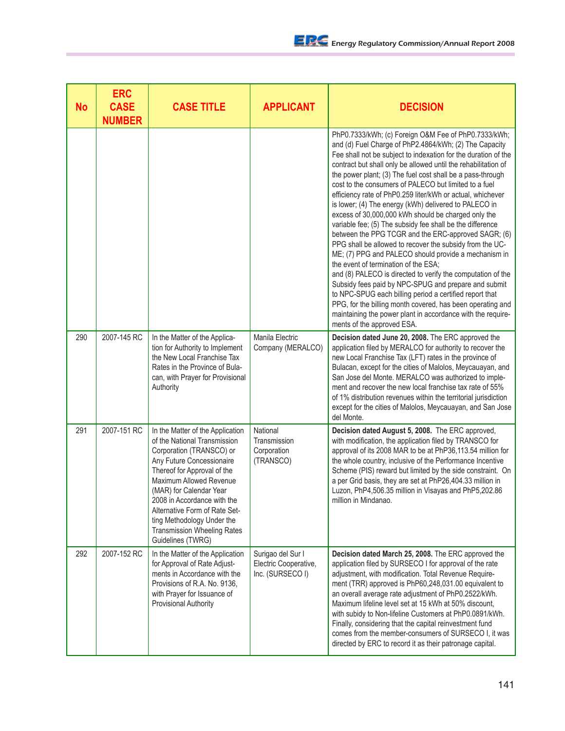| No  | <b>ERC</b><br><b>CASE</b><br><b>NUMBER</b> | <b>CASE TITLE</b>                                                                                                                                                                                                                                                                                                                                                       | <b>APPLICANT</b>                                               | <b>DECISION</b>                                                                                                                                                                                                                                                                                                                                                                                                                                                                                                                                                                                                                                                                                                                                                                                                                                                                                                                                                                                                                                                                                                                                                                      |
|-----|--------------------------------------------|-------------------------------------------------------------------------------------------------------------------------------------------------------------------------------------------------------------------------------------------------------------------------------------------------------------------------------------------------------------------------|----------------------------------------------------------------|--------------------------------------------------------------------------------------------------------------------------------------------------------------------------------------------------------------------------------------------------------------------------------------------------------------------------------------------------------------------------------------------------------------------------------------------------------------------------------------------------------------------------------------------------------------------------------------------------------------------------------------------------------------------------------------------------------------------------------------------------------------------------------------------------------------------------------------------------------------------------------------------------------------------------------------------------------------------------------------------------------------------------------------------------------------------------------------------------------------------------------------------------------------------------------------|
|     |                                            |                                                                                                                                                                                                                                                                                                                                                                         |                                                                | PhP0.7333/kWh; (c) Foreign O&M Fee of PhP0.7333/kWh;<br>and (d) Fuel Charge of PhP2.4864/kWh; (2) The Capacity<br>Fee shall not be subject to indexation for the duration of the<br>contract but shall only be allowed until the rehabilitation of<br>the power plant; (3) The fuel cost shall be a pass-through<br>cost to the consumers of PALECO but limited to a fuel<br>efficiency rate of PhP0.259 liter/kWh or actual, whichever<br>is lower; (4) The energy (kWh) delivered to PALECO in<br>excess of 30,000,000 kWh should be charged only the<br>variable fee; (5) The subsidy fee shall be the difference<br>between the PPG TCGR and the ERC-approved SAGR; (6)<br>PPG shall be allowed to recover the subsidy from the UC-<br>ME; (7) PPG and PALECO should provide a mechanism in<br>the event of termination of the ESA;<br>and (8) PALECO is directed to verify the computation of the<br>Subsidy fees paid by NPC-SPUG and prepare and submit<br>to NPC-SPUG each billing period a certified report that<br>PPG, for the billing month covered, has been operating and<br>maintaining the power plant in accordance with the require-<br>ments of the approved ESA. |
| 290 | 2007-145 RC                                | In the Matter of the Applica-<br>tion for Authority to Implement<br>the New Local Franchise Tax<br>Rates in the Province of Bula-<br>can, with Prayer for Provisional<br>Authority                                                                                                                                                                                      | Manila Electric<br>Company (MERALCO)                           | Decision dated June 20, 2008. The ERC approved the<br>application filed by MERALCO for authority to recover the<br>new Local Franchise Tax (LFT) rates in the province of<br>Bulacan, except for the cities of Malolos, Meycauayan, and<br>San Jose del Monte. MERALCO was authorized to imple-<br>ment and recover the new local franchise tax rate of 55%<br>of 1% distribution revenues within the territorial jurisdiction<br>except for the cities of Malolos, Meycauayan, and San Jose<br>del Monte.                                                                                                                                                                                                                                                                                                                                                                                                                                                                                                                                                                                                                                                                           |
| 291 | 2007-151 RC                                | In the Matter of the Application<br>of the National Transmission<br>Corporation (TRANSCO) or<br>Any Future Concessionaire<br>Thereof for Approval of the<br>Maximum Allowed Revenue<br>(MAR) for Calendar Year<br>2008 in Accordance with the<br>Alternative Form of Rate Set-<br>ting Methodology Under the<br><b>Transmission Wheeling Rates</b><br>Guidelines (TWRG) | National<br>Transmission<br>Corporation<br>(TRANSCO)           | Decision dated August 5, 2008. The ERC approved,<br>with modification, the application filed by TRANSCO for<br>approval of its 2008 MAR to be at PhP36,113.54 million for<br>the whole country, inclusive of the Performance Incentive<br>Scheme (PIS) reward but limited by the side constraint. On<br>a per Grid basis, they are set at PhP26,404.33 million in<br>Luzon, PhP4,506.35 million in Visayas and PhP5,202.86<br>million in Mindanao.                                                                                                                                                                                                                                                                                                                                                                                                                                                                                                                                                                                                                                                                                                                                   |
| 292 | 2007-152 RC                                | In the Matter of the Application<br>for Approval of Rate Adjust-<br>ments in Accordance with the<br>Provisions of R.A. No. 9136,<br>with Prayer for Issuance of<br>Provisional Authority                                                                                                                                                                                | Surigao del Sur I<br>Electric Cooperative,<br>Inc. (SURSECO I) | Decision dated March 25, 2008. The ERC approved the<br>application filed by SURSECO I for approval of the rate<br>adjustment, with modification. Total Revenue Require-<br>ment (TRR) approved is PhP60,248,031.00 equivalent to<br>an overall average rate adjustment of PhP0.2522/kWh.<br>Maximum lifeline level set at 15 kWh at 50% discount,<br>with subidy to Non-lifeline Customers at PhP0.0891/kWh.<br>Finally, considering that the capital reinvestment fund<br>comes from the member-consumers of SURSECO I, it was<br>directed by ERC to record it as their patronage capital.                                                                                                                                                                                                                                                                                                                                                                                                                                                                                                                                                                                          |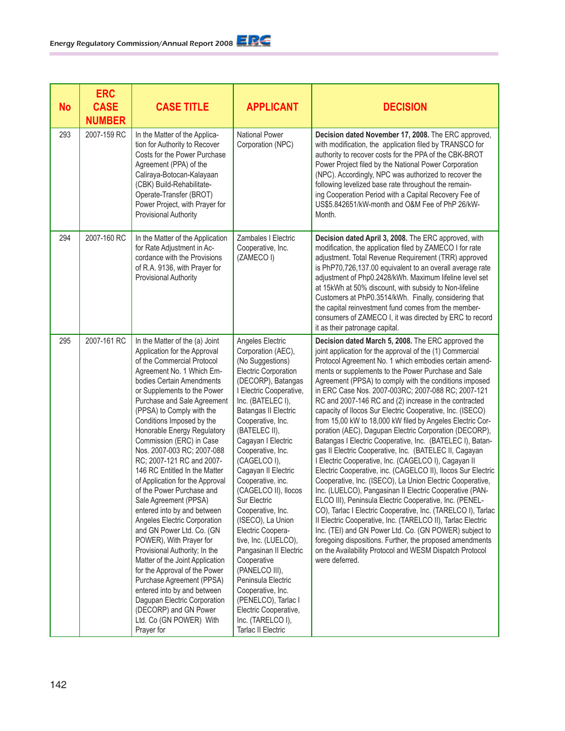| <b>No</b> | <b>ERC</b><br><b>CASE</b><br><b>NUMBER</b> | <b>CASE TITLE</b>                                                                                                                                                                                                                                                                                                                                                                                                                                                                                                                                                                                                                                                                                                                                                                                                                                                                                                        | <b>APPLICANT</b>                                                                                                                                                                                                                                                                                                                                                                                                                                                                                                                                                                                                                                                            | <b>DECISION</b>                                                                                                                                                                                                                                                                                                                                                                                                                                                                                                                                                                                                                                                                                                                                                                                                                                                                                                                                                                                                                                                                                                                                                                                                                                                                                                                                                  |
|-----------|--------------------------------------------|--------------------------------------------------------------------------------------------------------------------------------------------------------------------------------------------------------------------------------------------------------------------------------------------------------------------------------------------------------------------------------------------------------------------------------------------------------------------------------------------------------------------------------------------------------------------------------------------------------------------------------------------------------------------------------------------------------------------------------------------------------------------------------------------------------------------------------------------------------------------------------------------------------------------------|-----------------------------------------------------------------------------------------------------------------------------------------------------------------------------------------------------------------------------------------------------------------------------------------------------------------------------------------------------------------------------------------------------------------------------------------------------------------------------------------------------------------------------------------------------------------------------------------------------------------------------------------------------------------------------|------------------------------------------------------------------------------------------------------------------------------------------------------------------------------------------------------------------------------------------------------------------------------------------------------------------------------------------------------------------------------------------------------------------------------------------------------------------------------------------------------------------------------------------------------------------------------------------------------------------------------------------------------------------------------------------------------------------------------------------------------------------------------------------------------------------------------------------------------------------------------------------------------------------------------------------------------------------------------------------------------------------------------------------------------------------------------------------------------------------------------------------------------------------------------------------------------------------------------------------------------------------------------------------------------------------------------------------------------------------|
| 293       | 2007-159 RC                                | In the Matter of the Applica-<br>tion for Authority to Recover<br>Costs for the Power Purchase<br>Agreement (PPA) of the<br>Caliraya-Botocan-Kalayaan<br>(CBK) Build-Rehabilitate-<br>Operate-Transfer (BROT)<br>Power Project, with Prayer for<br>Provisional Authority                                                                                                                                                                                                                                                                                                                                                                                                                                                                                                                                                                                                                                                 | <b>National Power</b><br>Corporation (NPC)                                                                                                                                                                                                                                                                                                                                                                                                                                                                                                                                                                                                                                  | Decision dated November 17, 2008. The ERC approved,<br>with modification, the application filed by TRANSCO for<br>authority to recover costs for the PPA of the CBK-BROT<br>Power Project filed by the National Power Corporation<br>(NPC). Accordingly, NPC was authorized to recover the<br>following levelized base rate throughout the remain-<br>ing Cooperation Period with a Capital Recovery Fee of<br>US\$5.842651/kW-month and O&M Fee of PhP 26/kW-<br>Month.                                                                                                                                                                                                                                                                                                                                                                                                                                                                                                                                                                                                                                                                                                                                                                                                                                                                                         |
| 294       | 2007-160 RC                                | In the Matter of the Application<br>for Rate Adjustment in Ac-<br>cordance with the Provisions<br>of R.A. 9136, with Prayer for<br>Provisional Authority                                                                                                                                                                                                                                                                                                                                                                                                                                                                                                                                                                                                                                                                                                                                                                 | Zambales   Electric<br>Cooperative, Inc.<br>(ZAMECO I)                                                                                                                                                                                                                                                                                                                                                                                                                                                                                                                                                                                                                      | Decision dated April 3, 2008. The ERC approved, with<br>modification, the application filed by ZAMECO I for rate<br>adjustment. Total Revenue Requirement (TRR) approved<br>is PhP70,726,137.00 equivalent to an overall average rate<br>adjustment of Php0.2428/kWh. Maximum lifeline level set<br>at 15kWh at 50% discount, with subsidy to Non-lifeline<br>Customers at PhP0.3514/kWh. Finally, considering that<br>the capital reinvestment fund comes from the member-<br>consumers of ZAMECO I, it was directed by ERC to record<br>it as their patronage capital.                                                                                                                                                                                                                                                                                                                                                                                                                                                                                                                                                                                                                                                                                                                                                                                         |
| 295       | 2007-161 RC                                | In the Matter of the (a) Joint<br>Application for the Approval<br>of the Commercial Protocol<br>Agreement No. 1 Which Em-<br>bodies Certain Amendments<br>or Supplements to the Power<br>Purchase and Sale Agreement<br>(PPSA) to Comply with the<br>Conditions Imposed by the<br>Honorable Energy Regulatory<br>Commission (ERC) in Case<br>Nos. 2007-003 RC; 2007-088<br>RC; 2007-121 RC and 2007-<br>146 RC Entitled In the Matter<br>of Application for the Approval<br>of the Power Purchase and<br>Sale Agreement (PPSA)<br>entered into by and between<br>Angeles Electric Corporation<br>and GN Power Ltd. Co. (GN<br>POWER), With Prayer for<br>Provisional Authority; In the<br>Matter of the Joint Application<br>for the Approval of the Power<br>Purchase Agreement (PPSA)<br>entered into by and between<br>Dagupan Electric Corporation<br>(DECORP) and GN Power<br>Ltd. Co (GN POWER) With<br>Prayer for | Angeles Electric<br>Corporation (AEC),<br>(No Suggestions)<br><b>Electric Corporation</b><br>(DECORP), Batangas<br>I Electric Cooperative,<br>Inc. (BATELEC I),<br>Batangas II Electric<br>Cooperative, Inc.<br>(BATELEC II),<br>Cagayan I Electric<br>Cooperative, Inc.<br>(CAGELCO I),<br>Cagayan II Electric<br>Cooperative, inc.<br>(CAGELCO II), Ilocos<br>Sur Electric<br>Cooperative, Inc.<br>(ISECO), La Union<br>Electric Coopera-<br>tive, Inc. (LUELCO),<br>Pangasinan II Electric<br>Cooperative<br>(PANELCO III),<br>Peninsula Electric<br>Cooperative, Inc.<br>(PENELCO), Tarlac I<br>Electric Cooperative,<br>Inc. (TARELCO I),<br><b>Tarlac II Electric</b> | Decision dated March 5, 2008. The ERC approved the<br>joint application for the approval of the (1) Commercial<br>Protocol Agreement No. 1 which embodies certain amend-<br>ments or supplements to the Power Purchase and Sale<br>Agreement (PPSA) to comply with the conditions imposed<br>in ERC Case Nos. 2007-003RC; 2007-088 RC; 2007-121<br>RC and 2007-146 RC and (2) increase in the contracted<br>capacity of Ilocos Sur Electric Cooperative, Inc. (ISECO)<br>from 15,00 kW to 18,000 kW filed by Angeles Electric Cor-<br>poration (AEC), Dagupan Electric Corporation (DECORP),<br>Batangas I Electric Cooperative, Inc. (BATELEC I), Batan-<br>gas II Electric Cooperative, Inc. (BATELEC II, Cagayan<br>I Electric Cooperative, Inc. (CAGELCO I), Cagayan II<br>Electric Cooperative, inc. (CAGELCO II), Ilocos Sur Electric<br>Cooperative, Inc. (ISECO), La Union Electric Cooperative,<br>Inc. (LUELCO), Pangasinan II Electric Cooperative (PAN-<br>ELCO III), Peninsula Electric Cooperative, Inc. (PENEL-<br>CO), Tarlac I Electric Cooperative, Inc. (TARELCO I), Tarlac<br>Il Electric Cooperative, Inc. (TARELCO II), Tarlac Electric<br>Inc. (TEI) and GN Power Ltd. Co. (GN POWER) subject to<br>foregoing dispositions. Further, the proposed amendments<br>on the Availability Protocol and WESM Dispatch Protocol<br>were deferred. |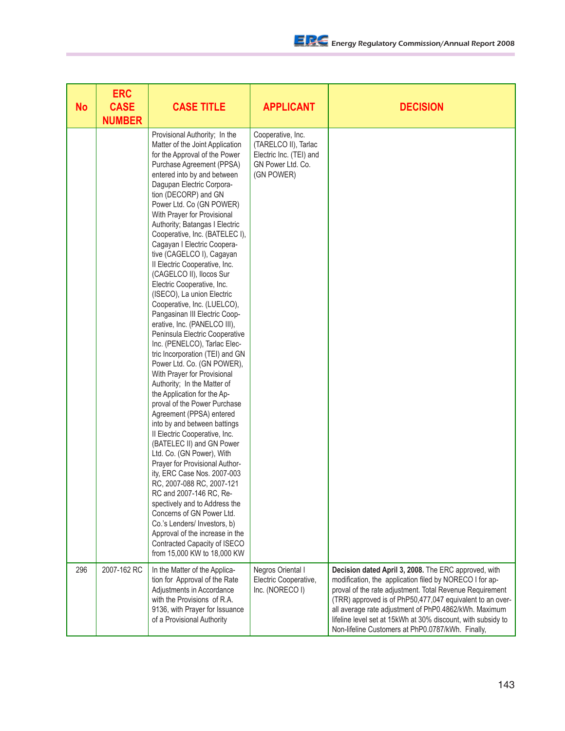| <b>No</b> | <b>ERC</b><br><b>CASE</b><br><b>NUMBER</b> | <b>CASE TITLE</b>                                                                                                                                                                                                                                                                                                                                                                                                                                                                                                                                                                                                                                                                                                                                                                                                                                                                                                                                                                                                                                                                                                                                                                                                                                                                                                                                                                      | <b>APPLICANT</b>                                                                                        | <b>DECISION</b>                                                                                                                                                                                                                                                                                                                                                                                                        |
|-----------|--------------------------------------------|----------------------------------------------------------------------------------------------------------------------------------------------------------------------------------------------------------------------------------------------------------------------------------------------------------------------------------------------------------------------------------------------------------------------------------------------------------------------------------------------------------------------------------------------------------------------------------------------------------------------------------------------------------------------------------------------------------------------------------------------------------------------------------------------------------------------------------------------------------------------------------------------------------------------------------------------------------------------------------------------------------------------------------------------------------------------------------------------------------------------------------------------------------------------------------------------------------------------------------------------------------------------------------------------------------------------------------------------------------------------------------------|---------------------------------------------------------------------------------------------------------|------------------------------------------------------------------------------------------------------------------------------------------------------------------------------------------------------------------------------------------------------------------------------------------------------------------------------------------------------------------------------------------------------------------------|
|           |                                            | Provisional Authority; In the<br>Matter of the Joint Application<br>for the Approval of the Power<br>Purchase Agreement (PPSA)<br>entered into by and between<br>Dagupan Electric Corpora-<br>tion (DECORP) and GN<br>Power Ltd. Co (GN POWER)<br>With Prayer for Provisional<br>Authority; Batangas I Electric<br>Cooperative, Inc. (BATELEC I),<br>Cagayan I Electric Coopera-<br>tive (CAGELCO I), Cagayan<br>Il Electric Cooperative, Inc.<br>(CAGELCO II), Ilocos Sur<br>Electric Cooperative, Inc.<br>(ISECO), La union Electric<br>Cooperative, Inc. (LUELCO),<br>Pangasinan III Electric Coop-<br>erative, Inc. (PANELCO III),<br>Peninsula Electric Cooperative<br>Inc. (PENELCO), Tarlac Elec-<br>tric Incorporation (TEI) and GN<br>Power Ltd. Co. (GN POWER),<br>With Prayer for Provisional<br>Authority; In the Matter of<br>the Application for the Ap-<br>proval of the Power Purchase<br>Agreement (PPSA) entered<br>into by and between battings<br>Il Electric Cooperative, Inc.<br>(BATELEC II) and GN Power<br>Ltd. Co. (GN Power), With<br>Prayer for Provisional Author-<br>ity, ERC Case Nos. 2007-003<br>RC, 2007-088 RC, 2007-121<br>RC and 2007-146 RC, Re-<br>spectively and to Address the<br>Concerns of GN Power Ltd.<br>Co.'s Lenders/ Investors, b)<br>Approval of the increase in the<br>Contracted Capacity of ISECO<br>from 15,000 KW to 18,000 KW | Cooperative, Inc.<br>(TARELCO II), Tarlac<br>Electric Inc. (TEI) and<br>GN Power Ltd. Co.<br>(GN POWER) |                                                                                                                                                                                                                                                                                                                                                                                                                        |
| 296       | 2007-162 RC                                | In the Matter of the Applica-<br>tion for Approval of the Rate<br>Adjustments in Accordance<br>with the Provisions of R.A.<br>9136, with Prayer for Issuance<br>of a Provisional Authority                                                                                                                                                                                                                                                                                                                                                                                                                                                                                                                                                                                                                                                                                                                                                                                                                                                                                                                                                                                                                                                                                                                                                                                             | Negros Oriental I<br>Electric Cooperative,<br>Inc. (NORECO I)                                           | Decision dated April 3, 2008. The ERC approved, with<br>modification, the application filed by NORECO I for ap-<br>proval of the rate adjustment. Total Revenue Requirement<br>(TRR) approved is of PhP50,477,047 equivalent to an over-<br>all average rate adjustment of PhP0.4862/kWh. Maximum<br>lifeline level set at 15kWh at 30% discount, with subsidy to<br>Non-lifeline Customers at PhP0.0787/kWh. Finally, |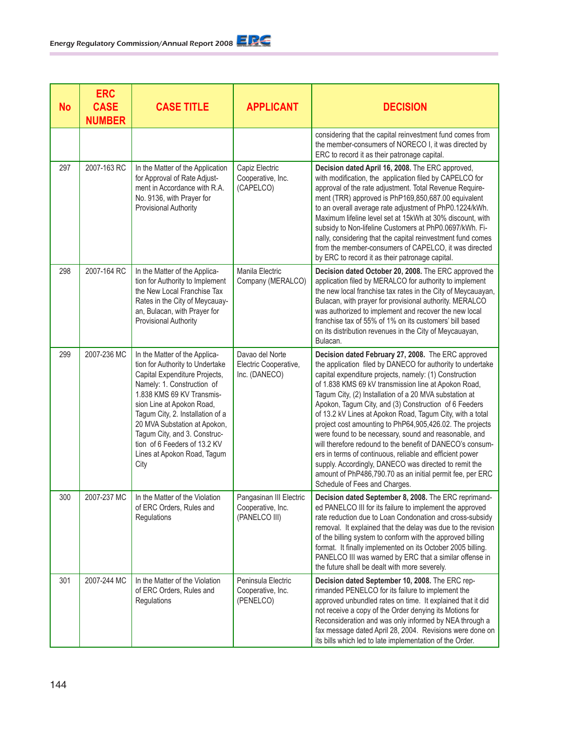| <b>No</b> | <b>ERC</b><br><b>CASE</b><br><b>NUMBER</b> | <b>CASE TITLE</b>                                                                                                                                                                                                                                                                                                                                                    | <b>APPLICANT</b>                                              | <b>DECISION</b>                                                                                                                                                                                                                                                                                                                                                                                                                                                                                                                                                                                                                                                                                                                                                                                                         |
|-----------|--------------------------------------------|----------------------------------------------------------------------------------------------------------------------------------------------------------------------------------------------------------------------------------------------------------------------------------------------------------------------------------------------------------------------|---------------------------------------------------------------|-------------------------------------------------------------------------------------------------------------------------------------------------------------------------------------------------------------------------------------------------------------------------------------------------------------------------------------------------------------------------------------------------------------------------------------------------------------------------------------------------------------------------------------------------------------------------------------------------------------------------------------------------------------------------------------------------------------------------------------------------------------------------------------------------------------------------|
|           |                                            |                                                                                                                                                                                                                                                                                                                                                                      |                                                               | considering that the capital reinvestment fund comes from<br>the member-consumers of NORECO I, it was directed by<br>ERC to record it as their patronage capital.                                                                                                                                                                                                                                                                                                                                                                                                                                                                                                                                                                                                                                                       |
| 297       | 2007-163 RC                                | In the Matter of the Application<br>for Approval of Rate Adjust-<br>ment in Accordance with R.A.<br>No. 9136, with Prayer for<br>Provisional Authority                                                                                                                                                                                                               | Capiz Electric<br>Cooperative, Inc.<br>(CAPELCO)              | Decision dated April 16, 2008. The ERC approved,<br>with modification, the application filed by CAPELCO for<br>approval of the rate adjustment. Total Revenue Require-<br>ment (TRR) approved is PhP169,850,687.00 equivalent<br>to an overall average rate adjustment of PhP0.1224/kWh.<br>Maximum lifeline level set at 15kWh at 30% discount, with<br>subsidy to Non-lifeline Customers at PhP0.0697/kWh. Fi-<br>nally, considering that the capital reinvestment fund comes<br>from the member-consumers of CAPELCO, it was directed<br>by ERC to record it as their patronage capital.                                                                                                                                                                                                                             |
| 298       | 2007-164 RC                                | In the Matter of the Applica-<br>tion for Authority to Implement<br>the New Local Franchise Tax<br>Rates in the City of Meycauay-<br>an, Bulacan, with Prayer for<br>Provisional Authority                                                                                                                                                                           | Manila Electric<br>Company (MERALCO)                          | Decision dated October 20, 2008. The ERC approved the<br>application filed by MERALCO for authority to implement<br>the new local franchise tax rates in the City of Meycauayan,<br>Bulacan, with prayer for provisional authority. MERALCO<br>was authorized to implement and recover the new local<br>franchise tax of 55% of 1% on its customers' bill based<br>on its distribution revenues in the City of Meycauayan,<br>Bulacan.                                                                                                                                                                                                                                                                                                                                                                                  |
| 299       | 2007-236 MC                                | In the Matter of the Applica-<br>tion for Authority to Undertake<br>Capital Expenditure Projects,<br>Namely: 1. Construction of<br>1.838 KMS 69 KV Transmis-<br>sion Line at Apokon Road,<br>Tagum City, 2. Installation of a<br>20 MVA Substation at Apokon,<br>Tagum City, and 3. Construc-<br>tion of 6 Feeders of 13.2 KV<br>Lines at Apokon Road, Tagum<br>City | Davao del Norte<br>Electric Cooperative,<br>Inc. (DANECO)     | Decision dated February 27, 2008. The ERC approved<br>the application filed by DANECO for authority to undertake<br>capital expenditure projects, namely: (1) Construction<br>of 1.838 KMS 69 kV transmission line at Apokon Road,<br>Tagum City, (2) Installation of a 20 MVA substation at<br>Apokon, Tagum City, and (3) Construction of 6 Feeders<br>of 13.2 kV Lines at Apokon Road, Tagum City, with a total<br>project cost amounting to PhP64,905,426.02. The projects<br>were found to be necessary, sound and reasonable, and<br>will therefore redound to the benefit of DANECO's consum-<br>ers in terms of continuous, reliable and efficient power<br>supply. Accordingly, DANECO was directed to remit the<br>amount of PhP486,790.70 as an initial permit fee, per ERC<br>Schedule of Fees and Charges. |
| 300       | 2007-237 MC                                | In the Matter of the Violation<br>of ERC Orders, Rules and<br>Regulations                                                                                                                                                                                                                                                                                            | Pangasinan III Electric<br>Cooperative, Inc.<br>(PANELCO III) | Decision dated September 8, 2008. The ERC reprimand-<br>ed PANELCO III for its failure to implement the approved<br>rate reduction due to Loan Condonation and cross-subsidy<br>removal. It explained that the delay was due to the revision<br>of the billing system to conform with the approved billing<br>format. It finally implemented on its October 2005 billing.<br>PANELCO III was warned by ERC that a similar offense in<br>the future shall be dealt with more severely.                                                                                                                                                                                                                                                                                                                                   |
| 301       | 2007-244 MC                                | In the Matter of the Violation<br>of ERC Orders, Rules and<br>Regulations                                                                                                                                                                                                                                                                                            | Peninsula Electric<br>Cooperative, Inc.<br>(PENELCO)          | Decision dated September 10, 2008. The ERC rep-<br>rimanded PENELCO for its failure to implement the<br>approved unbundled rates on time. It explained that it did<br>not receive a copy of the Order denying its Motions for<br>Reconsideration and was only informed by NEA through a<br>fax message dated April 28, 2004. Revisions were done on<br>its bills which led to late implementation of the Order.                                                                                                                                                                                                                                                                                                                                                                                                         |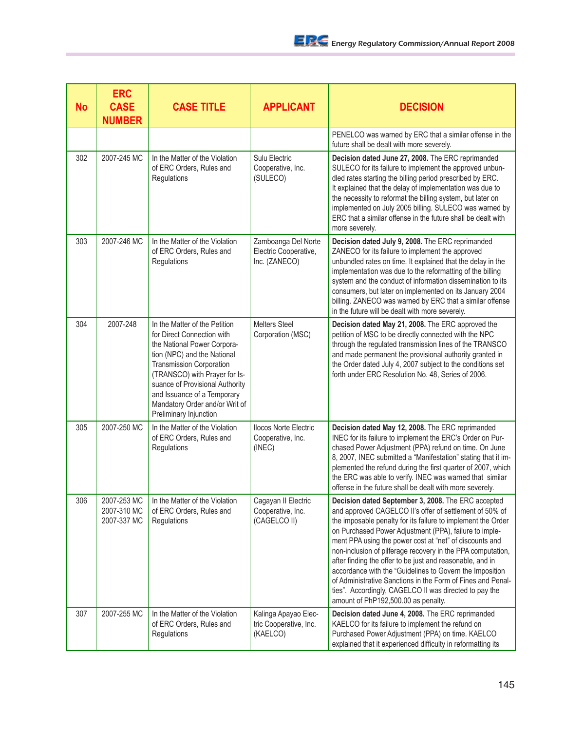| <b>No</b> | <b>ERC</b><br><b>CASE</b><br><b>NUMBER</b> | <b>CASE TITLE</b>                                                                                                                                                                                                                                                                                                           | <b>APPLICANT</b>                                              | <b>DECISION</b>                                                                                                                                                                                                                                                                                                                                                                                                                                                                                                                                                                                                                                            |
|-----------|--------------------------------------------|-----------------------------------------------------------------------------------------------------------------------------------------------------------------------------------------------------------------------------------------------------------------------------------------------------------------------------|---------------------------------------------------------------|------------------------------------------------------------------------------------------------------------------------------------------------------------------------------------------------------------------------------------------------------------------------------------------------------------------------------------------------------------------------------------------------------------------------------------------------------------------------------------------------------------------------------------------------------------------------------------------------------------------------------------------------------------|
|           |                                            |                                                                                                                                                                                                                                                                                                                             |                                                               | PENELCO was warned by ERC that a similar offense in the<br>future shall be dealt with more severely.                                                                                                                                                                                                                                                                                                                                                                                                                                                                                                                                                       |
| 302       | 2007-245 MC                                | In the Matter of the Violation<br>of ERC Orders, Rules and<br>Regulations                                                                                                                                                                                                                                                   | Sulu Electric<br>Cooperative, Inc.<br>(SULECO)                | Decision dated June 27, 2008. The ERC reprimanded<br>SULECO for its failure to implement the approved unbun-<br>dled rates starting the billing period prescribed by ERC.<br>It explained that the delay of implementation was due to<br>the necessity to reformat the billing system, but later on<br>implemented on July 2005 billing. SULECO was warned by<br>ERC that a similar offense in the future shall be dealt with<br>more severely.                                                                                                                                                                                                            |
| 303       | 2007-246 MC                                | In the Matter of the Violation<br>of ERC Orders, Rules and<br>Regulations                                                                                                                                                                                                                                                   | Zamboanga Del Norte<br>Electric Cooperative,<br>Inc. (ZANECO) | Decision dated July 9, 2008. The ERC reprimanded<br>ZANECO for its failure to implement the approved<br>unbundled rates on time. It explained that the delay in the<br>implementation was due to the reformatting of the billing<br>system and the conduct of information dissemination to its<br>consumers, but later on implemented on its January 2004<br>billing. ZANECO was warned by ERC that a similar offense<br>in the future will be dealt with more severely.                                                                                                                                                                                   |
| 304       | 2007-248                                   | In the Matter of the Petition<br>for Direct Connection with<br>the National Power Corpora-<br>tion (NPC) and the National<br><b>Transmission Corporation</b><br>(TRANSCO) with Prayer for Is-<br>suance of Provisional Authority<br>and Issuance of a Temporary<br>Mandatory Order and/or Writ of<br>Preliminary Injunction | <b>Melters Steel</b><br>Corporation (MSC)                     | Decision dated May 21, 2008. The ERC approved the<br>petition of MSC to be directly connected with the NPC<br>through the regulated transmission lines of the TRANSCO<br>and made permanent the provisional authority granted in<br>the Order dated July 4, 2007 subject to the conditions set<br>forth under ERC Resolution No. 48, Series of 2006.                                                                                                                                                                                                                                                                                                       |
| 305       | 2007-250 MC                                | In the Matter of the Violation<br>of ERC Orders, Rules and<br>Regulations                                                                                                                                                                                                                                                   | <b>Ilocos Norte Electric</b><br>Cooperative, Inc.<br>(INEC)   | Decision dated May 12, 2008. The ERC reprimanded<br>INEC for its failure to implement the ERC's Order on Pur-<br>chased Power Adjustment (PPA) refund on time. On June<br>8, 2007, INEC submitted a "Manifestation" stating that it im-<br>plemented the refund during the first quarter of 2007, which<br>the ERC was able to verify. INEC was warned that similar<br>offense in the future shall be dealt with more severely.                                                                                                                                                                                                                            |
| 306       | 2007-253 MC<br>2007-310 MC<br>2007-337 MC  | In the Matter of the Violation<br>of ERC Orders, Rules and<br>Regulations                                                                                                                                                                                                                                                   | Cagayan II Electric<br>Cooperative, Inc.<br>(CAGELCO II)      | Decision dated September 3, 2008. The ERC accepted<br>and approved CAGELCO II's offer of settlement of 50% of<br>the imposable penalty for its failure to implement the Order<br>on Purchased Power Adjustment (PPA), failure to imple-<br>ment PPA using the power cost at "net" of discounts and<br>non-inclusion of pilferage recovery in the PPA computation,<br>after finding the offer to be just and reasonable, and in<br>accordance with the "Guidelines to Govern the Imposition<br>of Administrative Sanctions in the Form of Fines and Penal-<br>ties". Accordingly, CAGELCO II was directed to pay the<br>amount of PhP192,500.00 as penalty. |
| 307       | 2007-255 MC                                | In the Matter of the Violation<br>of ERC Orders, Rules and<br>Regulations                                                                                                                                                                                                                                                   | Kalinga Apayao Elec-<br>tric Cooperative, Inc.<br>(KAELCO)    | Decision dated June 4, 2008. The ERC reprimanded<br>KAELCO for its failure to implement the refund on<br>Purchased Power Adjustment (PPA) on time. KAELCO<br>explained that it experienced difficulty in reformatting its                                                                                                                                                                                                                                                                                                                                                                                                                                  |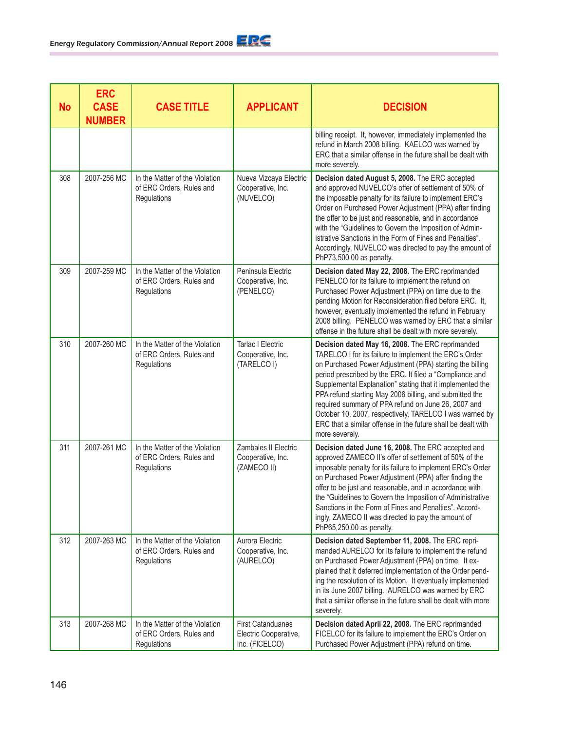| <b>No</b> | <b>ERC</b><br><b>CASE</b><br><b>NUMBER</b> | <b>CASE TITLE</b>                                                         | <b>APPLICANT</b>                                                    | <b>DECISION</b>                                                                                                                                                                                                                                                                                                                                                                                                                                                                                                                                                |
|-----------|--------------------------------------------|---------------------------------------------------------------------------|---------------------------------------------------------------------|----------------------------------------------------------------------------------------------------------------------------------------------------------------------------------------------------------------------------------------------------------------------------------------------------------------------------------------------------------------------------------------------------------------------------------------------------------------------------------------------------------------------------------------------------------------|
|           |                                            |                                                                           |                                                                     | billing receipt. It, however, immediately implemented the<br>refund in March 2008 billing. KAELCO was warned by<br>ERC that a similar offense in the future shall be dealt with<br>more severely.                                                                                                                                                                                                                                                                                                                                                              |
| 308       | 2007-256 MC                                | In the Matter of the Violation<br>of ERC Orders, Rules and<br>Regulations | Nueva Vizcaya Electric<br>Cooperative, Inc.<br>(NUVELCO)            | Decision dated August 5, 2008. The ERC accepted<br>and approved NUVELCO's offer of settlement of 50% of<br>the imposable penalty for its failure to implement ERC's<br>Order on Purchased Power Adjustment (PPA) after finding<br>the offer to be just and reasonable, and in accordance<br>with the "Guidelines to Govern the Imposition of Admin-<br>istrative Sanctions in the Form of Fines and Penalties".<br>Accordingly, NUVELCO was directed to pay the amount of<br>PhP73,500.00 as penalty.                                                          |
| 309       | 2007-259 MC                                | In the Matter of the Violation<br>of ERC Orders, Rules and<br>Regulations | Peninsula Electric<br>Cooperative, Inc.<br>(PENELCO)                | Decision dated May 22, 2008. The ERC reprimanded<br>PENELCO for its failure to implement the refund on<br>Purchased Power Adjustment (PPA) on time due to the<br>pending Motion for Reconsideration filed before ERC. It,<br>however, eventually implemented the refund in February<br>2008 billing. PENELCO was warned by ERC that a similar<br>offense in the future shall be dealt with more severely.                                                                                                                                                      |
| 310       | 2007-260 MC                                | In the Matter of the Violation<br>of ERC Orders, Rules and<br>Regulations | <b>Tarlac I Electric</b><br>Cooperative, Inc.<br>(TARELCO I)        | Decision dated May 16, 2008. The ERC reprimanded<br>TARELCO I for its failure to implement the ERC's Order<br>on Purchased Power Adjustment (PPA) starting the billing<br>period prescribed by the ERC. It filed a "Compliance and<br>Supplemental Explanation" stating that it implemented the<br>PPA refund starting May 2006 billing, and submitted the<br>required summary of PPA refund on June 26, 2007 and<br>October 10, 2007, respectively. TARELCO I was warned by<br>ERC that a similar offense in the future shall be dealt with<br>more severely. |
| 311       | 2007-261 MC                                | In the Matter of the Violation<br>of ERC Orders, Rules and<br>Regulations | Zambales II Electric<br>Cooperative, Inc.<br>(ZAMECO II)            | Decision dated June 16, 2008. The ERC accepted and<br>approved ZAMECO II's offer of settlement of 50% of the<br>imposable penalty for its failure to implement ERC's Order<br>on Purchased Power Adjustment (PPA) after finding the<br>offer to be just and reasonable, and in accordance with<br>the "Guidelines to Govern the Imposition of Administrative<br>Sanctions in the Form of Fines and Penalties". Accord-<br>ingly, ZAMECO II was directed to pay the amount of<br>PhP65,250.00 as penalty.                                                       |
| 312       | 2007-263 MC                                | In the Matter of the Violation<br>of ERC Orders, Rules and<br>Regulations | Aurora Electric<br>Cooperative, Inc.<br>(AURELCO)                   | Decision dated September 11, 2008. The ERC repri-<br>manded AURELCO for its failure to implement the refund<br>on Purchased Power Adjustment (PPA) on time. It ex-<br>plained that it deferred implementation of the Order pend-<br>ing the resolution of its Motion. It eventually implemented<br>in its June 2007 billing. AURELCO was warned by ERC<br>that a similar offense in the future shall be dealt with more<br>severely.                                                                                                                           |
| 313       | 2007-268 MC                                | In the Matter of the Violation<br>of ERC Orders, Rules and<br>Regulations | <b>First Catanduanes</b><br>Electric Cooperative,<br>Inc. (FICELCO) | Decision dated April 22, 2008. The ERC reprimanded<br>FICELCO for its failure to implement the ERC's Order on<br>Purchased Power Adjustment (PPA) refund on time.                                                                                                                                                                                                                                                                                                                                                                                              |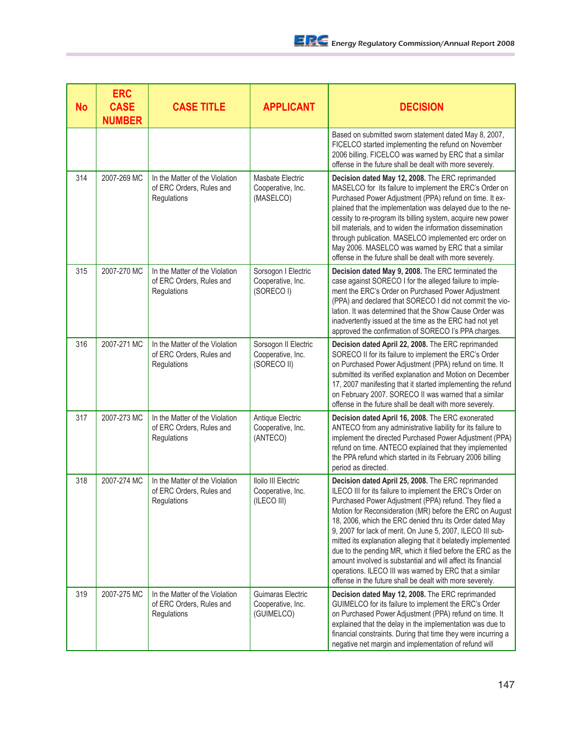| No  | <b>ERC</b><br><b>CASE</b><br><b>NUMBER</b> | <b>CASE TITLE</b>                                                         | <b>APPLICANT</b>                                         | <b>DECISION</b>                                                                                                                                                                                                                                                                                                                                                                                                                                                                                                                                                                                                                                                                     |
|-----|--------------------------------------------|---------------------------------------------------------------------------|----------------------------------------------------------|-------------------------------------------------------------------------------------------------------------------------------------------------------------------------------------------------------------------------------------------------------------------------------------------------------------------------------------------------------------------------------------------------------------------------------------------------------------------------------------------------------------------------------------------------------------------------------------------------------------------------------------------------------------------------------------|
|     |                                            |                                                                           |                                                          | Based on submitted sworn statement dated May 8, 2007,<br>FICELCO started implementing the refund on November<br>2006 billing. FICELCO was warned by ERC that a similar<br>offense in the future shall be dealt with more severely.                                                                                                                                                                                                                                                                                                                                                                                                                                                  |
| 314 | 2007-269 MC                                | In the Matter of the Violation<br>of ERC Orders, Rules and<br>Regulations | Masbate Electric<br>Cooperative, Inc.<br>(MASELCO)       | Decision dated May 12, 2008. The ERC reprimanded<br>MASELCO for its failure to implement the ERC's Order on<br>Purchased Power Adjustment (PPA) refund on time. It ex-<br>plained that the implementation was delayed due to the ne-<br>cessity to re-program its billing system, acquire new power<br>bill materials, and to widen the information dissemination<br>through publication. MASELCO implemented erc order on<br>May 2006. MASELCO was warned by ERC that a similar<br>offense in the future shall be dealt with more severely.                                                                                                                                        |
| 315 | 2007-270 MC                                | In the Matter of the Violation<br>of ERC Orders, Rules and<br>Regulations | Sorsogon I Electric<br>Cooperative, Inc.<br>(SORECO I)   | Decision dated May 9, 2008. The ERC terminated the<br>case against SORECO I for the alleged failure to imple-<br>ment the ERC's Order on Purchased Power Adjustment<br>(PPA) and declared that SORECO I did not commit the vio-<br>lation. It was determined that the Show Cause Order was<br>inadvertently issued at the time as the ERC had not yet<br>approved the confirmation of SORECO I's PPA charges.                                                                                                                                                                                                                                                                       |
| 316 | 2007-271 MC                                | In the Matter of the Violation<br>of ERC Orders, Rules and<br>Regulations | Sorsogon II Electric<br>Cooperative, Inc.<br>(SORECO II) | Decision dated April 22, 2008. The ERC reprimanded<br>SORECO II for its failure to implement the ERC's Order<br>on Purchased Power Adjustment (PPA) refund on time. It<br>submitted its verified explanation and Motion on December<br>17, 2007 manifesting that it started implementing the refund<br>on February 2007. SORECO II was warned that a similar<br>offense in the future shall be dealt with more severely.                                                                                                                                                                                                                                                            |
| 317 | 2007-273 MC                                | In the Matter of the Violation<br>of ERC Orders, Rules and<br>Regulations | Antique Electric<br>Cooperative, Inc.<br>(ANTECO)        | Decision dated April 16, 2008. The ERC exonerated<br>ANTECO from any administrative liability for its failure to<br>implement the directed Purchased Power Adjustment (PPA)<br>refund on time. ANTECO explained that they implemented<br>the PPA refund which started in its February 2006 billing<br>period as directed.                                                                                                                                                                                                                                                                                                                                                           |
| 318 | 2007-274 MC                                | In the Matter of the Violation<br>of ERC Orders, Rules and<br>Regulations | Iloilo III Electric<br>Cooperative, Inc.<br>(ILECO III)  | Decision dated April 25, 2008. The ERC reprimanded<br>ILECO III for its failure to implement the ERC's Order on<br>Purchased Power Adjustment (PPA) refund. They filed a<br>Motion for Reconsideration (MR) before the ERC on August<br>18, 2006, which the ERC denied thru its Order dated May<br>9, 2007 for lack of merit. On June 5, 2007, ILECO III sub-<br>mitted its explanation alleging that it belatedly implemented<br>due to the pending MR, which it filed before the ERC as the<br>amount involved is substantial and will affect its financial<br>operations. ILECO III was warned by ERC that a similar<br>offense in the future shall be dealt with more severely. |
| 319 | 2007-275 MC                                | In the Matter of the Violation<br>of ERC Orders, Rules and<br>Regulations | Guimaras Electric<br>Cooperative, Inc.<br>(GUIMELCO)     | Decision dated May 12, 2008. The ERC reprimanded<br>GUIMELCO for its failure to implement the ERC's Order<br>on Purchased Power Adjustment (PPA) refund on time. It<br>explained that the delay in the implementation was due to<br>financial constraints. During that time they were incurring a<br>negative net margin and implementation of refund will                                                                                                                                                                                                                                                                                                                          |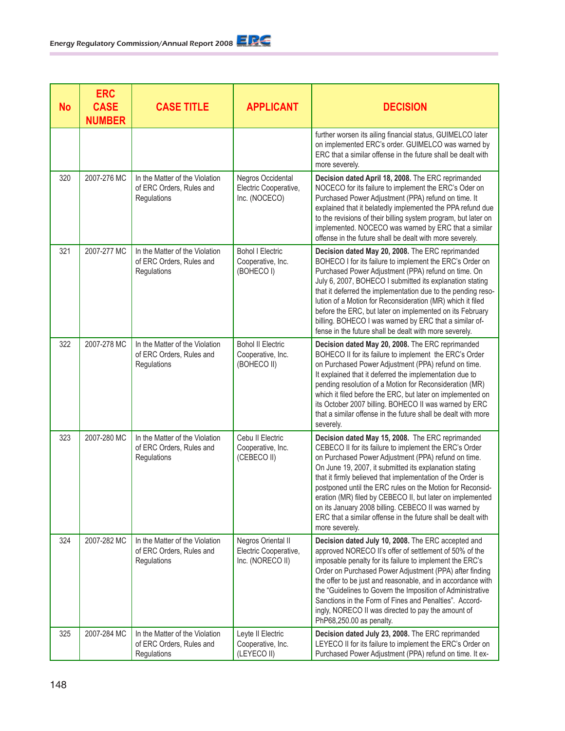| <b>No</b> | <b>ERC</b><br><b>CASE</b><br><b>NUMBER</b> | <b>CASE TITLE</b>                                                         | <b>APPLICANT</b>                                                | <b>DECISION</b>                                                                                                                                                                                                                                                                                                                                                                                                                                                                                                                                                |
|-----------|--------------------------------------------|---------------------------------------------------------------------------|-----------------------------------------------------------------|----------------------------------------------------------------------------------------------------------------------------------------------------------------------------------------------------------------------------------------------------------------------------------------------------------------------------------------------------------------------------------------------------------------------------------------------------------------------------------------------------------------------------------------------------------------|
|           |                                            |                                                                           |                                                                 | further worsen its ailing financial status, GUIMELCO later<br>on implemented ERC's order. GUIMELCO was warned by<br>ERC that a similar offense in the future shall be dealt with<br>more severely.                                                                                                                                                                                                                                                                                                                                                             |
| 320       | 2007-276 MC                                | In the Matter of the Violation<br>of ERC Orders, Rules and<br>Regulations | Negros Occidental<br>Electric Cooperative,<br>Inc. (NOCECO)     | Decision dated April 18, 2008. The ERC reprimanded<br>NOCECO for its failure to implement the ERC's Oder on<br>Purchased Power Adjustment (PPA) refund on time. It<br>explained that it belatedly implemented the PPA refund due<br>to the revisions of their billing system program, but later on<br>implemented. NOCECO was warned by ERC that a similar<br>offense in the future shall be dealt with more severely.                                                                                                                                         |
| 321       | 2007-277 MC                                | In the Matter of the Violation<br>of ERC Orders, Rules and<br>Regulations | <b>Bohol I Electric</b><br>Cooperative, Inc.<br>(BOHECO I)      | Decision dated May 20, 2008. The ERC reprimanded<br>BOHECO I for its failure to implement the ERC's Order on<br>Purchased Power Adjustment (PPA) refund on time. On<br>July 6, 2007, BOHECO I submitted its explanation stating<br>that it deferred the implementation due to the pending reso-<br>lution of a Motion for Reconsideration (MR) which it filed<br>before the ERC, but later on implemented on its February<br>billing. BOHECO I was warned by ERC that a similar of-<br>fense in the future shall be dealt with more severely.                  |
| 322       | 2007-278 MC                                | In the Matter of the Violation<br>of ERC Orders, Rules and<br>Regulations | <b>Bohol II Electric</b><br>Cooperative, Inc.<br>(BOHECO II)    | Decision dated May 20, 2008. The ERC reprimanded<br>BOHECO II for its failure to implement the ERC's Order<br>on Purchased Power Adjustment (PPA) refund on time.<br>It explained that it deferred the implementation due to<br>pending resolution of a Motion for Reconsideration (MR)<br>which it filed before the ERC, but later on implemented on<br>its October 2007 billing. BOHECO II was warned by ERC<br>that a similar offense in the future shall be dealt with more<br>severely.                                                                   |
| 323       | 2007-280 MC                                | In the Matter of the Violation<br>of ERC Orders, Rules and<br>Regulations | Cebu II Electric<br>Cooperative, Inc.<br>(CEBECO II)            | Decision dated May 15, 2008. The ERC reprimanded<br>CEBECO II for its failure to implement the ERC's Order<br>on Purchased Power Adjustment (PPA) refund on time.<br>On June 19, 2007, it submitted its explanation stating<br>that it firmly believed that implementation of the Order is<br>postponed until the ERC rules on the Motion for Reconsid-<br>eration (MR) filed by CEBECO II, but later on implemented<br>on its January 2008 billing. CEBECO II was warned by<br>ERC that a similar offense in the future shall be dealt with<br>more severely. |
| 324       | 2007-282 MC                                | In the Matter of the Violation<br>of ERC Orders, Rules and<br>Regulations | Negros Oriental II<br>Electric Cooperative,<br>Inc. (NORECO II) | Decision dated July 10, 2008. The ERC accepted and<br>approved NORECO II's offer of settlement of 50% of the<br>imposable penalty for its failure to implement the ERC's<br>Order on Purchased Power Adjustment (PPA) after finding<br>the offer to be just and reasonable, and in accordance with<br>the "Guidelines to Govern the Imposition of Administrative<br>Sanctions in the Form of Fines and Penalties". Accord-<br>ingly, NORECO II was directed to pay the amount of<br>PhP68,250.00 as penalty.                                                   |
| 325       | 2007-284 MC                                | In the Matter of the Violation<br>of ERC Orders, Rules and<br>Regulations | Leyte II Electric<br>Cooperative, Inc.<br>(LEYECO II)           | Decision dated July 23, 2008. The ERC reprimanded<br>LEYECO II for its failure to implement the ERC's Order on<br>Purchased Power Adjustment (PPA) refund on time. It ex-                                                                                                                                                                                                                                                                                                                                                                                      |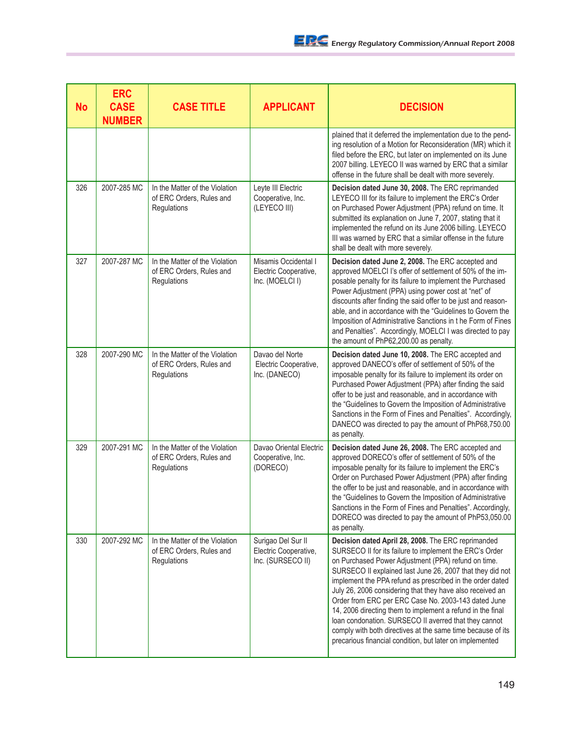| <b>No</b> | <b>ERC</b><br><b>CASE</b><br><b>NUMBER</b> | <b>CASE TITLE</b>                                                         | <b>APPLICANT</b>                                                 | <b>DECISION</b>                                                                                                                                                                                                                                                                                                                                                                                                                                                                                                                                                                                                                                                      |
|-----------|--------------------------------------------|---------------------------------------------------------------------------|------------------------------------------------------------------|----------------------------------------------------------------------------------------------------------------------------------------------------------------------------------------------------------------------------------------------------------------------------------------------------------------------------------------------------------------------------------------------------------------------------------------------------------------------------------------------------------------------------------------------------------------------------------------------------------------------------------------------------------------------|
|           |                                            |                                                                           |                                                                  | plained that it deferred the implementation due to the pend-<br>ing resolution of a Motion for Reconsideration (MR) which it<br>filed before the ERC, but later on implemented on its June<br>2007 billing. LEYECO II was warned by ERC that a similar<br>offense in the future shall be dealt with more severely.                                                                                                                                                                                                                                                                                                                                                   |
| 326       | 2007-285 MC                                | In the Matter of the Violation<br>of ERC Orders, Rules and<br>Regulations | Leyte III Electric<br>Cooperative, Inc.<br>(LEYECO III)          | Decision dated June 30, 2008. The ERC reprimanded<br>LEYECO III for its failure to implement the ERC's Order<br>on Purchased Power Adjustment (PPA) refund on time. It<br>submitted its explanation on June 7, 2007, stating that it<br>implemented the refund on its June 2006 billing. LEYECO<br>III was warned by ERC that a similar offense in the future<br>shall be dealt with more severely.                                                                                                                                                                                                                                                                  |
| 327       | 2007-287 MC                                | In the Matter of the Violation<br>of ERC Orders, Rules and<br>Regulations | Misamis Occidental I<br>Electric Cooperative,<br>Inc. (MOELCI I) | Decision dated June 2, 2008. The ERC accepted and<br>approved MOELCI I's offer of settlement of 50% of the im-<br>posable penalty for its failure to implement the Purchased<br>Power Adjustment (PPA) using power cost at "net" of<br>discounts after finding the said offer to be just and reason-<br>able, and in accordance with the "Guidelines to Govern the<br>Imposition of Administrative Sanctions in t he Form of Fines<br>and Penalties". Accordingly, MOELCI I was directed to pay<br>the amount of PhP62,200.00 as penalty.                                                                                                                            |
| 328       | 2007-290 MC                                | In the Matter of the Violation<br>of ERC Orders, Rules and<br>Regulations | Davao del Norte<br>Electric Cooperative,<br>Inc. (DANECO)        | Decision dated June 10, 2008. The ERC accepted and<br>approved DANECO's offer of settlement of 50% of the<br>imposable penalty for its failure to implement its order on<br>Purchased Power Adjustment (PPA) after finding the said<br>offer to be just and reasonable, and in accordance with<br>the "Guidelines to Govern the Imposition of Administrative<br>Sanctions in the Form of Fines and Penalties". Accordingly,<br>DANECO was directed to pay the amount of PhP68,750.00<br>as penalty.                                                                                                                                                                  |
| 329       | 2007-291 MC                                | In the Matter of the Violation<br>of ERC Orders, Rules and<br>Regulations | Davao Oriental Electric<br>Cooperative, Inc.<br>(DORECO)         | Decision dated June 26, 2008. The ERC accepted and<br>approved DORECO's offer of settlement of 50% of the<br>imposable penalty for its failure to implement the ERC's<br>Order on Purchased Power Adjustment (PPA) after finding<br>the offer to be just and reasonable, and in accordance with<br>the "Guidelines to Govern the Imposition of Administrative<br>Sanctions in the Form of Fines and Penalties". Accordingly,<br>DORECO was directed to pay the amount of PhP53,050.00<br>as penalty.                                                                                                                                                                 |
| 330       | 2007-292 MC                                | In the Matter of the Violation<br>of ERC Orders, Rules and<br>Regulations | Surigao Del Sur II<br>Electric Cooperative,<br>Inc. (SURSECO II) | Decision dated April 28, 2008. The ERC reprimanded<br>SURSECO II for its failure to implement the ERC's Order<br>on Purchased Power Adjustment (PPA) refund on time.<br>SURSECO II explained last June 26, 2007 that they did not<br>implement the PPA refund as prescribed in the order dated<br>July 26, 2006 considering that they have also received an<br>Order from ERC per ERC Case No. 2003-143 dated June<br>14, 2006 directing them to implement a refund in the final<br>loan condonation. SURSECO II averred that they cannot<br>comply with both directives at the same time because of its<br>precarious financial condition, but later on implemented |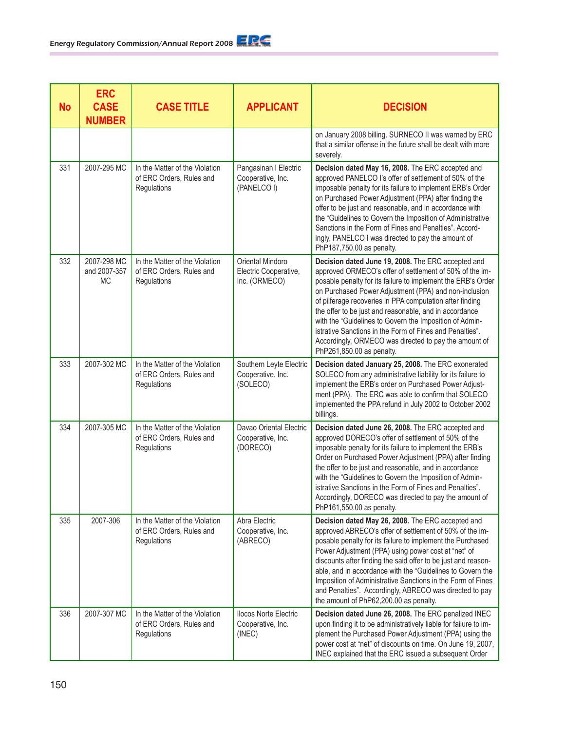| <b>No</b> | <b>ERC</b><br><b>CASE</b><br><b>NUMBER</b> | <b>CASE TITLE</b>                                                         | <b>APPLICANT</b>                                            | <b>DECISION</b>                                                                                                                                                                                                                                                                                                                                                                                                                                                                                                                                                           |
|-----------|--------------------------------------------|---------------------------------------------------------------------------|-------------------------------------------------------------|---------------------------------------------------------------------------------------------------------------------------------------------------------------------------------------------------------------------------------------------------------------------------------------------------------------------------------------------------------------------------------------------------------------------------------------------------------------------------------------------------------------------------------------------------------------------------|
|           |                                            |                                                                           |                                                             | on January 2008 billing. SURNECO II was warned by ERC<br>that a similar offense in the future shall be dealt with more<br>severely.                                                                                                                                                                                                                                                                                                                                                                                                                                       |
| 331       | 2007-295 MC                                | In the Matter of the Violation<br>of ERC Orders, Rules and<br>Regulations | Pangasinan I Electric<br>Cooperative, Inc.<br>(PANELCO I)   | Decision dated May 16, 2008. The ERC accepted and<br>approved PANELCO I's offer of settlement of 50% of the<br>imposable penalty for its failure to implement ERB's Order<br>on Purchased Power Adjustment (PPA) after finding the<br>offer to be just and reasonable, and in accordance with<br>the "Guidelines to Govern the Imposition of Administrative<br>Sanctions in the Form of Fines and Penalties". Accord-<br>ingly, PANELCO I was directed to pay the amount of<br>PhP187,750.00 as penalty.                                                                  |
| 332       | 2007-298 MC<br>and 2007-357<br><b>MC</b>   | In the Matter of the Violation<br>of ERC Orders, Rules and<br>Regulations | Oriental Mindoro<br>Electric Cooperative,<br>Inc. (ORMECO)  | Decision dated June 19, 2008. The ERC accepted and<br>approved ORMECO's offer of settlement of 50% of the im-<br>posable penalty for its failure to implement the ERB's Order<br>on Purchased Power Adjustment (PPA) and non-inclusion<br>of pilferage recoveries in PPA computation after finding<br>the offer to be just and reasonable, and in accordance<br>with the "Guidelines to Govern the Imposition of Admin-<br>istrative Sanctions in the Form of Fines and Penalties".<br>Accordingly, ORMECO was directed to pay the amount of<br>PhP261,850.00 as penalty. |
| 333       | 2007-302 MC                                | In the Matter of the Violation<br>of ERC Orders, Rules and<br>Regulations | Southern Leyte Electric<br>Cooperative, Inc.<br>(SOLECO)    | Decision dated January 25, 2008. The ERC exonerated<br>SOLECO from any administrative liability for its failure to<br>implement the ERB's order on Purchased Power Adjust-<br>ment (PPA). The ERC was able to confirm that SOLECO<br>implemented the PPA refund in July 2002 to October 2002<br>billings.                                                                                                                                                                                                                                                                 |
| 334       | 2007-305 MC                                | In the Matter of the Violation<br>of ERC Orders, Rules and<br>Regulations | Davao Oriental Electric<br>Cooperative, Inc.<br>(DORECO)    | Decision dated June 26, 2008. The ERC accepted and<br>approved DORECO's offer of settlement of 50% of the<br>imposable penalty for its failure to implement the ERB's<br>Order on Purchased Power Adjustment (PPA) after finding<br>the offer to be just and reasonable, and in accordance<br>with the "Guidelines to Govern the Imposition of Admin-<br>istrative Sanctions in the Form of Fines and Penalties".<br>Accordingly, DORECO was directed to pay the amount of<br>PhP161,550.00 as penalty.                                                                   |
| 335       | 2007-306                                   | In the Matter of the Violation<br>of ERC Orders, Rules and<br>Regulations | Abra Electric<br>Cooperative, Inc.<br>(ABRECO)              | Decision dated May 26, 2008. The ERC accepted and<br>approved ABRECO's offer of settlement of 50% of the im-<br>posable penalty for its failure to implement the Purchased<br>Power Adjustment (PPA) using power cost at "net" of<br>discounts after finding the said offer to be just and reason-<br>able, and in accordance with the "Guidelines to Govern the<br>Imposition of Administrative Sanctions in the Form of Fines<br>and Penalties". Accordingly, ABRECO was directed to pay<br>the amount of PhP62,200.00 as penalty.                                      |
| 336       | 2007-307 MC                                | In the Matter of the Violation<br>of ERC Orders, Rules and<br>Regulations | <b>Ilocos Norte Electric</b><br>Cooperative, Inc.<br>(INEC) | Decision dated June 26, 2008. The ERC penalized INEC<br>upon finding it to be administratively liable for failure to im-<br>plement the Purchased Power Adjustment (PPA) using the<br>power cost at "net" of discounts on time. On June 19, 2007,<br>INEC explained that the ERC issued a subsequent Order                                                                                                                                                                                                                                                                |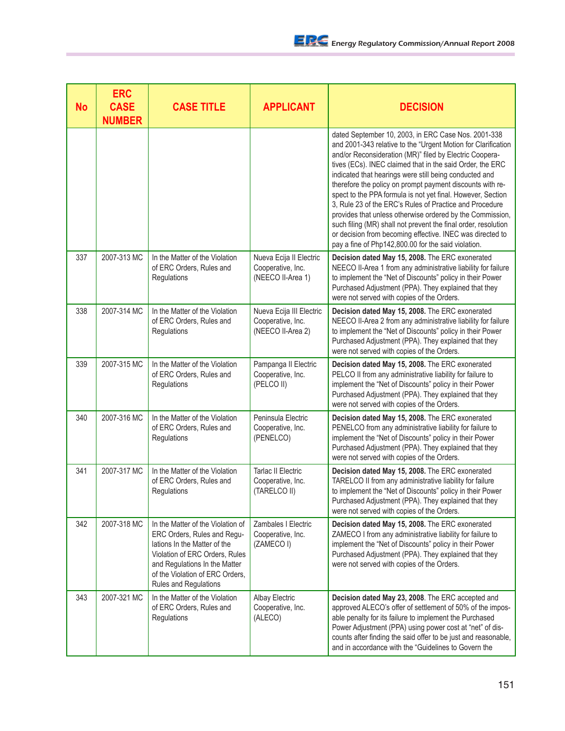| <b>No</b> | <b>ERC</b><br><b>CASE</b><br><b>NUMBER</b> | <b>CASE TITLE</b>                                                                                                                                                                                                               | <b>APPLICANT</b>                                                   | <b>DECISION</b>                                                                                                                                                                                                                                                                                                                                                                                                                                                                                                                                                                                                                                                                                                                                  |
|-----------|--------------------------------------------|---------------------------------------------------------------------------------------------------------------------------------------------------------------------------------------------------------------------------------|--------------------------------------------------------------------|--------------------------------------------------------------------------------------------------------------------------------------------------------------------------------------------------------------------------------------------------------------------------------------------------------------------------------------------------------------------------------------------------------------------------------------------------------------------------------------------------------------------------------------------------------------------------------------------------------------------------------------------------------------------------------------------------------------------------------------------------|
|           |                                            |                                                                                                                                                                                                                                 |                                                                    | dated September 10, 2003, in ERC Case Nos. 2001-338<br>and 2001-343 relative to the "Urgent Motion for Clarification<br>and/or Reconsideration (MR)" filed by Electric Coopera-<br>tives (ECs). INEC claimed that in the said Order, the ERC<br>indicated that hearings were still being conducted and<br>therefore the policy on prompt payment discounts with re-<br>spect to the PPA formula is not yet final. However, Section<br>3, Rule 23 of the ERC's Rules of Practice and Procedure<br>provides that unless otherwise ordered by the Commission,<br>such filing (MR) shall not prevent the final order, resolution<br>or decision from becoming effective. INEC was directed to<br>pay a fine of Php142,800.00 for the said violation. |
| 337       | 2007-313 MC                                | In the Matter of the Violation<br>of ERC Orders, Rules and<br>Regulations                                                                                                                                                       | Nueva Ecija II Electric<br>Cooperative, Inc.<br>(NEECO II-Area 1)  | Decision dated May 15, 2008. The ERC exonerated<br>NEECO II-Area 1 from any administrative liability for failure<br>to implement the "Net of Discounts" policy in their Power<br>Purchased Adjustment (PPA). They explained that they<br>were not served with copies of the Orders.                                                                                                                                                                                                                                                                                                                                                                                                                                                              |
| 338       | 2007-314 MC                                | In the Matter of the Violation<br>of ERC Orders, Rules and<br>Regulations                                                                                                                                                       | Nueva Ecija III Electric<br>Cooperative, Inc.<br>(NEECO II-Area 2) | Decision dated May 15, 2008. The ERC exonerated<br>NEECO II-Area 2 from any administrative liability for failure<br>to implement the "Net of Discounts" policy in their Power<br>Purchased Adjustment (PPA). They explained that they<br>were not served with copies of the Orders.                                                                                                                                                                                                                                                                                                                                                                                                                                                              |
| 339       | 2007-315 MC                                | In the Matter of the Violation<br>of ERC Orders, Rules and<br>Regulations                                                                                                                                                       | Pampanga II Electric<br>Cooperative, Inc.<br>(PELCO II)            | Decision dated May 15, 2008. The ERC exonerated<br>PELCO II from any administrative liability for failure to<br>implement the "Net of Discounts" policy in their Power<br>Purchased Adjustment (PPA). They explained that they<br>were not served with copies of the Orders.                                                                                                                                                                                                                                                                                                                                                                                                                                                                     |
| 340       | 2007-316 MC                                | In the Matter of the Violation<br>of ERC Orders, Rules and<br>Regulations                                                                                                                                                       | Peninsula Electric<br>Cooperative, Inc.<br>(PENELCO)               | Decision dated May 15, 2008. The ERC exonerated<br>PENELCO from any administrative liability for failure to<br>implement the "Net of Discounts" policy in their Power<br>Purchased Adjustment (PPA). They explained that they<br>were not served with copies of the Orders.                                                                                                                                                                                                                                                                                                                                                                                                                                                                      |
| 341       | 2007-317 MC                                | In the Matter of the Violation<br>of ERC Orders, Rules and<br>Regulations                                                                                                                                                       | <b>Tarlac II Electric</b><br>Cooperative, Inc.<br>(TARELCO II)     | Decision dated May 15, 2008. The ERC exonerated<br>TARELCO II from any administrative liability for failure<br>to implement the "Net of Discounts" policy in their Power<br>Purchased Adjustment (PPA). They explained that they<br>were not served with copies of the Orders.                                                                                                                                                                                                                                                                                                                                                                                                                                                                   |
| 342       | 2007-318 MC                                | In the Matter of the Violation of<br>ERC Orders, Rules and Regu-<br>lations In the Matter of the<br>Violation of ERC Orders, Rules<br>and Regulations In the Matter<br>of the Violation of ERC Orders,<br>Rules and Regulations | Zambales I Electric<br>Cooperative, Inc.<br>(ZAMECO I)             | Decision dated May 15, 2008. The ERC exonerated<br>ZAMECO I from any administrative liability for failure to<br>implement the "Net of Discounts" policy in their Power<br>Purchased Adjustment (PPA). They explained that they<br>were not served with copies of the Orders.                                                                                                                                                                                                                                                                                                                                                                                                                                                                     |
| 343       | 2007-321 MC                                | In the Matter of the Violation<br>of ERC Orders, Rules and<br>Regulations                                                                                                                                                       | Albay Electric<br>Cooperative, Inc.<br>(ALECO)                     | Decision dated May 23, 2008. The ERC accepted and<br>approved ALECO's offer of settlement of 50% of the impos-<br>able penalty for its failure to implement the Purchased<br>Power Adjustment (PPA) using power cost at "net" of dis-<br>counts after finding the said offer to be just and reasonable,<br>and in accordance with the "Guidelines to Govern the                                                                                                                                                                                                                                                                                                                                                                                  |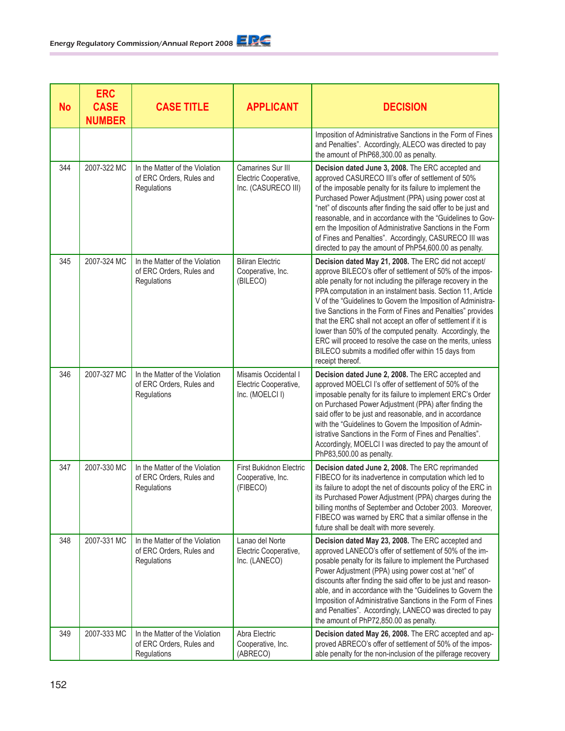| No  | <b>ERC</b><br><b>CASE</b><br><b>NUMBER</b> | <b>CASE TITLE</b>                                                         | <b>APPLICANT</b>                                                  | <b>DECISION</b>                                                                                                                                                                                                                                                                                                                                                                                                                                                                                                                                                                                                                                       |
|-----|--------------------------------------------|---------------------------------------------------------------------------|-------------------------------------------------------------------|-------------------------------------------------------------------------------------------------------------------------------------------------------------------------------------------------------------------------------------------------------------------------------------------------------------------------------------------------------------------------------------------------------------------------------------------------------------------------------------------------------------------------------------------------------------------------------------------------------------------------------------------------------|
|     |                                            |                                                                           |                                                                   | Imposition of Administrative Sanctions in the Form of Fines<br>and Penalties". Accordingly, ALECO was directed to pay<br>the amount of PhP68,300.00 as penalty.                                                                                                                                                                                                                                                                                                                                                                                                                                                                                       |
| 344 | 2007-322 MC                                | In the Matter of the Violation<br>of ERC Orders, Rules and<br>Regulations | Camarines Sur III<br>Electric Cooperative,<br>Inc. (CASURECO III) | Decision dated June 3, 2008. The ERC accepted and<br>approved CASURECO III's offer of settlement of 50%<br>of the imposable penalty for its failure to implement the<br>Purchased Power Adjustment (PPA) using power cost at<br>"net" of discounts after finding the said offer to be just and<br>reasonable, and in accordance with the "Guidelines to Gov-<br>ern the Imposition of Administrative Sanctions in the Form<br>of Fines and Penalties". Accordingly, CASURECO III was<br>directed to pay the amount of PhP54,600.00 as penalty.                                                                                                        |
| 345 | 2007-324 MC                                | In the Matter of the Violation<br>of ERC Orders, Rules and<br>Regulations | <b>Biliran Electric</b><br>Cooperative, Inc.<br>(BILECO)          | Decision dated May 21, 2008. The ERC did not accept/<br>approve BILECO's offer of settlement of 50% of the impos-<br>able penalty for not including the pilferage recovery in the<br>PPA computation in an instalment basis. Section 11, Article<br>V of the "Guidelines to Govern the Imposition of Administra-<br>tive Sanctions in the Form of Fines and Penalties" provides<br>that the ERC shall not accept an offer of settlement if it is<br>lower than 50% of the computed penalty. Accordingly, the<br>ERC will proceed to resolve the case on the merits, unless<br>BILECO submits a modified offer within 15 days from<br>receipt thereof. |
| 346 | 2007-327 MC                                | In the Matter of the Violation<br>of ERC Orders, Rules and<br>Regulations | Misamis Occidental I<br>Electric Cooperative,<br>Inc. (MOELCI I)  | Decision dated June 2, 2008. The ERC accepted and<br>approved MOELCI I's offer of settlement of 50% of the<br>imposable penalty for its failure to implement ERC's Order<br>on Purchased Power Adjustment (PPA) after finding the<br>said offer to be just and reasonable, and in accordance<br>with the "Guidelines to Govern the Imposition of Admin-<br>istrative Sanctions in the Form of Fines and Penalties".<br>Accordingly, MOELCI I was directed to pay the amount of<br>PhP83,500.00 as penalty.                                                                                                                                            |
| 347 | 2007-330 MC                                | In the Matter of the Violation<br>of ERC Orders, Rules and<br>Regulations | <b>First Bukidnon Electric</b><br>Cooperative, Inc.<br>(FIBECO)   | Decision dated June 2, 2008. The ERC reprimanded<br>FIBECO for its inadvertence in computation which led to<br>its failure to adopt the net of discounts policy of the ERC in<br>its Purchased Power Adjustment (PPA) charges during the<br>billing months of September and October 2003. Moreover,<br>FIBECO was warned by ERC that a similar offense in the<br>future shall be dealt with more severely.                                                                                                                                                                                                                                            |
| 348 | 2007-331 MC                                | In the Matter of the Violation<br>of ERC Orders, Rules and<br>Regulations | Lanao del Norte<br>Electric Cooperative,<br>Inc. (LANECO)         | Decision dated May 23, 2008. The ERC accepted and<br>approved LANECO's offer of settlement of 50% of the im-<br>posable penalty for its failure to implement the Purchased<br>Power Adjustment (PPA) using power cost at "net" of<br>discounts after finding the said offer to be just and reason-<br>able, and in accordance with the "Guidelines to Govern the<br>Imposition of Administrative Sanctions in the Form of Fines<br>and Penalties". Accordingly, LANECO was directed to pay<br>the amount of PhP72,850.00 as penalty.                                                                                                                  |
| 349 | 2007-333 MC                                | In the Matter of the Violation<br>of ERC Orders, Rules and<br>Regulations | Abra Electric<br>Cooperative, Inc.<br>(ABRECO)                    | Decision dated May 26, 2008. The ERC accepted and ap-<br>proved ABRECO's offer of settlement of 50% of the impos-<br>able penalty for the non-inclusion of the pilferage recovery                                                                                                                                                                                                                                                                                                                                                                                                                                                                     |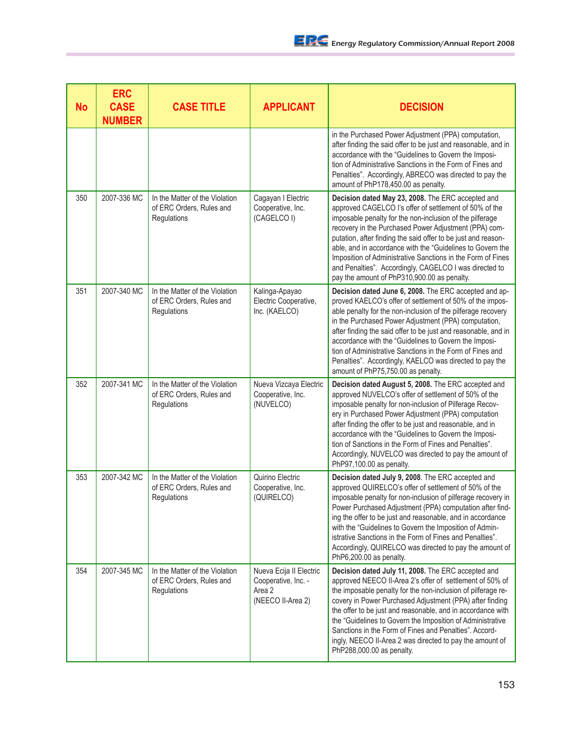| <b>No</b> | <b>ERC</b><br><b>CASE</b><br><b>NUMBER</b> | <b>CASE TITLE</b>                                                         | <b>APPLICANT</b>                                                              | <b>DECISION</b>                                                                                                                                                                                                                                                                                                                                                                                                                                                                                                                         |
|-----------|--------------------------------------------|---------------------------------------------------------------------------|-------------------------------------------------------------------------------|-----------------------------------------------------------------------------------------------------------------------------------------------------------------------------------------------------------------------------------------------------------------------------------------------------------------------------------------------------------------------------------------------------------------------------------------------------------------------------------------------------------------------------------------|
|           |                                            |                                                                           |                                                                               | in the Purchased Power Adjustment (PPA) computation,<br>after finding the said offer to be just and reasonable, and in<br>accordance with the "Guidelines to Govern the Imposi-<br>tion of Administrative Sanctions in the Form of Fines and<br>Penalties". Accordingly, ABRECO was directed to pay the<br>amount of PhP178,450.00 as penalty.                                                                                                                                                                                          |
| 350       | 2007-336 MC                                | In the Matter of the Violation<br>of ERC Orders, Rules and<br>Regulations | Cagayan I Electric<br>Cooperative, Inc.<br>(CAGELCO I)                        | Decision dated May 23, 2008. The ERC accepted and<br>approved CAGELCO I's offer of settlement of 50% of the<br>imposable penalty for the non-inclusion of the pilferage<br>recovery in the Purchased Power Adjustment (PPA) com-<br>putation, after finding the said offer to be just and reason-<br>able, and in accordance with the "Guidelines to Govern the<br>Imposition of Administrative Sanctions in the Form of Fines<br>and Penalties". Accordingly, CAGELCO I was directed to<br>pay the amount of PhP310,900.00 as penalty. |
| 351       | 2007-340 MC                                | In the Matter of the Violation<br>of ERC Orders, Rules and<br>Regulations | Kalinga-Apayao<br>Electric Cooperative,<br>Inc. (KAELCO)                      | Decision dated June 6, 2008. The ERC accepted and ap-<br>proved KAELCO's offer of settlement of 50% of the impos-<br>able penalty for the non-inclusion of the pilferage recovery<br>in the Purchased Power Adjustment (PPA) computation,<br>after finding the said offer to be just and reasonable, and in<br>accordance with the "Guidelines to Govern the Imposi-<br>tion of Administrative Sanctions in the Form of Fines and<br>Penalties". Accordingly, KAELCO was directed to pay the<br>amount of PhP75,750.00 as penalty.      |
| 352       | 2007-341 MC                                | In the Matter of the Violation<br>of ERC Orders, Rules and<br>Regulations | Nueva Vizcaya Electric<br>Cooperative, Inc.<br>(NUVELCO)                      | Decision dated August 5, 2008. The ERC accepted and<br>approved NUVELCO's offer of settlement of 50% of the<br>imposable penalty for non-inclusion of Pilferage Recov-<br>ery in Purchased Power Adjustment (PPA) computation<br>after finding the offer to be just and reasonable, and in<br>accordance with the "Guidelines to Govern the Imposi-<br>tion of Sanctions in the Form of Fines and Penalties".<br>Accordingly, NUVELCO was directed to pay the amount of<br>PhP97,100.00 as penalty.                                     |
| 353       | 2007-342 MC                                | In the Matter of the Violation<br>of ERC Orders, Rules and<br>Regulations | Quirino Electric<br>Cooperative, Inc.<br>(QUIRELCO)                           | Decision dated July 9, 2008. The ERC accepted and<br>approved QUIRELCO's offer of settlement of 50% of the<br>imposable penalty for non-inclusion of pilferage recovery in<br>Power Purchased Adjustment (PPA) computation after find-<br>ing the offer to be just and reasonable, and in accordance<br>with the "Guidelines to Govern the Imposition of Admin-<br>istrative Sanctions in the Form of Fines and Penalties".<br>Accordingly, QUIRELCO was directed to pay the amount of<br>PhP6,200.00 as penalty.                       |
| 354       | 2007-345 MC                                | In the Matter of the Violation<br>of ERC Orders, Rules and<br>Regulations | Nueva Ecija II Electric<br>Cooperative, Inc. -<br>Area 2<br>(NEECO II-Area 2) | Decision dated July 11, 2008. The ERC accepted and<br>approved NEECO II-Area 2's offer of settlement of 50% of<br>the imposable penalty for the non-inclusion of pilferage re-<br>covery in Power Purchased Adjustment (PPA) after finding<br>the offer to be just and reasonable, and in accordance with<br>the "Guidelines to Govern the Imposition of Administrative<br>Sanctions in the Form of Fines and Penalties". Accord-<br>ingly, NEECO II-Area 2 was directed to pay the amount of<br>PhP288,000.00 as penalty.              |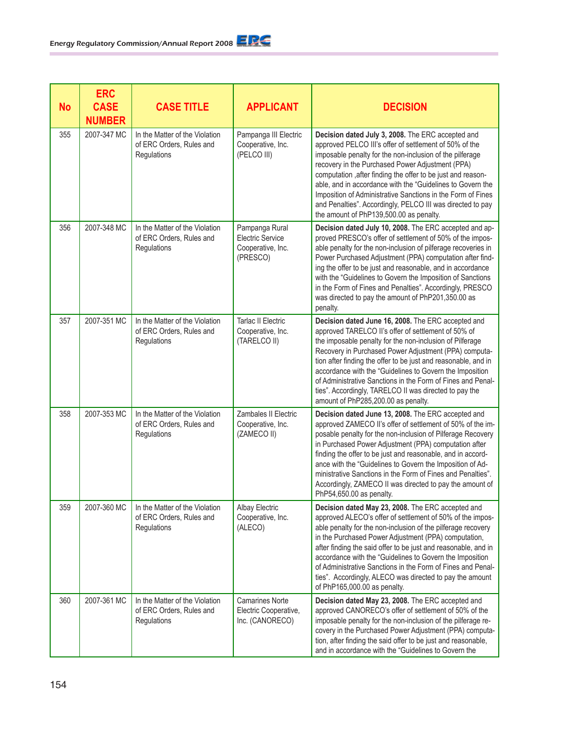| <b>No</b> | <b>ERC</b><br><b>CASE</b><br><b>NUMBER</b> | <b>CASE TITLE</b>                                                         | <b>APPLICANT</b>                                                           | <b>DECISION</b>                                                                                                                                                                                                                                                                                                                                                                                                                                                                                                                   |
|-----------|--------------------------------------------|---------------------------------------------------------------------------|----------------------------------------------------------------------------|-----------------------------------------------------------------------------------------------------------------------------------------------------------------------------------------------------------------------------------------------------------------------------------------------------------------------------------------------------------------------------------------------------------------------------------------------------------------------------------------------------------------------------------|
| 355       | 2007-347 MC                                | In the Matter of the Violation<br>of ERC Orders, Rules and<br>Regulations | Pampanga III Electric<br>Cooperative, Inc.<br>(PELCO III)                  | Decision dated July 3, 2008. The ERC accepted and<br>approved PELCO III's offer of settlement of 50% of the<br>imposable penalty for the non-inclusion of the pilferage<br>recovery in the Purchased Power Adjustment (PPA)<br>computation , after finding the offer to be just and reason-<br>able, and in accordance with the "Guidelines to Govern the<br>Imposition of Administrative Sanctions in the Form of Fines<br>and Penalties". Accordingly, PELCO III was directed to pay<br>the amount of PhP139,500.00 as penalty. |
| 356       | 2007-348 MC                                | In the Matter of the Violation<br>of ERC Orders, Rules and<br>Regulations | Pampanga Rural<br><b>Electric Service</b><br>Cooperative, Inc.<br>(PRESCO) | Decision dated July 10, 2008. The ERC accepted and ap-<br>proved PRESCO's offer of settlement of 50% of the impos-<br>able penalty for the non-inclusion of pilferage recoveries in<br>Power Purchased Adjustment (PPA) computation after find-<br>ing the offer to be just and reasonable, and in accordance<br>with the "Guidelines to Govern the Imposition of Sanctions<br>in the Form of Fines and Penalties". Accordingly, PRESCO<br>was directed to pay the amount of PhP201,350.00 as<br>penalty.                         |
| 357       | 2007-351 MC                                | In the Matter of the Violation<br>of ERC Orders, Rules and<br>Regulations | <b>Tarlac II Electric</b><br>Cooperative, Inc.<br>(TARELCO II)             | Decision dated June 16, 2008. The ERC accepted and<br>approved TARELCO II's offer of settlement of 50% of<br>the imposable penalty for the non-inclusion of Pilferage<br>Recovery in Purchased Power Adjustment (PPA) computa-<br>tion after finding the offer to be just and reasonable, and in<br>accordance with the "Guidelines to Govern the Imposition<br>of Administrative Sanctions in the Form of Fines and Penal-<br>ties". Accordingly, TARELCO II was directed to pay the<br>amount of PhP285,200.00 as penalty.      |
| 358       | 2007-353 MC                                | In the Matter of the Violation<br>of ERC Orders, Rules and<br>Regulations | Zambales II Electric<br>Cooperative, Inc.<br>(ZAMECO II)                   | Decision dated June 13, 2008. The ERC accepted and<br>approved ZAMECO II's offer of settlement of 50% of the im-<br>posable penalty for the non-inclusion of Pilferage Recovery<br>in Purchased Power Adjustment (PPA) computation after<br>finding the offer to be just and reasonable, and in accord-<br>ance with the "Guidelines to Govern the Imposition of Ad-<br>ministrative Sanctions in the Form of Fines and Penalties".<br>Accordingly, ZAMECO II was directed to pay the amount of<br>PhP54,650.00 as penalty.       |
| 359       | 2007-360 MC                                | In the Matter of the Violation<br>of ERC Orders, Rules and<br>Regulations | Albay Electric<br>Cooperative, Inc.<br>(ALECO)                             | Decision dated May 23, 2008. The ERC accepted and<br>approved ALECO's offer of settlement of 50% of the impos-<br>able penalty for the non-inclusion of the pilferage recovery<br>in the Purchased Power Adjustment (PPA) computation,<br>after finding the said offer to be just and reasonable, and in<br>accordance with the "Guidelines to Govern the Imposition<br>of Administrative Sanctions in the Form of Fines and Penal-<br>ties". Accordingly, ALECO was directed to pay the amount<br>of PhP165,000.00 as penalty.   |
| 360       | 2007-361 MC                                | In the Matter of the Violation<br>of ERC Orders, Rules and<br>Regulations | <b>Camarines Norte</b><br>Electric Cooperative,<br>Inc. (CANORECO)         | Decision dated May 23, 2008. The ERC accepted and<br>approved CANORECO's offer of settlement of 50% of the<br>imposable penalty for the non-inclusion of the pilferage re-<br>covery in the Purchased Power Adjustment (PPA) computa-<br>tion, after finding the said offer to be just and reasonable,<br>and in accordance with the "Guidelines to Govern the                                                                                                                                                                    |

154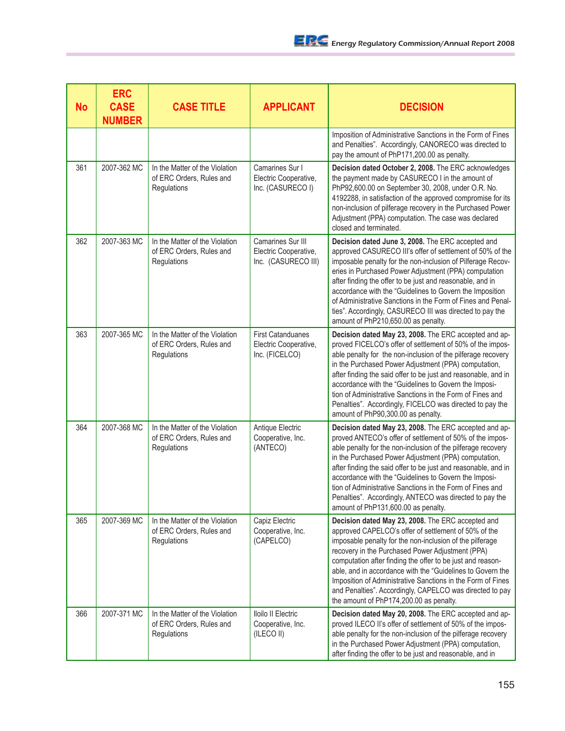| <b>No</b> | <b>ERC</b><br><b>CASE</b><br><b>NUMBER</b> | <b>CASE TITLE</b>                                                         | <b>APPLICANT</b>                                                    | <b>DECISION</b>                                                                                                                                                                                                                                                                                                                                                                                                                                                                                                                      |
|-----------|--------------------------------------------|---------------------------------------------------------------------------|---------------------------------------------------------------------|--------------------------------------------------------------------------------------------------------------------------------------------------------------------------------------------------------------------------------------------------------------------------------------------------------------------------------------------------------------------------------------------------------------------------------------------------------------------------------------------------------------------------------------|
|           |                                            |                                                                           |                                                                     | Imposition of Administrative Sanctions in the Form of Fines<br>and Penalties". Accordingly, CANORECO was directed to<br>pay the amount of PhP171,200.00 as penalty.                                                                                                                                                                                                                                                                                                                                                                  |
| 361       | 2007-362 MC                                | In the Matter of the Violation<br>of ERC Orders, Rules and<br>Regulations | Camarines Sur I<br>Electric Cooperative,<br>Inc. (CASURECO I)       | Decision dated October 2, 2008. The ERC acknowledges<br>the payment made by CASURECO I in the amount of<br>PhP92,600.00 on September 30, 2008, under O.R. No.<br>4192288, in satisfaction of the approved compromise for its<br>non-inclusion of pilferage recovery in the Purchased Power<br>Adjustment (PPA) computation. The case was declared<br>closed and terminated.                                                                                                                                                          |
| 362       | 2007-363 MC                                | In the Matter of the Violation<br>of ERC Orders, Rules and<br>Regulations | Camarines Sur III<br>Electric Cooperative,<br>Inc. (CASURECO III)   | Decision dated June 3, 2008. The ERC accepted and<br>approved CASURECO III's offer of settlement of 50% of the<br>imposable penalty for the non-inclusion of Pilferage Recov-<br>eries in Purchased Power Adjustment (PPA) computation<br>after finding the offer to be just and reasonable, and in<br>accordance with the "Guidelines to Govern the Imposition<br>of Administrative Sanctions in the Form of Fines and Penal-<br>ties". Accordingly, CASURECO III was directed to pay the<br>amount of PhP210,650.00 as penalty.    |
| 363       | 2007-365 MC                                | In the Matter of the Violation<br>of ERC Orders, Rules and<br>Regulations | <b>First Catanduanes</b><br>Electric Cooperative,<br>Inc. (FICELCO) | Decision dated May 23, 2008. The ERC accepted and ap-<br>proved FICELCO's offer of settlement of 50% of the impos-<br>able penalty for the non-inclusion of the pilferage recovery<br>in the Purchased Power Adjustment (PPA) computation,<br>after finding the said offer to be just and reasonable, and in<br>accordance with the "Guidelines to Govern the Imposi-<br>tion of Administrative Sanctions in the Form of Fines and<br>Penalties". Accordingly, FICELCO was directed to pay the<br>amount of PhP90,300.00 as penalty. |
| 364       | 2007-368 MC                                | In the Matter of the Violation<br>of ERC Orders, Rules and<br>Regulations | Antique Electric<br>Cooperative, Inc.<br>(ANTECO)                   | Decision dated May 23, 2008. The ERC accepted and ap-<br>proved ANTECO's offer of settlement of 50% of the impos-<br>able penalty for the non-inclusion of the pilferage recovery<br>in the Purchased Power Adjustment (PPA) computation,<br>after finding the said offer to be just and reasonable, and in<br>accordance with the "Guidelines to Govern the Imposi-<br>tion of Administrative Sanctions in the Form of Fines and<br>Penalties". Accordingly, ANTECO was directed to pay the<br>amount of PhP131,600.00 as penalty.  |
| 365       | 2007-369 MC                                | In the Matter of the Violation<br>of ERC Orders, Rules and<br>Regulations | Capiz Electric<br>Cooperative, Inc.<br>(CAPELCO)                    | Decision dated May 23, 2008. The ERC accepted and<br>approved CAPELCO's offer of settlement of 50% of the<br>imposable penalty for the non-inclusion of the pilferage<br>recovery in the Purchased Power Adjustment (PPA)<br>computation after finding the offer to be just and reason-<br>able, and in accordance with the "Guidelines to Govern the<br>Imposition of Administrative Sanctions in the Form of Fines<br>and Penalties". Accordingly, CAPELCO was directed to pay<br>the amount of PhP174,200.00 as penalty.          |
| 366       | 2007-371 MC                                | In the Matter of the Violation<br>of ERC Orders, Rules and<br>Regulations | Iloilo II Electric<br>Cooperative, Inc.<br>(ILECO II)               | Decision dated May 20, 2008. The ERC accepted and ap-<br>proved ILECO II's offer of settlement of 50% of the impos-<br>able penalty for the non-inclusion of the pilferage recovery<br>in the Purchased Power Adjustment (PPA) computation,<br>after finding the offer to be just and reasonable, and in                                                                                                                                                                                                                             |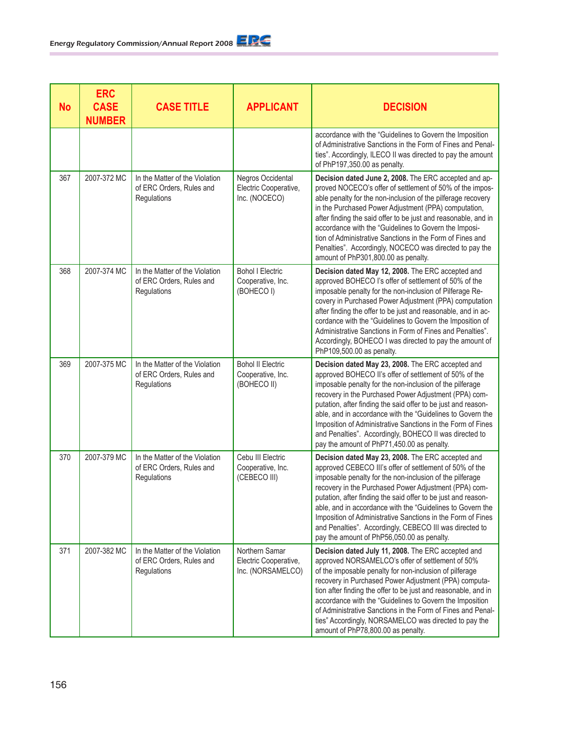| <b>No</b> | <b>ERC</b><br><b>CASE</b><br><b>NUMBER</b> | <b>CASE TITLE</b>                                                         | <b>APPLICANT</b>                                             | <b>DECISION</b>                                                                                                                                                                                                                                                                                                                                                                                                                                                                                                                          |
|-----------|--------------------------------------------|---------------------------------------------------------------------------|--------------------------------------------------------------|------------------------------------------------------------------------------------------------------------------------------------------------------------------------------------------------------------------------------------------------------------------------------------------------------------------------------------------------------------------------------------------------------------------------------------------------------------------------------------------------------------------------------------------|
|           |                                            |                                                                           |                                                              | accordance with the "Guidelines to Govern the Imposition<br>of Administrative Sanctions in the Form of Fines and Penal-<br>ties". Accordingly, ILECO II was directed to pay the amount<br>of PhP197,350.00 as penalty.                                                                                                                                                                                                                                                                                                                   |
| 367       | 2007-372 MC                                | In the Matter of the Violation<br>of ERC Orders, Rules and<br>Regulations | Negros Occidental<br>Electric Cooperative,<br>Inc. (NOCECO)  | Decision dated June 2, 2008. The ERC accepted and ap-<br>proved NOCECO's offer of settlement of 50% of the impos-<br>able penalty for the non-inclusion of the pilferage recovery<br>in the Purchased Power Adjustment (PPA) computation,<br>after finding the said offer to be just and reasonable, and in<br>accordance with the "Guidelines to Govern the Imposi-<br>tion of Administrative Sanctions in the Form of Fines and<br>Penalties". Accordingly, NOCECO was directed to pay the<br>amount of PhP301,800.00 as penalty.      |
| 368       | 2007-374 MC                                | In the Matter of the Violation<br>of ERC Orders, Rules and<br>Regulations | <b>Bohol I Electric</b><br>Cooperative, Inc.<br>(BOHECO I)   | Decision dated May 12, 2008. The ERC accepted and<br>approved BOHECO I's offer of settlement of 50% of the<br>imposable penalty for the non-inclusion of Pilferage Re-<br>covery in Purchased Power Adjustment (PPA) computation<br>after finding the offer to be just and reasonable, and in ac-<br>cordance with the "Guidelines to Govern the Imposition of<br>Administrative Sanctions in Form of Fines and Penalties".<br>Accordingly, BOHECO I was directed to pay the amount of<br>PhP109,500.00 as penalty.                      |
| 369       | 2007-375 MC                                | In the Matter of the Violation<br>of ERC Orders, Rules and<br>Regulations | <b>Bohol II Electric</b><br>Cooperative, Inc.<br>(BOHECO II) | Decision dated May 23, 2008. The ERC accepted and<br>approved BOHECO II's offer of settlement of 50% of the<br>imposable penalty for the non-inclusion of the pilferage<br>recovery in the Purchased Power Adjustment (PPA) com-<br>putation, after finding the said offer to be just and reason-<br>able, and in accordance with the "Guidelines to Govern the<br>Imposition of Administrative Sanctions in the Form of Fines<br>and Penalties". Accordingly, BOHECO II was directed to<br>pay the amount of PhP71,450.00 as penalty.   |
| 370       | 2007-379 MC                                | In the Matter of the Violation<br>of ERC Orders, Rules and<br>Regulations | Cebu III Electric<br>Cooperative, Inc.<br>(CEBECO III)       | Decision dated May 23, 2008. The ERC accepted and<br>approved CEBECO III's offer of settlement of 50% of the<br>imposable penalty for the non-inclusion of the pilferage<br>recovery in the Purchased Power Adjustment (PPA) com-<br>putation, after finding the said offer to be just and reason-<br>able, and in accordance with the "Guidelines to Govern the<br>Imposition of Administrative Sanctions in the Form of Fines<br>and Penalties". Accordingly, CEBECO III was directed to<br>pay the amount of PhP56,050.00 as penalty. |
| 371       | 2007-382 MC                                | In the Matter of the Violation<br>of ERC Orders, Rules and<br>Regulations | Northern Samar<br>Electric Cooperative,<br>Inc. (NORSAMELCO) | Decision dated July 11, 2008. The ERC accepted and<br>approved NORSAMELCO's offer of settlement of 50%<br>of the imposable penalty for non-inclusion of pilferage<br>recovery in Purchased Power Adjustment (PPA) computa-<br>tion after finding the offer to be just and reasonable, and in<br>accordance with the "Guidelines to Govern the Imposition<br>of Administrative Sanctions in the Form of Fines and Penal-<br>ties" Accordingly, NORSAMELCO was directed to pay the<br>amount of PhP78,800.00 as penalty.                   |

156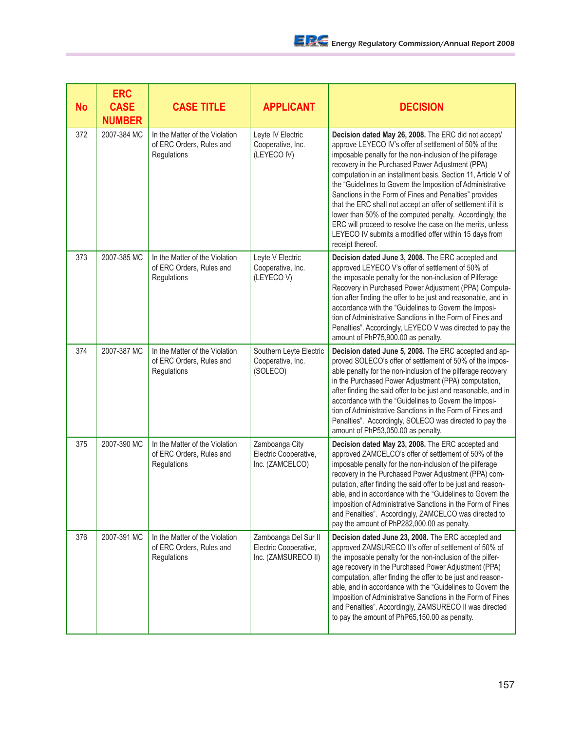| No  | <b>ERC</b><br><b>CASE</b><br><b>NUMBER</b> | <b>CASE TITLE</b>                                                         | <b>APPLICANT</b>                                                     | <b>DECISION</b>                                                                                                                                                                                                                                                                                                                                                                                                                                                                                                                                                                                                                                                                                 |
|-----|--------------------------------------------|---------------------------------------------------------------------------|----------------------------------------------------------------------|-------------------------------------------------------------------------------------------------------------------------------------------------------------------------------------------------------------------------------------------------------------------------------------------------------------------------------------------------------------------------------------------------------------------------------------------------------------------------------------------------------------------------------------------------------------------------------------------------------------------------------------------------------------------------------------------------|
| 372 | 2007-384 MC                                | In the Matter of the Violation<br>of ERC Orders, Rules and<br>Regulations | Leyte IV Electric<br>Cooperative, Inc.<br>(LEYECO IV)                | Decision dated May 26, 2008. The ERC did not accept/<br>approve LEYECO IV's offer of settlement of 50% of the<br>imposable penalty for the non-inclusion of the pilferage<br>recovery in the Purchased Power Adjustment (PPA)<br>computation in an installment basis. Section 11, Article V of<br>the "Guidelines to Govern the Imposition of Administrative<br>Sanctions in the Form of Fines and Penalties" provides<br>that the ERC shall not accept an offer of settlement if it is<br>lower than 50% of the computed penalty. Accordingly, the<br>ERC will proceed to resolve the case on the merits, unless<br>LEYECO IV submits a modified offer within 15 days from<br>receipt thereof. |
| 373 | 2007-385 MC                                | In the Matter of the Violation<br>of ERC Orders, Rules and<br>Regulations | Leyte V Electric<br>Cooperative, Inc.<br>(LEYECOV)                   | Decision dated June 3, 2008. The ERC accepted and<br>approved LEYECO V's offer of settlement of 50% of<br>the imposable penalty for the non-inclusion of Pilferage<br>Recovery in Purchased Power Adjustment (PPA) Computa-<br>tion after finding the offer to be just and reasonable, and in<br>accordance with the "Guidelines to Govern the Imposi-<br>tion of Administrative Sanctions in the Form of Fines and<br>Penalties". Accordingly, LEYECO V was directed to pay the<br>amount of PhP75,900.00 as penalty.                                                                                                                                                                          |
| 374 | 2007-387 MC                                | In the Matter of the Violation<br>of ERC Orders, Rules and<br>Regulations | Southern Leyte Electric<br>Cooperative, Inc.<br>(SOLECO)             | Decision dated June 5, 2008. The ERC accepted and ap-<br>proved SOLECO's offer of settlement of 50% of the impos-<br>able penalty for the non-inclusion of the pilferage recovery<br>in the Purchased Power Adjustment (PPA) computation,<br>after finding the said offer to be just and reasonable, and in<br>accordance with the "Guidelines to Govern the Imposi-<br>tion of Administrative Sanctions in the Form of Fines and<br>Penalties". Accordingly, SOLECO was directed to pay the<br>amount of PhP53,050.00 as penalty.                                                                                                                                                              |
| 375 | 2007-390 MC                                | In the Matter of the Violation<br>of ERC Orders, Rules and<br>Regulations | Zamboanga City<br>Electric Cooperative,<br>Inc. (ZAMCELCO)           | Decision dated May 23, 2008. The ERC accepted and<br>approved ZAMCELCO's offer of settlement of 50% of the<br>imposable penalty for the non-inclusion of the pilferage<br>recovery in the Purchased Power Adjustment (PPA) com-<br>putation, after finding the said offer to be just and reason-<br>able, and in accordance with the "Guidelines to Govern the<br>Imposition of Administrative Sanctions in the Form of Fines<br>and Penalties". Accordingly, ZAMCELCO was directed to<br>pay the amount of PhP282,000.00 as penalty.                                                                                                                                                           |
| 376 | 2007-391 MC                                | In the Matter of the Violation<br>of ERC Orders, Rules and<br>Regulations | Zamboanga Del Sur II<br>Electric Cooperative,<br>Inc. (ZAMSURECO II) | Decision dated June 23, 2008. The ERC accepted and<br>approved ZAMSURECO II's offer of settlement of 50% of<br>the imposable penalty for the non-inclusion of the pilfer-<br>age recovery in the Purchased Power Adjustment (PPA)<br>computation, after finding the offer to be just and reason-<br>able, and in accordance with the "Guidelines to Govern the<br>Imposition of Administrative Sanctions in the Form of Fines<br>and Penalties". Accordingly, ZAMSURECO II was directed<br>to pay the amount of PhP65,150.00 as penalty.                                                                                                                                                        |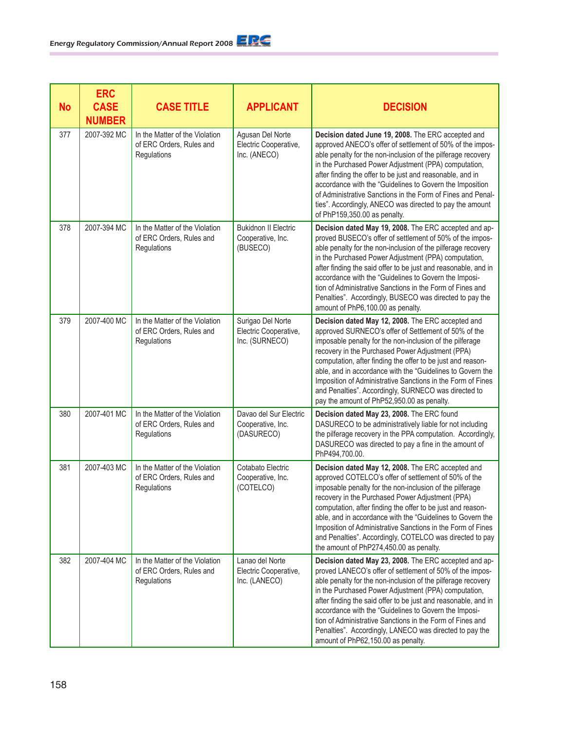| <b>No</b> | <b>ERC</b><br><b>CASE</b><br><b>NUMBER</b> | <b>CASE TITLE</b>                                                         | <b>APPLICANT</b>                                             | <b>DECISION</b>                                                                                                                                                                                                                                                                                                                                                                                                                                                                                                                    |
|-----------|--------------------------------------------|---------------------------------------------------------------------------|--------------------------------------------------------------|------------------------------------------------------------------------------------------------------------------------------------------------------------------------------------------------------------------------------------------------------------------------------------------------------------------------------------------------------------------------------------------------------------------------------------------------------------------------------------------------------------------------------------|
| 377       | 2007-392 MC                                | In the Matter of the Violation<br>of ERC Orders, Rules and<br>Regulations | Agusan Del Norte<br>Electric Cooperative,<br>Inc. (ANECO)    | Decision dated June 19, 2008. The ERC accepted and<br>approved ANECO's offer of settlement of 50% of the impos-<br>able penalty for the non-inclusion of the pilferage recovery<br>in the Purchased Power Adjustment (PPA) computation,<br>after finding the offer to be just and reasonable, and in<br>accordance with the "Guidelines to Govern the Imposition<br>of Administrative Sanctions in the Form of Fines and Penal-<br>ties". Accordingly, ANECO was directed to pay the amount<br>of PhP159,350.00 as penalty.        |
| 378       | 2007-394 MC                                | In the Matter of the Violation<br>of ERC Orders, Rules and<br>Regulations | <b>Bukidnon II Electric</b><br>Cooperative, Inc.<br>(BUSECO) | Decision dated May 19, 2008. The ERC accepted and ap-<br>proved BUSECO's offer of settlement of 50% of the impos-<br>able penalty for the non-inclusion of the pilferage recovery<br>in the Purchased Power Adjustment (PPA) computation,<br>after finding the said offer to be just and reasonable, and in<br>accordance with the "Guidelines to Govern the Imposi-<br>tion of Administrative Sanctions in the Form of Fines and<br>Penalties". Accordingly, BUSECO was directed to pay the<br>amount of PhP6,100.00 as penalty.  |
| 379       | 2007-400 MC                                | In the Matter of the Violation<br>of ERC Orders, Rules and<br>Regulations | Surigao Del Norte<br>Electric Cooperative,<br>Inc. (SURNECO) | Decision dated May 12, 2008. The ERC accepted and<br>approved SURNECO's offer of Settlement of 50% of the<br>imposable penalty for the non-inclusion of the pilferage<br>recovery in the Purchased Power Adjustment (PPA)<br>computation, after finding the offer to be just and reason-<br>able, and in accordance with the "Guidelines to Govern the<br>Imposition of Administrative Sanctions in the Form of Fines<br>and Penalties". Accordingly, SURNECO was directed to<br>pay the amount of PhP52,950.00 as penalty.        |
| 380       | 2007-401 MC                                | In the Matter of the Violation<br>of ERC Orders, Rules and<br>Regulations | Davao del Sur Electric<br>Cooperative, Inc.<br>(DASURECO)    | Decision dated May 23, 2008. The ERC found<br>DASURECO to be administratively liable for not including<br>the pilferage recovery in the PPA computation. Accordingly,<br>DASURECO was directed to pay a fine in the amount of<br>PhP494,700.00.                                                                                                                                                                                                                                                                                    |
| 381       | 2007-403 MC                                | In the Matter of the Violation<br>of ERC Orders, Rules and<br>Regulations | Cotabato Electric<br>Cooperative, Inc.<br>(COTELCO)          | Decision dated May 12, 2008. The ERC accepted and<br>approved COTELCO's offer of settlement of 50% of the<br>imposable penalty for the non-inclusion of the pilferage<br>recovery in the Purchased Power Adjustment (PPA)<br>computation, after finding the offer to be just and reason-<br>able, and in accordance with the "Guidelines to Govern the<br>Imposition of Administrative Sanctions in the Form of Fines<br>and Penalties". Accordingly, COTELCO was directed to pay<br>the amount of PhP274,450.00 as penalty.       |
| 382       | 2007-404 MC                                | In the Matter of the Violation<br>of ERC Orders, Rules and<br>Regulations | Lanao del Norte<br>Electric Cooperative,<br>Inc. (LANECO)    | Decision dated May 23, 2008. The ERC accepted and ap-<br>proved LANECO's offer of settlement of 50% of the impos-<br>able penalty for the non-inclusion of the pilferage recovery<br>in the Purchased Power Adjustment (PPA) computation,<br>after finding the said offer to be just and reasonable, and in<br>accordance with the "Guidelines to Govern the Imposi-<br>tion of Administrative Sanctions in the Form of Fines and<br>Penalties". Accordingly, LANECO was directed to pay the<br>amount of PhP62,150.00 as penalty. |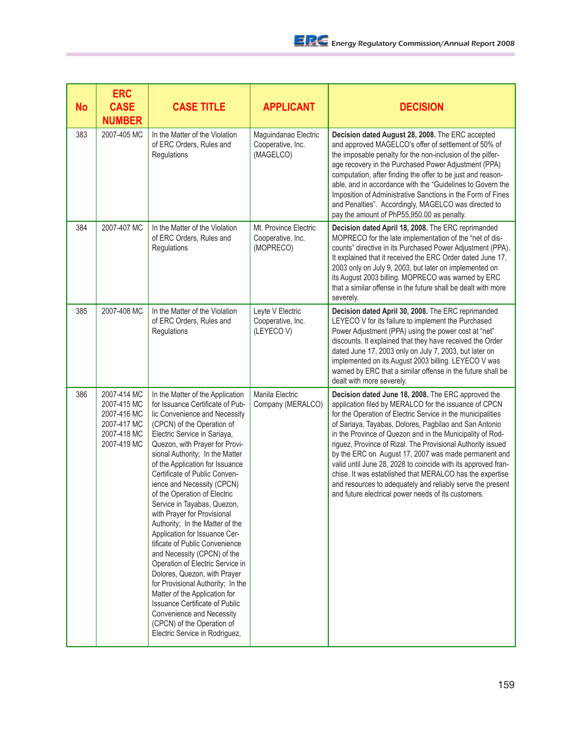| <b>No</b> | <b>ERC</b><br><b>CASE</b><br><b>NUMBER</b>                                             | <b>CASE TITLE</b>                                                                                                                                                                                                                                                                                                                                                                                                                                                                                                                                                                                                                                                                                                                                                                                                                                             | <b>APPLICANT</b>                                        | <b>DECISION</b>                                                                                                                                                                                                                                                                                                                                                                                                                                                                                                                                                                                                                                                            |
|-----------|----------------------------------------------------------------------------------------|---------------------------------------------------------------------------------------------------------------------------------------------------------------------------------------------------------------------------------------------------------------------------------------------------------------------------------------------------------------------------------------------------------------------------------------------------------------------------------------------------------------------------------------------------------------------------------------------------------------------------------------------------------------------------------------------------------------------------------------------------------------------------------------------------------------------------------------------------------------|---------------------------------------------------------|----------------------------------------------------------------------------------------------------------------------------------------------------------------------------------------------------------------------------------------------------------------------------------------------------------------------------------------------------------------------------------------------------------------------------------------------------------------------------------------------------------------------------------------------------------------------------------------------------------------------------------------------------------------------------|
| 383       | 2007-405 MC                                                                            | In the Matter of the Violation<br>of ERC Orders, Rules and<br>Regulations                                                                                                                                                                                                                                                                                                                                                                                                                                                                                                                                                                                                                                                                                                                                                                                     | Maguindanao Electric<br>Cooperative, Inc.<br>(MAGELCO)  | Decision dated August 28, 2008. The ERC accepted<br>and approved MAGELCO's offer of settlement of 50% of<br>the imposable penalty for the non-inclusion of the pilfer-<br>age recovery in the Purchased Power Adjustment (PPA)<br>computation, after finding the offer to be just and reason-<br>able, and in accordance with the "Guidelines to Govern the<br>Imposition of Administrative Sanctions in the Form of Fines<br>and Penalties". Accordingly, MAGELCO was directed to<br>pay the amount of PhP55,950.00 as penalty.                                                                                                                                           |
| 384       | 2007-407 MC                                                                            | In the Matter of the Violation<br>of ERC Orders, Rules and<br>Regulations                                                                                                                                                                                                                                                                                                                                                                                                                                                                                                                                                                                                                                                                                                                                                                                     | Mt. Province Electric<br>Cooperative, Inc.<br>(MOPRECO) | Decision dated April 18, 2008. The ERC reprimanded<br>MOPRECO for the late implementation of the "net of dis-<br>counts" directive in its Purchased Power Adjustment (PPA).<br>It explained that it received the ERC Order dated June 17,<br>2003 only on July 9, 2003, but later on implemented on<br>its August 2003 billing. MOPRECO was warned by ERC<br>that a similar offense in the future shall be dealt with more<br>severely.                                                                                                                                                                                                                                    |
| 385       | 2007-408 MC                                                                            | In the Matter of the Violation<br>of ERC Orders, Rules and<br>Regulations                                                                                                                                                                                                                                                                                                                                                                                                                                                                                                                                                                                                                                                                                                                                                                                     | Leyte V Electric<br>Cooperative, Inc.<br>(LEYECOV)      | Decision dated April 30, 2008. The ERC reprimanded<br>LEYECO V for its failure to implement the Purchased<br>Power Adjustment (PPA) using the power cost at "net"<br>discounts. It explained that they have received the Order<br>dated June 17, 2003 only on July 7, 2003, but later on<br>implemented on its August 2003 billing. LEYECO V was<br>warned by ERC that a similar offense in the future shall be<br>dealt with more severely.                                                                                                                                                                                                                               |
| 386       | 2007-414 MC<br>2007-415 MC<br>2007-416 MC<br>2007-417 MC<br>2007-418 MC<br>2007-419 MC | In the Matter of the Application<br>for Issuance Certificate of Pub-<br>lic Convenience and Necessity<br>(CPCN) of the Operation of<br>Electric Service in Sariaya,<br>Quezon, with Prayer for Provi-<br>sional Authority; In the Matter<br>of the Application for Issuance<br>Certificate of Public Conven-<br>ience and Necessity (CPCN)<br>of the Operation of Electric<br>Service in Tayabas, Quezon,<br>with Prayer for Provisional<br>Authority; In the Matter of the<br>Application for Issuance Cer-<br>tificate of Public Convenience<br>and Necessity (CPCN) of the<br>Operation of Electric Service in<br>Dolores, Quezon, with Prayer<br>for Provisional Authority; In the<br>Matter of the Application for<br><b>Issuance Certificate of Public</b><br>Convenience and Necessity<br>(CPCN) of the Operation of<br>Electric Service in Rodriguez, | Manila Electric<br>Company (MERALCO)                    | Decision dated June 18, 2008. The ERC approved the<br>application filed by MERALCO for the issuance of CPCN<br>for the Operation of Electric Service in the municipalities<br>of Sariaya, Tayabas, Dolores, Pagbilao and San Antonio<br>in the Province of Quezon and in the Municipality of Rod-<br>riguez, Province of Rizal. The Provisional Authority issued<br>by the ERC on August 17, 2007 was made permanent and<br>valid until June 28, 2028 to coincide with its approved fran-<br>chise. It was established that MERALCO has the expertise<br>and resources to adequately and reliably serve the present<br>and future electrical power needs of its customers. |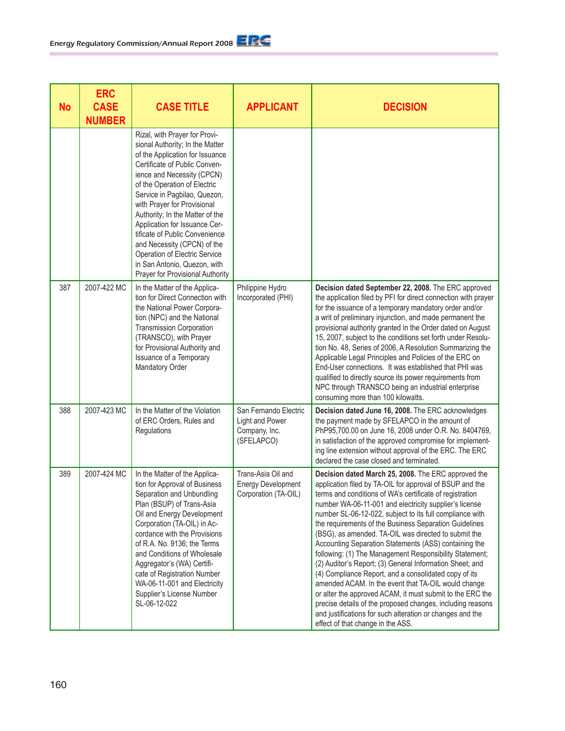| <b>No</b> | <b>ERC</b><br><b>CASE</b><br><b>NUMBER</b> | <b>CASE TITLE</b>                                                                                                                                                                                                                                                                                                                                                                                                                                                                                           | <b>APPLICANT</b>                                                        | <b>DECISION</b>                                                                                                                                                                                                                                                                                                                                                                                                                                                                                                                                                                                                                                                                                                                                                                                                                                                                                                                                  |
|-----------|--------------------------------------------|-------------------------------------------------------------------------------------------------------------------------------------------------------------------------------------------------------------------------------------------------------------------------------------------------------------------------------------------------------------------------------------------------------------------------------------------------------------------------------------------------------------|-------------------------------------------------------------------------|--------------------------------------------------------------------------------------------------------------------------------------------------------------------------------------------------------------------------------------------------------------------------------------------------------------------------------------------------------------------------------------------------------------------------------------------------------------------------------------------------------------------------------------------------------------------------------------------------------------------------------------------------------------------------------------------------------------------------------------------------------------------------------------------------------------------------------------------------------------------------------------------------------------------------------------------------|
|           |                                            | Rizal, with Prayer for Provi-<br>sional Authority; In the Matter<br>of the Application for Issuance<br>Certificate of Public Conven-<br>ience and Necessity (CPCN)<br>of the Operation of Electric<br>Service in Pagbilao, Quezon,<br>with Prayer for Provisional<br>Authority; In the Matter of the<br>Application for Issuance Cer-<br>tificate of Public Convenience<br>and Necessity (CPCN) of the<br>Operation of Electric Service<br>in San Antonio, Quezon, with<br>Prayer for Provisional Authority |                                                                         |                                                                                                                                                                                                                                                                                                                                                                                                                                                                                                                                                                                                                                                                                                                                                                                                                                                                                                                                                  |
| 387       | 2007-422 MC                                | In the Matter of the Applica-<br>tion for Direct Connection with<br>the National Power Corpora-<br>tion (NPC) and the National<br><b>Transmission Corporation</b><br>(TRANSCO), with Prayer<br>for Provisional Authority and<br>Issuance of a Temporary<br>Mandatory Order                                                                                                                                                                                                                                  | Philippine Hydro<br>Incorporated (PHI)                                  | Decision dated September 22, 2008. The ERC approved<br>the application filed by PFI for direct connection with prayer<br>for the issuance of a temporary mandatory order and/or<br>a writ of preliminary injunction, and made permanent the<br>provisional authority granted in the Order dated on August<br>15, 2007, subject to the conditions set forth under Resolu-<br>tion No. 48, Series of 2006, A Resolution Summarizing the<br>Applicable Legal Principles and Policies of the ERC on<br>End-User connections. It was established that PHI was<br>qualified to directly source its power requirements from<br>NPC through TRANSCO being an industrial enterprise<br>consuming more than 100 kilowatts.                                                                                                                                                                                                                                 |
| 388       | 2007-423 MC                                | In the Matter of the Violation<br>of ERC Orders, Rules and<br>Regulations                                                                                                                                                                                                                                                                                                                                                                                                                                   | San Fernando Electric<br>Light and Power<br>Company, Inc.<br>(SFELAPCO) | Decision dated June 16, 2008. The ERC acknowledges<br>the payment made by SFELAPCO in the amount of<br>PhP95,700.00 on June 16, 2008 under O.R. No. 8404769,<br>in satisfaction of the approved compromise for implement-<br>ing line extension without approval of the ERC. The ERC<br>declared the case closed and terminated.                                                                                                                                                                                                                                                                                                                                                                                                                                                                                                                                                                                                                 |
| 389       | 2007-424 MC                                | In the Matter of the Applica-<br>tion for Approval of Business<br>Separation and Unbundling<br>Plan (BSUP) of Trans-Asia<br>Oil and Energy Development<br>Corporation (TA-OIL) in Ac-<br>cordance with the Provisions<br>of R.A. No. 9136; the Terms<br>and Conditions of Wholesale<br>Aggregator's (WA) Certifi-<br>cate of Registration Number<br>WA-06-11-001 and Electricity<br>Supplier's License Number<br>SL-06-12-022                                                                               | Trans-Asia Oil and<br><b>Energy Development</b><br>Corporation (TA-OIL) | Decision dated March 25, 2008. The ERC approved the<br>application filed by TA-OIL for approval of BSUP and the<br>terms and conditions of WA's certificate of registration<br>number WA-06-11-001 and electricity supplier's license<br>number SL-06-12-022, subject to its full compliance with<br>the requirements of the Business Separation Guidelines<br>(BSG), as amended. TA-OIL was directed to submit the<br>Accounting Separation Statements (ASS) containing the<br>following: (1) The Management Responsibility Statement;<br>(2) Auditor's Report; (3) General Information Sheet; and<br>(4) Compliance Report, and a consolidated copy of its<br>amended ACAM. In the event that TA-OIL would change<br>or alter the approved ACAM, it must submit to the ERC the<br>precise details of the proposed changes, including reasons<br>and justifications for such alteration or changes and the<br>effect of that change in the ASS. |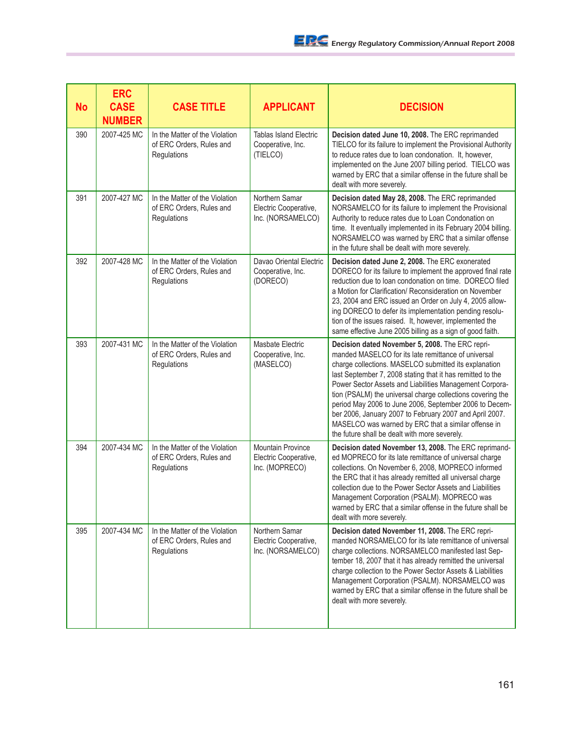| No  | <b>ERC</b><br><b>CASE</b><br><b>NUMBER</b> | <b>CASE TITLE</b>                                                         | <b>APPLICANT</b>                                               | <b>DECISION</b>                                                                                                                                                                                                                                                                                                                                                                                                                                                                                                                                                                     |
|-----|--------------------------------------------|---------------------------------------------------------------------------|----------------------------------------------------------------|-------------------------------------------------------------------------------------------------------------------------------------------------------------------------------------------------------------------------------------------------------------------------------------------------------------------------------------------------------------------------------------------------------------------------------------------------------------------------------------------------------------------------------------------------------------------------------------|
| 390 | 2007-425 MC                                | In the Matter of the Violation<br>of ERC Orders, Rules and<br>Regulations | <b>Tablas Island Electric</b><br>Cooperative, Inc.<br>(TIELCO) | Decision dated June 10, 2008. The ERC reprimanded<br>TIELCO for its failure to implement the Provisional Authority<br>to reduce rates due to loan condonation. It, however,<br>implemented on the June 2007 billing period. TIELCO was<br>warned by ERC that a similar offense in the future shall be<br>dealt with more severely.                                                                                                                                                                                                                                                  |
| 391 | 2007-427 MC                                | In the Matter of the Violation<br>of ERC Orders, Rules and<br>Regulations | Northern Samar<br>Electric Cooperative,<br>Inc. (NORSAMELCO)   | Decision dated May 28, 2008. The ERC reprimanded<br>NORSAMELCO for its failure to implement the Provisional<br>Authority to reduce rates due to Loan Condonation on<br>time. It eventually implemented in its February 2004 billing.<br>NORSAMELCO was warned by ERC that a similar offense<br>in the future shall be dealt with more severely.                                                                                                                                                                                                                                     |
| 392 | 2007-428 MC                                | In the Matter of the Violation<br>of ERC Orders, Rules and<br>Regulations | Davao Oriental Electric<br>Cooperative, Inc.<br>(DORECO)       | Decision dated June 2, 2008. The ERC exonerated<br>DORECO for its failure to implement the approved final rate<br>reduction due to loan condonation on time. DORECO filed<br>a Motion for Clarification/ Reconsideration on November<br>23, 2004 and ERC issued an Order on July 4, 2005 allow-<br>ing DORECO to defer its implementation pending resolu-<br>tion of the issues raised. It, however, implemented the<br>same effective June 2005 billing as a sign of good faith.                                                                                                   |
| 393 | 2007-431 MC                                | In the Matter of the Violation<br>of ERC Orders, Rules and<br>Regulations | Masbate Electric<br>Cooperative, Inc.<br>(MASELCO)             | Decision dated November 5, 2008. The ERC repri-<br>manded MASELCO for its late remittance of universal<br>charge collections. MASELCO submitted its explanation<br>last September 7, 2008 stating that it has remitted to the<br>Power Sector Assets and Liabilities Management Corpora-<br>tion (PSALM) the universal charge collections covering the<br>period May 2006 to June 2006, September 2006 to Decem-<br>ber 2006, January 2007 to February 2007 and April 2007.<br>MASELCO was warned by ERC that a similar offense in<br>the future shall be dealt with more severely. |
| 394 | 2007-434 MC                                | In the Matter of the Violation<br>of ERC Orders, Rules and<br>Regulations | Mountain Province<br>Electric Cooperative,<br>Inc. (MOPRECO)   | Decision dated November 13, 2008. The ERC reprimand-<br>ed MOPRECO for its late remittance of universal charge<br>collections. On November 6, 2008, MOPRECO informed<br>the ERC that it has already remitted all universal charge<br>collection due to the Power Sector Assets and Liabilities<br>Management Corporation (PSALM). MOPRECO was<br>warned by ERC that a similar offense in the future shall be<br>dealt with more severely.                                                                                                                                           |
| 395 | 2007-434 MC                                | In the Matter of the Violation<br>of ERC Orders, Rules and<br>Regulations | Northern Samar<br>Electric Cooperative,<br>Inc. (NORSAMELCO)   | Decision dated November 11, 2008. The ERC repri-<br>manded NORSAMELCO for its late remittance of universal<br>charge collections. NORSAMELCO manifested last Sep-<br>tember 18, 2007 that it has already remitted the universal<br>charge collection to the Power Sector Assets & Liabilities<br>Management Corporation (PSALM). NORSAMELCO was<br>warned by ERC that a similar offense in the future shall be<br>dealt with more severely.                                                                                                                                         |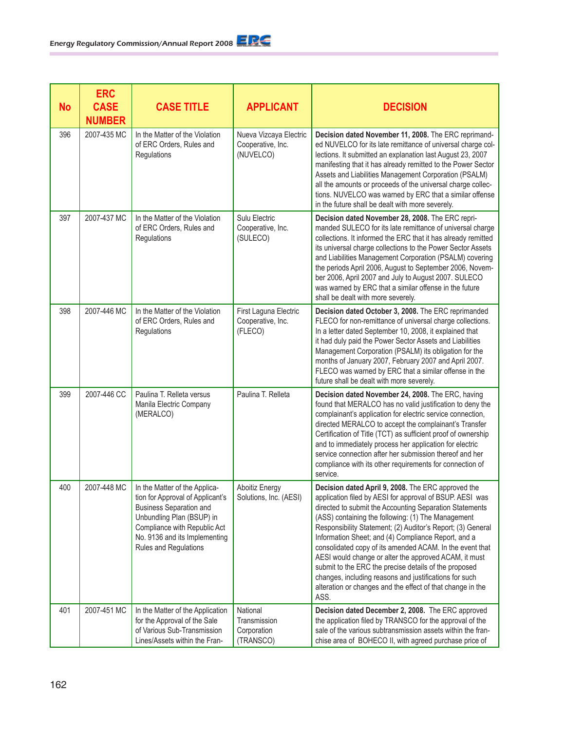| <b>No</b> | <b>ERC</b><br><b>CASE</b><br><b>NUMBER</b> | <b>CASE TITLE</b>                                                                                                                                                                                                          | <b>APPLICANT</b>                                         | <b>DECISION</b>                                                                                                                                                                                                                                                                                                                                                                                                                                                                                                                                                                                                                                                     |
|-----------|--------------------------------------------|----------------------------------------------------------------------------------------------------------------------------------------------------------------------------------------------------------------------------|----------------------------------------------------------|---------------------------------------------------------------------------------------------------------------------------------------------------------------------------------------------------------------------------------------------------------------------------------------------------------------------------------------------------------------------------------------------------------------------------------------------------------------------------------------------------------------------------------------------------------------------------------------------------------------------------------------------------------------------|
| 396       | 2007-435 MC                                | In the Matter of the Violation<br>of ERC Orders, Rules and<br>Regulations                                                                                                                                                  | Nueva Vizcaya Electric<br>Cooperative, Inc.<br>(NUVELCO) | Decision dated November 11, 2008. The ERC reprimand-<br>ed NUVELCO for its late remittance of universal charge col-<br>lections. It submitted an explanation last August 23, 2007<br>manifesting that it has already remitted to the Power Sector<br>Assets and Liabilities Management Corporation (PSALM)<br>all the amounts or proceeds of the universal charge collec-<br>tions. NUVELCO was warned by ERC that a similar offense<br>in the future shall be dealt with more severely.                                                                                                                                                                            |
| 397       | 2007-437 MC                                | In the Matter of the Violation<br>of ERC Orders, Rules and<br>Regulations                                                                                                                                                  | Sulu Electric<br>Cooperative, Inc.<br>(SULECO)           | Decision dated November 28, 2008. The ERC repri-<br>manded SULECO for its late remittance of universal charge<br>collections. It informed the ERC that it has already remitted<br>its universal charge collections to the Power Sector Assets<br>and Liabilities Management Corporation (PSALM) covering<br>the periods April 2006, August to September 2006, Novem-<br>ber 2006, April 2007 and July to August 2007. SULECO<br>was warned by ERC that a similar offense in the future<br>shall be dealt with more severely.                                                                                                                                        |
| 398       | 2007-446 MC                                | In the Matter of the Violation<br>of ERC Orders, Rules and<br>Regulations                                                                                                                                                  | First Laguna Electric<br>Cooperative, Inc.<br>(FLECO)    | Decision dated October 3, 2008. The ERC reprimanded<br>FLECO for non-remittance of universal charge collections.<br>In a letter dated September 10, 2008, it explained that<br>it had duly paid the Power Sector Assets and Liabilities<br>Management Corporation (PSALM) its obligation for the<br>months of January 2007, February 2007 and April 2007.<br>FLECO was warned by ERC that a similar offense in the<br>future shall be dealt with more severely.                                                                                                                                                                                                     |
| 399       | 2007-446 CC                                | Paulina T. Relleta versus<br>Manila Electric Company<br>(MERALCO)                                                                                                                                                          | Paulina T. Relleta                                       | Decision dated November 24, 2008. The ERC, having<br>found that MERALCO has no valid justification to deny the<br>complainant's application for electric service connection,<br>directed MERALCO to accept the complainant's Transfer<br>Certification of Title (TCT) as sufficient proof of ownership<br>and to immediately process her application for electric<br>service connection after her submission thereof and her<br>compliance with its other requirements for connection of<br>service.                                                                                                                                                                |
| 400       | 2007-448 MC                                | In the Matter of the Applica-<br>tion for Approval of Applicant's<br><b>Business Separation and</b><br>Unbundling Plan (BSUP) in<br>Compliance with Republic Act<br>No. 9136 and its Implementing<br>Rules and Regulations | <b>Aboitiz Energy</b><br>Solutions, Inc. (AESI)          | Decision dated April 9, 2008. The ERC approved the<br>application filed by AESI for approval of BSUP. AESI was<br>directed to submit the Accounting Separation Statements<br>(ASS) containing the following: (1) The Management<br>Responsibility Statement; (2) Auditor's Report; (3) General<br>Information Sheet; and (4) Compliance Report, and a<br>consolidated copy of its amended ACAM. In the event that<br>AESI would change or alter the approved ACAM, it must<br>submit to the ERC the precise details of the proposed<br>changes, including reasons and justifications for such<br>alteration or changes and the effect of that change in the<br>ASS. |
| 401       | 2007-451 MC                                | In the Matter of the Application<br>for the Approval of the Sale<br>of Various Sub-Transmission<br>Lines/Assets within the Fran-                                                                                           | National<br>Transmission<br>Corporation<br>(TRANSCO)     | Decision dated December 2, 2008. The ERC approved<br>the application filed by TRANSCO for the approval of the<br>sale of the various subtransmission assets within the fran-<br>chise area of BOHECO II, with agreed purchase price of                                                                                                                                                                                                                                                                                                                                                                                                                              |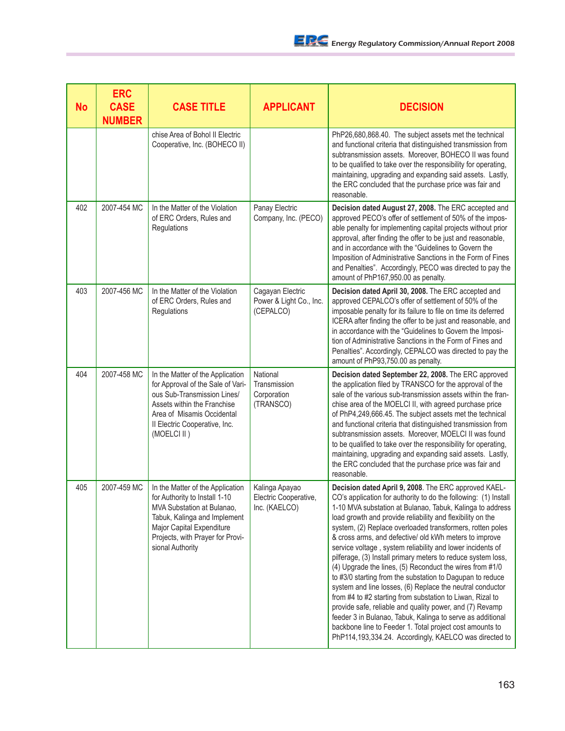| <b>No</b> | <b>ERC</b><br><b>CASE</b><br><b>NUMBER</b> | <b>CASE TITLE</b>                                                                                                                                                                                                    | <b>APPLICANT</b>                                         | <b>DECISION</b>                                                                                                                                                                                                                                                                                                                                                                                                                                                                                                                                                                                                                                                                                                                                                                                                                                                                                                                                                                                            |
|-----------|--------------------------------------------|----------------------------------------------------------------------------------------------------------------------------------------------------------------------------------------------------------------------|----------------------------------------------------------|------------------------------------------------------------------------------------------------------------------------------------------------------------------------------------------------------------------------------------------------------------------------------------------------------------------------------------------------------------------------------------------------------------------------------------------------------------------------------------------------------------------------------------------------------------------------------------------------------------------------------------------------------------------------------------------------------------------------------------------------------------------------------------------------------------------------------------------------------------------------------------------------------------------------------------------------------------------------------------------------------------|
|           |                                            | chise Area of Bohol II Electric<br>Cooperative, Inc. (BOHECO II)                                                                                                                                                     |                                                          | PhP26,680,868.40. The subject assets met the technical<br>and functional criteria that distinguished transmission from<br>subtransmission assets. Moreover, BOHECO II was found<br>to be qualified to take over the responsibility for operating,<br>maintaining, upgrading and expanding said assets. Lastly,<br>the ERC concluded that the purchase price was fair and<br>reasonable.                                                                                                                                                                                                                                                                                                                                                                                                                                                                                                                                                                                                                    |
| 402       | 2007-454 MC                                | In the Matter of the Violation<br>of ERC Orders, Rules and<br>Regulations                                                                                                                                            | Panay Electric<br>Company, Inc. (PECO)                   | Decision dated August 27, 2008. The ERC accepted and<br>approved PECO's offer of settlement of 50% of the impos-<br>able penalty for implementing capital projects without prior<br>approval, after finding the offer to be just and reasonable,<br>and in accordance with the "Guidelines to Govern the<br>Imposition of Administrative Sanctions in the Form of Fines<br>and Penalties". Accordingly, PECO was directed to pay the<br>amount of PhP167,950.00 as penalty.                                                                                                                                                                                                                                                                                                                                                                                                                                                                                                                                |
| 403       | 2007-456 MC                                | In the Matter of the Violation<br>of ERC Orders, Rules and<br>Regulations                                                                                                                                            | Cagayan Electric<br>Power & Light Co., Inc.<br>(CEPALCO) | Decision dated April 30, 2008. The ERC accepted and<br>approved CEPALCO's offer of settlement of 50% of the<br>imposable penalty for its failure to file on time its deferred<br>ICERA after finding the offer to be just and reasonable, and<br>in accordance with the "Guidelines to Govern the Imposi-<br>tion of Administrative Sanctions in the Form of Fines and<br>Penalties". Accordingly, CEPALCO was directed to pay the<br>amount of PhP93,750.00 as penalty.                                                                                                                                                                                                                                                                                                                                                                                                                                                                                                                                   |
| 404       | 2007-458 MC                                | In the Matter of the Application<br>for Approval of the Sale of Vari-<br>ous Sub-Transmission Lines/<br>Assets within the Franchise<br>Area of Misamis Occidental<br>Il Electric Cooperative, Inc.<br>(MOELCI II)    | National<br>Transmission<br>Corporation<br>(TRANSCO)     | Decision dated September 22, 2008. The ERC approved<br>the application filed by TRANSCO for the approval of the<br>sale of the various sub-transmission assets within the fran-<br>chise area of the MOELCI II, with agreed purchase price<br>of PhP4,249,666.45. The subject assets met the technical<br>and functional criteria that distinguished transmission from<br>subtransmission assets. Moreover, MOELCI II was found<br>to be qualified to take over the responsibility for operating,<br>maintaining, upgrading and expanding said assets. Lastly,<br>the ERC concluded that the purchase price was fair and<br>reasonable.                                                                                                                                                                                                                                                                                                                                                                    |
| 405       | 2007-459 MC                                | In the Matter of the Application<br>for Authority to Install 1-10<br>MVA Substation at Bulanao,<br>Tabuk, Kalinga and Implement<br>Major Capital Expenditure<br>Projects, with Prayer for Provi-<br>sional Authority | Kalinga Apayao<br>Electric Cooperative,<br>Inc. (KAELCO) | Decision dated April 9, 2008. The ERC approved KAEL-<br>CO's application for authority to do the following: (1) Install<br>1-10 MVA substation at Bulanao, Tabuk, Kalinga to address<br>load growth and provide reliability and flexibility on the<br>system, (2) Replace overloaded transformers, rotten poles<br>& cross arms, and defective/ old kWh meters to improve<br>service voltage, system reliability and lower incidents of<br>pilferage, (3) Install primary meters to reduce system loss,<br>(4) Upgrade the lines, (5) Reconduct the wires from #1/0<br>to #3/0 starting from the substation to Dagupan to reduce<br>system and line losses, (6) Replace the neutral conductor<br>from #4 to #2 starting from substation to Liwan, Rizal to<br>provide safe, reliable and quality power, and (7) Revamp<br>feeder 3 in Bulanao, Tabuk, Kalinga to serve as additional<br>backbone line to Feeder 1. Total project cost amounts to<br>PhP114,193,334.24. Accordingly, KAELCO was directed to |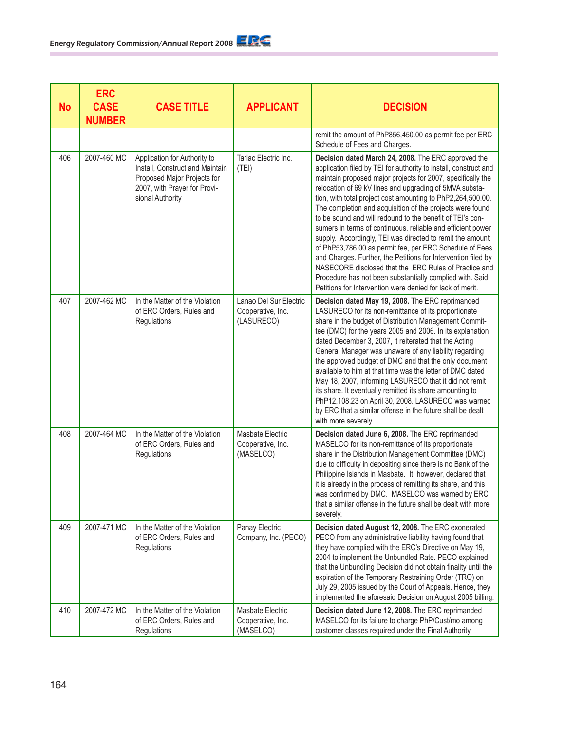| <b>No</b> | <b>ERC</b><br><b>CASE</b><br><b>NUMBER</b> | <b>CASE TITLE</b>                                                                                                                                  | <b>APPLICANT</b>                                          | <b>DECISION</b>                                                                                                                                                                                                                                                                                                                                                                                                                                                                                                                                                                                                                                                                                                                                                                                                                                                                      |
|-----------|--------------------------------------------|----------------------------------------------------------------------------------------------------------------------------------------------------|-----------------------------------------------------------|--------------------------------------------------------------------------------------------------------------------------------------------------------------------------------------------------------------------------------------------------------------------------------------------------------------------------------------------------------------------------------------------------------------------------------------------------------------------------------------------------------------------------------------------------------------------------------------------------------------------------------------------------------------------------------------------------------------------------------------------------------------------------------------------------------------------------------------------------------------------------------------|
|           |                                            |                                                                                                                                                    |                                                           | remit the amount of PhP856,450.00 as permit fee per ERC<br>Schedule of Fees and Charges.                                                                                                                                                                                                                                                                                                                                                                                                                                                                                                                                                                                                                                                                                                                                                                                             |
| 406       | 2007-460 MC                                | Application for Authority to<br>Install, Construct and Maintain<br>Proposed Major Projects for<br>2007, with Prayer for Provi-<br>sional Authority | Tarlac Electric Inc.<br>(TEI)                             | Decision dated March 24, 2008. The ERC approved the<br>application filed by TEI for authority to install, construct and<br>maintain proposed major projects for 2007, specifically the<br>relocation of 69 kV lines and upgrading of 5MVA substa-<br>tion, with total project cost amounting to PhP2,264,500.00.<br>The completion and acquisition of the projects were found<br>to be sound and will redound to the benefit of TEI's con-<br>sumers in terms of continuous, reliable and efficient power<br>supply. Accordingly, TEI was directed to remit the amount<br>of PhP53,786.00 as permit fee, per ERC Schedule of Fees<br>and Charges. Further, the Petitions for Intervention filed by<br>NASECORE disclosed that the ERC Rules of Practice and<br>Procedure has not been substantially complied with. Said<br>Petitions for Intervention were denied for lack of merit. |
| 407       | 2007-462 MC                                | In the Matter of the Violation<br>of ERC Orders, Rules and<br>Regulations                                                                          | Lanao Del Sur Electric<br>Cooperative, Inc.<br>(LASURECO) | Decision dated May 19, 2008. The ERC reprimanded<br>LASURECO for its non-remittance of its proportionate<br>share in the budget of Distribution Management Commit-<br>tee (DMC) for the years 2005 and 2006. In its explanation<br>dated December 3, 2007, it reiterated that the Acting<br>General Manager was unaware of any liability regarding<br>the approved budget of DMC and that the only document<br>available to him at that time was the letter of DMC dated<br>May 18, 2007, informing LASURECO that it did not remit<br>its share. It eventually remitted its share amounting to<br>PhP12,108.23 on April 30, 2008. LASURECO was warned<br>by ERC that a similar offense in the future shall be dealt<br>with more severely.                                                                                                                                           |
| 408       | 2007-464 MC                                | In the Matter of the Violation<br>of ERC Orders, Rules and<br>Regulations                                                                          | Masbate Electric<br>Cooperative, Inc.<br>(MASELCO)        | Decision dated June 6, 2008. The ERC reprimanded<br>MASELCO for its non-remittance of its proportionate<br>share in the Distribution Management Committee (DMC)<br>due to difficulty in depositing since there is no Bank of the<br>Philippine Islands in Masbate. It, however, declared that<br>it is already in the process of remitting its share, and this<br>was confirmed by DMC. MASELCO was warned by ERC<br>that a similar offense in the future shall be dealt with more<br>severely.                                                                                                                                                                                                                                                                                                                                                                                      |
| 409       | 2007-471 MC                                | In the Matter of the Violation<br>of ERC Orders, Rules and<br>Regulations                                                                          | Panay Electric<br>Company, Inc. (PECO)                    | Decision dated August 12, 2008. The ERC exonerated<br>PECO from any administrative liability having found that<br>they have complied with the ERC's Directive on May 19,<br>2004 to implement the Unbundled Rate. PECO explained<br>that the Unbundling Decision did not obtain finality until the<br>expiration of the Temporary Restraining Order (TRO) on<br>July 29, 2005 issued by the Court of Appeals. Hence, they<br>implemented the aforesaid Decision on August 2005 billing.                                                                                                                                                                                                                                                                                                                                                                                              |
| 410       | 2007-472 MC                                | In the Matter of the Violation<br>of ERC Orders, Rules and<br>Regulations                                                                          | Masbate Electric<br>Cooperative, Inc.<br>(MASELCO)        | Decision dated June 12, 2008. The ERC reprimanded<br>MASELCO for its failure to charge PhP/Cust/mo among<br>customer classes required under the Final Authority                                                                                                                                                                                                                                                                                                                                                                                                                                                                                                                                                                                                                                                                                                                      |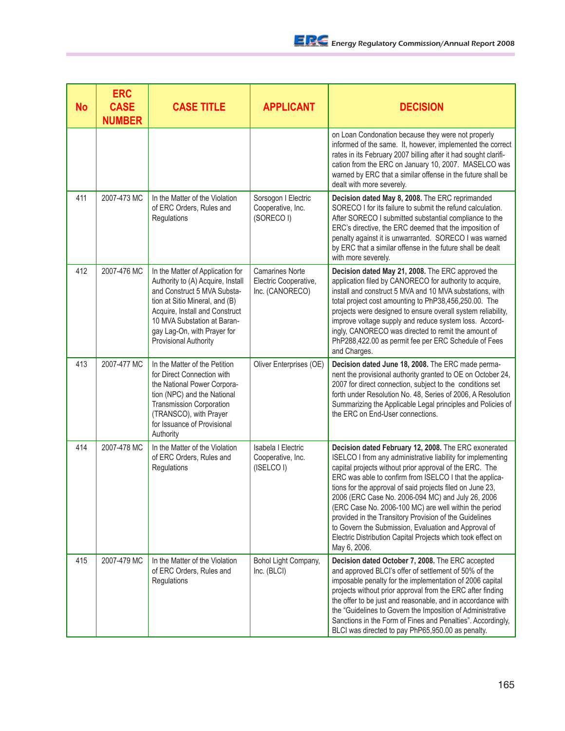| <b>No</b> | <b>ERC</b><br><b>CASE</b><br><b>NUMBER</b> | <b>CASE TITLE</b>                                                                                                                                                                                                                                               | <b>APPLICANT</b>                                                   | <b>DECISION</b>                                                                                                                                                                                                                                                                                                                                                                                                                                                                                                                                                                                                       |
|-----------|--------------------------------------------|-----------------------------------------------------------------------------------------------------------------------------------------------------------------------------------------------------------------------------------------------------------------|--------------------------------------------------------------------|-----------------------------------------------------------------------------------------------------------------------------------------------------------------------------------------------------------------------------------------------------------------------------------------------------------------------------------------------------------------------------------------------------------------------------------------------------------------------------------------------------------------------------------------------------------------------------------------------------------------------|
|           |                                            |                                                                                                                                                                                                                                                                 |                                                                    | on Loan Condonation because they were not properly<br>informed of the same. It, however, implemented the correct<br>rates in its February 2007 billing after it had sought clarifi-<br>cation from the ERC on January 10, 2007. MASELCO was<br>warned by ERC that a similar offense in the future shall be<br>dealt with more severely.                                                                                                                                                                                                                                                                               |
| 411       | 2007-473 MC                                | In the Matter of the Violation<br>of ERC Orders, Rules and<br>Regulations                                                                                                                                                                                       | Sorsogon I Electric<br>Cooperative, Inc.<br>(SORECO I)             | Decision dated May 8, 2008. The ERC reprimanded<br>SORECO I for its failure to submit the refund calculation.<br>After SORECO I submitted substantial compliance to the<br>ERC's directive, the ERC deemed that the imposition of<br>penalty against it is unwarranted. SORECO I was warned<br>by ERC that a similar offense in the future shall be dealt<br>with more severely.                                                                                                                                                                                                                                      |
| 412       | 2007-476 MC                                | In the Matter of Application for<br>Authority to (A) Acquire, Install<br>and Construct 5 MVA Substa-<br>tion at Sitio Mineral, and (B)<br>Acquire, Install and Construct<br>10 MVA Substation at Baran-<br>gay Lag-On, with Prayer for<br>Provisional Authority | <b>Camarines Norte</b><br>Electric Cooperative,<br>Inc. (CANORECO) | Decision dated May 21, 2008. The ERC approved the<br>application filed by CANORECO for authority to acquire,<br>install and construct 5 MVA and 10 MVA substations, with<br>total project cost amounting to PhP38,456,250.00. The<br>projects were designed to ensure overall system reliability,<br>improve voltage supply and reduce system loss. Accord-<br>ingly, CANORECO was directed to remit the amount of<br>PhP288,422.00 as permit fee per ERC Schedule of Fees<br>and Charges.                                                                                                                            |
| 413       | 2007-477 MC                                | In the Matter of the Petition<br>for Direct Connection with<br>the National Power Corpora-<br>tion (NPC) and the National<br>Transmission Corporation<br>(TRANSCO), with Prayer<br>for Issuance of Provisional<br>Authority                                     | Oliver Enterprises (OE)                                            | Decision dated June 18, 2008. The ERC made perma-<br>nent the provisional authority granted to OE on October 24,<br>2007 for direct connection, subject to the conditions set<br>forth under Resolution No. 48, Series of 2006, A Resolution<br>Summarizing the Applicable Legal principles and Policies of<br>the ERC on End-User connections.                                                                                                                                                                                                                                                                       |
| 414       | 2007-478 MC                                | In the Matter of the Violation<br>of ERC Orders, Rules and<br>Regulations                                                                                                                                                                                       | Isabela I Electric<br>Cooperative, Inc.<br>(ISELCO I)              | Decision dated February 12, 2008. The ERC exonerated<br>ISELCO I from any administrative liability for implementing<br>capital projects without prior approval of the ERC. The<br>ERC was able to confirm from ISELCO I that the applica-<br>tions for the approval of said projects filed on June 23,<br>2006 (ERC Case No. 2006-094 MC) and July 26, 2006<br>(ERC Case No. 2006-100 MC) are well within the period<br>provided in the Transitory Provision of the Guidelines<br>to Govern the Submission, Evaluation and Approval of<br>Electric Distribution Capital Projects which took effect on<br>May 6, 2006. |
| 415       | 2007-479 MC                                | In the Matter of the Violation<br>of ERC Orders, Rules and<br>Regulations                                                                                                                                                                                       | Bohol Light Company,<br>Inc. (BLCI)                                | Decision dated October 7, 2008. The ERC accepted<br>and approved BLCI's offer of settlement of 50% of the<br>imposable penalty for the implementation of 2006 capital<br>projects without prior approval from the ERC after finding<br>the offer to be just and reasonable, and in accordance with<br>the "Guidelines to Govern the Imposition of Administrative<br>Sanctions in the Form of Fines and Penalties". Accordingly,<br>BLCI was directed to pay PhP65,950.00 as penalty.                                                                                                                                  |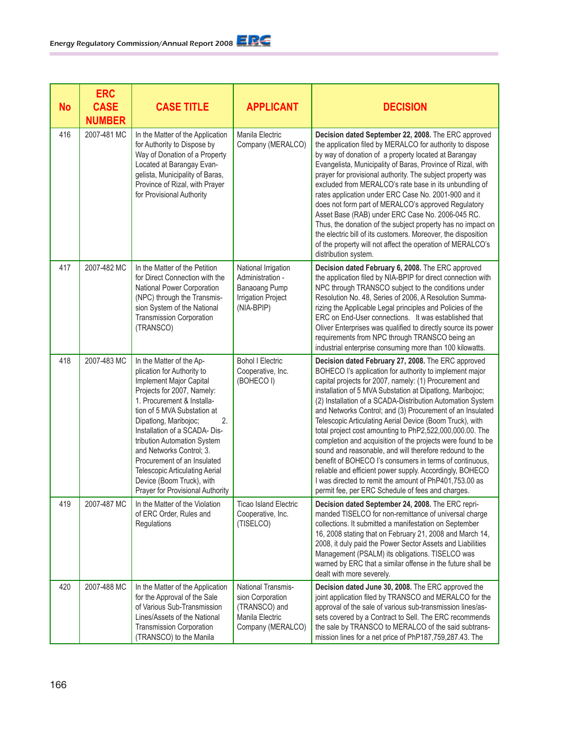| No  | <b>ERC</b><br><b>CASE</b><br><b>NUMBER</b> | <b>CASE TITLE</b>                                                                                                                                                                                                                                                                                                                                                                                                                                       | <b>APPLICANT</b>                                                                                    | <b>DECISION</b>                                                                                                                                                                                                                                                                                                                                                                                                                                                                                                                                                                                                                                                                                                                                                                                                                                         |
|-----|--------------------------------------------|---------------------------------------------------------------------------------------------------------------------------------------------------------------------------------------------------------------------------------------------------------------------------------------------------------------------------------------------------------------------------------------------------------------------------------------------------------|-----------------------------------------------------------------------------------------------------|---------------------------------------------------------------------------------------------------------------------------------------------------------------------------------------------------------------------------------------------------------------------------------------------------------------------------------------------------------------------------------------------------------------------------------------------------------------------------------------------------------------------------------------------------------------------------------------------------------------------------------------------------------------------------------------------------------------------------------------------------------------------------------------------------------------------------------------------------------|
| 416 | 2007-481 MC                                | In the Matter of the Application<br>for Authority to Dispose by<br>Way of Donation of a Property<br>Located at Barangay Evan-<br>gelista, Municipality of Baras,<br>Province of Rizal, with Prayer<br>for Provisional Authority                                                                                                                                                                                                                         | Manila Electric<br>Company (MERALCO)                                                                | Decision dated September 22, 2008. The ERC approved<br>the application filed by MERALCO for authority to dispose<br>by way of donation of a property located at Barangay<br>Evangelista, Municipality of Baras, Province of Rizal, with<br>prayer for provisional authority. The subject property was<br>excluded from MERALCO's rate base in its unbundling of<br>rates application under ERC Case No. 2001-900 and it<br>does not form part of MERALCO's approved Regulatory<br>Asset Base (RAB) under ERC Case No. 2006-045 RC.<br>Thus, the donation of the subject property has no impact on<br>the electric bill of its customers. Moreover, the disposition<br>of the property will not affect the operation of MERALCO's<br>distribution system.                                                                                                |
| 417 | 2007-482 MC                                | In the Matter of the Petition<br>for Direct Connection with the<br>National Power Corporation<br>(NPC) through the Transmis-<br>sion System of the National<br><b>Transmission Corporation</b><br>(TRANSCO)                                                                                                                                                                                                                                             | National Irrigation<br>Administration -<br>Banaoang Pump<br><b>Irrigation Project</b><br>(NIA-BPIP) | Decision dated February 6, 2008. The ERC approved<br>the application filed by NIA-BPIP for direct connection with<br>NPC through TRANSCO subject to the conditions under<br>Resolution No. 48, Series of 2006, A Resolution Summa-<br>rizing the Applicable Legal principles and Policies of the<br>ERC on End-User connections. It was established that<br>Oliver Enterprises was qualified to directly source its power<br>requirements from NPC through TRANSCO being an<br>industrial enterprise consuming more than 100 kilowatts.                                                                                                                                                                                                                                                                                                                 |
| 418 | 2007-483 MC                                | In the Matter of the Ap-<br>plication for Authority to<br><b>Implement Major Capital</b><br>Projects for 2007, Namely:<br>1. Procurement & Installa-<br>tion of 5 MVA Substation at<br>2.<br>Dipatlong, Maribojoc;<br>Installation of a SCADA- Dis-<br>tribution Automation System<br>and Networks Control; 3.<br>Procurement of an Insulated<br><b>Telescopic Articulating Aerial</b><br>Device (Boom Truck), with<br>Prayer for Provisional Authority | <b>Bohol I Electric</b><br>Cooperative, Inc.<br>(BOHECO I)                                          | Decision dated February 27, 2008. The ERC approved<br>BOHECO I's application for authority to implement major<br>capital projects for 2007, namely: (1) Procurement and<br>installation of 5 MVA Substation at Dipatlong, Maribojoc;<br>(2) Installation of a SCADA-Distribution Automation System<br>and Networks Control; and (3) Procurement of an Insulated<br>Telescopic Articulating Aerial Device (Boom Truck), with<br>total project cost amounting to PhP2,522,000,000.00. The<br>completion and acquisition of the projects were found to be<br>sound and reasonable, and will therefore redound to the<br>benefit of BOHECO I's consumers in terms of continuous,<br>reliable and efficient power supply. Accordingly, BOHECO<br>I was directed to remit the amount of PhP401,753.00 as<br>permit fee, per ERC Schedule of fees and charges. |
| 419 | 2007-487 MC                                | In the Matter of the Violation<br>of ERC Order, Rules and<br>Regulations                                                                                                                                                                                                                                                                                                                                                                                | <b>Ticao Island Electric</b><br>Cooperative, Inc.<br>(TISELCO)                                      | Decision dated September 24, 2008. The ERC repri-<br>manded TISELCO for non-remittance of universal charge<br>collections. It submitted a manifestation on September<br>16, 2008 stating that on February 21, 2008 and March 14,<br>2008, it duly paid the Power Sector Assets and Liabilities<br>Management (PSALM) its obligations. TISELCO was<br>warned by ERC that a similar offense in the future shall be<br>dealt with more severely.                                                                                                                                                                                                                                                                                                                                                                                                           |
| 420 | 2007-488 MC                                | In the Matter of the Application<br>for the Approval of the Sale<br>of Various Sub-Transmission<br>Lines/Assets of the National<br><b>Transmission Corporation</b><br>(TRANSCO) to the Manila                                                                                                                                                                                                                                                           | National Transmis-<br>sion Corporation<br>(TRANSCO) and<br>Manila Electric<br>Company (MERALCO)     | Decision dated June 30, 2008. The ERC approved the<br>joint application filed by TRANSCO and MERALCO for the<br>approval of the sale of various sub-transmission lines/as-<br>sets covered by a Contract to Sell. The ERC recommends<br>the sale by TRANSCO to MERALCO of the said subtrans-<br>mission lines for a net price of PhP187,759,287.43. The                                                                                                                                                                                                                                                                                                                                                                                                                                                                                                 |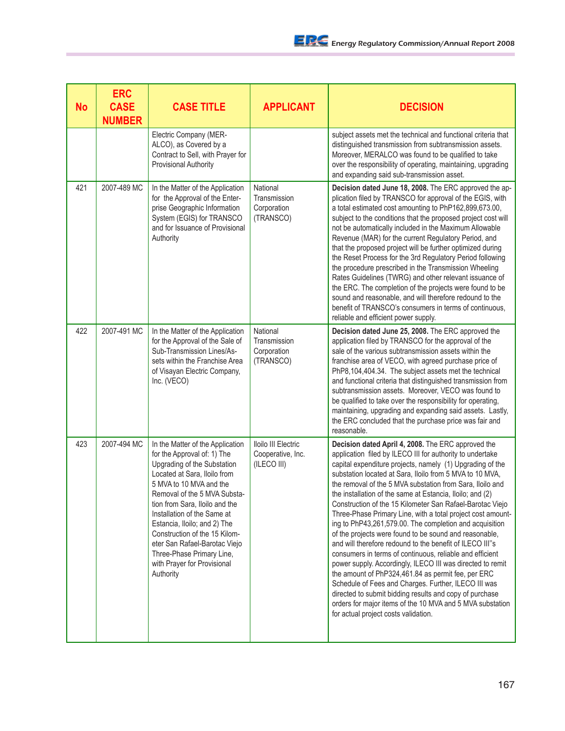| <b>No</b> | <b>ERC</b><br><b>CASE</b><br><b>NUMBER</b> | <b>CASE TITLE</b>                                                                                                                                                                                                                                                                                                                                                                                                                     | <b>APPLICANT</b>                                        | <b>DECISION</b>                                                                                                                                                                                                                                                                                                                                                                                                                                                                                                                                                                                                                                                                                                                                                                                                                                                                                                                                                                                                                                                                         |
|-----------|--------------------------------------------|---------------------------------------------------------------------------------------------------------------------------------------------------------------------------------------------------------------------------------------------------------------------------------------------------------------------------------------------------------------------------------------------------------------------------------------|---------------------------------------------------------|-----------------------------------------------------------------------------------------------------------------------------------------------------------------------------------------------------------------------------------------------------------------------------------------------------------------------------------------------------------------------------------------------------------------------------------------------------------------------------------------------------------------------------------------------------------------------------------------------------------------------------------------------------------------------------------------------------------------------------------------------------------------------------------------------------------------------------------------------------------------------------------------------------------------------------------------------------------------------------------------------------------------------------------------------------------------------------------------|
|           |                                            | Electric Company (MER-<br>ALCO), as Covered by a<br>Contract to Sell, with Prayer for<br>Provisional Authority                                                                                                                                                                                                                                                                                                                        |                                                         | subject assets met the technical and functional criteria that<br>distinguished transmission from subtransmission assets.<br>Moreover, MERALCO was found to be qualified to take<br>over the responsibility of operating, maintaining, upgrading<br>and expanding said sub-transmission asset.                                                                                                                                                                                                                                                                                                                                                                                                                                                                                                                                                                                                                                                                                                                                                                                           |
| 421       | 2007-489 MC                                | In the Matter of the Application<br>for the Approval of the Enter-<br>prise Geographic Information<br>System (EGIS) for TRANSCO<br>and for Issuance of Provisional<br>Authority                                                                                                                                                                                                                                                       | National<br>Transmission<br>Corporation<br>(TRANSCO)    | Decision dated June 18, 2008. The ERC approved the ap-<br>plication filed by TRANSCO for approval of the EGIS, with<br>a total estimated cost amounting to PhP162,899,673.00,<br>subject to the conditions that the proposed project cost will<br>not be automatically included in the Maximum Allowable<br>Revenue (MAR) for the current Regulatory Period, and<br>that the proposed project will be further optimized during<br>the Reset Process for the 3rd Regulatory Period following<br>the procedure prescribed in the Transmission Wheeling<br>Rates Guidelines (TWRG) and other relevant issuance of<br>the ERC. The completion of the projects were found to be<br>sound and reasonable, and will therefore redound to the<br>benefit of TRANSCO's consumers in terms of continuous,<br>reliable and efficient power supply.                                                                                                                                                                                                                                                 |
| 422       | 2007-491 MC                                | In the Matter of the Application<br>for the Approval of the Sale of<br>Sub-Transmission Lines/As-<br>sets within the Franchise Area<br>of Visayan Electric Company,<br>Inc. (VECO)                                                                                                                                                                                                                                                    | National<br>Transmission<br>Corporation<br>(TRANSCO)    | Decision dated June 25, 2008. The ERC approved the<br>application filed by TRANSCO for the approval of the<br>sale of the various subtransmission assets within the<br>franchise area of VECO, with agreed purchase price of<br>PhP8,104,404.34. The subject assets met the technical<br>and functional criteria that distinguished transmission from<br>subtransmission assets. Moreover, VECO was found to<br>be qualified to take over the responsibility for operating,<br>maintaining, upgrading and expanding said assets. Lastly,<br>the ERC concluded that the purchase price was fair and<br>reasonable.                                                                                                                                                                                                                                                                                                                                                                                                                                                                       |
| 423       | 2007-494 MC                                | In the Matter of the Application<br>for the Approval of: 1) The<br>Upgrading of the Substation<br>Located at Sara, Iloilo from<br>5 MVA to 10 MVA and the<br>Removal of the 5 MVA Substa-<br>tion from Sara, Iloilo and the<br>Installation of the Same at<br>Estancia, Iloilo; and 2) The<br>Construction of the 15 Kilom-<br>eter San Rafael-Barotac Viejo<br>Three-Phase Primary Line,<br>with Prayer for Provisional<br>Authority | Iloilo III Electric<br>Cooperative, Inc.<br>(ILECO III) | Decision dated April 4, 2008. The ERC approved the<br>application filed by ILECO III for authority to undertake<br>capital expenditure projects, namely (1) Upgrading of the<br>substation located at Sara, Iloilo from 5 MVA to 10 MVA,<br>the removal of the 5 MVA substation from Sara, Iloilo and<br>the installation of the same at Estancia, Iloilo; and (2)<br>Construction of the 15 Kilometer San Rafael-Barotac Viejo<br>Three-Phase Primary Line, with a total project cost amount-<br>ing to PhP43,261,579.00. The completion and acquisition<br>of the projects were found to be sound and reasonable,<br>and will therefore redound to the benefit of ILECO III"s<br>consumers in terms of continuous, reliable and efficient<br>power supply. Accordingly, ILECO III was directed to remit<br>the amount of PhP324,461.84 as permit fee, per ERC<br>Schedule of Fees and Charges. Further, ILECO III was<br>directed to submit bidding results and copy of purchase<br>orders for major items of the 10 MVA and 5 MVA substation<br>for actual project costs validation. |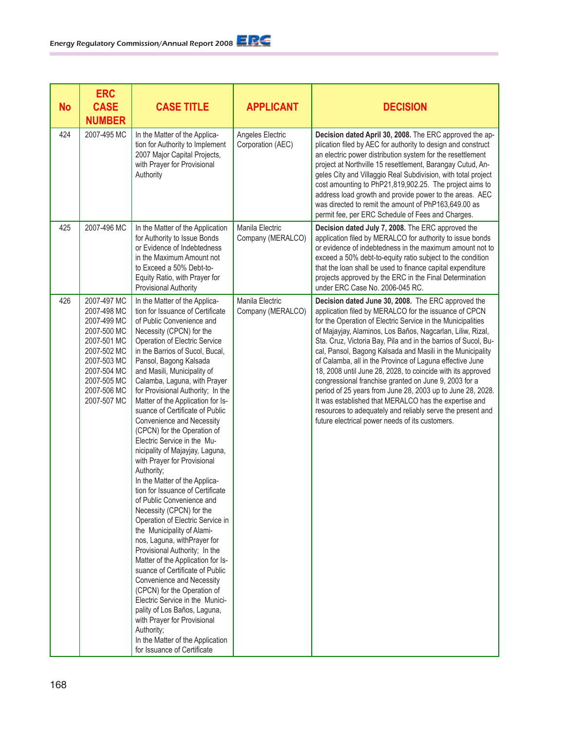| <b>No</b> | <b>ERC</b><br><b>CASE</b><br><b>NUMBER</b>                                                                                                                        | <b>CASE TITLE</b>                                                                                                                                                                                                                                                                                                                                                                                                                                                                                                                                                                                                                                                                                                                                                                                                                                                                                                                                                                                                                                                                                                                                                      | <b>APPLICANT</b>                      | <b>DECISION</b>                                                                                                                                                                                                                                                                                                                                                                                                                                                                                                                                                                                                                                                                                                                                                                                      |
|-----------|-------------------------------------------------------------------------------------------------------------------------------------------------------------------|------------------------------------------------------------------------------------------------------------------------------------------------------------------------------------------------------------------------------------------------------------------------------------------------------------------------------------------------------------------------------------------------------------------------------------------------------------------------------------------------------------------------------------------------------------------------------------------------------------------------------------------------------------------------------------------------------------------------------------------------------------------------------------------------------------------------------------------------------------------------------------------------------------------------------------------------------------------------------------------------------------------------------------------------------------------------------------------------------------------------------------------------------------------------|---------------------------------------|------------------------------------------------------------------------------------------------------------------------------------------------------------------------------------------------------------------------------------------------------------------------------------------------------------------------------------------------------------------------------------------------------------------------------------------------------------------------------------------------------------------------------------------------------------------------------------------------------------------------------------------------------------------------------------------------------------------------------------------------------------------------------------------------------|
| 424       | 2007-495 MC                                                                                                                                                       | In the Matter of the Applica-<br>tion for Authority to Implement<br>2007 Major Capital Projects,<br>with Prayer for Provisional<br>Authority                                                                                                                                                                                                                                                                                                                                                                                                                                                                                                                                                                                                                                                                                                                                                                                                                                                                                                                                                                                                                           | Angeles Electric<br>Corporation (AEC) | Decision dated April 30, 2008. The ERC approved the ap-<br>plication filed by AEC for authority to design and construct<br>an electric power distribution system for the resettlement<br>project at Northville 15 resettlement, Barangay Cutud, An-<br>geles City and Villaggio Real Subdivision, with total project<br>cost amounting to PhP21,819,902.25. The project aims to<br>address load growth and provide power to the areas. AEC<br>was directed to remit the amount of PhP163,649.00 as<br>permit fee, per ERC Schedule of Fees and Charges.                                                                                                                                                                                                                                              |
| 425       | 2007-496 MC                                                                                                                                                       | In the Matter of the Application<br>for Authority to Issue Bonds<br>or Evidence of Indebtedness<br>in the Maximum Amount not<br>to Exceed a 50% Debt-to-<br>Equity Ratio, with Prayer for<br>Provisional Authority                                                                                                                                                                                                                                                                                                                                                                                                                                                                                                                                                                                                                                                                                                                                                                                                                                                                                                                                                     | Manila Electric<br>Company (MERALCO)  | Decision dated July 7, 2008. The ERC approved the<br>application filed by MERALCO for authority to issue bonds<br>or evidence of indebtedness in the maximum amount not to<br>exceed a 50% debt-to-equity ratio subject to the condition<br>that the loan shall be used to finance capital expenditure<br>projects approved by the ERC in the Final Determination<br>under ERC Case No. 2006-045 RC.                                                                                                                                                                                                                                                                                                                                                                                                 |
| 426       | 2007-497 MC<br>2007-498 MC<br>2007-499 MC<br>2007-500 MC<br>2007-501 MC<br>2007-502 MC<br>2007-503 MC<br>2007-504 MC<br>2007-505 MC<br>2007-506 MC<br>2007-507 MC | In the Matter of the Applica-<br>tion for Issuance of Certificate<br>of Public Convenience and<br>Necessity (CPCN) for the<br>Operation of Electric Service<br>in the Barrios of Sucol, Bucal,<br>Pansol, Bagong Kalsada<br>and Masili, Municipality of<br>Calamba, Laguna, with Prayer<br>for Provisional Authority; In the<br>Matter of the Application for Is-<br>suance of Certificate of Public<br>Convenience and Necessity<br>(CPCN) for the Operation of<br>Electric Service in the Mu-<br>nicipality of Majayjay, Laguna,<br>with Prayer for Provisional<br>Authority;<br>In the Matter of the Applica-<br>tion for Issuance of Certificate<br>of Public Convenience and<br>Necessity (CPCN) for the<br>Operation of Electric Service in<br>the Municipality of Alami-<br>nos, Laguna, withPrayer for<br>Provisional Authority; In the<br>Matter of the Application for Is-<br>suance of Certificate of Public<br>Convenience and Necessity<br>(CPCN) for the Operation of<br>Electric Service in the Munici-<br>pality of Los Baños, Laguna,<br>with Prayer for Provisional<br>Authority;<br>In the Matter of the Application<br>for Issuance of Certificate | Manila Electric<br>Company (MERALCO)  | Decision dated June 30, 2008. The ERC approved the<br>application filed by MERALCO for the issuance of CPCN<br>for the Operation of Electric Service in the Municipalities<br>of Majayjay, Alaminos, Los Baños, Nagcarlan, Liliw, Rizal,<br>Sta. Cruz, Victoria Bay, Pila and in the barrios of Sucol, Bu-<br>cal, Pansol, Bagong Kalsada and Masili in the Municipality<br>of Calamba, all in the Province of Laguna effective June<br>18, 2008 until June 28, 2028, to coincide with its approved<br>congressional franchise granted on June 9, 2003 for a<br>period of 25 years from June 28, 2003 up to June 28, 2028.<br>It was established that MERALCO has the expertise and<br>resources to adequately and reliably serve the present and<br>future electrical power needs of its customers. |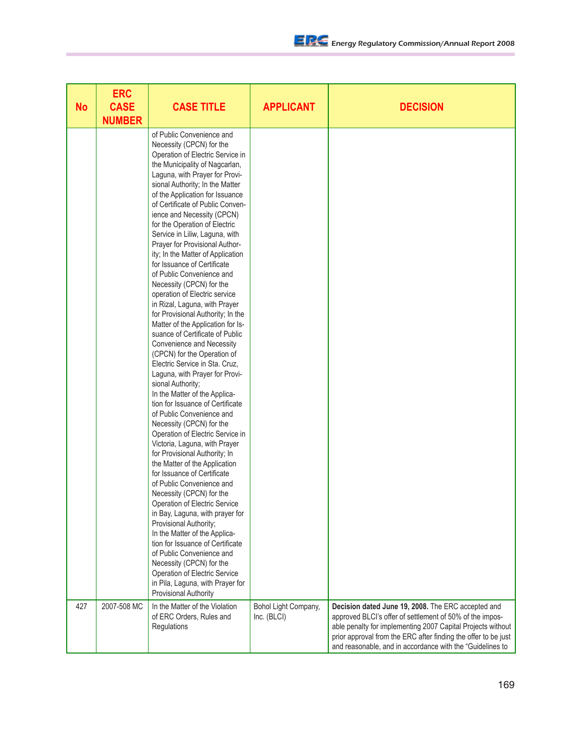| <b>No</b> | <b>ERC</b><br><b>CASE</b><br><b>NUMBER</b> | <b>CASE TITLE</b>                                                                                                                                                                                                                                                                                                                                                                                                                                                                                                                                                                                                                                                                                                                                                                                                                                                                                                                                                                                                                                                                                                                                                                                                                                                                                                                                                                                                                                                                                                                                                  | <b>APPLICANT</b>                    | <b>DECISION</b>                                                                                                                                                                                                                                                                                              |
|-----------|--------------------------------------------|--------------------------------------------------------------------------------------------------------------------------------------------------------------------------------------------------------------------------------------------------------------------------------------------------------------------------------------------------------------------------------------------------------------------------------------------------------------------------------------------------------------------------------------------------------------------------------------------------------------------------------------------------------------------------------------------------------------------------------------------------------------------------------------------------------------------------------------------------------------------------------------------------------------------------------------------------------------------------------------------------------------------------------------------------------------------------------------------------------------------------------------------------------------------------------------------------------------------------------------------------------------------------------------------------------------------------------------------------------------------------------------------------------------------------------------------------------------------------------------------------------------------------------------------------------------------|-------------------------------------|--------------------------------------------------------------------------------------------------------------------------------------------------------------------------------------------------------------------------------------------------------------------------------------------------------------|
|           |                                            | of Public Convenience and<br>Necessity (CPCN) for the<br>Operation of Electric Service in<br>the Municipality of Nagcarlan,<br>Laguna, with Prayer for Provi-<br>sional Authority; In the Matter<br>of the Application for Issuance<br>of Certificate of Public Conven-<br>ience and Necessity (CPCN)<br>for the Operation of Electric<br>Service in Liliw, Laguna, with<br>Prayer for Provisional Author-<br>ity; In the Matter of Application<br>for Issuance of Certificate<br>of Public Convenience and<br>Necessity (CPCN) for the<br>operation of Electric service<br>in Rizal, Laguna, with Prayer<br>for Provisional Authority; In the<br>Matter of the Application for Is-<br>suance of Certificate of Public<br>Convenience and Necessity<br>(CPCN) for the Operation of<br>Electric Service in Sta. Cruz,<br>Laguna, with Prayer for Provi-<br>sional Authority;<br>In the Matter of the Applica-<br>tion for Issuance of Certificate<br>of Public Convenience and<br>Necessity (CPCN) for the<br>Operation of Electric Service in<br>Victoria, Laguna, with Prayer<br>for Provisional Authority; In<br>the Matter of the Application<br>for Issuance of Certificate<br>of Public Convenience and<br>Necessity (CPCN) for the<br>Operation of Electric Service<br>in Bay, Laguna, with prayer for<br>Provisional Authority;<br>In the Matter of the Applica-<br>tion for Issuance of Certificate<br>of Public Convenience and<br>Necessity (CPCN) for the<br>Operation of Electric Service<br>in Pila, Laguna, with Prayer for<br>Provisional Authority |                                     |                                                                                                                                                                                                                                                                                                              |
| 427       | 2007-508 MC                                | In the Matter of the Violation<br>of ERC Orders, Rules and<br>Regulations                                                                                                                                                                                                                                                                                                                                                                                                                                                                                                                                                                                                                                                                                                                                                                                                                                                                                                                                                                                                                                                                                                                                                                                                                                                                                                                                                                                                                                                                                          | Bohol Light Company,<br>Inc. (BLCI) | Decision dated June 19, 2008. The ERC accepted and<br>approved BLCI's offer of settlement of 50% of the impos-<br>able penalty for implementing 2007 Capital Projects without<br>prior approval from the ERC after finding the offer to be just<br>and reasonable, and in accordance with the "Guidelines to |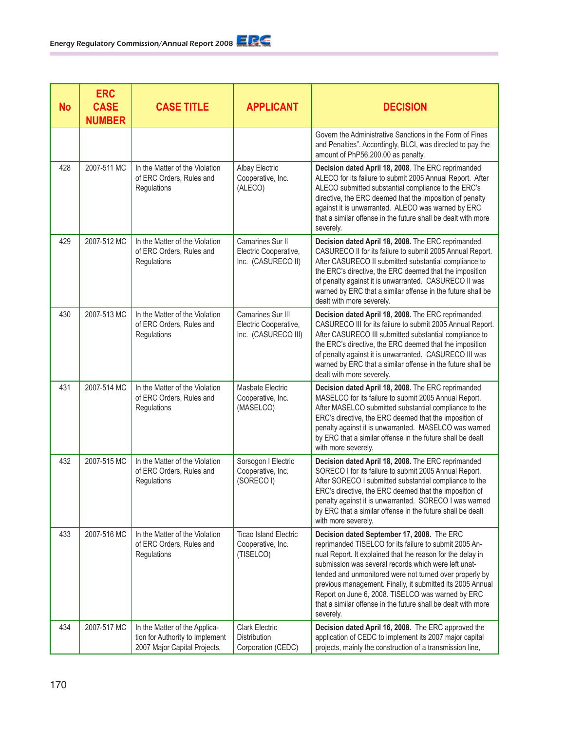| <b>No</b> | <b>ERC</b><br><b>CASE</b><br><b>NUMBER</b> | <b>CASE TITLE</b>                                                                                | <b>APPLICANT</b>                                                  | <b>DECISION</b>                                                                                                                                                                                                                                                                                                                                                                                                                                                                        |
|-----------|--------------------------------------------|--------------------------------------------------------------------------------------------------|-------------------------------------------------------------------|----------------------------------------------------------------------------------------------------------------------------------------------------------------------------------------------------------------------------------------------------------------------------------------------------------------------------------------------------------------------------------------------------------------------------------------------------------------------------------------|
|           |                                            |                                                                                                  |                                                                   | Govern the Administrative Sanctions in the Form of Fines<br>and Penalties". Accordingly, BLCI, was directed to pay the<br>amount of PhP56,200.00 as penalty.                                                                                                                                                                                                                                                                                                                           |
| 428       | 2007-511 MC                                | In the Matter of the Violation<br>of ERC Orders, Rules and<br>Regulations                        | Albay Electric<br>Cooperative, Inc.<br>(ALECO)                    | Decision dated April 18, 2008. The ERC reprimanded<br>ALECO for its failure to submit 2005 Annual Report. After<br>ALECO submitted substantial compliance to the ERC's<br>directive, the ERC deemed that the imposition of penalty<br>against it is unwarranted. ALECO was warned by ERC<br>that a similar offense in the future shall be dealt with more<br>severely.                                                                                                                 |
| 429       | 2007-512 MC                                | In the Matter of the Violation<br>of ERC Orders, Rules and<br>Regulations                        | Camarines Sur II<br>Electric Cooperative,<br>Inc. (CASURECO II)   | Decision dated April 18, 2008. The ERC reprimanded<br>CASURECO II for its failure to submit 2005 Annual Report.<br>After CASURECO II submitted substantial compliance to<br>the ERC's directive, the ERC deemed that the imposition<br>of penalty against it is unwarranted. CASURECO II was<br>warned by ERC that a similar offense in the future shall be<br>dealt with more severely.                                                                                               |
| 430       | 2007-513 MC                                | In the Matter of the Violation<br>of ERC Orders, Rules and<br>Regulations                        | Camarines Sur III<br>Electric Cooperative,<br>Inc. (CASURECO III) | Decision dated April 18, 2008. The ERC reprimanded<br>CASURECO III for its failure to submit 2005 Annual Report.<br>After CASURECO III submitted substantial compliance to<br>the ERC's directive, the ERC deemed that the imposition<br>of penalty against it is unwarranted. CASURECO III was<br>warned by ERC that a similar offense in the future shall be<br>dealt with more severely.                                                                                            |
| 431       | 2007-514 MC                                | In the Matter of the Violation<br>of ERC Orders, Rules and<br>Regulations                        | <b>Masbate Electric</b><br>Cooperative, Inc.<br>(MASELCO)         | Decision dated April 18, 2008. The ERC reprimanded<br>MASELCO for its failure to submit 2005 Annual Report.<br>After MASELCO submitted substantial compliance to the<br>ERC's directive, the ERC deemed that the imposition of<br>penalty against it is unwarranted. MASELCO was warned<br>by ERC that a similar offense in the future shall be dealt<br>with more severely.                                                                                                           |
| 432       | 2007-515 MC                                | In the Matter of the Violation<br>of ERC Orders, Rules and<br>Regulations                        | Sorsogon I Electric<br>Cooperative, Inc.<br>(SORECO I)            | Decision dated April 18, 2008. The ERC reprimanded<br>SORECO I for its failure to submit 2005 Annual Report.<br>After SORECO I submitted substantial compliance to the<br>ERC's directive, the ERC deemed that the imposition of<br>penalty against it is unwarranted. SORECO I was warned<br>by ERC that a similar offense in the future shall be dealt<br>with more severely.                                                                                                        |
| 433       | 2007-516 MC                                | In the Matter of the Violation<br>of ERC Orders, Rules and<br>Regulations                        | <b>Ticao Island Electric</b><br>Cooperative, Inc.<br>(TISELCO)    | Decision dated September 17, 2008. The ERC<br>reprimanded TISELCO for its failure to submit 2005 An-<br>nual Report. It explained that the reason for the delay in<br>submission was several records which were left unat-<br>tended and unmonitored were not turned over properly by<br>previous management. Finally, it submitted its 2005 Annual<br>Report on June 6, 2008. TISELCO was warned by ERC<br>that a similar offense in the future shall be dealt with more<br>severely. |
| 434       | 2007-517 MC                                | In the Matter of the Applica-<br>tion for Authority to Implement<br>2007 Major Capital Projects, | <b>Clark Electric</b><br>Distribution<br>Corporation (CEDC)       | Decision dated April 16, 2008. The ERC approved the<br>application of CEDC to implement its 2007 major capital<br>projects, mainly the construction of a transmission line,                                                                                                                                                                                                                                                                                                            |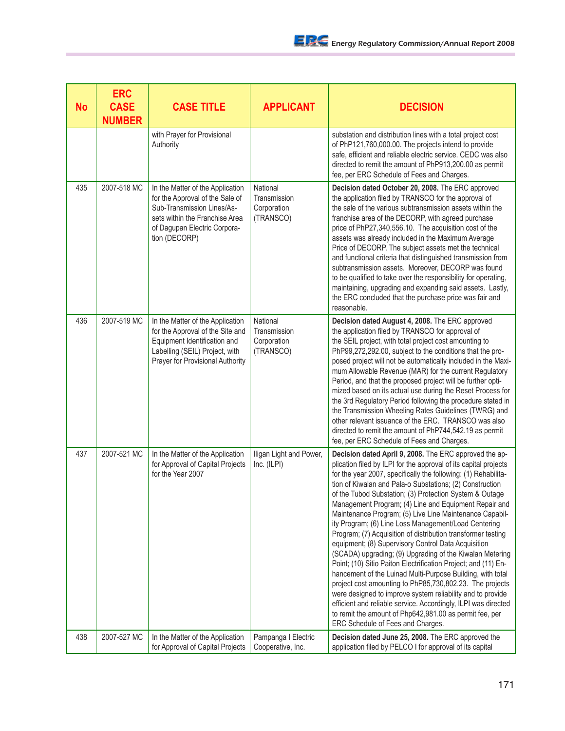| <b>No</b> | <b>ERC</b><br><b>CASE</b><br><b>NUMBER</b> | <b>CASE TITLE</b>                                                                                                                                                                    | <b>APPLICANT</b>                                     | <b>DECISION</b>                                                                                                                                                                                                                                                                                                                                                                                                                                                                                                                                                                                                                                                                                                                                                                                                                                                                                                                                                                                                                                                                                                |
|-----------|--------------------------------------------|--------------------------------------------------------------------------------------------------------------------------------------------------------------------------------------|------------------------------------------------------|----------------------------------------------------------------------------------------------------------------------------------------------------------------------------------------------------------------------------------------------------------------------------------------------------------------------------------------------------------------------------------------------------------------------------------------------------------------------------------------------------------------------------------------------------------------------------------------------------------------------------------------------------------------------------------------------------------------------------------------------------------------------------------------------------------------------------------------------------------------------------------------------------------------------------------------------------------------------------------------------------------------------------------------------------------------------------------------------------------------|
|           |                                            | with Prayer for Provisional<br>Authority                                                                                                                                             |                                                      | substation and distribution lines with a total project cost<br>of PhP121,760,000.00. The projects intend to provide<br>safe, efficient and reliable electric service. CEDC was also<br>directed to remit the amount of PhP913,200.00 as permit<br>fee, per ERC Schedule of Fees and Charges.                                                                                                                                                                                                                                                                                                                                                                                                                                                                                                                                                                                                                                                                                                                                                                                                                   |
| 435       | 2007-518 MC                                | In the Matter of the Application<br>for the Approval of the Sale of<br>Sub-Transmission Lines/As-<br>sets within the Franchise Area<br>of Dagupan Electric Corpora-<br>tion (DECORP) | National<br>Transmission<br>Corporation<br>(TRANSCO) | Decision dated October 20, 2008. The ERC approved<br>the application filed by TRANSCO for the approval of<br>the sale of the various subtransmission assets within the<br>franchise area of the DECORP, with agreed purchase<br>price of PhP27,340,556.10. The acquisition cost of the<br>assets was already included in the Maximum Average<br>Price of DECORP. The subject assets met the technical<br>and functional criteria that distinguished transmission from<br>subtransmission assets. Moreover, DECORP was found<br>to be qualified to take over the responsibility for operating,<br>maintaining, upgrading and expanding said assets. Lastly,<br>the ERC concluded that the purchase price was fair and<br>reasonable.                                                                                                                                                                                                                                                                                                                                                                            |
| 436       | 2007-519 MC                                | In the Matter of the Application<br>for the Approval of the Site and<br>Equipment Identification and<br>Labelling (SEIL) Project, with<br>Prayer for Provisional Authority           | National<br>Transmission<br>Corporation<br>(TRANSCO) | Decision dated August 4, 2008. The ERC approved<br>the application filed by TRANSCO for approval of<br>the SEIL project, with total project cost amounting to<br>PhP99,272,292.00, subject to the conditions that the pro-<br>posed project will not be automatically included in the Maxi-<br>mum Allowable Revenue (MAR) for the current Regulatory<br>Period, and that the proposed project will be further opti-<br>mized based on its actual use during the Reset Process for<br>the 3rd Regulatory Period following the procedure stated in<br>the Transmission Wheeling Rates Guidelines (TWRG) and<br>other relevant issuance of the ERC. TRANSCO was also<br>directed to remit the amount of PhP744,542.19 as permit<br>fee, per ERC Schedule of Fees and Charges.                                                                                                                                                                                                                                                                                                                                    |
| 437       | 2007-521 MC                                | In the Matter of the Application<br>for Approval of Capital Projects<br>for the Year 2007                                                                                            | Iligan Light and Power,<br>Inc. (ILPI)               | Decision dated April 9, 2008. The ERC approved the ap-<br>plication filed by ILPI for the approval of its capital projects<br>for the year 2007, specifically the following: (1) Rehabilita-<br>tion of Kiwalan and Pala-o Substations; (2) Construction<br>of the Tubod Substation; (3) Protection System & Outage<br>Management Program; (4) Line and Equipment Repair and<br>Maintenance Program; (5) Live Line Maintenance Capabil-<br>ity Program; (6) Line Loss Management/Load Centering<br>Program; (7) Acquisition of distribution transformer testing<br>equipment; (8) Supervisory Control Data Acquisition<br>(SCADA) upgrading; (9) Upgrading of the Kiwalan Metering<br>Point; (10) Sitio Paiton Electrification Project; and (11) En-<br>hancement of the Luinad Multi-Purpose Building, with total<br>project cost amounting to PhP85,730,802.23. The projects<br>were designed to improve system reliability and to provide<br>efficient and reliable service. Accordingly, ILPI was directed<br>to remit the amount of Php642,981.00 as permit fee, per<br>ERC Schedule of Fees and Charges. |
| 438       | 2007-527 MC                                | In the Matter of the Application<br>for Approval of Capital Projects                                                                                                                 | Pampanga I Electric<br>Cooperative, Inc.             | Decision dated June 25, 2008. The ERC approved the<br>application filed by PELCO I for approval of its capital                                                                                                                                                                                                                                                                                                                                                                                                                                                                                                                                                                                                                                                                                                                                                                                                                                                                                                                                                                                                 |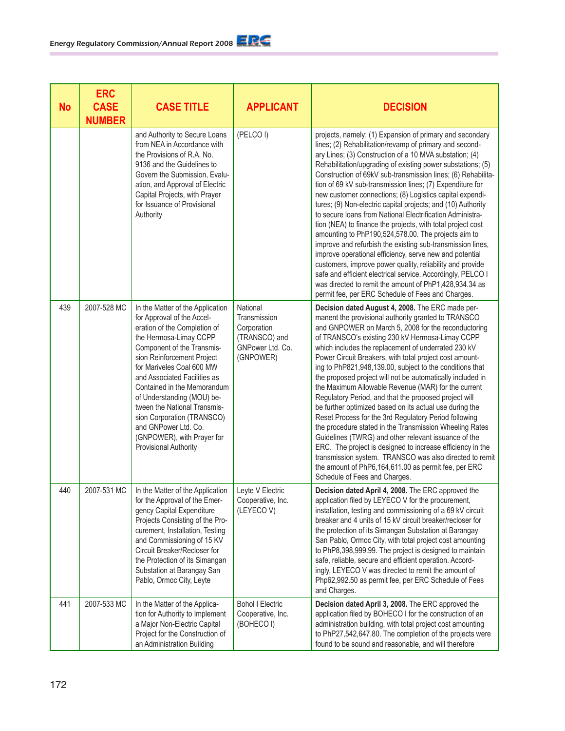| <b>No</b> | <b>ERC</b><br><b>CASE</b><br><b>NUMBER</b> | <b>CASE TITLE</b>                                                                                                                                                                                                                                                                                                                                                                                                                                                  | <b>APPLICANT</b>                                                                          | <b>DECISION</b>                                                                                                                                                                                                                                                                                                                                                                                                                                                                                                                                                                                                                                                                                                                                                                                                                                                                                                                                                                                                                                               |
|-----------|--------------------------------------------|--------------------------------------------------------------------------------------------------------------------------------------------------------------------------------------------------------------------------------------------------------------------------------------------------------------------------------------------------------------------------------------------------------------------------------------------------------------------|-------------------------------------------------------------------------------------------|---------------------------------------------------------------------------------------------------------------------------------------------------------------------------------------------------------------------------------------------------------------------------------------------------------------------------------------------------------------------------------------------------------------------------------------------------------------------------------------------------------------------------------------------------------------------------------------------------------------------------------------------------------------------------------------------------------------------------------------------------------------------------------------------------------------------------------------------------------------------------------------------------------------------------------------------------------------------------------------------------------------------------------------------------------------|
|           |                                            | and Authority to Secure Loans<br>from NEA in Accordance with<br>the Provisions of R.A. No.<br>9136 and the Guidelines to<br>Govern the Submission, Evalu-<br>ation, and Approval of Electric<br>Capital Projects, with Prayer<br>for Issuance of Provisional<br>Authority                                                                                                                                                                                          | (PELCOI)                                                                                  | projects, namely: (1) Expansion of primary and secondary<br>lines; (2) Rehabilitation/revamp of primary and second-<br>ary Lines; (3) Construction of a 10 MVA substation; (4)<br>Rehabilitation/upgrading of existing power substations; (5)<br>Construction of 69kV sub-transmission lines; (6) Rehabilita-<br>tion of 69 kV sub-transmission lines; (7) Expenditure for<br>new customer connections; (8) Logistics capital expendi-<br>tures; (9) Non-electric capital projects; and (10) Authority<br>to secure loans from National Electrification Administra-<br>tion (NEA) to finance the projects, with total project cost<br>amounting to PhP190,524,578.00. The projects aim to<br>improve and refurbish the existing sub-transmission lines,<br>improve operational efficiency, serve new and potential<br>customers, improve power quality, reliability and provide<br>safe and efficient electrical service. Accordingly, PELCO I<br>was directed to remit the amount of PhP1,428,934.34 as<br>permit fee, per ERC Schedule of Fees and Charges. |
| 439       | 2007-528 MC                                | In the Matter of the Application<br>for Approval of the Accel-<br>eration of the Completion of<br>the Hermosa-Limay CCPP<br>Component of the Transmis-<br>sion Reinforcement Project<br>for Mariveles Coal 600 MW<br>and Associated Facilities as<br>Contained in the Memorandum<br>of Understanding (MOU) be-<br>tween the National Transmis-<br>sion Corporation (TRANSCO)<br>and GNPower Ltd. Co.<br>(GNPOWER), with Prayer for<br><b>Provisional Authority</b> | National<br>Transmission<br>Corporation<br>(TRANSCO) and<br>GNPower Ltd. Co.<br>(GNPOWER) | Decision dated August 4, 2008. The ERC made per-<br>manent the provisional authority granted to TRANSCO<br>and GNPOWER on March 5, 2008 for the reconductoring<br>of TRANSCO's existing 230 kV Hermosa-Limay CCPP<br>which includes the replacement of underrated 230 kV<br>Power Circuit Breakers, with total project cost amount-<br>ing to PhP821,948,139.00, subject to the conditions that<br>the proposed project will not be automatically included in<br>the Maximum Allowable Revenue (MAR) for the current<br>Regulatory Period, and that the proposed project will<br>be further optimized based on its actual use during the<br>Reset Process for the 3rd Regulatory Period following<br>the procedure stated in the Transmission Wheeling Rates<br>Guidelines (TWRG) and other relevant issuance of the<br>ERC. The project is designed to increase efficiency in the<br>transmission system. TRANSCO was also directed to remit<br>the amount of PhP6,164,611.00 as permit fee, per ERC<br>Schedule of Fees and Charges.                        |
| 440       | 2007-531 MC                                | In the Matter of the Application<br>for the Approval of the Emer-<br>gency Capital Expenditure<br>Projects Consisting of the Pro-<br>curement, Installation, Testing<br>and Commissioning of 15 KV<br>Circuit Breaker/Recloser for<br>the Protection of its Simangan<br>Substation at Barangay San<br>Pablo, Ormoc City, Leyte                                                                                                                                     | Leyte V Electric<br>Cooperative, Inc.<br>(LEYECOV)                                        | Decision dated April 4, 2008. The ERC approved the<br>application filed by LEYECO V for the procurement,<br>installation, testing and commissioning of a 69 kV circuit<br>breaker and 4 units of 15 kV circuit breaker/recloser for<br>the protection of its Simangan Substation at Barangay<br>San Pablo, Ormoc City, with total project cost amounting<br>to PhP8,398,999.99. The project is designed to maintain<br>safe, reliable, secure and efficient operation. Accord-<br>ingly, LEYECO V was directed to remit the amount of<br>Php62,992.50 as permit fee, per ERC Schedule of Fees<br>and Charges.                                                                                                                                                                                                                                                                                                                                                                                                                                                 |
| 441       | 2007-533 MC                                | In the Matter of the Applica-<br>tion for Authority to Implement<br>a Major Non-Electric Capital<br>Project for the Construction of<br>an Administration Building                                                                                                                                                                                                                                                                                                  | <b>Bohol I Electric</b><br>Cooperative, Inc.<br>(BOHECO I)                                | Decision dated April 3, 2008. The ERC approved the<br>application filed by BOHECO I for the construction of an<br>administration building, with total project cost amounting<br>to PhP27,542,647.80. The completion of the projects were<br>found to be sound and reasonable, and will therefore                                                                                                                                                                                                                                                                                                                                                                                                                                                                                                                                                                                                                                                                                                                                                              |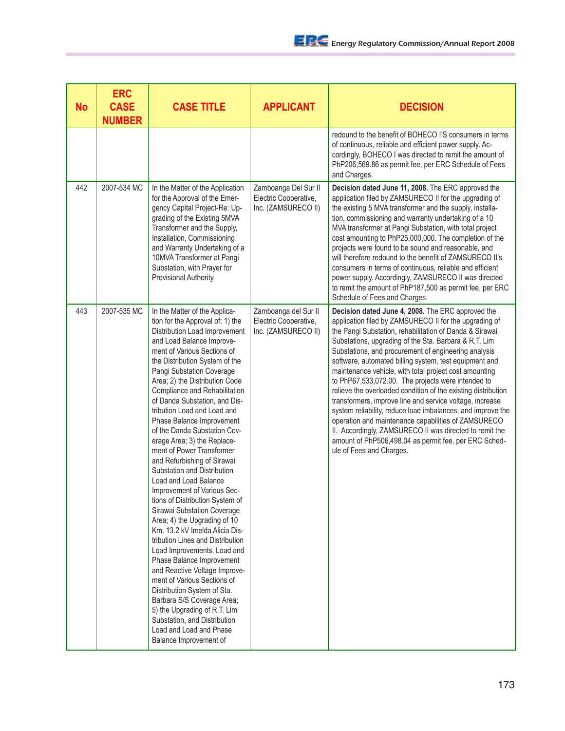| <b>No</b> | <b>ERC</b><br><b>CASE</b><br><b>NUMBER</b> | <b>CASE TITLE</b>                                                                                                                                                                                                                                                                                                                                                                                                                                                                                                                                                                                                                                                                                                                                                                                                                                                                                                                                                                                                                                                                                     | <b>APPLICANT</b>                                                     | <b>DECISION</b>                                                                                                                                                                                                                                                                                                                                                                                                                                                                                                                                                                                                                                                                                                                                                                                                                                                      |
|-----------|--------------------------------------------|-------------------------------------------------------------------------------------------------------------------------------------------------------------------------------------------------------------------------------------------------------------------------------------------------------------------------------------------------------------------------------------------------------------------------------------------------------------------------------------------------------------------------------------------------------------------------------------------------------------------------------------------------------------------------------------------------------------------------------------------------------------------------------------------------------------------------------------------------------------------------------------------------------------------------------------------------------------------------------------------------------------------------------------------------------------------------------------------------------|----------------------------------------------------------------------|----------------------------------------------------------------------------------------------------------------------------------------------------------------------------------------------------------------------------------------------------------------------------------------------------------------------------------------------------------------------------------------------------------------------------------------------------------------------------------------------------------------------------------------------------------------------------------------------------------------------------------------------------------------------------------------------------------------------------------------------------------------------------------------------------------------------------------------------------------------------|
|           |                                            |                                                                                                                                                                                                                                                                                                                                                                                                                                                                                                                                                                                                                                                                                                                                                                                                                                                                                                                                                                                                                                                                                                       |                                                                      | redound to the benefit of BOHECO I'S consumers in terms<br>of continuous, reliable and efficient power supply. Ac-<br>cordingly, BOHECO I was directed to remit the amount of<br>PhP206,569.86 as permit fee, per ERC Schedule of Fees<br>and Charges.                                                                                                                                                                                                                                                                                                                                                                                                                                                                                                                                                                                                               |
| 442       | 2007-534 MC                                | In the Matter of the Application<br>for the Approval of the Emer-<br>gency Capital Project-Re: Up-<br>grading of the Existing 5MVA<br>Transformer and the Supply,<br>Installation, Commissioning<br>and Warranty Undertaking of a<br>10MVA Transformer at Pangi<br>Substation, with Prayer for<br>Provisional Authority                                                                                                                                                                                                                                                                                                                                                                                                                                                                                                                                                                                                                                                                                                                                                                               | Zamboanga Del Sur II<br>Electric Cooperative,<br>Inc. (ZAMSURECO II) | Decision dated June 11, 2008. The ERC approved the<br>application filed by ZAMSURECO II for the upgrading of<br>the existing 5 MVA transformer and the supply, installa-<br>tion, commissioning and warranty undertaking of a 10<br>MVA transformer at Pangi Substation, with total project<br>cost amounting to PhP25,000,000. The completion of the<br>projects were found to be sound and reasonable, and<br>will therefore redound to the benefit of ZAMSURECO II's<br>consumers in terms of continuous, reliable and efficient<br>power supply. Accordingly, ZAMSURECO II was directed<br>to remit the amount of PhP187,500 as permit fee, per ERC<br>Schedule of Fees and Charges.                                                                                                                                                                             |
| 443       | 2007-535 MC                                | In the Matter of the Applica-<br>tion for the Approval of: 1) the<br>Distribution Load Improvement<br>and Load Balance Improve-<br>ment of Various Sections of<br>the Distribution System of the<br>Pangi Substation Coverage<br>Area; 2) the Distribution Code<br>Compliance and Rehabilitation<br>of Danda Substation, and Dis-<br>tribution Load and Load and<br>Phase Balance Improvement<br>of the Danda Substation Cov-<br>erage Area; 3) the Replace-<br>ment of Power Transformer<br>and Refurbishing of Sirawai<br>Substation and Distribution<br>Load and Load Balance<br>Improvement of Various Sec-<br>tions of Distribution System of<br>Sirawai Substation Coverage<br>Area; 4) the Upgrading of 10<br>Km. 13.2 kV Imelda Alicia Dis-<br>tribution Lines and Distribution<br>Load Improvements, Load and<br>Phase Balance Improvement<br>and Reactive Voltage Improve-<br>ment of Various Sections of<br>Distribution System of Sta.<br>Barbara S/S Coverage Area;<br>5) the Upgrading of R.T. Lim<br>Substation, and Distribution<br>Load and Load and Phase<br>Balance Improvement of | Zamboanga del Sur II<br>Electric Cooperative,<br>Inc. (ZAMSURECO II) | Decision dated June 4, 2008. The ERC approved the<br>application filed by ZAMSURECO II for the upgrading of<br>the Pangi Substation, rehabilitation of Danda & Sirawai<br>Substations, upgrading of the Sta. Barbara & R.T. Lim<br>Substations, and procurement of engineering analysis<br>software, automated billing system, test equipment and<br>maintenance vehicle, with total project cost amounting<br>to PhP67,533,072.00. The projects were intended to<br>relieve the overloaded condition of the existing distribution<br>transformers, improve line and service voltage, increase<br>system reliability, reduce load imbalances, and improve the<br>operation and maintenance capabilities of ZAMSURECO<br>II. Accordingly, ZAMSURECO II was directed to remit the<br>amount of PhP506,498.04 as permit fee, per ERC Sched-<br>ule of Fees and Charges. |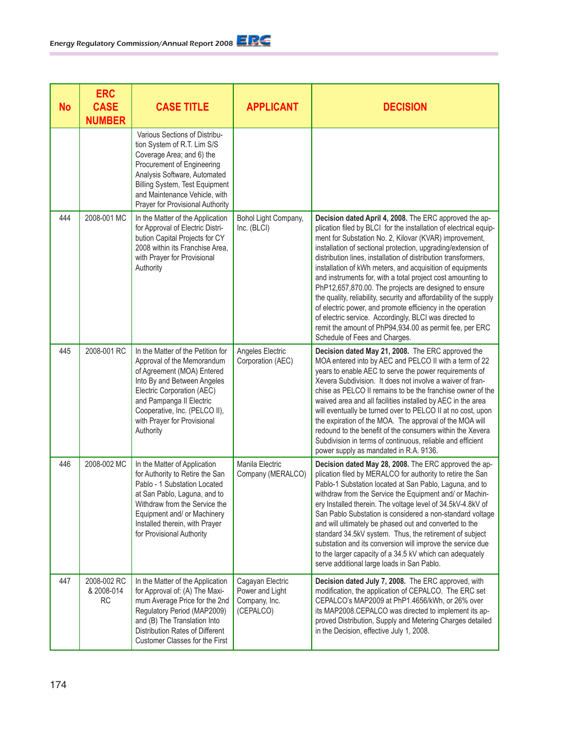| <b>No</b> | <b>ERC</b><br><b>CASE</b><br><b>NUMBER</b> | <b>CASE TITLE</b>                                                                                                                                                                                                                                                   | <b>APPLICANT</b>                                                  | <b>DECISION</b>                                                                                                                                                                                                                                                                                                                                                                                                                                                                                                                                                                                                                                                                                                                                                                                        |
|-----------|--------------------------------------------|---------------------------------------------------------------------------------------------------------------------------------------------------------------------------------------------------------------------------------------------------------------------|-------------------------------------------------------------------|--------------------------------------------------------------------------------------------------------------------------------------------------------------------------------------------------------------------------------------------------------------------------------------------------------------------------------------------------------------------------------------------------------------------------------------------------------------------------------------------------------------------------------------------------------------------------------------------------------------------------------------------------------------------------------------------------------------------------------------------------------------------------------------------------------|
|           |                                            | Various Sections of Distribu-<br>tion System of R.T. Lim S/S<br>Coverage Area; and 6) the<br>Procurement of Engineering<br>Analysis Software, Automated<br>Billing System, Test Equipment<br>and Maintenance Vehicle, with<br>Prayer for Provisional Authority      |                                                                   |                                                                                                                                                                                                                                                                                                                                                                                                                                                                                                                                                                                                                                                                                                                                                                                                        |
| 444       | 2008-001 MC                                | In the Matter of the Application<br>for Approval of Electric Distri-<br>bution Capital Projects for CY<br>2008 within its Franchise Area,<br>with Prayer for Provisional<br>Authority                                                                               | Bohol Light Company,<br>Inc. (BLCI)                               | Decision dated April 4, 2008. The ERC approved the ap-<br>plication filed by BLCI for the installation of electrical equip-<br>ment for Substation No. 2, Kilovar (KVAR) improvement,<br>installation of sectional protection, upgrading/extension of<br>distribution lines, installation of distribution transformers,<br>installation of kWh meters, and acquisition of equipments<br>and instruments for, with a total project cost amounting to<br>PhP12,657,870.00. The projects are designed to ensure<br>the quality, reliability, security and affordability of the supply<br>of electric power, and promote efficiency in the operation<br>of electric service. Accordingly, BLCI was directed to<br>remit the amount of PhP94,934.00 as permit fee, per ERC<br>Schedule of Fees and Charges. |
| 445       | 2008-001 RC                                | In the Matter of the Petition for<br>Approval of the Memorandum<br>of Agreement (MOA) Entered<br>Into By and Between Angeles<br>Electric Corporation (AEC)<br>and Pampanga II Electric<br>Cooperative, Inc. (PELCO II),<br>with Prayer for Provisional<br>Authority | Angeles Electric<br>Corporation (AEC)                             | Decision dated May 21, 2008. The ERC approved the<br>MOA entered into by AEC and PELCO II with a term of 22<br>years to enable AEC to serve the power requirements of<br>Xevera Subdivision. It does not involve a waiver of fran-<br>chise as PELCO II remains to be the franchise owner of the<br>waived area and all facilities installed by AEC in the area<br>will eventually be turned over to PELCO II at no cost, upon<br>the expiration of the MOA. The approval of the MOA will<br>redound to the benefit of the consumers within the Xevera<br>Subdivision in terms of continuous, reliable and efficient<br>power supply as mandated in R.A. 9136.                                                                                                                                         |
| 446       | 2008-002 MC                                | In the Matter of Application<br>for Authority to Retire the San<br>Pablo - 1 Substation Located<br>at San Pablo, Laguna, and to<br>Withdraw from the Service the<br>Equipment and/ or Machinery<br>Installed therein, with Prayer<br>for Provisional Authority      | Manila Electric<br>Company (MERALCO)                              | Decision dated May 28, 2008. The ERC approved the ap-<br>plication filed by MERALCO for authority to retire the San<br>Pablo-1 Substation located at San Pablo, Laguna, and to<br>withdraw from the Service the Equipment and/ or Machin-<br>ery Installed therein. The voltage level of 34.5kV-4.8kV of<br>San Pablo Substation is considered a non-standard voltage<br>and will ultimately be phased out and converted to the<br>standard 34.5kV system. Thus, the retirement of subject<br>substation and its conversion will improve the service due<br>to the larger capacity of a 34.5 kV which can adequately<br>serve additional large loads in San Pablo.                                                                                                                                     |
| 447       | 2008-002 RC<br>& 2008-014<br><b>RC</b>     | In the Matter of the Application<br>for Approval of: (A) The Maxi-<br>mum Average Price for the 2nd<br>Regulatory Period (MAP2009)<br>and (B) The Translation Into<br>Distribution Rates of Different<br>Customer Classes for the First                             | Cagayan Electric<br>Power and Light<br>Company, Inc.<br>(CEPALCO) | Decision dated July 7, 2008. The ERC approved, with<br>modification, the application of CEPALCO. The ERC set<br>CEPALCO's MAP2009 at PhP1.4656/kWh, or 26% over<br>its MAP2008.CEPALCO was directed to implement its ap-<br>proved Distribution, Supply and Metering Charges detailed<br>in the Decision, effective July 1, 2008.                                                                                                                                                                                                                                                                                                                                                                                                                                                                      |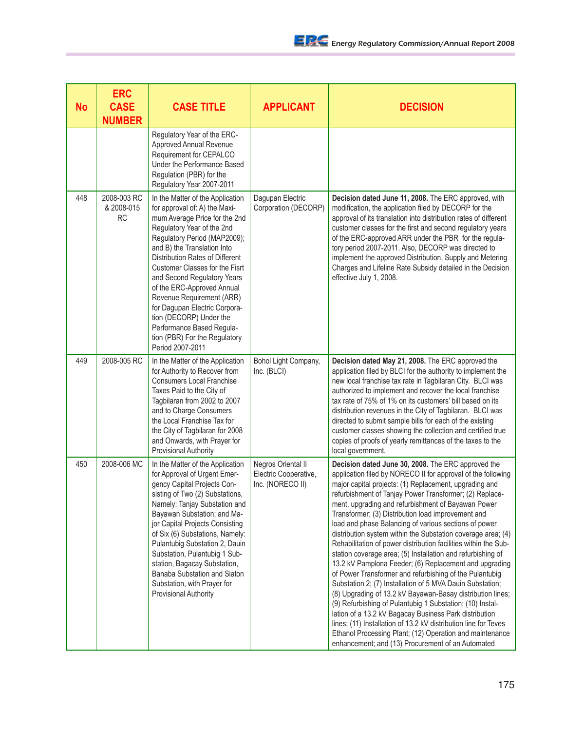| <b>No</b> | <b>ERC</b><br><b>CASE</b><br><b>NUMBER</b> | <b>CASE TITLE</b>                                                                                                                                                                                                                                                                                                                                                                                                                                                                                            | <b>APPLICANT</b>                                                | <b>DECISION</b>                                                                                                                                                                                                                                                                                                                                                                                                                                                                                                                                                                                                                                                                                                                                                                                                                                                                                                                                                                                                                                                                                                                                                           |
|-----------|--------------------------------------------|--------------------------------------------------------------------------------------------------------------------------------------------------------------------------------------------------------------------------------------------------------------------------------------------------------------------------------------------------------------------------------------------------------------------------------------------------------------------------------------------------------------|-----------------------------------------------------------------|---------------------------------------------------------------------------------------------------------------------------------------------------------------------------------------------------------------------------------------------------------------------------------------------------------------------------------------------------------------------------------------------------------------------------------------------------------------------------------------------------------------------------------------------------------------------------------------------------------------------------------------------------------------------------------------------------------------------------------------------------------------------------------------------------------------------------------------------------------------------------------------------------------------------------------------------------------------------------------------------------------------------------------------------------------------------------------------------------------------------------------------------------------------------------|
|           |                                            | Regulatory Year of the ERC-<br>Approved Annual Revenue<br>Requirement for CEPALCO<br>Under the Performance Based<br>Regulation (PBR) for the<br>Regulatory Year 2007-2011                                                                                                                                                                                                                                                                                                                                    |                                                                 |                                                                                                                                                                                                                                                                                                                                                                                                                                                                                                                                                                                                                                                                                                                                                                                                                                                                                                                                                                                                                                                                                                                                                                           |
| 448       | 2008-003 RC<br>& 2008-015<br><b>RC</b>     | In the Matter of the Application<br>for approval of: A) the Maxi-<br>mum Average Price for the 2nd<br>Regulatory Year of the 2nd<br>Regulatory Period (MAP2009);<br>and B) the Translation Into<br>Distribution Rates of Different<br>Customer Classes for the Fisrt<br>and Second Regulatory Years<br>of the ERC-Approved Annual<br>Revenue Requirement (ARR)<br>for Dagupan Electric Corpora-<br>tion (DECORP) Under the<br>Performance Based Regula-<br>tion (PBR) For the Regulatory<br>Period 2007-2011 | Dagupan Electric<br>Corporation (DECORP)                        | Decision dated June 11, 2008. The ERC approved, with<br>modification, the application filed by DECORP for the<br>approval of its translation into distribution rates of different<br>customer classes for the first and second regulatory years<br>of the ERC-approved ARR under the PBR for the regula-<br>tory period 2007-2011. Also, DECORP was directed to<br>implement the approved Distribution, Supply and Metering<br>Charges and Lifeline Rate Subsidy detailed in the Decision<br>effective July 1, 2008.                                                                                                                                                                                                                                                                                                                                                                                                                                                                                                                                                                                                                                                      |
| 449       | 2008-005 RC                                | In the Matter of the Application<br>for Authority to Recover from<br><b>Consumers Local Franchise</b><br>Taxes Paid to the City of<br>Tagbilaran from 2002 to 2007<br>and to Charge Consumers<br>the Local Franchise Tax for<br>the City of Tagbilaran for 2008<br>and Onwards, with Prayer for<br>Provisional Authority                                                                                                                                                                                     | Bohol Light Company,<br>Inc. (BLCI)                             | Decision dated May 21, 2008. The ERC approved the<br>application filed by BLCI for the authority to implement the<br>new local franchise tax rate in Tagbilaran City. BLCI was<br>authorized to implement and recover the local franchise<br>tax rate of 75% of 1% on its customers' bill based on its<br>distribution revenues in the City of Tagbilaran. BLCI was<br>directed to submit sample bills for each of the existing<br>customer classes showing the collection and certified true<br>copies of proofs of yearly remittances of the taxes to the<br>local government.                                                                                                                                                                                                                                                                                                                                                                                                                                                                                                                                                                                          |
| 450       | 2008-006 MC                                | In the Matter of the Application<br>for Approval of Urgent Emer-<br>gency Capital Projects Con-<br>sisting of Two (2) Substations,<br>Namely: Tanjay Substation and<br>Bayawan Substation; and Ma-<br>jor Capital Projects Consisting<br>of Six (6) Substations, Namely:<br>Pulantubig Substation 2, Dauin<br>Substation, Pulantubig 1 Sub-<br>station, Bagacay Substation,<br>Banaba Substation and Siaton<br>Substation, with Prayer for<br>Provisional Authority                                          | Negros Oriental II<br>Electric Cooperative,<br>Inc. (NORECO II) | Decision dated June 30, 2008. The ERC approved the<br>application filed by NORECO II for approval of the following<br>major capital projects: (1) Replacement, upgrading and<br>refurbishment of Tanjay Power Transformer; (2) Replace-<br>ment, upgrading and refurbishment of Bayawan Power<br>Transformer; (3) Distribution load improvement and<br>load and phase Balancing of various sections of power<br>distribution system within the Substation coverage area; (4)<br>Rehabilitation of power distribution facilities within the Sub-<br>station coverage area; (5) Installation and refurbishing of<br>13.2 kV Pamplona Feeder; (6) Replacement and upgrading<br>of Power Transformer and refurbishing of the Pulantubig<br>Substation 2; (7) Installation of 5 MVA Dauin Substation;<br>(8) Upgrading of 13.2 kV Bayawan-Basay distribution lines;<br>(9) Refurbishing of Pulantubig 1 Substation; (10) Instal-<br>lation of a 13.2 kV Bagacay Business Park distribution<br>lines; (11) Installation of 13.2 kV distribution line for Teves<br>Ethanol Processing Plant; (12) Operation and maintenance<br>enhancement; and (13) Procurement of an Automated |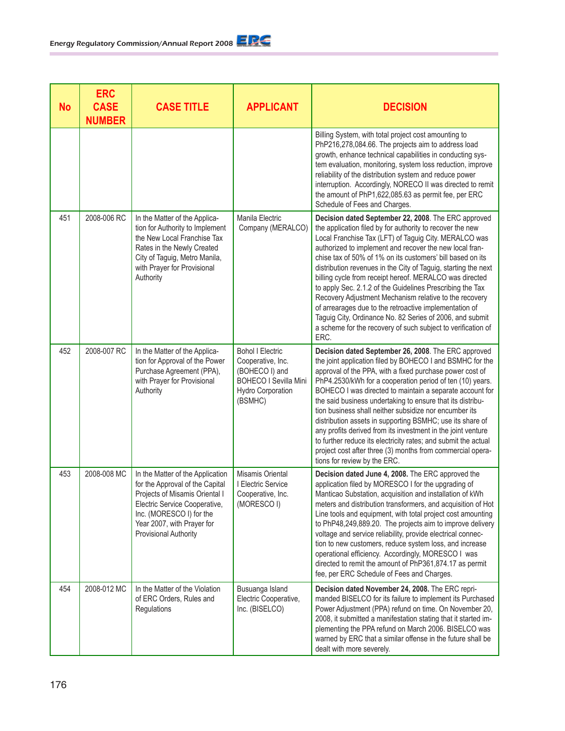| <b>No</b> | <b>ERC</b><br><b>CASE</b><br><b>NUMBER</b> | <b>CASE TITLE</b>                                                                                                                                                                                                         | <b>APPLICANT</b>                                                                                                                      | <b>DECISION</b>                                                                                                                                                                                                                                                                                                                                                                                                                                                                                                                                                                                                                                                                                                                                      |
|-----------|--------------------------------------------|---------------------------------------------------------------------------------------------------------------------------------------------------------------------------------------------------------------------------|---------------------------------------------------------------------------------------------------------------------------------------|------------------------------------------------------------------------------------------------------------------------------------------------------------------------------------------------------------------------------------------------------------------------------------------------------------------------------------------------------------------------------------------------------------------------------------------------------------------------------------------------------------------------------------------------------------------------------------------------------------------------------------------------------------------------------------------------------------------------------------------------------|
|           |                                            |                                                                                                                                                                                                                           |                                                                                                                                       | Billing System, with total project cost amounting to<br>PhP216,278,084.66. The projects aim to address load<br>growth, enhance technical capabilities in conducting sys-<br>tem evaluation, monitoring, system loss reduction, improve<br>reliability of the distribution system and reduce power<br>interruption. Accordingly, NORECO II was directed to remit<br>the amount of PhP1,622,085.63 as permit fee, per ERC<br>Schedule of Fees and Charges.                                                                                                                                                                                                                                                                                             |
| 451       | 2008-006 RC                                | In the Matter of the Applica-<br>tion for Authority to Implement<br>the New Local Franchise Tax<br>Rates in the Newly Created<br>City of Taguig, Metro Manila,<br>with Prayer for Provisional<br>Authority                | Manila Electric<br>Company (MERALCO)                                                                                                  | Decision dated September 22, 2008. The ERC approved<br>the application filed by for authority to recover the new<br>Local Franchise Tax (LFT) of Taguig City. MERALCO was<br>authorized to implement and recover the new local fran-<br>chise tax of 50% of 1% on its customers' bill based on its<br>distribution revenues in the City of Taguig, starting the next<br>billing cycle from receipt hereof. MERALCO was directed<br>to apply Sec. 2.1.2 of the Guidelines Prescribing the Tax<br>Recovery Adjustment Mechanism relative to the recovery<br>of arrearages due to the retroactive implementation of<br>Taguig City, Ordinance No. 82 Series of 2006, and submit<br>a scheme for the recovery of such subject to verification of<br>ERC. |
| 452       | 2008-007 RC                                | In the Matter of the Applica-<br>tion for Approval of the Power<br>Purchase Agreement (PPA),<br>with Prayer for Provisional<br>Authority                                                                                  | <b>Bohol I Electric</b><br>Cooperative, Inc.<br>(BOHECO I) and<br><b>BOHECO I Sevilla Mini</b><br><b>Hydro Corporation</b><br>(BSMHC) | Decision dated September 26, 2008. The ERC approved<br>the joint application filed by BOHECO I and BSMHC for the<br>approval of the PPA, with a fixed purchase power cost of<br>PhP4.2530/kWh for a cooperation period of ten (10) years.<br>BOHECO I was directed to maintain a separate account for<br>the said business undertaking to ensure that its distribu-<br>tion business shall neither subsidize nor encumber its<br>distribution assets in supporting BSMHC; use its share of<br>any profits derived from its investment in the joint venture<br>to further reduce its electricity rates; and submit the actual<br>project cost after three (3) months from commercial opera-<br>tions for review by the ERC.                           |
| 453       | 2008-008 MC                                | In the Matter of the Application<br>for the Approval of the Capital<br>Projects of Misamis Oriental I<br>Electric Service Cooperative,<br>Inc. (MORESCO I) for the<br>Year 2007, with Prayer for<br>Provisional Authority | Misamis Oriental<br>I Electric Service<br>Cooperative, Inc.<br>(MORESCO I)                                                            | Decision dated June 4, 2008. The ERC approved the<br>application filed by MORESCO I for the upgrading of<br>Manticao Substation, acquisition and installation of kWh<br>meters and distribution transformers, and acquisition of Hot<br>Line tools and equipment, with total project cost amounting<br>to PhP48,249,889.20. The projects aim to improve delivery<br>voltage and service reliability, provide electrical connec-<br>tion to new customers, reduce system loss, and increase<br>operational efficiency. Accordingly, MORESCO I was<br>directed to remit the amount of PhP361,874.17 as permit<br>fee, per ERC Schedule of Fees and Charges.                                                                                            |
| 454       | 2008-012 MC                                | In the Matter of the Violation<br>of ERC Orders, Rules and<br>Regulations                                                                                                                                                 | Busuanga Island<br>Electric Cooperative,<br>Inc. (BISELCO)                                                                            | Decision dated November 24, 2008. The ERC repri-<br>manded BISELCO for its failure to implement its Purchased<br>Power Adjustment (PPA) refund on time. On November 20,<br>2008, it submitted a manifestation stating that it started im-<br>plementing the PPA refund on March 2006. BISELCO was<br>warned by ERC that a similar offense in the future shall be<br>dealt with more severely.                                                                                                                                                                                                                                                                                                                                                        |

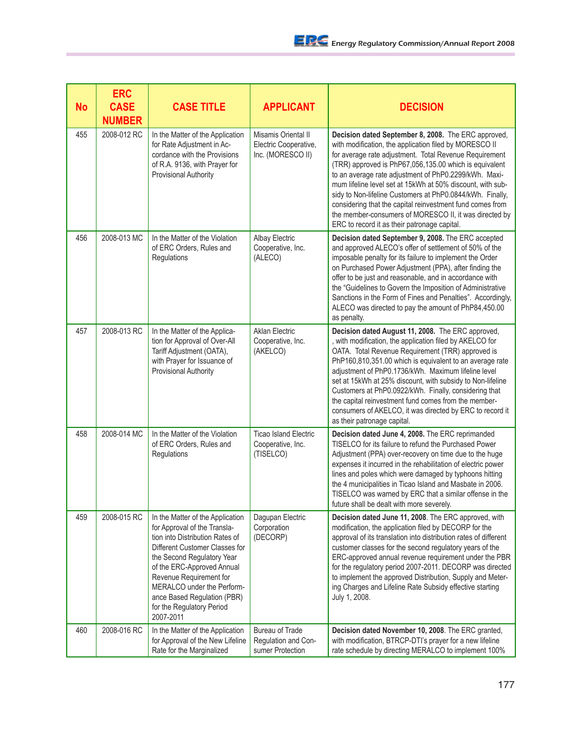| <b>No</b> | <b>ERC</b><br><b>CASE</b><br><b>NUMBER</b> | <b>CASE TITLE</b>                                                                                                                                                                                                                                                                                                                   | <b>APPLICANT</b>                                                  | <b>DECISION</b>                                                                                                                                                                                                                                                                                                                                                                                                                                                                                                                                                                              |
|-----------|--------------------------------------------|-------------------------------------------------------------------------------------------------------------------------------------------------------------------------------------------------------------------------------------------------------------------------------------------------------------------------------------|-------------------------------------------------------------------|----------------------------------------------------------------------------------------------------------------------------------------------------------------------------------------------------------------------------------------------------------------------------------------------------------------------------------------------------------------------------------------------------------------------------------------------------------------------------------------------------------------------------------------------------------------------------------------------|
| 455       | 2008-012 RC                                | In the Matter of the Application<br>for Rate Adjustment in Ac-<br>cordance with the Provisions<br>of R.A. 9136, with Prayer for<br><b>Provisional Authority</b>                                                                                                                                                                     | Misamis Oriental II<br>Electric Cooperative,<br>Inc. (MORESCO II) | Decision dated September 8, 2008. The ERC approved,<br>with modification, the application filed by MORESCO II<br>for average rate adjustment. Total Revenue Requirement<br>(TRR) approved is PhP67,056,135.00 which is equivalent<br>to an average rate adjustment of PhP0.2299/kWh. Maxi-<br>mum lifeline level set at 15kWh at 50% discount, with sub-<br>sidy to Non-lifeline Customers at PhP0.0844/kWh. Finally,<br>considering that the capital reinvestment fund comes from<br>the member-consumers of MORESCO II, it was directed by<br>ERC to record it as their patronage capital. |
| 456       | 2008-013 MC                                | In the Matter of the Violation<br>of ERC Orders, Rules and<br>Regulations                                                                                                                                                                                                                                                           | Albay Electric<br>Cooperative, Inc.<br>(ALECO)                    | Decision dated September 9, 2008. The ERC accepted<br>and approved ALECO's offer of settlement of 50% of the<br>imposable penalty for its failure to implement the Order<br>on Purchased Power Adjustment (PPA), after finding the<br>offer to be just and reasonable, and in accordance with<br>the "Guidelines to Govern the Imposition of Administrative<br>Sanctions in the Form of Fines and Penalties". Accordingly,<br>ALECO was directed to pay the amount of PhP84,450.00<br>as penalty.                                                                                            |
| 457       | 2008-013 RC                                | In the Matter of the Applica-<br>tion for Approval of Over-All<br>Tariff Adjustment (OATA),<br>with Prayer for Issuance of<br>Provisional Authority                                                                                                                                                                                 | <b>Aklan Electric</b><br>Cooperative, Inc.<br>(AKELCO)            | Decision dated August 11, 2008. The ERC approved,<br>, with modification, the application filed by AKELCO for<br>OATA. Total Revenue Requirement (TRR) approved is<br>PhP160,810,351.00 which is equivalent to an average rate<br>adjustment of PhP0.1736/kWh. Maximum lifeline level<br>set at 15kWh at 25% discount, with subsidy to Non-lifeline<br>Customers at PhP0.0922/kWh. Finally, considering that<br>the capital reinvestment fund comes from the member-<br>consumers of AKELCO, it was directed by ERC to record it<br>as their patronage capital.                              |
| 458       | 2008-014 MC                                | In the Matter of the Violation<br>of ERC Orders, Rules and<br>Regulations                                                                                                                                                                                                                                                           | <b>Ticao Island Electric</b><br>Cooperative, Inc.<br>(TISELCO)    | Decision dated June 4, 2008. The ERC reprimanded<br>TISELCO for its failure to refund the Purchased Power<br>Adjustment (PPA) over-recovery on time due to the huge<br>expenses it incurred in the rehabilitation of electric power<br>lines and poles which were damaged by typhoons hitting<br>the 4 municipalities in Ticao Island and Masbate in 2006.<br>TISELCO was warned by ERC that a similar offense in the<br>future shall be dealt with more severely.                                                                                                                           |
| 459       | 2008-015 RC                                | In the Matter of the Application<br>for Approval of the Transla-<br>tion into Distribution Rates of<br>Different Customer Classes for<br>the Second Regulatory Year<br>of the ERC-Approved Annual<br>Revenue Requirement for<br>MERALCO under the Perform-<br>ance Based Regulation (PBR)<br>for the Regulatory Period<br>2007-2011 | Dagupan Electric<br>Corporation<br>(DECORP)                       | Decision dated June 11, 2008. The ERC approved, with<br>modification, the application filed by DECORP for the<br>approval of its translation into distribution rates of different<br>customer classes for the second regulatory years of the<br>ERC-approved annual revenue requirement under the PBR<br>for the regulatory period 2007-2011. DECORP was directed<br>to implement the approved Distribution, Supply and Meter-<br>ing Charges and Lifeline Rate Subsidy effective starting<br>July 1, 2008.                                                                                  |
| 460       | 2008-016 RC                                | In the Matter of the Application<br>for Approval of the New Lifeline<br>Rate for the Marginalized                                                                                                                                                                                                                                   | <b>Bureau of Trade</b><br>Regulation and Con-<br>sumer Protection | Decision dated November 10, 2008. The ERC granted,<br>with modification, BTRCP-DTI's prayer for a new lifeline<br>rate schedule by directing MERALCO to implement 100%                                                                                                                                                                                                                                                                                                                                                                                                                       |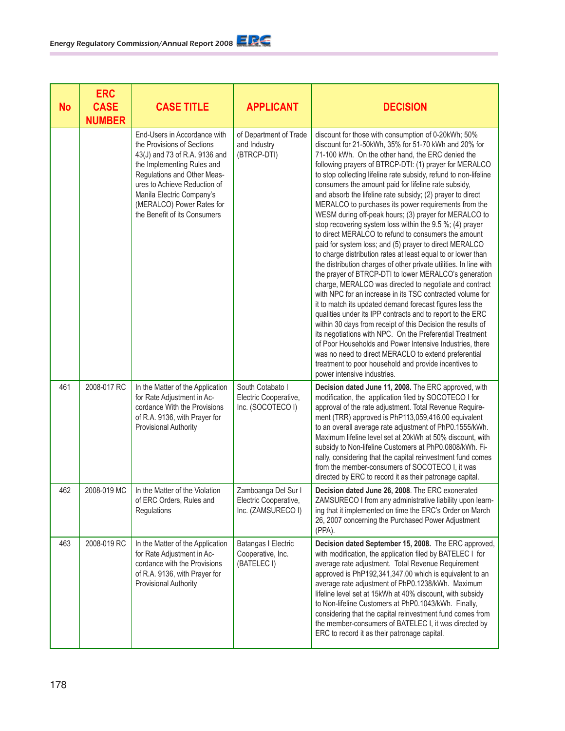| <b>No</b> | <b>ERC</b><br><b>CASE</b><br><b>NUMBER</b> | <b>CASE TITLE</b>                                                                                                                                                                                                                                                                  | <b>APPLICANT</b>                                                   | <b>DECISION</b>                                                                                                                                                                                                                                                                                                                                                                                                                                                                                                                                                                                                                                                                                                                                                                                                                                                                                                                                                                                                                                                                                                                                                                                                                                                                                                                                                                                                                                                                                          |
|-----------|--------------------------------------------|------------------------------------------------------------------------------------------------------------------------------------------------------------------------------------------------------------------------------------------------------------------------------------|--------------------------------------------------------------------|----------------------------------------------------------------------------------------------------------------------------------------------------------------------------------------------------------------------------------------------------------------------------------------------------------------------------------------------------------------------------------------------------------------------------------------------------------------------------------------------------------------------------------------------------------------------------------------------------------------------------------------------------------------------------------------------------------------------------------------------------------------------------------------------------------------------------------------------------------------------------------------------------------------------------------------------------------------------------------------------------------------------------------------------------------------------------------------------------------------------------------------------------------------------------------------------------------------------------------------------------------------------------------------------------------------------------------------------------------------------------------------------------------------------------------------------------------------------------------------------------------|
|           |                                            | End-Users in Accordance with<br>the Provisions of Sections<br>43(J) and 73 of R.A. 9136 and<br>the Implementing Rules and<br>Regulations and Other Meas-<br>ures to Achieve Reduction of<br>Manila Electric Company's<br>(MERALCO) Power Rates for<br>the Benefit of its Consumers | of Department of Trade<br>and Industry<br>(BTRCP-DTI)              | discount for those with consumption of 0-20kWh; 50%<br>discount for 21-50kWh, 35% for 51-70 kWh and 20% for<br>71-100 kWh. On the other hand, the ERC denied the<br>following prayers of BTRCP-DTI: (1) prayer for MERALCO<br>to stop collecting lifeline rate subsidy, refund to non-lifeline<br>consumers the amount paid for lifeline rate subsidy,<br>and absorb the lifeline rate subsidy; (2) prayer to direct<br>MERALCO to purchases its power requirements from the<br>WESM during off-peak hours; (3) prayer for MERALCO to<br>stop recovering system loss within the 9.5 %; (4) prayer<br>to direct MERALCO to refund to consumers the amount<br>paid for system loss; and (5) prayer to direct MERALCO<br>to charge distribution rates at least equal to or lower than<br>the distribution charges of other private utilities. In line with<br>the prayer of BTRCP-DTI to lower MERALCO's generation<br>charge, MERALCO was directed to negotiate and contract<br>with NPC for an increase in its TSC contracted volume for<br>it to match its updated demand forecast figures less the<br>qualities under its IPP contracts and to report to the ERC<br>within 30 days from receipt of this Decision the results of<br>its negotiations with NPC. On the Preferential Treatment<br>of Poor Households and Power Intensive Industries, there<br>was no need to direct MERACLO to extend preferential<br>treatment to poor household and provide incentives to<br>power intensive industries. |
| 461       | 2008-017 RC                                | In the Matter of the Application<br>for Rate Adjustment in Ac-<br>cordance With the Provisions<br>of R.A. 9136, with Prayer for<br>Provisional Authority                                                                                                                           | South Cotabato I<br>Electric Cooperative,<br>Inc. (SOCOTECO I)     | Decision dated June 11, 2008. The ERC approved, with<br>modification, the application filed by SOCOTECO I for<br>approval of the rate adjustment. Total Revenue Require-<br>ment (TRR) approved is PhP113,059,416.00 equivalent<br>to an overall average rate adjustment of PhP0.1555/kWh.<br>Maximum lifeline level set at 20kWh at 50% discount, with<br>subsidy to Non-lifeline Customers at PhP0.0808/kWh. Fi-<br>nally, considering that the capital reinvestment fund comes<br>from the member-consumers of SOCOTECO I, it was<br>directed by ERC to record it as their patronage capital.                                                                                                                                                                                                                                                                                                                                                                                                                                                                                                                                                                                                                                                                                                                                                                                                                                                                                                         |
| 462       | 2008-019 MC                                | In the Matter of the Violation<br>of ERC Orders, Rules and<br>Regulations                                                                                                                                                                                                          | Zamboanga Del Sur I<br>Electric Cooperative,<br>Inc. (ZAMSURECO I) | Decision dated June 26, 2008. The ERC exonerated<br>ZAMSURECO I from any administrative liability upon learn-<br>ing that it implemented on time the ERC's Order on March<br>26, 2007 concerning the Purchased Power Adjustment<br>(PPA).                                                                                                                                                                                                                                                                                                                                                                                                                                                                                                                                                                                                                                                                                                                                                                                                                                                                                                                                                                                                                                                                                                                                                                                                                                                                |
| 463       | 2008-019 RC                                | In the Matter of the Application<br>for Rate Adjustment in Ac-<br>cordance with the Provisions<br>of R.A. 9136, with Prayer for<br><b>Provisional Authority</b>                                                                                                                    | Batangas I Electric<br>Cooperative, Inc.<br>(BATELEC I)            | Decision dated September 15, 2008. The ERC approved,<br>with modification, the application filed by BATELEC I for<br>average rate adjustment. Total Revenue Requirement<br>approved is PhP192,341,347.00 which is equivalent to an<br>average rate adjustment of PhP0.1238/kWh. Maximum<br>lifeline level set at 15kWh at 40% discount, with subsidy<br>to Non-lifeline Customers at PhP0.1043/kWh. Finally,<br>considering that the capital reinvestment fund comes from<br>the member-consumers of BATELEC I, it was directed by<br>ERC to record it as their patronage capital.                                                                                                                                                                                                                                                                                                                                                                                                                                                                                                                                                                                                                                                                                                                                                                                                                                                                                                                       |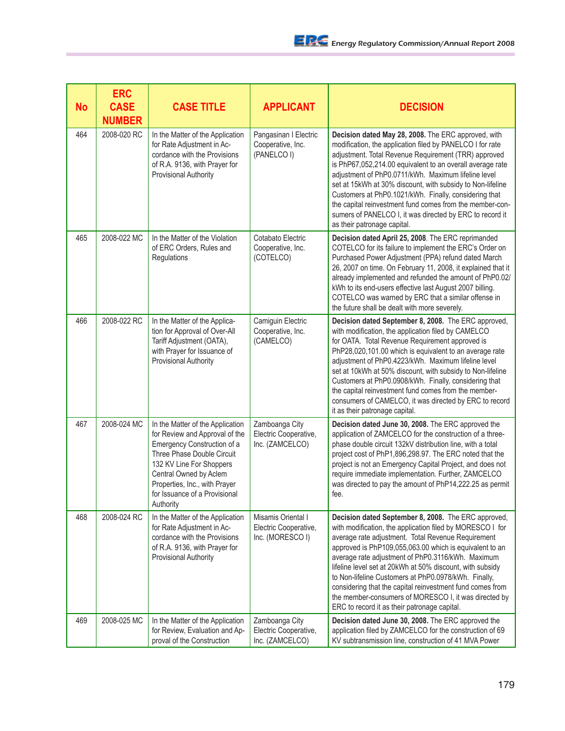| <b>No</b> | <b>ERC</b><br><b>CASE</b><br><b>NUMBER</b> | <b>CASE TITLE</b>                                                                                                                                                                                                                                                    | <b>APPLICANT</b>                                                | <b>DECISION</b>                                                                                                                                                                                                                                                                                                                                                                                                                                                                                                                                                                   |
|-----------|--------------------------------------------|----------------------------------------------------------------------------------------------------------------------------------------------------------------------------------------------------------------------------------------------------------------------|-----------------------------------------------------------------|-----------------------------------------------------------------------------------------------------------------------------------------------------------------------------------------------------------------------------------------------------------------------------------------------------------------------------------------------------------------------------------------------------------------------------------------------------------------------------------------------------------------------------------------------------------------------------------|
| 464       | 2008-020 RC                                | In the Matter of the Application<br>for Rate Adjustment in Ac-<br>cordance with the Provisions<br>of R.A. 9136, with Prayer for<br>Provisional Authority                                                                                                             | Pangasinan I Electric<br>Cooperative, Inc.<br>(PANELCO I)       | Decision dated May 28, 2008. The ERC approved, with<br>modification, the application filed by PANELCO I for rate<br>adjustment. Total Revenue Requirement (TRR) approved<br>is PhP67,052,214.00 equivalent to an overall average rate<br>adjustment of PhP0.0711/kWh. Maximum lifeline level<br>set at 15kWh at 30% discount, with subsidy to Non-lifeline<br>Customers at PhP0.1021/kWh. Finally, considering that<br>the capital reinvestment fund comes from the member-con-<br>sumers of PANELCO I, it was directed by ERC to record it<br>as their patronage capital.        |
| 465       | 2008-022 MC                                | In the Matter of the Violation<br>of ERC Orders, Rules and<br>Regulations                                                                                                                                                                                            | Cotabato Electric<br>Cooperative, Inc.<br>(COTELCO)             | Decision dated April 25, 2008. The ERC reprimanded<br>COTELCO for its failure to implement the ERC's Order on<br>Purchased Power Adjustment (PPA) refund dated March<br>26, 2007 on time. On February 11, 2008, it explained that it<br>already implemented and refunded the amount of PhP0.02/<br>kWh to its end-users effective last August 2007 billing.<br>COTELCO was warned by ERC that a similar offense in<br>the future shall be dealt with more severely.                                                                                                               |
| 466       | 2008-022 RC                                | In the Matter of the Applica-<br>tion for Approval of Over-All<br>Tariff Adjustment (OATA),<br>with Prayer for Issuance of<br>Provisional Authority                                                                                                                  | Camiguin Electric<br>Cooperative, Inc.<br>(CAMELCO)             | Decision dated September 8, 2008. The ERC approved,<br>with modification, the application filed by CAMELCO<br>for OATA. Total Revenue Requirement approved is<br>PhP28,020,101.00 which is equivalent to an average rate<br>adjustment of PhP0.4223/kWh. Maximum lifeline level<br>set at 10kWh at 50% discount, with subsidy to Non-lifeline<br>Customers at PhP0.0908/kWh. Finally, considering that<br>the capital reinvestment fund comes from the member-<br>consumers of CAMELCO, it was directed by ERC to record<br>it as their patronage capital.                        |
| 467       | 2008-024 MC                                | In the Matter of the Application<br>for Review and Approval of the<br>Emergency Construction of a<br>Three Phase Double Circuit<br>132 KV Line For Shoppers<br>Central Owned by Aclem<br>Properties, Inc., with Prayer<br>for Issuance of a Provisional<br>Authority | Zamboanga City<br>Electric Cooperative,<br>Inc. (ZAMCELCO)      | Decision dated June 30, 2008. The ERC approved the<br>application of ZAMCELCO for the construction of a three-<br>phase double circuit 132kV distribution line, with a total<br>project cost of PhP1,896,298.97. The ERC noted that the<br>project is not an Emergency Capital Project, and does not<br>require immediate implementation. Further, ZAMCELCO<br>was directed to pay the amount of PhP14,222.25 as permit<br>fee.                                                                                                                                                   |
| 468       | 2008-024 RC                                | In the Matter of the Application<br>for Rate Adjustment in Ac-<br>cordance with the Provisions<br>of R.A. 9136, with Prayer for<br>Provisional Authority                                                                                                             | Misamis Oriental I<br>Electric Cooperative,<br>Inc. (MORESCO I) | Decision dated September 8, 2008. The ERC approved,<br>with modification, the application filed by MORESCO I for<br>average rate adjustment. Total Revenue Requirement<br>approved is PhP109,055,063.00 which is equivalent to an<br>average rate adjustment of PhP0.3116/kWh. Maximum<br>lifeline level set at 20kWh at 50% discount, with subsidy<br>to Non-lifeline Customers at PhP0.0978/kWh. Finally,<br>considering that the capital reinvestment fund comes from<br>the member-consumers of MORESCO I, it was directed by<br>ERC to record it as their patronage capital. |
| 469       | 2008-025 MC                                | In the Matter of the Application<br>for Review, Evaluation and Ap-<br>proval of the Construction                                                                                                                                                                     | Zamboanga City<br>Electric Cooperative,<br>Inc. (ZAMCELCO)      | Decision dated June 30, 2008. The ERC approved the<br>application filed by ZAMCELCO for the construction of 69<br>KV subtransmission line, construction of 41 MVA Power                                                                                                                                                                                                                                                                                                                                                                                                           |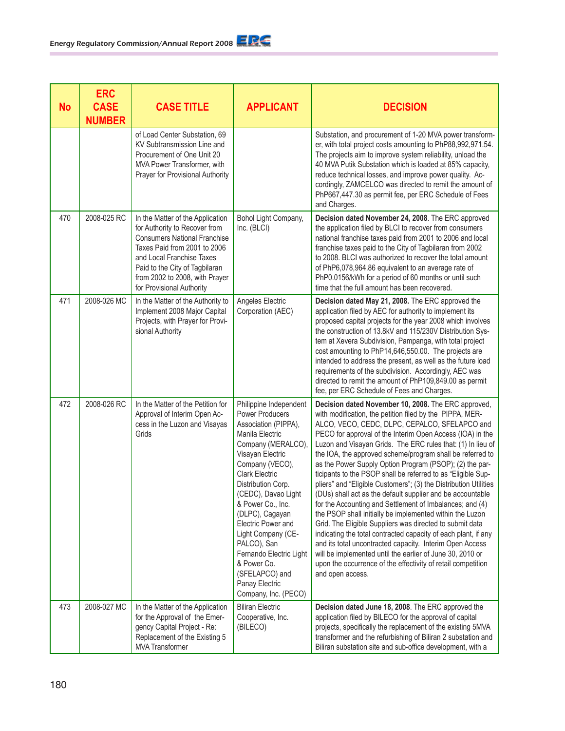| <b>No</b> | <b>ERC</b><br><b>CASE</b><br><b>NUMBER</b> | <b>CASE TITLE</b>                                                                                                                                                                                                                                                      | <b>APPLICANT</b>                                                                                                                                                                                                                                                                                                                                                                                                                        | <b>DECISION</b>                                                                                                                                                                                                                                                                                                                                                                                                                                                                                                                                                                                                                                                                                                                                                                                                                                                                                                                                                                                                                                                                           |
|-----------|--------------------------------------------|------------------------------------------------------------------------------------------------------------------------------------------------------------------------------------------------------------------------------------------------------------------------|-----------------------------------------------------------------------------------------------------------------------------------------------------------------------------------------------------------------------------------------------------------------------------------------------------------------------------------------------------------------------------------------------------------------------------------------|-------------------------------------------------------------------------------------------------------------------------------------------------------------------------------------------------------------------------------------------------------------------------------------------------------------------------------------------------------------------------------------------------------------------------------------------------------------------------------------------------------------------------------------------------------------------------------------------------------------------------------------------------------------------------------------------------------------------------------------------------------------------------------------------------------------------------------------------------------------------------------------------------------------------------------------------------------------------------------------------------------------------------------------------------------------------------------------------|
|           |                                            | of Load Center Substation, 69<br>KV Subtransmission Line and<br>Procurement of One Unit 20<br>MVA Power Transformer, with<br>Prayer for Provisional Authority                                                                                                          |                                                                                                                                                                                                                                                                                                                                                                                                                                         | Substation, and procurement of 1-20 MVA power transform-<br>er, with total project costs amounting to PhP88,992,971.54.<br>The projects aim to improve system reliability, unload the<br>40 MVA Putik Substation which is loaded at 85% capacity,<br>reduce technical losses, and improve power quality. Ac-<br>cordingly, ZAMCELCO was directed to remit the amount of<br>PhP667,447.30 as permit fee, per ERC Schedule of Fees<br>and Charges.                                                                                                                                                                                                                                                                                                                                                                                                                                                                                                                                                                                                                                          |
| 470       | 2008-025 RC                                | In the Matter of the Application<br>for Authority to Recover from<br><b>Consumers National Franchise</b><br>Taxes Paid from 2001 to 2006<br>and Local Franchise Taxes<br>Paid to the City of Tagbilaran<br>from 2002 to 2008, with Prayer<br>for Provisional Authority | Bohol Light Company,<br>Inc. (BLCI)                                                                                                                                                                                                                                                                                                                                                                                                     | Decision dated November 24, 2008. The ERC approved<br>the application filed by BLCI to recover from consumers<br>national franchise taxes paid from 2001 to 2006 and local<br>franchise taxes paid to the City of Tagbilaran from 2002<br>to 2008. BLCI was authorized to recover the total amount<br>of PhP6,078,964.86 equivalent to an average rate of<br>PhP0.0156/kWh for a period of 60 months or until such<br>time that the full amount has been recovered.                                                                                                                                                                                                                                                                                                                                                                                                                                                                                                                                                                                                                       |
| 471       | 2008-026 MC                                | In the Matter of the Authority to<br>Implement 2008 Major Capital<br>Projects, with Prayer for Provi-<br>sional Authority                                                                                                                                              | Angeles Electric<br>Corporation (AEC)                                                                                                                                                                                                                                                                                                                                                                                                   | Decision dated May 21, 2008. The ERC approved the<br>application filed by AEC for authority to implement its<br>proposed capital projects for the year 2008 which involves<br>the construction of 13.8kV and 115/230V Distribution Sys-<br>tem at Xevera Subdivision, Pampanga, with total project<br>cost amounting to PhP14,646,550.00. The projects are<br>intended to address the present, as well as the future load<br>requirements of the subdivision. Accordingly, AEC was<br>directed to remit the amount of PhP109,849.00 as permit<br>fee, per ERC Schedule of Fees and Charges.                                                                                                                                                                                                                                                                                                                                                                                                                                                                                               |
| 472       | 2008-026 RC                                | In the Matter of the Petition for<br>Approval of Interim Open Ac-<br>cess in the Luzon and Visayas<br>Grids                                                                                                                                                            | Philippine Independent<br><b>Power Producers</b><br>Association (PIPPA),<br>Manila Electric<br>Company (MERALCO),<br>Visayan Electric<br>Company (VECO),<br><b>Clark Electric</b><br>Distribution Corp.<br>(CEDC), Davao Light<br>& Power Co., Inc.<br>(DLPC), Cagayan<br>Electric Power and<br>Light Company (CE-<br>PALCO), San<br>Fernando Electric Light<br>& Power Co.<br>(SFELAPCO) and<br>Panay Electric<br>Company, Inc. (PECO) | Decision dated November 10, 2008. The ERC approved,<br>with modification, the petition filed by the PIPPA, MER-<br>ALCO, VECO, CEDC, DLPC, CEPALCO, SFELAPCO and<br>PECO for approval of the Interim Open Access (IOA) in the<br>Luzon and Visayan Grids. The ERC rules that: (1) In lieu of<br>the IOA, the approved scheme/program shall be referred to<br>as the Power Supply Option Program (PSOP); (2) the par-<br>ticipants to the PSOP shall be referred to as "Eligible Sup-<br>pliers" and "Eligible Customers"; (3) the Distribution Utilities<br>(DUs) shall act as the default supplier and be accountable<br>for the Accounting and Settlement of Imbalances; and (4)<br>the PSOP shall initially be implemented within the Luzon<br>Grid. The Eligible Suppliers was directed to submit data<br>indicating the total contracted capacity of each plant, if any<br>and its total uncontracted capacity. Interim Open Access<br>will be implemented until the earlier of June 30, 2010 or<br>upon the occurrence of the effectivity of retail competition<br>and open access. |
| 473       | 2008-027 MC                                | In the Matter of the Application<br>for the Approval of the Emer-<br>gency Capital Project - Re:<br>Replacement of the Existing 5<br><b>MVA Transformer</b>                                                                                                            | <b>Biliran Electric</b><br>Cooperative, Inc.<br>(BILECO)                                                                                                                                                                                                                                                                                                                                                                                | Decision dated June 18, 2008. The ERC approved the<br>application filed by BILECO for the approval of capital<br>projects, specifically the replacement of the existing 5MVA<br>transformer and the refurbishing of Biliran 2 substation and<br>Biliran substation site and sub-office development, with a                                                                                                                                                                                                                                                                                                                                                                                                                                                                                                                                                                                                                                                                                                                                                                                |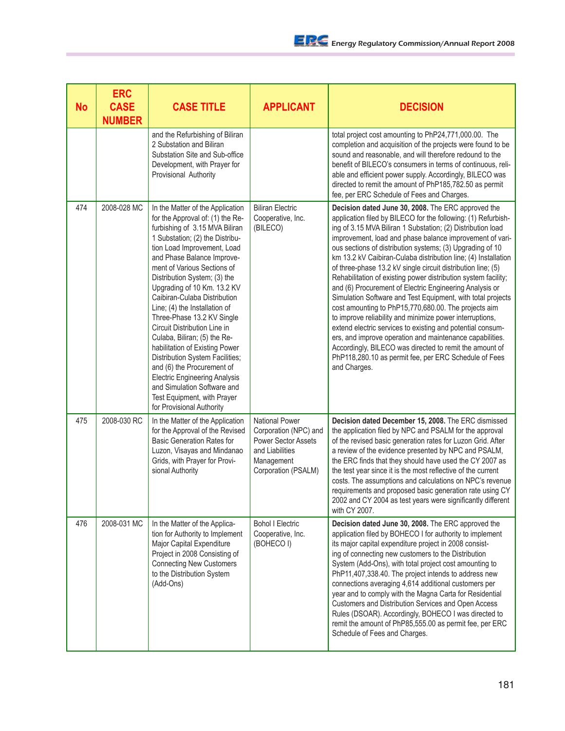| <b>No</b> | <b>ERC</b><br><b>CASE</b><br><b>NUMBER</b> | <b>CASE TITLE</b>                                                                                                                                                                                                                                                                                                                                                                                                                                                                                                                                                                                                                                                                                         | <b>APPLICANT</b>                                                                                                       | <b>DECISION</b>                                                                                                                                                                                                                                                                                                                                                                                                                                                                                                                                                                                                                                                                                                                                                                                                                                                                                                                                                                                                             |
|-----------|--------------------------------------------|-----------------------------------------------------------------------------------------------------------------------------------------------------------------------------------------------------------------------------------------------------------------------------------------------------------------------------------------------------------------------------------------------------------------------------------------------------------------------------------------------------------------------------------------------------------------------------------------------------------------------------------------------------------------------------------------------------------|------------------------------------------------------------------------------------------------------------------------|-----------------------------------------------------------------------------------------------------------------------------------------------------------------------------------------------------------------------------------------------------------------------------------------------------------------------------------------------------------------------------------------------------------------------------------------------------------------------------------------------------------------------------------------------------------------------------------------------------------------------------------------------------------------------------------------------------------------------------------------------------------------------------------------------------------------------------------------------------------------------------------------------------------------------------------------------------------------------------------------------------------------------------|
|           |                                            | and the Refurbishing of Biliran<br>2 Substation and Biliran<br>Substation Site and Sub-office<br>Development, with Prayer for<br>Provisional Authority                                                                                                                                                                                                                                                                                                                                                                                                                                                                                                                                                    |                                                                                                                        | total project cost amounting to PhP24,771,000.00. The<br>completion and acquisition of the projects were found to be<br>sound and reasonable, and will therefore redound to the<br>benefit of BILECO's consumers in terms of continuous, reli-<br>able and efficient power supply. Accordingly, BILECO was<br>directed to remit the amount of PhP185,782.50 as permit<br>fee, per ERC Schedule of Fees and Charges.                                                                                                                                                                                                                                                                                                                                                                                                                                                                                                                                                                                                         |
| 474       | 2008-028 MC                                | In the Matter of the Application<br>for the Approval of: (1) the Re-<br>furbishing of 3.15 MVA Biliran<br>1 Substation; (2) the Distribu-<br>tion Load Improvement, Load<br>and Phase Balance Improve-<br>ment of Various Sections of<br>Distribution System; (3) the<br>Upgrading of 10 Km. 13.2 KV<br>Caibiran-Culaba Distribution<br>Line; (4) the Installation of<br>Three-Phase 13.2 KV Single<br>Circuit Distribution Line in<br>Culaba, Biliran; (5) the Re-<br>habilitation of Existing Power<br>Distribution System Facilities;<br>and (6) the Procurement of<br><b>Electric Engineering Analysis</b><br>and Simulation Software and<br>Test Equipment, with Prayer<br>for Provisional Authority | <b>Biliran Electric</b><br>Cooperative, Inc.<br>(BILECO)                                                               | Decision dated June 30, 2008. The ERC approved the<br>application filed by BILECO for the following: (1) Refurbish-<br>ing of 3.15 MVA Biliran 1 Substation; (2) Distribution load<br>improvement, load and phase balance improvement of vari-<br>ous sections of distribution systems; (3) Upgrading of 10<br>km 13.2 kV Caibiran-Culaba distribution line; (4) Installation<br>of three-phase 13.2 kV single circuit distribution line; (5)<br>Rehabilitation of existing power distribution system facility;<br>and (6) Procurement of Electric Engineering Analysis or<br>Simulation Software and Test Equipment, with total projects<br>cost amounting to PhP15,770,680.00. The projects aim<br>to improve reliability and minimize power interruptions,<br>extend electric services to existing and potential consum-<br>ers, and improve operation and maintenance capabilities.<br>Accordingly, BILECO was directed to remit the amount of<br>PhP118,280.10 as permit fee, per ERC Schedule of Fees<br>and Charges. |
| 475       | 2008-030 RC                                | In the Matter of the Application<br>for the Approval of the Revised<br><b>Basic Generation Rates for</b><br>Luzon, Visayas and Mindanao<br>Grids, with Prayer for Provi-<br>sional Authority                                                                                                                                                                                                                                                                                                                                                                                                                                                                                                              | National Power<br>Corporation (NPC) and<br>Power Sector Assets<br>and Liabilities<br>Management<br>Corporation (PSALM) | Decision dated December 15, 2008. The ERC dismissed<br>the application filed by NPC and PSALM for the approval<br>of the revised basic generation rates for Luzon Grid. After<br>a review of the evidence presented by NPC and PSALM,<br>the ERC finds that they should have used the CY 2007 as<br>the test year since it is the most reflective of the current<br>costs. The assumptions and calculations on NPC's revenue<br>requirements and proposed basic generation rate using CY<br>2002 and CY 2004 as test years were significantly different<br>with CY 2007.                                                                                                                                                                                                                                                                                                                                                                                                                                                    |
| 476       | 2008-031 MC                                | In the Matter of the Applica-<br>tion for Authority to Implement<br>Major Capital Expenditure<br>Project in 2008 Consisting of<br><b>Connecting New Customers</b><br>to the Distribution System<br>(Add-Ons)                                                                                                                                                                                                                                                                                                                                                                                                                                                                                              | <b>Bohol I Electric</b><br>Cooperative, Inc.<br>(BOHECO I)                                                             | Decision dated June 30, 2008. The ERC approved the<br>application filed by BOHECO I for authority to implement<br>its major capital expenditure project in 2008 consist-<br>ing of connecting new customers to the Distribution<br>System (Add-Ons), with total project cost amounting to<br>PhP11,407,338.40. The project intends to address new<br>connections averaging 4,614 additional customers per<br>year and to comply with the Magna Carta for Residential<br>Customers and Distribution Services and Open Access<br>Rules (DSOAR). Accordingly, BOHECO I was directed to<br>remit the amount of PhP85,555.00 as permit fee, per ERC<br>Schedule of Fees and Charges.                                                                                                                                                                                                                                                                                                                                             |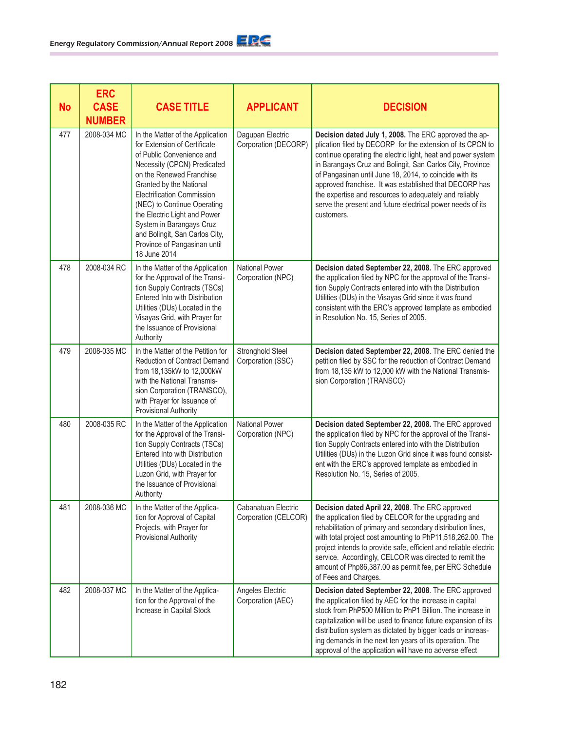| No  | <b>ERC</b><br><b>CASE</b><br><b>NUMBER</b> | <b>CASE TITLE</b>                                                                                                                                                                                                                                                                                                                                                                                     | <b>APPLICANT</b>                            | <b>DECISION</b>                                                                                                                                                                                                                                                                                                                                                                                                                                                                                             |
|-----|--------------------------------------------|-------------------------------------------------------------------------------------------------------------------------------------------------------------------------------------------------------------------------------------------------------------------------------------------------------------------------------------------------------------------------------------------------------|---------------------------------------------|-------------------------------------------------------------------------------------------------------------------------------------------------------------------------------------------------------------------------------------------------------------------------------------------------------------------------------------------------------------------------------------------------------------------------------------------------------------------------------------------------------------|
| 477 | 2008-034 MC                                | In the Matter of the Application<br>for Extension of Certificate<br>of Public Convenience and<br>Necessity (CPCN) Predicated<br>on the Renewed Franchise<br>Granted by the National<br><b>Electrification Commission</b><br>(NEC) to Continue Operating<br>the Electric Light and Power<br>System in Barangays Cruz<br>and Bolingit, San Carlos City,<br>Province of Pangasinan until<br>18 June 2014 | Dagupan Electric<br>Corporation (DECORP)    | Decision dated July 1, 2008. The ERC approved the ap-<br>plication filed by DECORP for the extension of its CPCN to<br>continue operating the electric light, heat and power system<br>in Barangays Cruz and Bolingit, San Carlos City, Province<br>of Pangasinan until June 18, 2014, to coincide with its<br>approved franchise. It was established that DECORP has<br>the expertise and resources to adequately and reliably<br>serve the present and future electrical power needs of its<br>customers. |
| 478 | 2008-034 RC                                | In the Matter of the Application<br>for the Approval of the Transi-<br>tion Supply Contracts (TSCs)<br>Entered Into with Distribution<br>Utilities (DUs) Located in the<br>Visayas Grid, with Prayer for<br>the Issuance of Provisional<br>Authority                                                                                                                                                  | <b>National Power</b><br>Corporation (NPC)  | Decision dated September 22, 2008. The ERC approved<br>the application filed by NPC for the approval of the Transi-<br>tion Supply Contracts entered into with the Distribution<br>Utilities (DUs) in the Visayas Grid since it was found<br>consistent with the ERC's approved template as embodied<br>in Resolution No. 15, Series of 2005.                                                                                                                                                               |
| 479 | 2008-035 MC                                | In the Matter of the Petition for<br>Reduction of Contract Demand<br>from 18,135kW to 12,000kW<br>with the National Transmis-<br>sion Corporation (TRANSCO),<br>with Prayer for Issuance of<br>Provisional Authority                                                                                                                                                                                  | Stronghold Steel<br>Corporation (SSC)       | Decision dated September 22, 2008. The ERC denied the<br>petition filed by SSC for the reduction of Contract Demand<br>from 18,135 kW to 12,000 kW with the National Transmis-<br>sion Corporation (TRANSCO)                                                                                                                                                                                                                                                                                                |
| 480 | 2008-035 RC                                | In the Matter of the Application<br>for the Approval of the Transi-<br>tion Supply Contracts (TSCs)<br>Entered Into with Distribution<br>Utilities (DUs) Located in the<br>Luzon Grid, with Prayer for<br>the Issuance of Provisional<br>Authority                                                                                                                                                    | <b>National Power</b><br>Corporation (NPC)  | Decision dated September 22, 2008. The ERC approved<br>the application filed by NPC for the approval of the Transi-<br>tion Supply Contracts entered into with the Distribution<br>Utilities (DUs) in the Luzon Grid since it was found consist-<br>ent with the ERC's approved template as embodied in<br>Resolution No. 15, Series of 2005.                                                                                                                                                               |
| 481 | 2008-036 MC                                | In the Matter of the Applica-<br>tion for Approval of Capital<br>Projects, with Prayer for<br>Provisional Authority                                                                                                                                                                                                                                                                                   | Cabanatuan Electric<br>Corporation (CELCOR) | Decision dated April 22, 2008. The ERC approved<br>the application filed by CELCOR for the upgrading and<br>rehabilitation of primary and secondary distribution lines,<br>with total project cost amounting to PhP11,518,262.00. The<br>project intends to provide safe, efficient and reliable electric<br>service. Accordingly, CELCOR was directed to remit the<br>amount of Php86,387.00 as permit fee, per ERC Schedule<br>of Fees and Charges.                                                       |
| 482 | 2008-037 MC                                | In the Matter of the Applica-<br>tion for the Approval of the<br>Increase in Capital Stock                                                                                                                                                                                                                                                                                                            | Angeles Electric<br>Corporation (AEC)       | Decision dated September 22, 2008. The ERC approved<br>the application filed by AEC for the increase in capital<br>stock from PhP500 Million to PhP1 Billion. The increase in<br>capitalization will be used to finance future expansion of its<br>distribution system as dictated by bigger loads or increas-<br>ing demands in the next ten years of its operation. The<br>approval of the application will have no adverse effect                                                                        |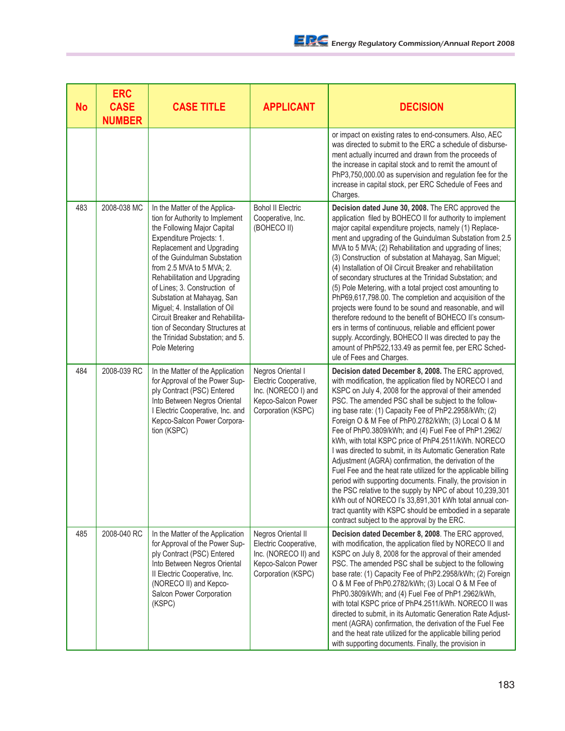| <b>No</b> | <b>ERC</b><br><b>CASE</b><br><b>NUMBER</b> | <b>CASE TITLE</b>                                                                                                                                                                                                                                                                                                                                                                                                                                                               | <b>APPLICANT</b>                                                                                                | <b>DECISION</b>                                                                                                                                                                                                                                                                                                                                                                                                                                                                                                                                                                                                                                                                                                                                                                                                                                                                                                                                             |
|-----------|--------------------------------------------|---------------------------------------------------------------------------------------------------------------------------------------------------------------------------------------------------------------------------------------------------------------------------------------------------------------------------------------------------------------------------------------------------------------------------------------------------------------------------------|-----------------------------------------------------------------------------------------------------------------|-------------------------------------------------------------------------------------------------------------------------------------------------------------------------------------------------------------------------------------------------------------------------------------------------------------------------------------------------------------------------------------------------------------------------------------------------------------------------------------------------------------------------------------------------------------------------------------------------------------------------------------------------------------------------------------------------------------------------------------------------------------------------------------------------------------------------------------------------------------------------------------------------------------------------------------------------------------|
|           |                                            |                                                                                                                                                                                                                                                                                                                                                                                                                                                                                 |                                                                                                                 | or impact on existing rates to end-consumers. Also, AEC<br>was directed to submit to the ERC a schedule of disburse-<br>ment actually incurred and drawn from the proceeds of<br>the increase in capital stock and to remit the amount of<br>PhP3,750,000.00 as supervision and regulation fee for the<br>increase in capital stock, per ERC Schedule of Fees and<br>Charges.                                                                                                                                                                                                                                                                                                                                                                                                                                                                                                                                                                               |
| 483       | 2008-038 MC                                | In the Matter of the Applica-<br>tion for Authority to Implement<br>the Following Major Capital<br>Expenditure Projects: 1.<br>Replacement and Upgrading<br>of the Guindulman Substation<br>from 2.5 MVA to 5 MVA; 2.<br>Rehabilitation and Upgrading<br>of Lines; 3. Construction of<br>Substation at Mahayag, San<br>Miguel; 4. Installation of Oil<br>Circuit Breaker and Rehabilita-<br>tion of Secondary Structures at<br>the Trinidad Substation; and 5.<br>Pole Metering | <b>Bohol II Electric</b><br>Cooperative, Inc.<br>(BOHECO II)                                                    | Decision dated June 30, 2008. The ERC approved the<br>application filed by BOHECO II for authority to implement<br>major capital expenditure projects, namely (1) Replace-<br>ment and upgrading of the Guindulman Substation from 2.5<br>MVA to 5 MVA; (2) Rehabilitation and upgrading of lines;<br>(3) Construction of substation at Mahayag, San Miguel;<br>(4) Installation of Oil Circuit Breaker and rehabilitation<br>of secondary structures at the Trinidad Substation; and<br>(5) Pole Metering, with a total project cost amounting to<br>PhP69,617,798.00. The completion and acquisition of the<br>projects were found to be sound and reasonable, and will<br>therefore redound to the benefit of BOHECO II's consum-<br>ers in terms of continuous, reliable and efficient power<br>supply. Accordingly, BOHECO II was directed to pay the<br>amount of PhP522,133.49 as permit fee, per ERC Sched-<br>ule of Fees and Charges.             |
| 484       | 2008-039 RC                                | In the Matter of the Application<br>for Approval of the Power Sup-<br>ply Contract (PSC) Entered<br>Into Between Negros Oriental<br>I Electric Cooperative, Inc. and<br>Kepco-Salcon Power Corpora-<br>tion (KSPC)                                                                                                                                                                                                                                                              | Negros Oriental I<br>Electric Cooperative,<br>Inc. (NORECO I) and<br>Kepco-Salcon Power<br>Corporation (KSPC)   | Decision dated December 8, 2008. The ERC approved,<br>with modification, the application filed by NORECO I and<br>KSPC on July 4, 2008 for the approval of their amended<br>PSC. The amended PSC shall be subject to the follow-<br>ing base rate: (1) Capacity Fee of PhP2.2958/kWh; (2)<br>Foreign O & M Fee of PhP0.2782/kWh; (3) Local O & M<br>Fee of PhP0.3809/kWh; and (4) Fuel Fee of PhP1.2962/<br>kWh, with total KSPC price of PhP4.2511/kWh. NORECO<br>I was directed to submit, in its Automatic Generation Rate<br>Adjustment (AGRA) confirmation, the derivation of the<br>Fuel Fee and the heat rate utilized for the applicable billing<br>period with supporting documents. Finally, the provision in<br>the PSC relative to the supply by NPC of about 10,239,301<br>kWh out of NORECO I's 33,891,301 kWh total annual con-<br>tract quantity with KSPC should be embodied in a separate<br>contract subject to the approval by the ERC. |
| 485       | 2008-040 RC                                | In the Matter of the Application<br>for Approval of the Power Sup-<br>ply Contract (PSC) Entered<br>Into Between Negros Oriental<br>Il Electric Cooperative, Inc.<br>(NORECO II) and Kepco-<br>Salcon Power Corporation<br>(KSPC)                                                                                                                                                                                                                                               | Negros Oriental II<br>Electric Cooperative,<br>Inc. (NORECO II) and<br>Kepco-Salcon Power<br>Corporation (KSPC) | Decision dated December 8, 2008. The ERC approved,<br>with modification, the application filed by NORECO II and<br>KSPC on July 8, 2008 for the approval of their amended<br>PSC. The amended PSC shall be subject to the following<br>base rate: (1) Capacity Fee of PhP2.2958/kWh; (2) Foreign<br>O & M Fee of PhP0.2782/kWh; (3) Local O & M Fee of<br>PhP0.3809/kWh; and (4) Fuel Fee of PhP1.2962/kWh,<br>with total KSPC price of PhP4.2511/kWh. NORECO II was<br>directed to submit, in its Automatic Generation Rate Adjust-<br>ment (AGRA) confirmation, the derivation of the Fuel Fee<br>and the heat rate utilized for the applicable billing period<br>with supporting documents. Finally, the provision in                                                                                                                                                                                                                                    |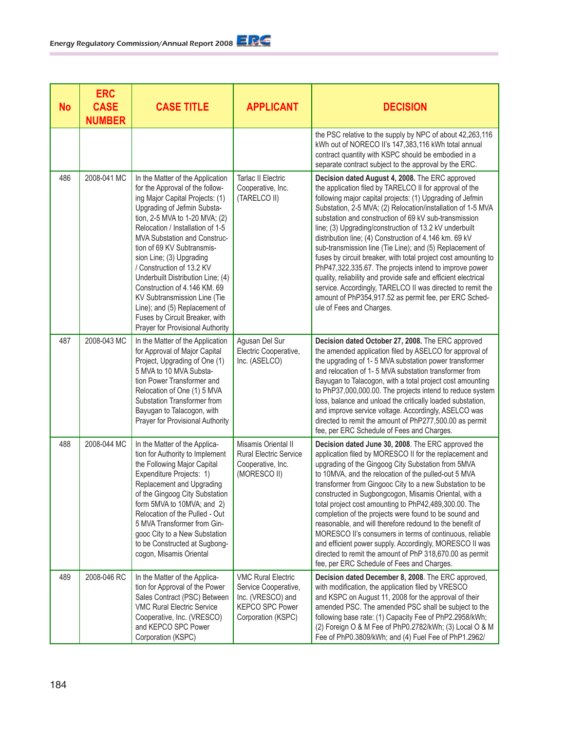| <b>No</b> | <b>ERC</b><br><b>CASE</b><br><b>NUMBER</b> | <b>CASE TITLE</b>                                                                                                                                                                                                                                                                                                                                                                                                                                                                                                                              | <b>APPLICANT</b>                                                                                                       | <b>DECISION</b>                                                                                                                                                                                                                                                                                                                                                                                                                                                                                                                                                                                                                                                                                                                                                                                                                  |
|-----------|--------------------------------------------|------------------------------------------------------------------------------------------------------------------------------------------------------------------------------------------------------------------------------------------------------------------------------------------------------------------------------------------------------------------------------------------------------------------------------------------------------------------------------------------------------------------------------------------------|------------------------------------------------------------------------------------------------------------------------|----------------------------------------------------------------------------------------------------------------------------------------------------------------------------------------------------------------------------------------------------------------------------------------------------------------------------------------------------------------------------------------------------------------------------------------------------------------------------------------------------------------------------------------------------------------------------------------------------------------------------------------------------------------------------------------------------------------------------------------------------------------------------------------------------------------------------------|
|           |                                            |                                                                                                                                                                                                                                                                                                                                                                                                                                                                                                                                                |                                                                                                                        | the PSC relative to the supply by NPC of about 42,263,116<br>kWh out of NORECO II's 147,383,116 kWh total annual<br>contract quantity with KSPC should be embodied in a<br>separate contract subject to the approval by the ERC.                                                                                                                                                                                                                                                                                                                                                                                                                                                                                                                                                                                                 |
| 486       | 2008-041 MC                                | In the Matter of the Application<br>for the Approval of the follow-<br>ing Major Capital Projects: (1)<br>Upgrading of Jefmin Substa-<br>tion, 2-5 MVA to 1-20 MVA; (2)<br>Relocation / Installation of 1-5<br>MVA Substation and Construc-<br>tion of 69 KV Subtransmis-<br>sion Line; (3) Upgrading<br>/ Construction of 13.2 KV<br>Underbuilt Distribution Line; (4)<br>Construction of 4.146 KM. 69<br>KV Subtransmission Line (Tie<br>Line); and (5) Replacement of<br>Fuses by Circuit Breaker, with<br>Prayer for Provisional Authority | <b>Tarlac II Electric</b><br>Cooperative, Inc.<br>(TARELCO II)                                                         | Decision dated August 4, 2008. The ERC approved<br>the application filed by TARELCO II for approval of the<br>following major capital projects: (1) Upgrading of Jefmin<br>Substation, 2-5 MVA; (2) Relocation/installation of 1-5 MVA<br>substation and construction of 69 kV sub-transmission<br>line; (3) Upgrading/construction of 13.2 kV underbuilt<br>distribution line; (4) Construction of 4.146 km. 69 kV<br>sub-transmission line (Tie Line); and (5) Replacement of<br>fuses by circuit breaker, with total project cost amounting to<br>PhP47,322,335.67. The projects intend to improve power<br>quality, reliability and provide safe and efficient electrical<br>service. Accordingly, TARELCO II was directed to remit the<br>amount of PhP354,917.52 as permit fee, per ERC Sched-<br>ule of Fees and Charges. |
| 487       | 2008-043 MC                                | In the Matter of the Application<br>for Approval of Major Capital<br>Project, Upgrading of One (1)<br>5 MVA to 10 MVA Substa-<br>tion Power Transformer and<br>Relocation of One (1) 5 MVA<br>Substation Transformer from<br>Bayugan to Talacogon, with<br>Prayer for Provisional Authority                                                                                                                                                                                                                                                    | Agusan Del Sur<br>Electric Cooperative,<br>Inc. (ASELCO)                                                               | Decision dated October 27, 2008. The ERC approved<br>the amended application filed by ASELCO for approval of<br>the upgrading of 1-5 MVA substation power transformer<br>and relocation of 1-5 MVA substation transformer from<br>Bayugan to Talacogon, with a total project cost amounting<br>to PhP37,000,000.00. The projects intend to reduce system<br>loss, balance and unload the critically loaded substation,<br>and improve service voltage. Accordingly, ASELCO was<br>directed to remit the amount of PhP277,500.00 as permit<br>fee, per ERC Schedule of Fees and Charges.                                                                                                                                                                                                                                          |
| 488       | 2008-044 MC                                | In the Matter of the Applica-<br>tion for Authority to Implement<br>the Following Major Capital<br>Expenditure Projects: 1)<br>Replacement and Upgrading<br>of the Gingoog City Substation<br>form 5MVA to 10MVA; and 2)<br>Relocation of the Pulled - Out<br>5 MVA Transformer from Gin-<br>gooc City to a New Substation<br>to be Constructed at Sugbong-<br>cogon, Misamis Oriental                                                                                                                                                         | Misamis Oriental II<br><b>Rural Electric Service</b><br>Cooperative, Inc.<br>(MORESCO II)                              | Decision dated June 30, 2008. The ERC approved the<br>application filed by MORESCO II for the replacement and<br>upgrading of the Gingoog City Substation from 5MVA<br>to 10MVA, and the relocation of the pulled-out 5 MVA<br>transformer from Gingooc City to a new Substation to be<br>constructed in Sugbongcogon, Misamis Oriental, with a<br>total project cost amounting to PhP42,489,300.00. The<br>completion of the projects were found to be sound and<br>reasonable, and will therefore redound to the benefit of<br>MORESCO II's consumers in terms of continuous, reliable<br>and efficient power supply. Accordingly, MORESCO II was<br>directed to remit the amount of PhP 318,670.00 as permit<br>fee, per ERC Schedule of Fees and Charges.                                                                    |
| 489       | 2008-046 RC                                | In the Matter of the Applica-<br>tion for Approval of the Power<br>Sales Contract (PSC) Between<br><b>VMC Rural Electric Service</b><br>Cooperative, Inc. (VRESCO)<br>and KEPCO SPC Power<br>Corporation (KSPC)                                                                                                                                                                                                                                                                                                                                | <b>VMC Rural Electric</b><br>Service Cooperative,<br>Inc. (VRESCO) and<br><b>KEPCO SPC Power</b><br>Corporation (KSPC) | Decision dated December 8, 2008. The ERC approved,<br>with modification, the application filed by VRESCO<br>and KSPC on August 11, 2008 for the approval of their<br>amended PSC. The amended PSC shall be subject to the<br>following base rate: (1) Capacity Fee of PhP2.2958/kWh;<br>(2) Foreign O & M Fee of PhP0.2782/kWh; (3) Local O & M<br>Fee of PhP0.3809/kWh; and (4) Fuel Fee of PhP1.2962/                                                                                                                                                                                                                                                                                                                                                                                                                          |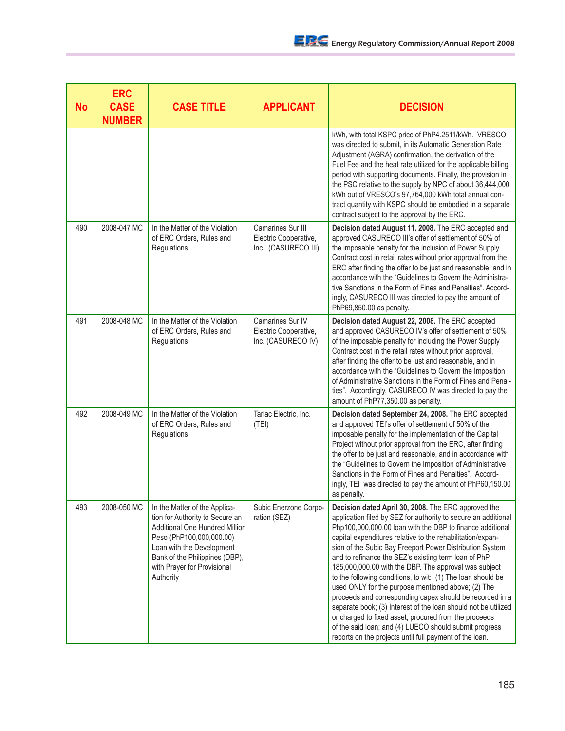| No  | <b>ERC</b><br><b>CASE</b><br><b>NUMBER</b> | <b>CASE TITLE</b>                                                                                                                                                                                                                         | <b>APPLICANT</b>                                                  | <b>DECISION</b>                                                                                                                                                                                                                                                                                                                                                                                                                                                                                                                                                                                                                                                                                                                                                                                                                                                |
|-----|--------------------------------------------|-------------------------------------------------------------------------------------------------------------------------------------------------------------------------------------------------------------------------------------------|-------------------------------------------------------------------|----------------------------------------------------------------------------------------------------------------------------------------------------------------------------------------------------------------------------------------------------------------------------------------------------------------------------------------------------------------------------------------------------------------------------------------------------------------------------------------------------------------------------------------------------------------------------------------------------------------------------------------------------------------------------------------------------------------------------------------------------------------------------------------------------------------------------------------------------------------|
|     |                                            |                                                                                                                                                                                                                                           |                                                                   | kWh, with total KSPC price of PhP4.2511/kWh. VRESCO<br>was directed to submit, in its Automatic Generation Rate<br>Adjustment (AGRA) confirmation, the derivation of the<br>Fuel Fee and the heat rate utilized for the applicable billing<br>period with supporting documents. Finally, the provision in<br>the PSC relative to the supply by NPC of about 36,444,000<br>kWh out of VRESCO's 97,764,000 kWh total annual con-<br>tract quantity with KSPC should be embodied in a separate<br>contract subject to the approval by the ERC.                                                                                                                                                                                                                                                                                                                    |
| 490 | 2008-047 MC                                | In the Matter of the Violation<br>of ERC Orders, Rules and<br>Regulations                                                                                                                                                                 | Camarines Sur III<br>Electric Cooperative,<br>Inc. (CASURECO III) | Decision dated August 11, 2008. The ERC accepted and<br>approved CASURECO III's offer of settlement of 50% of<br>the imposable penalty for the inclusion of Power Supply<br>Contract cost in retail rates without prior approval from the<br>ERC after finding the offer to be just and reasonable, and in<br>accordance with the "Guidelines to Govern the Administra-<br>tive Sanctions in the Form of Fines and Penalties". Accord-<br>ingly, CASURECO III was directed to pay the amount of<br>PhP69,850.00 as penalty.                                                                                                                                                                                                                                                                                                                                    |
| 491 | 2008-048 MC                                | In the Matter of the Violation<br>of ERC Orders, Rules and<br>Regulations                                                                                                                                                                 | Camarines Sur IV<br>Electric Cooperative,<br>Inc. (CASURECO IV)   | Decision dated August 22, 2008. The ERC accepted<br>and approved CASURECO IV's offer of settlement of 50%<br>of the imposable penalty for including the Power Supply<br>Contract cost in the retail rates without prior approval,<br>after finding the offer to be just and reasonable, and in<br>accordance with the "Guidelines to Govern the Imposition<br>of Administrative Sanctions in the Form of Fines and Penal-<br>ties". Accordingly, CASURECO IV was directed to pay the<br>amount of PhP77,350.00 as penalty.                                                                                                                                                                                                                                                                                                                                     |
| 492 | 2008-049 MC                                | In the Matter of the Violation<br>of ERC Orders, Rules and<br>Regulations                                                                                                                                                                 | Tarlac Electric, Inc.<br>(TEI)                                    | Decision dated September 24, 2008. The ERC accepted<br>and approved TEI's offer of settlement of 50% of the<br>imposable penalty for the implementation of the Capital<br>Project without prior approval from the ERC, after finding<br>the offer to be just and reasonable, and in accordance with<br>the "Guidelines to Govern the Imposition of Administrative<br>Sanctions in the Form of Fines and Penalties". Accord-<br>ingly, TEI was directed to pay the amount of PhP60,150.00<br>as penalty.                                                                                                                                                                                                                                                                                                                                                        |
| 493 | 2008-050 MC                                | In the Matter of the Applica-<br>tion for Authority to Secure an<br>Additional One Hundred Million<br>Peso (PhP100,000,000.00)<br>Loan with the Development<br>Bank of the Philippines (DBP),<br>with Prayer for Provisional<br>Authority | Subic Enerzone Corpo-<br>ration (SEZ)                             | Decision dated April 30, 2008. The ERC approved the<br>application filed by SEZ for authority to secure an additional<br>Php100,000,000.00 loan with the DBP to finance additional<br>capital expenditures relative to the rehabilitation/expan-<br>sion of the Subic Bay Freeport Power Distribution System<br>and to refinance the SEZ's existing term loan of PhP<br>185,000,000.00 with the DBP. The approval was subject<br>to the following conditions, to wit: (1) The loan should be<br>used ONLY for the purpose mentioned above; (2) The<br>proceeds and corresponding capex should be recorded in a<br>separate book; (3) Interest of the loan should not be utilized<br>or charged to fixed asset, procured from the proceeds<br>of the said loan; and (4) LUECO should submit progress<br>reports on the projects until full payment of the loan. |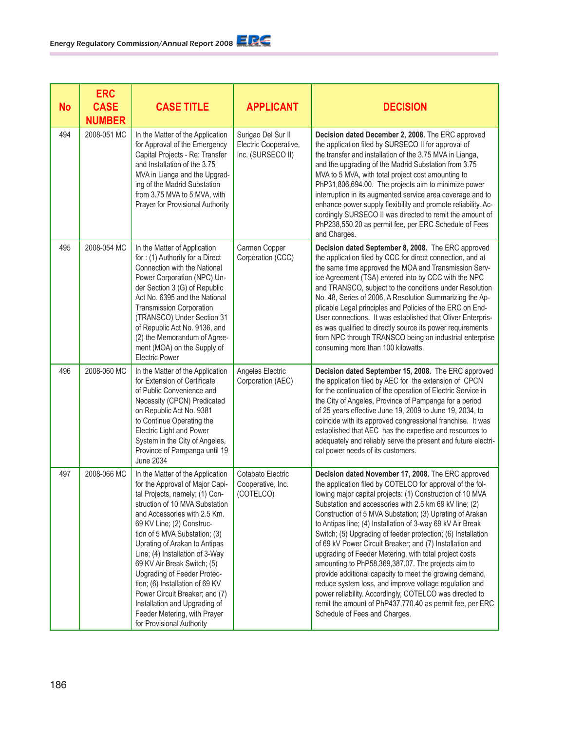| <b>No</b> | <b>ERC</b><br><b>CASE</b><br><b>NUMBER</b> | <b>CASE TITLE</b>                                                                                                                                                                                                                                                                                                                                                                                                                                                                                                                          | <b>APPLICANT</b>                                                 | <b>DECISION</b>                                                                                                                                                                                                                                                                                                                                                                                                                                                                                                                                                                                                                                                                                                                                                                                                                                                                           |
|-----------|--------------------------------------------|--------------------------------------------------------------------------------------------------------------------------------------------------------------------------------------------------------------------------------------------------------------------------------------------------------------------------------------------------------------------------------------------------------------------------------------------------------------------------------------------------------------------------------------------|------------------------------------------------------------------|-------------------------------------------------------------------------------------------------------------------------------------------------------------------------------------------------------------------------------------------------------------------------------------------------------------------------------------------------------------------------------------------------------------------------------------------------------------------------------------------------------------------------------------------------------------------------------------------------------------------------------------------------------------------------------------------------------------------------------------------------------------------------------------------------------------------------------------------------------------------------------------------|
| 494       | 2008-051 MC                                | In the Matter of the Application<br>for Approval of the Emergency<br>Capital Projects - Re: Transfer<br>and Installation of the 3.75<br>MVA in Lianga and the Upgrad-<br>ing of the Madrid Substation<br>from 3.75 MVA to 5 MVA, with<br>Prayer for Provisional Authority                                                                                                                                                                                                                                                                  | Surigao Del Sur II<br>Electric Cooperative,<br>Inc. (SURSECO II) | Decision dated December 2, 2008. The ERC approved<br>the application filed by SURSECO II for approval of<br>the transfer and installation of the 3.75 MVA in Lianga,<br>and the upgrading of the Madrid Substation from 3.75<br>MVA to 5 MVA, with total project cost amounting to<br>PhP31,806,694.00. The projects aim to minimize power<br>interruption in its augmented service area coverage and to<br>enhance power supply flexibility and promote reliability. Ac-<br>cordingly SURSECO II was directed to remit the amount of<br>PhP238,550.20 as permit fee, per ERC Schedule of Fees<br>and Charges.                                                                                                                                                                                                                                                                            |
| 495       | 2008-054 MC                                | In the Matter of Application<br>for: (1) Authority for a Direct<br>Connection with the National<br>Power Corporation (NPC) Un-<br>der Section 3 (G) of Republic<br>Act No. 6395 and the National<br><b>Transmission Corporation</b><br>(TRANSCO) Under Section 31<br>of Republic Act No. 9136, and<br>(2) the Memorandum of Agree-<br>ment (MOA) on the Supply of<br><b>Electric Power</b>                                                                                                                                                 | Carmen Copper<br>Corporation (CCC)                               | Decision dated September 8, 2008. The ERC approved<br>the application filed by CCC for direct connection, and at<br>the same time approved the MOA and Transmission Serv-<br>ice Agreement (TSA) entered into by CCC with the NPC<br>and TRANSCO, subject to the conditions under Resolution<br>No. 48, Series of 2006, A Resolution Summarizing the Ap-<br>plicable Legal principles and Policies of the ERC on End-<br>User connections. It was established that Oliver Enterpris-<br>es was qualified to directly source its power requirements<br>from NPC through TRANSCO being an industrial enterprise<br>consuming more than 100 kilowatts.                                                                                                                                                                                                                                       |
| 496       | 2008-060 MC                                | In the Matter of the Application<br>for Extension of Certificate<br>of Public Convenience and<br>Necessity (CPCN) Predicated<br>on Republic Act No. 9381<br>to Continue Operating the<br><b>Electric Light and Power</b><br>System in the City of Angeles,<br>Province of Pampanga until 19<br><b>June 2034</b>                                                                                                                                                                                                                            | Angeles Electric<br>Corporation (AEC)                            | Decision dated September 15, 2008. The ERC approved<br>the application filed by AEC for the extension of CPCN<br>for the continuation of the operation of Electric Service in<br>the City of Angeles, Province of Pampanga for a period<br>of 25 years effective June 19, 2009 to June 19, 2034, to<br>coincide with its approved congressional franchise. It was<br>established that AEC has the expertise and resources to<br>adequately and reliably serve the present and future electri-<br>cal power needs of its customers.                                                                                                                                                                                                                                                                                                                                                        |
| 497       | 2008-066 MC                                | In the Matter of the Application<br>for the Approval of Major Capi-<br>tal Projects, namely; (1) Con-<br>struction of 10 MVA Substation<br>and Accessories with 2.5 Km.<br>69 KV Line; (2) Construc-<br>tion of 5 MVA Substation; (3)<br>Uprating of Arakan to Antipas<br>Line; (4) Installation of 3-Way<br>69 KV Air Break Switch; (5)<br>Upgrading of Feeder Protec-<br>tion; (6) Installation of 69 KV<br>Power Circuit Breaker; and (7)<br>Installation and Upgrading of<br>Feeder Metering, with Prayer<br>for Provisional Authority | Cotabato Electric<br>Cooperative, Inc.<br>(COTELCO)              | Decision dated November 17, 2008. The ERC approved<br>the application filed by COTELCO for approval of the fol-<br>lowing major capital projects: (1) Construction of 10 MVA<br>Substation and accessories with 2.5 km 69 kV line; (2)<br>Construction of 5 MVA Substation; (3) Uprating of Arakan<br>to Antipas line; (4) Installation of 3-way 69 kV Air Break<br>Switch; (5) Upgrading of feeder protection; (6) Installation<br>of 69 kV Power Circuit Breaker; and (7) Installation and<br>upgrading of Feeder Metering, with total project costs<br>amounting to PhP58,369,387.07. The projects aim to<br>provide additional capacity to meet the growing demand,<br>reduce system loss, and improve voltage regulation and<br>power reliability. Accordingly, COTELCO was directed to<br>remit the amount of PhP437,770.40 as permit fee, per ERC<br>Schedule of Fees and Charges. |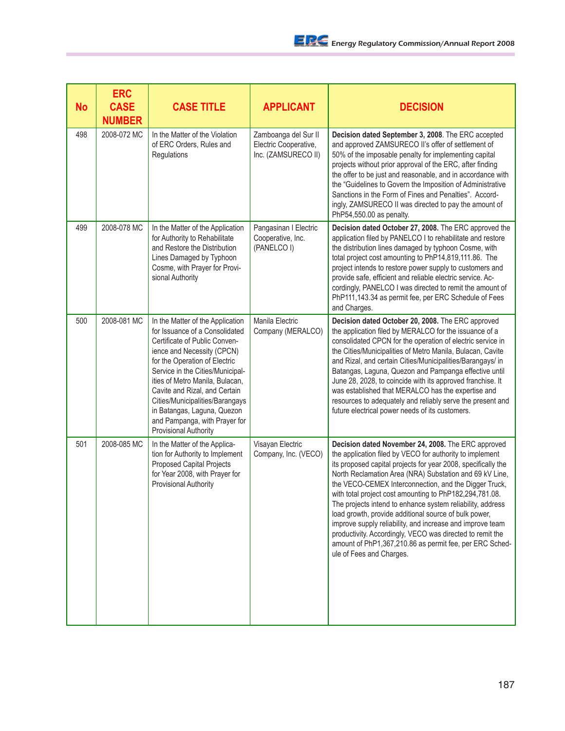| <b>No</b> | <b>ERC</b><br><b>CASE</b><br><b>NUMBER</b> | <b>CASE TITLE</b>                                                                                                                                                                                                                                                                                                                                                                                      | <b>APPLICANT</b>                                                     | <b>DECISION</b>                                                                                                                                                                                                                                                                                                                                                                                                                                                                                                                                                                                                                                                                                        |
|-----------|--------------------------------------------|--------------------------------------------------------------------------------------------------------------------------------------------------------------------------------------------------------------------------------------------------------------------------------------------------------------------------------------------------------------------------------------------------------|----------------------------------------------------------------------|--------------------------------------------------------------------------------------------------------------------------------------------------------------------------------------------------------------------------------------------------------------------------------------------------------------------------------------------------------------------------------------------------------------------------------------------------------------------------------------------------------------------------------------------------------------------------------------------------------------------------------------------------------------------------------------------------------|
| 498       | 2008-072 MC                                | In the Matter of the Violation<br>of ERC Orders, Rules and<br>Regulations                                                                                                                                                                                                                                                                                                                              | Zamboanga del Sur II<br>Electric Cooperative,<br>Inc. (ZAMSURECO II) | Decision dated September 3, 2008. The ERC accepted<br>and approved ZAMSURECO II's offer of settlement of<br>50% of the imposable penalty for implementing capital<br>projects without prior approval of the ERC, after finding<br>the offer to be just and reasonable, and in accordance with<br>the "Guidelines to Govern the Imposition of Administrative<br>Sanctions in the Form of Fines and Penalties". Accord-<br>ingly, ZAMSURECO II was directed to pay the amount of<br>PhP54,550.00 as penalty.                                                                                                                                                                                             |
| 499       | 2008-078 MC                                | In the Matter of the Application<br>for Authority to Rehabilitate<br>and Restore the Distribution<br>Lines Damaged by Typhoon<br>Cosme, with Prayer for Provi-<br>sional Authority                                                                                                                                                                                                                     | Pangasinan I Electric<br>Cooperative, Inc.<br>(PANELCO I)            | Decision dated October 27, 2008. The ERC approved the<br>application filed by PANELCO I to rehabilitate and restore<br>the distribution lines damaged by typhoon Cosme, with<br>total project cost amounting to PhP14,819,111.86. The<br>project intends to restore power supply to customers and<br>provide safe, efficient and reliable electric service. Ac-<br>cordingly, PANELCO I was directed to remit the amount of<br>PhP111,143.34 as permit fee, per ERC Schedule of Fees<br>and Charges.                                                                                                                                                                                                   |
| 500       | 2008-081 MC                                | In the Matter of the Application<br>for Issuance of a Consolidated<br>Certificate of Public Conven-<br>ience and Necessity (CPCN)<br>for the Operation of Electric<br>Service in the Cities/Municipal-<br>ities of Metro Manila, Bulacan,<br>Cavite and Rizal, and Certain<br>Cities/Municipalities/Barangays<br>in Batangas, Laguna, Quezon<br>and Pampanga, with Prayer for<br>Provisional Authority | Manila Electric<br>Company (MERALCO)                                 | Decision dated October 20, 2008. The ERC approved<br>the application filed by MERALCO for the issuance of a<br>consolidated CPCN for the operation of electric service in<br>the Cities/Municipalities of Metro Manila, Bulacan, Cavite<br>and Rizal, and certain Cities/Municipalities/Barangays/ in<br>Batangas, Laguna, Quezon and Pampanga effective until<br>June 28, 2028, to coincide with its approved franchise. It<br>was established that MERALCO has the expertise and<br>resources to adequately and reliably serve the present and<br>future electrical power needs of its customers.                                                                                                    |
| 501       | 2008-085 MC                                | In the Matter of the Applica-<br>tion for Authority to Implement<br><b>Proposed Capital Projects</b><br>for Year 2008, with Prayer for<br><b>Provisional Authority</b>                                                                                                                                                                                                                                 | Visayan Electric<br>Company, Inc. (VECO)                             | Decision dated November 24, 2008. The ERC approved<br>the application filed by VECO for authority to implement<br>its proposed capital projects for year 2008, specifically the<br>North Reclamation Area (NRA) Substation and 69 kV Line,<br>the VECO-CEMEX Interconnection, and the Digger Truck,<br>with total project cost amounting to PhP182,294,781.08.<br>The projects intend to enhance system reliability, address<br>load growth, provide additional source of bulk power,<br>improve supply reliability, and increase and improve team<br>productivity. Accordingly, VECO was directed to remit the<br>amount of PhP1,367,210.86 as permit fee, per ERC Sched-<br>ule of Fees and Charges. |